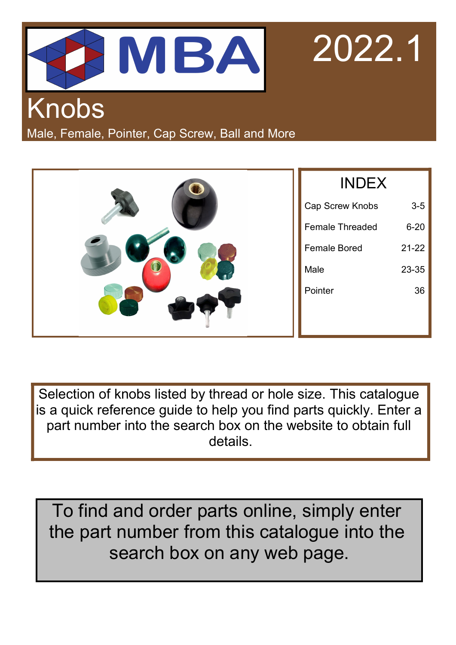



## Knobs

Male, Female, Pointer, Cap Screw, Ball and More

|   | <b>INDEX</b>           |           |  |  |
|---|------------------------|-----------|--|--|
|   | Cap Screw Knobs        | $3-5$     |  |  |
|   | <b>Female Threaded</b> | $6 - 20$  |  |  |
|   | <b>Female Bored</b>    | $21 - 22$ |  |  |
| 0 | Male                   | 23-35     |  |  |
|   | Pointer                | 36        |  |  |
|   |                        |           |  |  |

Selection of knobs listed by thread or hole size. This catalogue is a quick reference guide to help you find parts quickly. Enter a part number into the search box on the website to obtain full details.

To find and order parts online, simply enter the part number from this catalogue into the search box on any web page.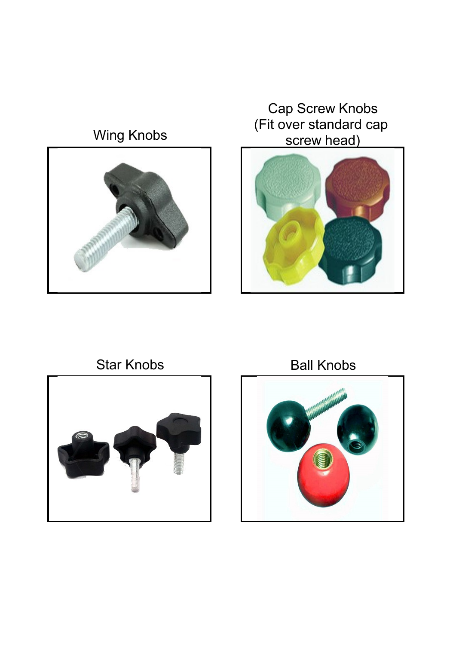### Wing Knobs



Cap Screw Knobs (Fit over standard cap screw head)





Star Knobs Ball Knobs

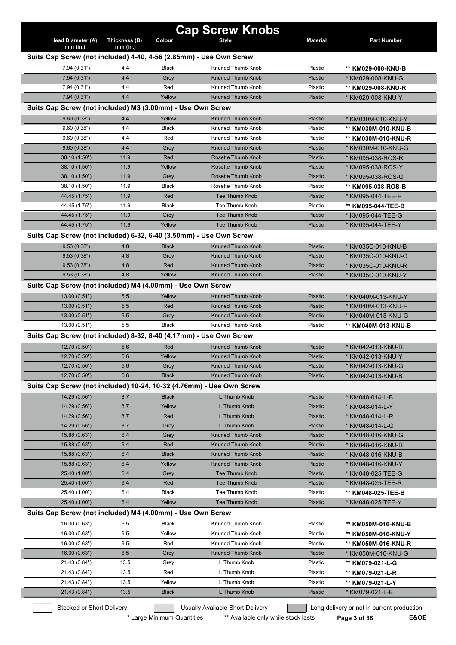|                                                            |                           |              | <b>Cap Screw Knobs</b>                                               |                 |                                            |
|------------------------------------------------------------|---------------------------|--------------|----------------------------------------------------------------------|-----------------|--------------------------------------------|
| Head Diameter (A)                                          | Thickness (B)             | Colour       | Style                                                                | <b>Material</b> | <b>Part Number</b>                         |
| $mm$ (in.)                                                 | $mm$ (in.)                |              |                                                                      |                 |                                            |
|                                                            |                           |              | Suits Cap Screw (not included) 4-40, 4-56 (2.85mm) - Use Own Screw   |                 |                                            |
| 7.94(0.31")                                                | 4.4                       | <b>Black</b> | Knurled Thumb Knob                                                   | Plastic         | ** KM029-008-KNU-B                         |
| 7.94(0.31")                                                | 4.4                       | Grey         | <b>Knurled Thumb Knob</b>                                            | Plastic         | * KM029-008-KNU-G                          |
| 7.94(0.31")                                                | 4.4                       | Red          | Knurled Thumb Knob                                                   | Plastic         | ** KM029-008-KNU-R                         |
| 7.94(0.31")                                                | 4.4                       | Yellow       | Knurled Thumb Knob                                                   | Plastic         | * KM029-008-KNU-Y                          |
| Suits Cap Screw (not included) M3 (3.00mm) - Use Own Screw |                           |              |                                                                      |                 |                                            |
| 9.60(0.38")                                                | 4.4                       | Yellow       | <b>Knurled Thumb Knob</b>                                            | Plastic         | * KM030M-010-KNU-Y                         |
| 9.60(0.38")                                                | 4.4                       | Black        | Knurled Thumb Knob                                                   | Plastic         | ** KM030M-010-KNU-B                        |
| 9.60(0.38")                                                | 4.4                       | Red          | Knurled Thumb Knob                                                   | Plastic         | ** KM030M-010-KNU-R                        |
| 9.60(0.38")                                                | 4.4                       | Grey         | <b>Knurled Thumb Knob</b>                                            | Plastic         | * KM030M-010-KNU-G                         |
| 38.10 (1.50")                                              | 11.9                      | Red          | <b>Rosette Thumb Knob</b>                                            | Plastic         | * KM095-038-ROS-R                          |
| 38.10 (1.50")                                              | 11.9                      | Yellow       | <b>Rosette Thumb Knob</b>                                            | Plastic         | * KM095-038-ROS-Y                          |
| 38.10 (1.50")                                              | 11.9                      | Grey         | <b>Rosette Thumb Knob</b>                                            | Plastic         | * KM095-038-ROS-G                          |
| 38.10 (1.50")                                              | 11.9                      | <b>Black</b> | Rosette Thumb Knob                                                   | Plastic         | ** KM095-038-ROS-B                         |
| 44.45 (1.75")                                              | 11.9                      | Red          | Tee Thumb Knob                                                       | Plastic         | * KM095-044-TEE-R                          |
| 44.45 (1.75")                                              | 11.9                      | <b>Black</b> | Tee Thumb Knob                                                       | Plastic         | ** KM095-044-TEE-B                         |
| 44.45 (1.75")                                              | 11.9                      | Grey         | Tee Thumb Knob                                                       | Plastic         | * KM095-044-TEE-G                          |
| 44.45 (1.75")                                              | 11.9                      | Yellow       | Tee Thumb Knob                                                       | Plastic         | * KM095-044-TEE-Y                          |
|                                                            |                           |              | Suits Cap Screw (not included) 6-32, 6-40 (3.50mm) - Use Own Screw   |                 |                                            |
| 9.53(0.38")                                                | 4.8                       | <b>Black</b> | Knurled Thumb Knob                                                   | Plastic         | * KM035C-010-KNU-B                         |
| 9.53(0.38")                                                | 4.8                       | Grey         | <b>Knurled Thumb Knob</b>                                            | Plastic         | * KM035C-010-KNU-G                         |
| 9.53(0.38")                                                | 4.8                       | Red          | Knurled Thumb Knob                                                   | Plastic         | * KM035C-010-KNU-R                         |
| 9.53(0.38")                                                | 4.8                       | Yellow       | <b>Knurled Thumb Knob</b>                                            | Plastic         | * KM035C-010-KNU-Y                         |
| Suits Cap Screw (not included) M4 (4.00mm) - Use Own Screw |                           |              |                                                                      |                 |                                            |
| 13.00 (0.51")                                              | 5.5                       | Yellow       | <b>Knurled Thumb Knob</b>                                            | <b>Plastic</b>  | * KM040M-013-KNU-Y                         |
| 13.00 (0.51")                                              | 5.5                       | Red          | Knurled Thumb Knob                                                   | Plastic         | * KM040M-013-KNU-R                         |
| 13.00(0.51")                                               | 5.5                       | Grey         | <b>Knurled Thumb Knob</b>                                            | Plastic         | * KM040M-013-KNU-G                         |
| 13.00 (0.51")                                              | 5.5                       | <b>Black</b> | Knurled Thumb Knob                                                   | Plastic         | ** KM040M-013-KNU-B                        |
|                                                            |                           |              | Suits Cap Screw (not included) 8-32, 8-40 (4.17mm) - Use Own Screw   |                 |                                            |
| 12.70 (0.50")                                              | 5.6                       | Red          | <b>Knurled Thumb Knob</b>                                            | <b>Plastic</b>  | * KM042-013-KNU-R                          |
| 12.70 (0.50")                                              | 5.6                       | Yellow       | <b>Knurled Thumb Knob</b>                                            | <b>Plastic</b>  | * KM042-013-KNU-Y                          |
| 12.70 (0.50")                                              | 5.6                       | Grey         | Knurled Thumb Knob                                                   | Plastic         | * KM042-013-KNU-G                          |
| 12.70 (0.50")                                              | 5.6                       | <b>Black</b> | Knurled Thumb Knob                                                   | Plastic         | * KM042-013-KNU-B                          |
|                                                            |                           |              | Suits Cap Screw (not included) 10-24, 10-32 (4.76mm) - Use Own Screw |                 |                                            |
| 14.29 (0.56")                                              | 8.7                       | <b>Black</b> | L Thumb Knob                                                         | <b>Plastic</b>  | * KM048-014-L-B                            |
| 14.29 (0.56")                                              | 8.7                       | Yellow       | L Thumb Knob                                                         | <b>Plastic</b>  | * KM048-014-L-Y                            |
| 14.29 (0.56")                                              | 8.7                       | Red          | L Thumb Knob                                                         | <b>Plastic</b>  | * KM048-014-L-R                            |
| 14.29 (0.56")                                              | 8.7                       | Grey         | L Thumb Knob                                                         | Plastic         | * KM048-014-L-G                            |
| 15.88 (0.63")                                              | 6.4                       | Grey         | Knurled Thumb Knob                                                   | Plastic         | * KM048-016-KNU-G                          |
| 15.88 (0.63")                                              | 6.4                       | Red          | Knurled Thumb Knob                                                   | Plastic         | * KM048-016-KNU-R                          |
| 15.88 (0.63")                                              | 6.4                       | <b>Black</b> | Knurled Thumb Knob                                                   | Plastic         | * KM048-016-KNU-B                          |
| 15.88 (0.63")                                              | 6.4                       | Yellow       | Knurled Thumb Knob                                                   | Plastic         | * KM048-016-KNU-Y                          |
| 25.40 (1.00")                                              | 6.4                       | Grey         | Tee Thumb Knob                                                       | Plastic         | * KM048-025-TEE-G                          |
| 25.40 (1.00")                                              | 6.4                       | Red          | Tee Thumb Knob                                                       | Plastic         | * KM048-025-TEE-R                          |
| 25.40 (1.00")                                              | 6.4                       | <b>Black</b> | Tee Thumb Knob                                                       | Plastic         | ** KM048-025-TEE-B                         |
| 25.40 (1.00")                                              | 6.4                       | Yellow       | Tee Thumb Knob                                                       | Plastic         | * KM048-025-TEE-Y                          |
| Suits Cap Screw (not included) M4 (4.00mm) - Use Own Screw |                           |              |                                                                      |                 |                                            |
| 16.00 (0.63")                                              | 6.5                       | Black        | Knurled Thumb Knob                                                   | Plastic         | ** KM050M-016-KNU-B                        |
| 16.00 (0.63")                                              | 6.5                       | Yellow       | Knurled Thumb Knob                                                   | Plastic         | ** KM050M-016-KNU-Y                        |
| 16.00 (0.63")                                              | 6.5                       | Red          | Knurled Thumb Knob                                                   | Plastic         | ** KM050M-016-KNU-R                        |
| 16.00 (0.63")                                              | 6.5                       | Grey         | Knurled Thumb Knob                                                   | Plastic         | * KM050M-016-KNU-G                         |
| 21.43 (0.84")                                              | 13.5                      | Grey         | L Thumb Knob                                                         | Plastic         | ** KM079-021-L-G                           |
| 21.43 (0.84")                                              | 13.5                      | Red          | L Thumb Knob                                                         | Plastic         | ** KM079-021-L-R                           |
| 21.43 (0.84")                                              | 13.5                      | Yellow       | L Thumb Knob                                                         | Plastic         | ** KM079-021-L-Y                           |
| 21.43 (0.84")                                              | 13.5                      | <b>Black</b> | L Thumb Knob                                                         | Plastic         | * KM079-021-L-B                            |
|                                                            |                           |              |                                                                      |                 |                                            |
|                                                            | Stocked or Short Delivery |              | Usually Available Short Delivery                                     |                 | Long delivery or not in current production |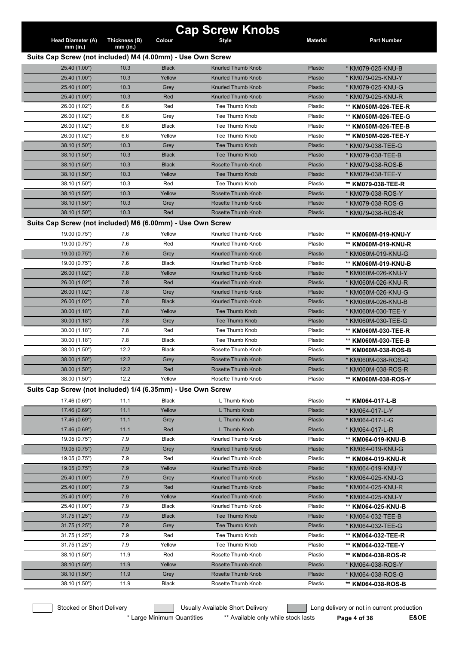|                                                             |               |              | <b>Cap Screw Knobs</b>    |                 |                                        |
|-------------------------------------------------------------|---------------|--------------|---------------------------|-----------------|----------------------------------------|
| <b>Head Diameter (A)</b>                                    | Thickness (B) | Colour       | <b>Style</b>              | <b>Material</b> | <b>Part Number</b>                     |
| $mm$ (in.)                                                  | $mm$ (in.)    |              |                           |                 |                                        |
| Suits Cap Screw (not included) M4 (4.00mm) - Use Own Screw  | 10.3          | <b>Black</b> | <b>Knurled Thumb Knob</b> | Plastic         |                                        |
| 25.40 (1.00")<br>25.40 (1.00")                              | 10.3          | Yellow       | Knurled Thumb Knob        | Plastic         | * KM079-025-KNU-B<br>* KM079-025-KNU-Y |
| 25.40 (1.00")                                               | 10.3          | Grey         | <b>Knurled Thumb Knob</b> | <b>Plastic</b>  | * KM079-025-KNU-G                      |
| 25.40 (1.00")                                               | 10.3          | Red          | Knurled Thumb Knob        | Plastic         | * KM079-025-KNU-R                      |
| 26.00 (1.02")                                               | 6.6           | Red          | Tee Thumb Knob            | Plastic         | ** KM050M-026-TEE-R                    |
| 26.00 (1.02")                                               | 6.6           | Grey         | Tee Thumb Knob            | Plastic         | ** KM050M-026-TEE-G                    |
| 26.00 (1.02")                                               | 6.6           | Black        | Tee Thumb Knob            | Plastic         | ** KM050M-026-TEE-B                    |
| 26.00 (1.02")                                               | 6.6           | Yellow       | Tee Thumb Knob            | Plastic         | ** KM050M-026-TEE-Y                    |
| 38.10 (1.50")                                               | 10.3          | Grey         | <b>Tee Thumb Knob</b>     | <b>Plastic</b>  | * KM079-038-TEE-G                      |
| 38.10 (1.50")                                               | 10.3          | <b>Black</b> | <b>Tee Thumb Knob</b>     | <b>Plastic</b>  | * KM079-038-TEE-B                      |
| 38.10 (1.50")                                               | 10.3          | <b>Black</b> | Rosette Thumb Knob        | Plastic         | * KM079-038-ROS-B                      |
| 38.10 (1.50")                                               | 10.3          | Yellow       | <b>Tee Thumb Knob</b>     | Plastic         | * KM079-038-TEE-Y                      |
| 38.10 (1.50")                                               | 10.3          | Red          | Tee Thumb Knob            | Plastic         | ** KM079-038-TEE-R                     |
| 38.10 (1.50")                                               | 10.3          | Yellow       | Rosette Thumb Knob        | Plastic         | * KM079-038-ROS-Y                      |
| 38.10 (1.50")                                               | 10.3          | Grey         | Rosette Thumb Knob        | <b>Plastic</b>  | * KM079-038-ROS-G                      |
| 38.10 (1.50")                                               | 10.3          | Red          | Rosette Thumb Knob        | Plastic         | * KM079-038-ROS-R                      |
| Suits Cap Screw (not included) M6 (6.00mm) - Use Own Screw  |               |              |                           |                 |                                        |
| 19.00 (0.75")                                               | 7.6           | Yellow       | Knurled Thumb Knob        | Plastic         | ** KM060M-019-KNU-Y                    |
| 19.00 (0.75")                                               | 7.6           | Red          | Knurled Thumb Knob        | Plastic         | ** KM060M-019-KNU-R                    |
| 19.00 (0.75")                                               | 7.6           | Grey         | <b>Knurled Thumb Knob</b> | <b>Plastic</b>  | * KM060M-019-KNU-G                     |
| 19.00 (0.75")                                               | 7.6           | <b>Black</b> | Knurled Thumb Knob        | Plastic         | ** KM060M-019-KNU-B                    |
| 26.00 (1.02")                                               | 7.8           | Yellow       | <b>Knurled Thumb Knob</b> | <b>Plastic</b>  | * KM060M-026-KNU-Y                     |
| 26.00 (1.02")                                               | 7.8           | Red          | <b>Knurled Thumb Knob</b> | <b>Plastic</b>  | * KM060M-026-KNU-R                     |
| 26.00 (1.02")                                               | 7.8           | Grey         | <b>Knurled Thumb Knob</b> | Plastic         | * KM060M-026-KNU-G                     |
| 26.00 (1.02")                                               | 7.8           | <b>Black</b> | Knurled Thumb Knob        | <b>Plastic</b>  | * KM060M-026-KNU-B                     |
| 30.00(1.18")                                                | 7.8           | Yellow       | <b>Tee Thumb Knob</b>     | <b>Plastic</b>  | * KM060M-030-TEE-Y                     |
| 30.00(1.18")                                                | 7.8           | Grey         | <b>Tee Thumb Knob</b>     | Plastic         | * KM060M-030-TEE-G                     |
| 30.00 (1.18")                                               | 7.8           | Red          | Tee Thumb Knob            | Plastic         | ** KM060M-030-TEE-R                    |
| 30.00 (1.18")                                               | 7.8           | <b>Black</b> | Tee Thumb Knob            | Plastic         | ** KM060M-030-TEE-B                    |
| 38.00 (1.50")                                               | 12.2          | Black        | Rosette Thumb Knob        | Plastic         | ** KM060M-038-ROS-B                    |
| 38.00 (1.50")                                               | 12.2          | Grey         | Rosette Thumb Knob        | <b>Plastic</b>  | * KM060M-038-ROS-G                     |
| 38.00 (1.50")                                               | 12.2          | Red          | Rosette Thumb Knob        | Plastic         | * KM060M-038-ROS-R                     |
| 38.00 (1.50")                                               | 12.2          | Yellow       | Rosette Thumb Knob        | Plastic         | ** KM060M-038-ROS-Y                    |
| Suits Cap Screw (not included) 1/4 (6.35mm) - Use Own Screw |               |              |                           |                 |                                        |
| 17.46 (0.69")                                               | 11.1          | Black        | L Thumb Knob              | Plastic         | ** KM064-017-L-B                       |
| 17.46 (0.69")                                               | 11.1          | Yellow       | L Thumb Knob              | <b>Plastic</b>  | * KM064-017-L-Y                        |
| 17.46 (0.69")                                               | 11.1          | Grey         | L Thumb Knob              | <b>Plastic</b>  | * KM064-017-L-G                        |
| 17.46 (0.69")                                               | 11.1          | Red          | L Thumb Knob              | <b>Plastic</b>  | * KM064-017-L-R                        |
| 19.05 (0.75")                                               | 7.9           | Black        | Knurled Thumb Knob        | Plastic         | ** KM064-019-KNU-B                     |
| 19.05 (0.75")                                               | 7.9           | Grey         | Knurled Thumb Knob        | <b>Plastic</b>  | * KM064-019-KNU-G                      |
| 19.05 (0.75")                                               | 7.9           | Red          | Knurled Thumb Knob        | Plastic         | ** KM064-019-KNU-R                     |
| 19.05 (0.75")                                               | 7.9           | Yellow       | Knurled Thumb Knob        | <b>Plastic</b>  | * KM064-019-KNU-Y                      |
| 25.40 (1.00")                                               | 7.9           | Grey         | Knurled Thumb Knob        | <b>Plastic</b>  | * KM064-025-KNU-G                      |
| 25.40 (1.00")                                               | 7.9           | Red          | Knurled Thumb Knob        | <b>Plastic</b>  | * KM064-025-KNU-R                      |
| 25.40 (1.00")                                               | 7.9           | Yellow       | Knurled Thumb Knob        | <b>Plastic</b>  | * KM064-025-KNU-Y                      |
| 25.40 (1.00")                                               | 7.9           | Black        | Knurled Thumb Knob        | Plastic         | ** KM064-025-KNU-B                     |
| 31.75 (1.25")                                               | 7.9           | <b>Black</b> | Tee Thumb Knob            | <b>Plastic</b>  | * KM064-032-TEE-B                      |
| 31.75 (1.25")                                               | 7.9           | Grey         | <b>Tee Thumb Knob</b>     | <b>Plastic</b>  | * KM064-032-TEE-G                      |
| 31.75 (1.25")                                               | 7.9           | Red          | Tee Thumb Knob            | Plastic         | ** KM064-032-TEE-R                     |
| 31.75 (1.25")                                               | 7.9           | Yellow       | Tee Thumb Knob            | Plastic         | ** KM064-032-TEE-Y                     |
| 38.10 (1.50")                                               | 11.9          | Red          | Rosette Thumb Knob        | Plastic         | ** KM064-038-ROS-R                     |
| 38.10 (1.50")                                               | 11.9          | Yellow       | Rosette Thumb Knob        | <b>Plastic</b>  | * KM064-038-ROS-Y                      |
| 38.10 (1.50")                                               | 11.9          | Grey         | Rosette Thumb Knob        | <b>Plastic</b>  | * KM064-038-ROS-G                      |
| 38.10 (1.50")                                               | 11.9          | Black        | Rosette Thumb Knob        | Plastic         | ** KM064-038-ROS-B                     |

\* Large Minimum Quantities \*\* Available only while stock lasts **Page 4 of 38 E&OE**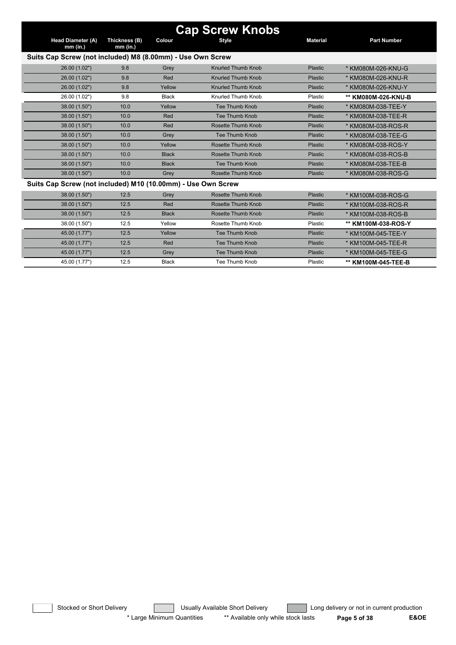| <b>Cap Screw Knobs</b>                                       |                             |              |                           |                 |                     |  |  |  |  |
|--------------------------------------------------------------|-----------------------------|--------------|---------------------------|-----------------|---------------------|--|--|--|--|
| Head Diameter (A)<br>$mm$ (in.)                              | Thickness (B)<br>$mm$ (in.) | Colour       | <b>Style</b>              | <b>Material</b> | <b>Part Number</b>  |  |  |  |  |
| Suits Cap Screw (not included) M8 (8.00mm) - Use Own Screw   |                             |              |                           |                 |                     |  |  |  |  |
| 26.00 (1.02")                                                | 9.8                         | Grey         | <b>Knurled Thumb Knob</b> | Plastic         | * KM080M-026-KNU-G  |  |  |  |  |
| 26.00 (1.02")                                                | 9.8                         | Red          | <b>Knurled Thumb Knob</b> | Plastic         | * KM080M-026-KNU-R  |  |  |  |  |
| 26.00 (1.02")                                                | 9.8                         | Yellow       | Knurled Thumb Knob        | Plastic         | * KM080M-026-KNU-Y  |  |  |  |  |
| 26.00 (1.02")                                                | 9.8                         | <b>Black</b> | Knurled Thumb Knob        | Plastic         | ** KM080M-026-KNU-B |  |  |  |  |
| 38.00 (1.50")                                                | 10.0                        | Yellow       | Tee Thumb Knob            | Plastic         | * KM080M-038-TEE-Y  |  |  |  |  |
| 38.00 (1.50")                                                | 10.0                        | Red          | Tee Thumb Knob            | Plastic         | * KM080M-038-TEE-R  |  |  |  |  |
| 38.00 (1.50")                                                | 10.0                        | Red          | <b>Rosette Thumb Knob</b> | Plastic         | * KM080M-038-ROS-R  |  |  |  |  |
| 38.00 (1.50")                                                | 10.0                        | Grey         | Tee Thumb Knob            | Plastic         | * KM080M-038-TEE-G  |  |  |  |  |
| 38.00 (1.50")                                                | 10.0                        | Yellow       | Rosette Thumb Knob        | Plastic         | * KM080M-038-ROS-Y  |  |  |  |  |
| 38.00 (1.50")                                                | 10.0                        | <b>Black</b> | Rosette Thumb Knob        | Plastic         | * KM080M-038-ROS-B  |  |  |  |  |
| 38.00 (1.50")                                                | 10.0                        | <b>Black</b> | Tee Thumb Knob            | <b>Plastic</b>  | * KM080M-038-TEE-B  |  |  |  |  |
| 38.00 (1.50")                                                | 10.0                        | Grey         | Rosette Thumb Knob        | Plastic         | * KM080M-038-ROS-G  |  |  |  |  |
| Suits Cap Screw (not included) M10 (10.00mm) - Use Own Screw |                             |              |                           |                 |                     |  |  |  |  |
| 38.00 (1.50")                                                | 12.5                        | Grey         | Rosette Thumb Knob        | Plastic         | * KM100M-038-ROS-G  |  |  |  |  |
| 38.00 (1.50")                                                | 12.5                        | Red          | Rosette Thumb Knob        | Plastic         | * KM100M-038-ROS-R  |  |  |  |  |
| 38.00 (1.50")                                                | 12.5                        | <b>Black</b> | <b>Rosette Thumb Knob</b> | Plastic         | * KM100M-038-ROS-B  |  |  |  |  |
| 38.00 (1.50")                                                | 12.5                        | Yellow       | Rosette Thumb Knob        | Plastic         | ** KM100M-038-ROS-Y |  |  |  |  |
| 45.00 (1.77")                                                | 12.5                        | Yellow       | <b>Tee Thumb Knob</b>     | Plastic         | * KM100M-045-TEE-Y  |  |  |  |  |
| 45.00 (1.77")                                                | 12.5                        | Red          | Tee Thumb Knob            | Plastic         | * KM100M-045-TEE-R  |  |  |  |  |
| 45.00 (1.77")                                                | 12.5                        | Grey         | <b>Tee Thumb Knob</b>     | Plastic         | * KM100M-045-TEE-G  |  |  |  |  |
| 45.00 (1.77")                                                | 12.5                        | <b>Black</b> | Tee Thumb Knob            | Plastic         | ** KM100M-045-TEE-B |  |  |  |  |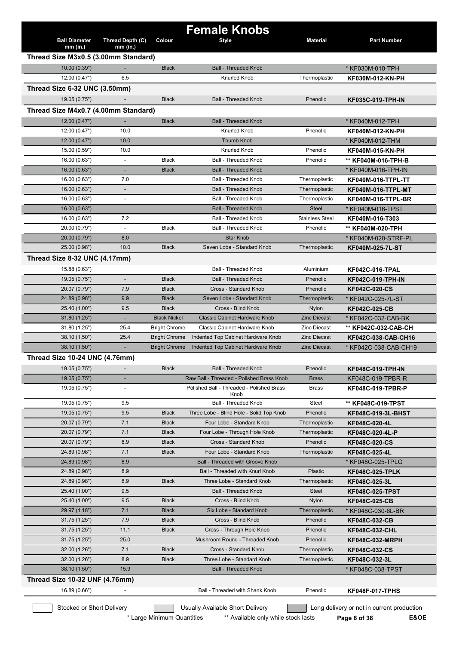|                                      |                                            |                      | <b>Female Knobs</b>                                                        |                                |                                                        |
|--------------------------------------|--------------------------------------------|----------------------|----------------------------------------------------------------------------|--------------------------------|--------------------------------------------------------|
| <b>Ball Diameter</b><br>$mm$ (in.)   | Thread Depth (C)<br>mm (in.)               | Colour               | <b>Style</b>                                                               | <b>Material</b>                | <b>Part Number</b>                                     |
| Thread Size M3x0.5 (3.00mm Standard) |                                            |                      |                                                                            |                                |                                                        |
| 10.00(0.39")                         |                                            | <b>Black</b>         | <b>Ball - Threaded Knob</b>                                                |                                | * KF030M-010-TPH                                       |
| 12.00 (0.47")                        | 6.5                                        |                      | <b>Knurled Knob</b>                                                        | Thermoplastic                  | KF030M-012-KN-PH                                       |
| Thread Size 6-32 UNC (3.50mm)        |                                            |                      |                                                                            |                                |                                                        |
| 19.05 (0.75")                        |                                            | <b>Black</b>         | <b>Ball - Threaded Knob</b>                                                | Phenolic                       | <b>KF035C-019-TPH-IN</b>                               |
| Thread Size M4x0.7 (4.00mm Standard) |                                            |                      |                                                                            |                                |                                                        |
| 12.00(0.47")                         | $\blacksquare$                             | <b>Black</b>         | <b>Ball - Threaded Knob</b>                                                |                                | * KF040M-012-TPH                                       |
| 12.00 (0.47")                        | 10.0                                       |                      | <b>Knurled Knob</b>                                                        | Phenolic                       | KF040M-012-KN-PH                                       |
| 12.00(0.47")                         | 10.0                                       |                      | <b>Thumb Knob</b>                                                          |                                | * KF040M-012-THM                                       |
| 15.00 (0.59")                        | 10.0                                       |                      | Knurled Knob                                                               | Phenolic                       | KF040M-015-KN-PH                                       |
| 16.00 (0.63")                        | $\overline{\phantom{a}}$                   | <b>Black</b>         | <b>Ball - Threaded Knob</b>                                                | Phenolic                       | ** KF040M-016-TPH-B                                    |
| 16.00(0.63")                         | ٠                                          | <b>Black</b>         | <b>Ball - Threaded Knob</b>                                                |                                | * KF040M-016-TPH-IN                                    |
| 16.00 (0.63")                        | 7.0                                        |                      | <b>Ball - Threaded Knob</b>                                                | Thermoplastic                  | <b>KF040M-016-TTPL-TT</b>                              |
| 16.00 (0.63")<br>16.00 (0.63")       | $\overline{\phantom{a}}$<br>$\overline{a}$ |                      | <b>Ball - Threaded Knob</b><br><b>Ball - Threaded Knob</b>                 | Thermoplastic<br>Thermoplastic | <b>KF040M-016-TTPL-MT</b><br><b>KF040M-016-TTPL-BR</b> |
| 16.00 (0.63")                        |                                            |                      | <b>Ball - Threaded Knob</b>                                                | <b>Steel</b>                   | * KF040M-016-TPST                                      |
| 16.00 (0.63")                        | 7.2                                        |                      | <b>Ball - Threaded Knob</b>                                                | <b>Stainless Steel</b>         | KF040M-016-T303                                        |
| 20.00 (0.79")                        |                                            | <b>Black</b>         | Ball - Threaded Knob                                                       | Phenolic                       | ** KF040M-020-TPH                                      |
| 20.00 (0.79")                        | 8.0                                        |                      | <b>Star Knob</b>                                                           |                                | * KF040M-020-STRF-PL                                   |
| 25.00 (0.98")                        | 10.0                                       | <b>Black</b>         | Seven Lobe - Standard Knob                                                 | Thermoplastic                  | KF040M-025-7L-ST                                       |
| Thread Size 8-32 UNC (4.17mm)        |                                            |                      |                                                                            |                                |                                                        |
| 15.88 (0.63")                        |                                            |                      | <b>Ball - Threaded Knob</b>                                                | Aluminium                      | <b>KF042C-016-TPAL</b>                                 |
| 19.05 (0.75")                        |                                            | <b>Black</b>         | <b>Ball - Threaded Knob</b>                                                | Phenolic                       | <b>KF042C-019-TPH-IN</b>                               |
| 20.07 (0.79")                        | 7.9                                        | <b>Black</b>         | Cross - Standard Knob                                                      | Phenolic                       | <b>KF042C-020-CS</b>                                   |
| 24.89 (0.98")                        | 9.9                                        | <b>Black</b>         | Seven Lobe - Standard Knob                                                 | Thermoplastic                  | * KF042C-025-7L-ST                                     |
| 25.40 (1.00")                        | 9.5                                        | <b>Black</b>         | Cross - Blind Knob                                                         | Nylon                          | <b>KF042C-025-CB</b>                                   |
| 31.80(1.25")                         | ٠                                          | <b>Black Nickel</b>  | Classic Cabinet Hardware Knob                                              | <b>Zinc Diecast</b>            | * KF042C-032-CAB-BK                                    |
| 31.80 (1.25")                        | 25.4                                       | <b>Bright Chrome</b> | Classic Cabinet Hardware Knob                                              | <b>Zinc Diecast</b>            | ** KF042C-032-CAB-CH                                   |
| 38.10 (1.50")                        | 25.4                                       | <b>Bright Chrome</b> | Indented Top Cabinet Hardware Knob                                         | <b>Zinc Diecast</b>            | KF042C-038-CAB-CH16                                    |
| 38.10 (1.50")                        |                                            | <b>Bright Chrome</b> | Indented Top Cabinet Hardware Knob                                         | <b>Zinc Diecast</b>            | * KF042C-038-CAB-CH19                                  |
| Thread Size 10-24 UNC (4.76mm)       |                                            |                      |                                                                            |                                |                                                        |
| 19.05 (0.75")                        |                                            | <b>Black</b>         | <b>Ball - Threaded Knob</b>                                                | Phenolic                       | <b>KF048C-019-TPH-IN</b>                               |
| 19.05 (0.75")                        |                                            |                      | Raw Ball - Threaded - Polished Brass Knob                                  | <b>Brass</b>                   | KF048C-019-TPBR-R                                      |
| 19.05 (0.75")                        |                                            |                      | Polished Ball - Threaded - Polished Brass<br>Knob                          | <b>Brass</b>                   | <b>KF048C-019-TPBR-P</b>                               |
| 19.05 (0.75")                        | 9.5                                        |                      | <b>Ball - Threaded Knob</b>                                                | Steel                          | ** KF048C-019-TPST                                     |
| 19.05 (0.75")                        | 9.5                                        | <b>Black</b>         | Three Lobe - Blind Hole - Solid Top Knob                                   | Phenolic                       | KF048C-019-3L-BHST                                     |
| 20.07 (0.79")                        | 7.1                                        | <b>Black</b>         | Four Lobe - Standard Knob                                                  | Thermoplastic                  | KF048C-020-4L                                          |
| 20.07 (0.79")                        | 7.1                                        | <b>Black</b>         | Four Lobe - Through Hole Knob                                              | Thermoplastic                  | KF048C-020-4L-P                                        |
| 20.07 (0.79")                        | 8.9                                        | <b>Black</b>         | Cross - Standard Knob                                                      | Phenolic                       | <b>KF048C-020-CS</b>                                   |
| 24.89 (0.98")                        | 7.1                                        | <b>Black</b>         | Four Lobe - Standard Knob                                                  | Thermoplastic                  | KF048C-025-4L                                          |
| 24.89 (0.98")<br>24.89 (0.98")       | 8.9<br>8.9                                 |                      | <b>Ball - Threaded with Groove Knob</b><br>Ball - Threaded with Knurl Knob | Plastic                        | * KF048C-025-TPLG                                      |
| 24.89 (0.98")                        | 8.9                                        | <b>Black</b>         | Three Lobe - Standard Knob                                                 | Thermoplastic                  | <b>KF048C-025-TPLK</b>                                 |
| 25.40 (1.00")                        | 9.5                                        |                      | <b>Ball - Threaded Knob</b>                                                | Steel                          | KF048C-025-3L<br><b>KF048C-025-TPST</b>                |
| 25.40 (1.00")                        | 9.5                                        | <b>Black</b>         | Cross - Blind Knob                                                         | <b>Nylon</b>                   | <b>KF048C-025-CB</b>                                   |
| 29.97 (1.18")                        | 7.1                                        | <b>Black</b>         | Six Lobe - Standard Knob                                                   | Thermoplastic                  | * KF048C-030-6L-BR                                     |
| 31.75(1.25")                         | 7.9                                        | <b>Black</b>         | Cross - Blind Knob                                                         | Phenolic                       | <b>KF048C-032-CB</b>                                   |
| 31.75 (1.25")                        | 11.1                                       | <b>Black</b>         | Cross - Through Hole Knob                                                  | Phenolic                       | <b>KF048C-032-CHL</b>                                  |
| 31.75(1.25")                         | 25.0                                       |                      | Mushroom Round - Threaded Knob                                             | Phenolic                       | KF048C-032-MRPH                                        |
| 32.00 (1.26")                        | 7.1                                        | <b>Black</b>         | Cross - Standard Knob                                                      | Thermoplastic                  | <b>KF048C-032-CS</b>                                   |
| 32.00 (1.26")                        | 8.9                                        | <b>Black</b>         | Three Lobe - Standard Knob                                                 | Thermoplastic                  | KF048C-032-3L                                          |
| 38.10 (1.50")                        | 15.9                                       |                      | <b>Ball - Threaded Knob</b>                                                |                                | * KF048C-038-TPST                                      |
| Thread Size 10-32 UNF (4.76mm)       |                                            |                      |                                                                            |                                |                                                        |
| 16.89 (0.66")                        |                                            |                      | Ball - Threaded with Shank Knob                                            | Phenolic                       | <b>KF048F-017-TPHS</b>                                 |
| Stocked or Short Delivery            |                                            |                      | Usually Available Short Delivery                                           |                                | Long delivery or not in current production             |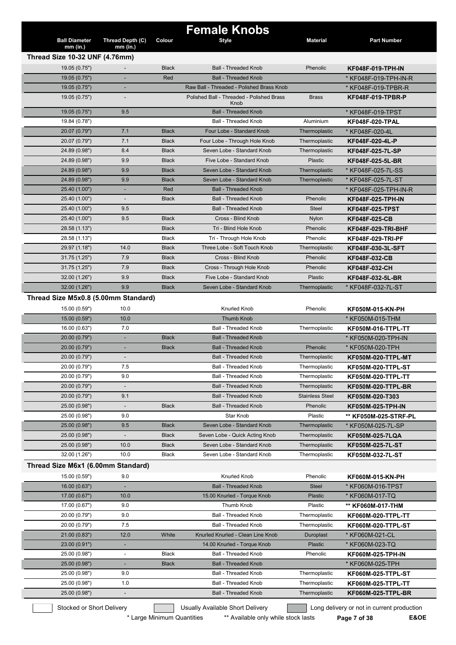|                                      |                                |              | <b>Female Knobs</b>                               |                        |                           |
|--------------------------------------|--------------------------------|--------------|---------------------------------------------------|------------------------|---------------------------|
| <b>Ball Diameter</b><br>$mm$ (in.)   | Thread Depth (C)<br>$mm$ (in.) | Colour       | <b>Style</b>                                      | <b>Material</b>        | <b>Part Number</b>        |
| Thread Size 10-32 UNF (4.76mm)       |                                |              |                                                   |                        |                           |
| 19.05 (0.75")                        | $\overline{\phantom{a}}$       | <b>Black</b> | <b>Ball - Threaded Knob</b>                       | Phenolic               | KF048F-019-TPH-IN         |
| 19.05 (0.75")                        |                                | Red          | <b>Ball - Threaded Knob</b>                       |                        | * KF048F-019-TPH-IN-R     |
| 19.05 (0.75")                        |                                |              | Raw Ball - Threaded - Polished Brass Knob         |                        | * KF048F-019-TPBR-R       |
| 19.05(0.75")                         |                                |              | Polished Ball - Threaded - Polished Brass<br>Knob | <b>Brass</b>           | <b>KF048F-019-TPBR-P</b>  |
| 19.05 (0.75")                        | 9.5                            |              | <b>Ball - Threaded Knob</b>                       |                        | * KF048F-019-TPST         |
| 19.84 (0.78")                        |                                |              | Ball - Threaded Knob                              | Aluminium              | <b>KF048F-020-TPAL</b>    |
| 20.07 (0.79")                        | 7.1                            | <b>Black</b> | Four Lobe - Standard Knob                         | Thermoplastic          | * KF048F-020-4L           |
| 20.07 (0.79")                        | 7.1                            | <b>Black</b> | Four Lobe - Through Hole Knob                     | Thermoplastic          | KF048F-020-4L-P           |
| 24.89 (0.98")                        | 8.4                            | <b>Black</b> | Seven Lobe - Standard Knob                        | Thermoplastic          | KF048F-025-7L-SP          |
| 24.89 (0.98")                        | 9.9                            | <b>Black</b> | Five Lobe - Standard Knob                         | Plastic                | KF048F-025-5L-BR          |
| 24.89 (0.98")                        | 9.9                            | <b>Black</b> | Seven Lobe - Standard Knob                        | Thermoplastic          | * KF048F-025-7L-SS        |
| 24.89 (0.98")                        | 9.9                            | <b>Black</b> | Seven Lobe - Standard Knob                        | Thermoplastic          | * KF048F-025-7L-ST        |
| 25.40 (1.00")                        |                                | Red          | <b>Ball - Threaded Knob</b>                       |                        | * KF048F-025-TPH-IN-R     |
| 25.40 (1.00")                        |                                | <b>Black</b> | <b>Ball - Threaded Knob</b>                       | Phenolic               | KF048F-025-TPH-IN         |
| 25.40 (1.00")                        | 9.5                            |              | <b>Ball - Threaded Knob</b>                       | <b>Steel</b>           | <b>KF048F-025-TPST</b>    |
| 25.40 (1.00")                        | 9.5                            | <b>Black</b> | Cross - Blind Knob                                | Nylon                  | KF048F-025-CB             |
| 28.58 (1.13")                        |                                | <b>Black</b> | Tri - Blind Hole Knob                             | Phenolic               | <b>KF048F-029-TRI-BHF</b> |
| 28.58 (1.13")                        |                                | <b>Black</b> | Tri - Through Hole Knob                           | Phenolic               | KF048F-029-TRI-PF         |
| 29.97 (1.18")                        | 14.0                           | <b>Black</b> | Three Lobe - Soft Touch Knob                      | Thermoplastic          | KF048F-030-3L-SFT         |
| 31.75 (1.25")                        | 7.9                            | <b>Black</b> | Cross - Blind Knob                                | Phenolic               | <b>KF048F-032-CB</b>      |
| 31.75 (1.25")                        | 7.9                            | <b>Black</b> | Cross - Through Hole Knob                         | Phenolic               | KF048F-032-CH             |
| 32.00 (1.26")                        | 9.9                            | <b>Black</b> | Five Lobe - Standard Knob                         | Plastic                | KF048F-032-5L-BR          |
| 32.00 (1.26")                        | 9.9                            | <b>Black</b> | Seven Lobe - Standard Knob                        | Thermoplastic          | * KF048F-032-7L-ST        |
| Thread Size M5x0.8 (5.00mm Standard) |                                |              |                                                   |                        |                           |
| 15.00 (0.59")                        | 10.0                           |              | <b>Knurled Knob</b>                               | Phenolic               | KF050M-015-KN-PH          |
| 15.00 (0.59")                        | 10.0                           |              | <b>Thumb Knob</b>                                 |                        | * KF050M-015-THM          |
| 16.00 (0.63")                        | 7.0                            |              | <b>Ball - Threaded Knob</b>                       | Thermoplastic          | <b>KF050M-016-TTPL-TT</b> |
| 20.00 (0.79")                        | ٠                              | <b>Black</b> | <b>Ball - Threaded Knob</b>                       |                        | * KF050M-020-TPH-IN       |
| 20.00 (0.79")                        | ٠                              | <b>Black</b> | <b>Ball - Threaded Knob</b>                       | Phenolic               | * KF050M-020-TPH          |
| 20.00 (0.79")                        | $\overline{\phantom{a}}$       |              | <b>Ball - Threaded Knob</b>                       | Thermoplastic          | <b>KF050M-020-TTPL-MT</b> |
| 20.00 (0.79")                        | 7.5                            |              | <b>Ball - Threaded Knob</b>                       | Thermoplastic          | KF050M-020-TTPL-ST        |
| 20.00 (0.79")                        | 9.0                            |              | <b>Ball - Threaded Knob</b>                       | Thermoplastic          | KF050M-020-TTPL-TT        |
| 20.00 (0.79")                        |                                |              | <b>Ball - Threaded Knob</b>                       | Thermoplastic          | KF050M-020-TTPL-BR        |
| 20.00 (0.79")                        | 9.1                            |              | <b>Ball - Threaded Knob</b>                       | <b>Stainless Steel</b> | KF050M-020-T303           |
| 25.00 (0.98")                        |                                | <b>Black</b> | <b>Ball - Threaded Knob</b>                       | Phenolic               | <b>KF050M-025-TPH-IN</b>  |
| 25.00 (0.98")                        | 9.0                            |              | Star Knob                                         | Plastic                | ** KF050M-025-STRF-PL     |
| 25.00 (0.98")                        | 9.5                            | <b>Black</b> | Seven Lobe - Standard Knob                        | Thermoplastic          | * KF050M-025-7L-SP        |
| 25.00 (0.98")                        | $\overline{\phantom{a}}$       | <b>Black</b> | Seven Lobe - Quick Acting Knob                    | Thermoplastic          | KF050M-025-7LQA           |
| 25.00 (0.98")                        | 10.0                           | <b>Black</b> | Seven Lobe - Standard Knob                        | Thermoplastic          | KF050M-025-7L-ST          |
| 32.00 (1.26")                        | 10.0                           | <b>Black</b> | Seven Lobe - Standard Knob                        | Thermoplastic          | KF050M-032-7L-ST          |
| Thread Size M6x1 (6.00mm Standard)   |                                |              |                                                   |                        |                           |
| 15.00 (0.59")                        | 9.0                            |              | Knurled Knob                                      | Phenolic               | KF060M-015-KN-PH          |
| 16.00 (0.63")                        | ÷,                             |              | <b>Ball - Threaded Knob</b>                       | <b>Steel</b>           | * KF060M-016-TPST         |
| 17.00 (0.67")                        | 10.0                           |              | 15.00 Knurled - Torque Knob                       | <b>Plastic</b>         | * KF060M-017-TQ           |
| 17.00 (0.67")                        | 9.0                            |              | Thumb Knob                                        | Plastic                | ** KF060M-017-THM         |
| 20.00 (0.79")                        | 9.0                            |              | <b>Ball - Threaded Knob</b>                       | Thermoplastic          | KF060M-020-TTPL-TT        |
| 20.00 (0.79")                        | 7.5                            |              | <b>Ball - Threaded Knob</b>                       | Thermoplastic          | <b>KF060M-020-TTPL-ST</b> |
| 21.00 (0.83")                        | 12.0                           | White        | Knurled Knurled - Clean Line Knob                 | Duroplast              | * KF060M-021-CL           |
| 23.00 (0.91")                        | ٠                              |              | 14.00 Knurled - Torque Knob                       | Plastic                | * KF060M-023-TQ           |
| 25.00 (0.98")                        | $\overline{\phantom{a}}$       | Black        | <b>Ball - Threaded Knob</b>                       | Phenolic               |                           |
| 25.00 (0.98")                        | $\blacksquare$                 | <b>Black</b> | <b>Ball - Threaded Knob</b>                       |                        | KF060M-025-TPH-IN         |
| 25.00 (0.98")                        | 9.0                            |              | <b>Ball - Threaded Knob</b>                       | Thermoplastic          | * KF060M-025-TPH          |
| 25.00 (0.98")                        | 1.0                            |              | <b>Ball - Threaded Knob</b>                       | Thermoplastic          | KF060M-025-TTPL-ST        |
|                                      |                                |              |                                                   |                        | KF060M-025-TTPL-TT        |
| 25.00 (0.98")                        | $\overline{\phantom{a}}$       |              | <b>Ball - Threaded Knob</b>                       | Thermoplastic          | KF060M-025-TTPL-BR        |

\* Large Minimum Quantities \*\* Available only while stock lasts **Page 7 of 38 E&OE**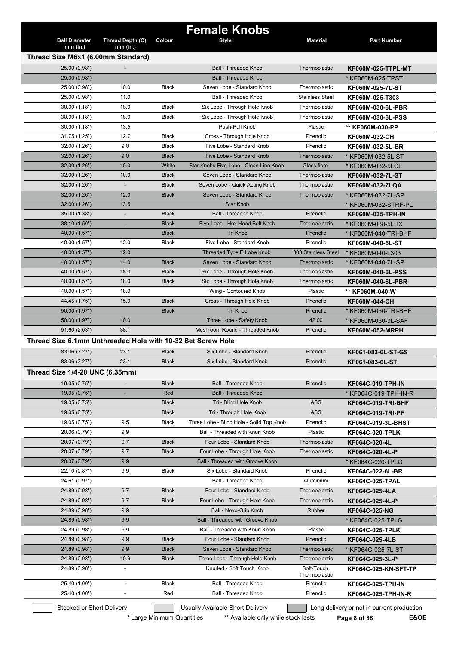| <b>Female Knobs</b><br><b>Ball Diameter</b><br>Thread Depth (C)<br>Colour<br><b>Material</b><br><b>Part Number</b><br><b>Style</b><br>$mm$ (in.)<br>$mm$ (in.)<br>Thread Size M6x1 (6.00mm Standard)<br>25.00 (0.98")<br><b>Ball - Threaded Knob</b><br>Thermoplastic<br>KF060M-025-TTPL-MT<br><b>Ball - Threaded Knob</b><br>25.00 (0.98")<br>* KF060M-025-TPST<br>Seven Lobe - Standard Knob<br>25.00 (0.98")<br>10.0<br><b>Black</b><br>Thermoplastic<br>KF060M-025-7L-ST<br><b>Ball - Threaded Knob</b><br>25.00 (0.98")<br>11.0<br><b>Stainless Steel</b><br>KF060M-025-T303<br>30.00 (1.18")<br>18.0<br><b>Black</b><br>Six Lobe - Through Hole Knob<br>Thermoplastic<br>KF060M-030-6L-PBR<br>30.00 (1.18")<br>18.0<br><b>Black</b><br>Six Lobe - Through Hole Knob<br>Thermoplastic<br>KF060M-030-6L-PSS<br>13.5<br>Push-Pull Knob<br>Plastic<br>30.00 (1.18")<br>** KF060M-030-PP<br>12.7<br>31.75 (1.25")<br><b>Black</b><br>Cross - Through Hole Knob<br>Phenolic<br>KF060M-032-CH<br>Five Lobe - Standard Knob<br>9.0<br>Phenolic<br>32.00 (1.26")<br><b>Black</b><br>KF060M-032-5L-BR<br>9.0<br><b>Black</b><br>Five Lobe - Standard Knob<br>32.00 (1.26")<br>Thermoplastic<br>* KF060M-032-5L-ST<br>10.0<br>White<br>Star Knobs Five Lobe - Clean Line Knob<br>Glass fibre<br>32.00 (1.26")<br>* KF060M-032-5LCL<br>10.0<br>32.00 (1.26")<br><b>Black</b><br>Seven Lobe - Standard Knob<br>Thermoplastic<br>KF060M-032-7L-ST<br>32.00 (1.26")<br>Thermoplastic<br><b>Black</b><br>Seven Lobe - Quick Acting Knob<br>KF060M-032-7LQA<br>12.0<br>32.00 (1.26")<br><b>Black</b><br>Seven Lobe - Standard Knob<br>Thermoplastic<br>* KF060M-032-7L-SP<br>Star Knob<br>32.00 (1.26")<br>13.5<br>* KF060M-032-STRF-PL<br>Phenolic<br>35.00 (1.38")<br><b>Black</b><br><b>Ball - Threaded Knob</b><br><b>KF060M-035-TPH-IN</b><br>$\overline{\phantom{a}}$<br><b>Black</b><br>Five Lobe - Hex Head Bolt Knob<br>* KF060M-038-5LHX<br>38.10 (1.50")<br>L.<br>Thermoplastic<br><b>Tri Knob</b><br>Phenolic<br>* KF060M-040-TRI-BHF<br>40.00 (1.57")<br><b>Black</b><br>Five Lobe - Standard Knob<br>12.0<br>Phenolic<br>40.00 (1.57")<br><b>Black</b><br>KF060M-040-5L-ST<br>12.0<br>Threaded Type E Lobe Knob<br>303 Stainless Steel<br>40.00 (1.57")<br>* KF060M-040-L303<br>14.0<br><b>Black</b><br>Seven Lobe - Standard Knob<br>Thermoplastic<br>40.00 (1.57")<br>* KF060M-040-7L-SP<br>40.00 (1.57")<br>18.0<br><b>Black</b><br>Six Lobe - Through Hole Knob<br>Thermoplastic<br><b>KF060M-040-6L-PSS</b><br>18.0<br>Six Lobe - Through Hole Knob<br>40.00 (1.57")<br><b>Black</b><br>Thermoplastic<br><b>KF060M-040-6L-PBR</b><br>40.00 (1.57")<br>18.0<br>Wing - Contoured Knob<br>Plastic<br>** KF060M-040-W<br>15.9<br><b>Black</b><br>Cross - Through Hole Knob<br>Phenolic<br>44.45 (1.75")<br><b>KF060M-044-CH</b> |  |
|-------------------------------------------------------------------------------------------------------------------------------------------------------------------------------------------------------------------------------------------------------------------------------------------------------------------------------------------------------------------------------------------------------------------------------------------------------------------------------------------------------------------------------------------------------------------------------------------------------------------------------------------------------------------------------------------------------------------------------------------------------------------------------------------------------------------------------------------------------------------------------------------------------------------------------------------------------------------------------------------------------------------------------------------------------------------------------------------------------------------------------------------------------------------------------------------------------------------------------------------------------------------------------------------------------------------------------------------------------------------------------------------------------------------------------------------------------------------------------------------------------------------------------------------------------------------------------------------------------------------------------------------------------------------------------------------------------------------------------------------------------------------------------------------------------------------------------------------------------------------------------------------------------------------------------------------------------------------------------------------------------------------------------------------------------------------------------------------------------------------------------------------------------------------------------------------------------------------------------------------------------------------------------------------------------------------------------------------------------------------------------------------------------------------------------------------------------------------------------------------------------------------------------------------------------------------------------------------------------------------------------------------------------------------------------------------------------------------------------------------------------------------------------------------------------------------------------------|--|
|                                                                                                                                                                                                                                                                                                                                                                                                                                                                                                                                                                                                                                                                                                                                                                                                                                                                                                                                                                                                                                                                                                                                                                                                                                                                                                                                                                                                                                                                                                                                                                                                                                                                                                                                                                                                                                                                                                                                                                                                                                                                                                                                                                                                                                                                                                                                                                                                                                                                                                                                                                                                                                                                                                                                                                                                                                     |  |
|                                                                                                                                                                                                                                                                                                                                                                                                                                                                                                                                                                                                                                                                                                                                                                                                                                                                                                                                                                                                                                                                                                                                                                                                                                                                                                                                                                                                                                                                                                                                                                                                                                                                                                                                                                                                                                                                                                                                                                                                                                                                                                                                                                                                                                                                                                                                                                                                                                                                                                                                                                                                                                                                                                                                                                                                                                     |  |
|                                                                                                                                                                                                                                                                                                                                                                                                                                                                                                                                                                                                                                                                                                                                                                                                                                                                                                                                                                                                                                                                                                                                                                                                                                                                                                                                                                                                                                                                                                                                                                                                                                                                                                                                                                                                                                                                                                                                                                                                                                                                                                                                                                                                                                                                                                                                                                                                                                                                                                                                                                                                                                                                                                                                                                                                                                     |  |
|                                                                                                                                                                                                                                                                                                                                                                                                                                                                                                                                                                                                                                                                                                                                                                                                                                                                                                                                                                                                                                                                                                                                                                                                                                                                                                                                                                                                                                                                                                                                                                                                                                                                                                                                                                                                                                                                                                                                                                                                                                                                                                                                                                                                                                                                                                                                                                                                                                                                                                                                                                                                                                                                                                                                                                                                                                     |  |
|                                                                                                                                                                                                                                                                                                                                                                                                                                                                                                                                                                                                                                                                                                                                                                                                                                                                                                                                                                                                                                                                                                                                                                                                                                                                                                                                                                                                                                                                                                                                                                                                                                                                                                                                                                                                                                                                                                                                                                                                                                                                                                                                                                                                                                                                                                                                                                                                                                                                                                                                                                                                                                                                                                                                                                                                                                     |  |
|                                                                                                                                                                                                                                                                                                                                                                                                                                                                                                                                                                                                                                                                                                                                                                                                                                                                                                                                                                                                                                                                                                                                                                                                                                                                                                                                                                                                                                                                                                                                                                                                                                                                                                                                                                                                                                                                                                                                                                                                                                                                                                                                                                                                                                                                                                                                                                                                                                                                                                                                                                                                                                                                                                                                                                                                                                     |  |
|                                                                                                                                                                                                                                                                                                                                                                                                                                                                                                                                                                                                                                                                                                                                                                                                                                                                                                                                                                                                                                                                                                                                                                                                                                                                                                                                                                                                                                                                                                                                                                                                                                                                                                                                                                                                                                                                                                                                                                                                                                                                                                                                                                                                                                                                                                                                                                                                                                                                                                                                                                                                                                                                                                                                                                                                                                     |  |
|                                                                                                                                                                                                                                                                                                                                                                                                                                                                                                                                                                                                                                                                                                                                                                                                                                                                                                                                                                                                                                                                                                                                                                                                                                                                                                                                                                                                                                                                                                                                                                                                                                                                                                                                                                                                                                                                                                                                                                                                                                                                                                                                                                                                                                                                                                                                                                                                                                                                                                                                                                                                                                                                                                                                                                                                                                     |  |
|                                                                                                                                                                                                                                                                                                                                                                                                                                                                                                                                                                                                                                                                                                                                                                                                                                                                                                                                                                                                                                                                                                                                                                                                                                                                                                                                                                                                                                                                                                                                                                                                                                                                                                                                                                                                                                                                                                                                                                                                                                                                                                                                                                                                                                                                                                                                                                                                                                                                                                                                                                                                                                                                                                                                                                                                                                     |  |
|                                                                                                                                                                                                                                                                                                                                                                                                                                                                                                                                                                                                                                                                                                                                                                                                                                                                                                                                                                                                                                                                                                                                                                                                                                                                                                                                                                                                                                                                                                                                                                                                                                                                                                                                                                                                                                                                                                                                                                                                                                                                                                                                                                                                                                                                                                                                                                                                                                                                                                                                                                                                                                                                                                                                                                                                                                     |  |
|                                                                                                                                                                                                                                                                                                                                                                                                                                                                                                                                                                                                                                                                                                                                                                                                                                                                                                                                                                                                                                                                                                                                                                                                                                                                                                                                                                                                                                                                                                                                                                                                                                                                                                                                                                                                                                                                                                                                                                                                                                                                                                                                                                                                                                                                                                                                                                                                                                                                                                                                                                                                                                                                                                                                                                                                                                     |  |
|                                                                                                                                                                                                                                                                                                                                                                                                                                                                                                                                                                                                                                                                                                                                                                                                                                                                                                                                                                                                                                                                                                                                                                                                                                                                                                                                                                                                                                                                                                                                                                                                                                                                                                                                                                                                                                                                                                                                                                                                                                                                                                                                                                                                                                                                                                                                                                                                                                                                                                                                                                                                                                                                                                                                                                                                                                     |  |
|                                                                                                                                                                                                                                                                                                                                                                                                                                                                                                                                                                                                                                                                                                                                                                                                                                                                                                                                                                                                                                                                                                                                                                                                                                                                                                                                                                                                                                                                                                                                                                                                                                                                                                                                                                                                                                                                                                                                                                                                                                                                                                                                                                                                                                                                                                                                                                                                                                                                                                                                                                                                                                                                                                                                                                                                                                     |  |
|                                                                                                                                                                                                                                                                                                                                                                                                                                                                                                                                                                                                                                                                                                                                                                                                                                                                                                                                                                                                                                                                                                                                                                                                                                                                                                                                                                                                                                                                                                                                                                                                                                                                                                                                                                                                                                                                                                                                                                                                                                                                                                                                                                                                                                                                                                                                                                                                                                                                                                                                                                                                                                                                                                                                                                                                                                     |  |
|                                                                                                                                                                                                                                                                                                                                                                                                                                                                                                                                                                                                                                                                                                                                                                                                                                                                                                                                                                                                                                                                                                                                                                                                                                                                                                                                                                                                                                                                                                                                                                                                                                                                                                                                                                                                                                                                                                                                                                                                                                                                                                                                                                                                                                                                                                                                                                                                                                                                                                                                                                                                                                                                                                                                                                                                                                     |  |
|                                                                                                                                                                                                                                                                                                                                                                                                                                                                                                                                                                                                                                                                                                                                                                                                                                                                                                                                                                                                                                                                                                                                                                                                                                                                                                                                                                                                                                                                                                                                                                                                                                                                                                                                                                                                                                                                                                                                                                                                                                                                                                                                                                                                                                                                                                                                                                                                                                                                                                                                                                                                                                                                                                                                                                                                                                     |  |
|                                                                                                                                                                                                                                                                                                                                                                                                                                                                                                                                                                                                                                                                                                                                                                                                                                                                                                                                                                                                                                                                                                                                                                                                                                                                                                                                                                                                                                                                                                                                                                                                                                                                                                                                                                                                                                                                                                                                                                                                                                                                                                                                                                                                                                                                                                                                                                                                                                                                                                                                                                                                                                                                                                                                                                                                                                     |  |
|                                                                                                                                                                                                                                                                                                                                                                                                                                                                                                                                                                                                                                                                                                                                                                                                                                                                                                                                                                                                                                                                                                                                                                                                                                                                                                                                                                                                                                                                                                                                                                                                                                                                                                                                                                                                                                                                                                                                                                                                                                                                                                                                                                                                                                                                                                                                                                                                                                                                                                                                                                                                                                                                                                                                                                                                                                     |  |
|                                                                                                                                                                                                                                                                                                                                                                                                                                                                                                                                                                                                                                                                                                                                                                                                                                                                                                                                                                                                                                                                                                                                                                                                                                                                                                                                                                                                                                                                                                                                                                                                                                                                                                                                                                                                                                                                                                                                                                                                                                                                                                                                                                                                                                                                                                                                                                                                                                                                                                                                                                                                                                                                                                                                                                                                                                     |  |
|                                                                                                                                                                                                                                                                                                                                                                                                                                                                                                                                                                                                                                                                                                                                                                                                                                                                                                                                                                                                                                                                                                                                                                                                                                                                                                                                                                                                                                                                                                                                                                                                                                                                                                                                                                                                                                                                                                                                                                                                                                                                                                                                                                                                                                                                                                                                                                                                                                                                                                                                                                                                                                                                                                                                                                                                                                     |  |
|                                                                                                                                                                                                                                                                                                                                                                                                                                                                                                                                                                                                                                                                                                                                                                                                                                                                                                                                                                                                                                                                                                                                                                                                                                                                                                                                                                                                                                                                                                                                                                                                                                                                                                                                                                                                                                                                                                                                                                                                                                                                                                                                                                                                                                                                                                                                                                                                                                                                                                                                                                                                                                                                                                                                                                                                                                     |  |
|                                                                                                                                                                                                                                                                                                                                                                                                                                                                                                                                                                                                                                                                                                                                                                                                                                                                                                                                                                                                                                                                                                                                                                                                                                                                                                                                                                                                                                                                                                                                                                                                                                                                                                                                                                                                                                                                                                                                                                                                                                                                                                                                                                                                                                                                                                                                                                                                                                                                                                                                                                                                                                                                                                                                                                                                                                     |  |
|                                                                                                                                                                                                                                                                                                                                                                                                                                                                                                                                                                                                                                                                                                                                                                                                                                                                                                                                                                                                                                                                                                                                                                                                                                                                                                                                                                                                                                                                                                                                                                                                                                                                                                                                                                                                                                                                                                                                                                                                                                                                                                                                                                                                                                                                                                                                                                                                                                                                                                                                                                                                                                                                                                                                                                                                                                     |  |
|                                                                                                                                                                                                                                                                                                                                                                                                                                                                                                                                                                                                                                                                                                                                                                                                                                                                                                                                                                                                                                                                                                                                                                                                                                                                                                                                                                                                                                                                                                                                                                                                                                                                                                                                                                                                                                                                                                                                                                                                                                                                                                                                                                                                                                                                                                                                                                                                                                                                                                                                                                                                                                                                                                                                                                                                                                     |  |
|                                                                                                                                                                                                                                                                                                                                                                                                                                                                                                                                                                                                                                                                                                                                                                                                                                                                                                                                                                                                                                                                                                                                                                                                                                                                                                                                                                                                                                                                                                                                                                                                                                                                                                                                                                                                                                                                                                                                                                                                                                                                                                                                                                                                                                                                                                                                                                                                                                                                                                                                                                                                                                                                                                                                                                                                                                     |  |
|                                                                                                                                                                                                                                                                                                                                                                                                                                                                                                                                                                                                                                                                                                                                                                                                                                                                                                                                                                                                                                                                                                                                                                                                                                                                                                                                                                                                                                                                                                                                                                                                                                                                                                                                                                                                                                                                                                                                                                                                                                                                                                                                                                                                                                                                                                                                                                                                                                                                                                                                                                                                                                                                                                                                                                                                                                     |  |
|                                                                                                                                                                                                                                                                                                                                                                                                                                                                                                                                                                                                                                                                                                                                                                                                                                                                                                                                                                                                                                                                                                                                                                                                                                                                                                                                                                                                                                                                                                                                                                                                                                                                                                                                                                                                                                                                                                                                                                                                                                                                                                                                                                                                                                                                                                                                                                                                                                                                                                                                                                                                                                                                                                                                                                                                                                     |  |
|                                                                                                                                                                                                                                                                                                                                                                                                                                                                                                                                                                                                                                                                                                                                                                                                                                                                                                                                                                                                                                                                                                                                                                                                                                                                                                                                                                                                                                                                                                                                                                                                                                                                                                                                                                                                                                                                                                                                                                                                                                                                                                                                                                                                                                                                                                                                                                                                                                                                                                                                                                                                                                                                                                                                                                                                                                     |  |
| <b>Tri Knob</b><br>50.00 (1.97")<br><b>Black</b><br>Phenolic<br>* KF060M-050-TRI-BHF                                                                                                                                                                                                                                                                                                                                                                                                                                                                                                                                                                                                                                                                                                                                                                                                                                                                                                                                                                                                                                                                                                                                                                                                                                                                                                                                                                                                                                                                                                                                                                                                                                                                                                                                                                                                                                                                                                                                                                                                                                                                                                                                                                                                                                                                                                                                                                                                                                                                                                                                                                                                                                                                                                                                                |  |
| 10.0<br>50.00 (1.97")<br>Three Lobe - Safety Knob<br>42.00<br>* KF060M-050-3L-SAF                                                                                                                                                                                                                                                                                                                                                                                                                                                                                                                                                                                                                                                                                                                                                                                                                                                                                                                                                                                                                                                                                                                                                                                                                                                                                                                                                                                                                                                                                                                                                                                                                                                                                                                                                                                                                                                                                                                                                                                                                                                                                                                                                                                                                                                                                                                                                                                                                                                                                                                                                                                                                                                                                                                                                   |  |
| 38.1<br>Mushroom Round - Threaded Knob<br>Phenolic<br>51.60 (2.03")<br><b>KF060M-052-MRPH</b>                                                                                                                                                                                                                                                                                                                                                                                                                                                                                                                                                                                                                                                                                                                                                                                                                                                                                                                                                                                                                                                                                                                                                                                                                                                                                                                                                                                                                                                                                                                                                                                                                                                                                                                                                                                                                                                                                                                                                                                                                                                                                                                                                                                                                                                                                                                                                                                                                                                                                                                                                                                                                                                                                                                                       |  |
| Thread Size 6.1mm Unthreaded Hole with 10-32 Set Screw Hole                                                                                                                                                                                                                                                                                                                                                                                                                                                                                                                                                                                                                                                                                                                                                                                                                                                                                                                                                                                                                                                                                                                                                                                                                                                                                                                                                                                                                                                                                                                                                                                                                                                                                                                                                                                                                                                                                                                                                                                                                                                                                                                                                                                                                                                                                                                                                                                                                                                                                                                                                                                                                                                                                                                                                                         |  |
| 83.06 (3.27")<br>23.1<br><b>Black</b><br>Six Lobe - Standard Knob<br>Phenolic<br>KF061-083-6L-ST-GS                                                                                                                                                                                                                                                                                                                                                                                                                                                                                                                                                                                                                                                                                                                                                                                                                                                                                                                                                                                                                                                                                                                                                                                                                                                                                                                                                                                                                                                                                                                                                                                                                                                                                                                                                                                                                                                                                                                                                                                                                                                                                                                                                                                                                                                                                                                                                                                                                                                                                                                                                                                                                                                                                                                                 |  |
| 83.06 (3.27")<br>23.1<br><b>Black</b><br>Six Lobe - Standard Knob<br>Phenolic<br>KF061-083-6L-ST                                                                                                                                                                                                                                                                                                                                                                                                                                                                                                                                                                                                                                                                                                                                                                                                                                                                                                                                                                                                                                                                                                                                                                                                                                                                                                                                                                                                                                                                                                                                                                                                                                                                                                                                                                                                                                                                                                                                                                                                                                                                                                                                                                                                                                                                                                                                                                                                                                                                                                                                                                                                                                                                                                                                    |  |
| Thread Size 1/4-20 UNC (6.35mm)                                                                                                                                                                                                                                                                                                                                                                                                                                                                                                                                                                                                                                                                                                                                                                                                                                                                                                                                                                                                                                                                                                                                                                                                                                                                                                                                                                                                                                                                                                                                                                                                                                                                                                                                                                                                                                                                                                                                                                                                                                                                                                                                                                                                                                                                                                                                                                                                                                                                                                                                                                                                                                                                                                                                                                                                     |  |
|                                                                                                                                                                                                                                                                                                                                                                                                                                                                                                                                                                                                                                                                                                                                                                                                                                                                                                                                                                                                                                                                                                                                                                                                                                                                                                                                                                                                                                                                                                                                                                                                                                                                                                                                                                                                                                                                                                                                                                                                                                                                                                                                                                                                                                                                                                                                                                                                                                                                                                                                                                                                                                                                                                                                                                                                                                     |  |
| 19.05 (0.75")<br><b>Black</b><br><b>Ball - Threaded Knob</b><br>Phenolic<br><b>KF064C-019-TPH-IN</b>                                                                                                                                                                                                                                                                                                                                                                                                                                                                                                                                                                                                                                                                                                                                                                                                                                                                                                                                                                                                                                                                                                                                                                                                                                                                                                                                                                                                                                                                                                                                                                                                                                                                                                                                                                                                                                                                                                                                                                                                                                                                                                                                                                                                                                                                                                                                                                                                                                                                                                                                                                                                                                                                                                                                |  |
| Red<br>19.05 (0.75")<br><b>Ball - Threaded Knob</b><br>* KF064C-019-TPH-IN-R<br>÷,                                                                                                                                                                                                                                                                                                                                                                                                                                                                                                                                                                                                                                                                                                                                                                                                                                                                                                                                                                                                                                                                                                                                                                                                                                                                                                                                                                                                                                                                                                                                                                                                                                                                                                                                                                                                                                                                                                                                                                                                                                                                                                                                                                                                                                                                                                                                                                                                                                                                                                                                                                                                                                                                                                                                                  |  |
| <b>Black</b><br>Tri - Blind Hole Knob<br><b>ABS</b><br>19.05 (0.75")<br><b>KF064C-019-TRI-BHF</b>                                                                                                                                                                                                                                                                                                                                                                                                                                                                                                                                                                                                                                                                                                                                                                                                                                                                                                                                                                                                                                                                                                                                                                                                                                                                                                                                                                                                                                                                                                                                                                                                                                                                                                                                                                                                                                                                                                                                                                                                                                                                                                                                                                                                                                                                                                                                                                                                                                                                                                                                                                                                                                                                                                                                   |  |
| <b>ABS</b><br>Tri - Through Hole Knob<br>19.05(0.75")<br><b>Black</b><br><b>KF064C-019-TRI-PF</b>                                                                                                                                                                                                                                                                                                                                                                                                                                                                                                                                                                                                                                                                                                                                                                                                                                                                                                                                                                                                                                                                                                                                                                                                                                                                                                                                                                                                                                                                                                                                                                                                                                                                                                                                                                                                                                                                                                                                                                                                                                                                                                                                                                                                                                                                                                                                                                                                                                                                                                                                                                                                                                                                                                                                   |  |
| 19.05 (0.75")<br>9.5<br><b>Black</b><br>Three Lobe - Blind Hole - Solid Top Knob<br>Phenolic<br>KF064C-019-3L-BHST                                                                                                                                                                                                                                                                                                                                                                                                                                                                                                                                                                                                                                                                                                                                                                                                                                                                                                                                                                                                                                                                                                                                                                                                                                                                                                                                                                                                                                                                                                                                                                                                                                                                                                                                                                                                                                                                                                                                                                                                                                                                                                                                                                                                                                                                                                                                                                                                                                                                                                                                                                                                                                                                                                                  |  |
| 9.9<br>Plastic<br>20.06 (0.79")<br>Ball - Threaded with Knurl Knob<br><b>KF064C-020-TPLK</b>                                                                                                                                                                                                                                                                                                                                                                                                                                                                                                                                                                                                                                                                                                                                                                                                                                                                                                                                                                                                                                                                                                                                                                                                                                                                                                                                                                                                                                                                                                                                                                                                                                                                                                                                                                                                                                                                                                                                                                                                                                                                                                                                                                                                                                                                                                                                                                                                                                                                                                                                                                                                                                                                                                                                        |  |
| 20.07 (0.79")<br>9.7<br><b>Black</b><br>Four Lobe - Standard Knob<br>Thermoplastic<br>KF064C-020-4L                                                                                                                                                                                                                                                                                                                                                                                                                                                                                                                                                                                                                                                                                                                                                                                                                                                                                                                                                                                                                                                                                                                                                                                                                                                                                                                                                                                                                                                                                                                                                                                                                                                                                                                                                                                                                                                                                                                                                                                                                                                                                                                                                                                                                                                                                                                                                                                                                                                                                                                                                                                                                                                                                                                                 |  |
| 20.07 (0.79")<br>9.7<br>Four Lobe - Through Hole Knob<br><b>Black</b><br>Thermoplastic<br>KF064C-020-4L-P                                                                                                                                                                                                                                                                                                                                                                                                                                                                                                                                                                                                                                                                                                                                                                                                                                                                                                                                                                                                                                                                                                                                                                                                                                                                                                                                                                                                                                                                                                                                                                                                                                                                                                                                                                                                                                                                                                                                                                                                                                                                                                                                                                                                                                                                                                                                                                                                                                                                                                                                                                                                                                                                                                                           |  |
| 9.9<br><b>Ball - Threaded with Groove Knob</b><br>20.07 (0.79")<br>* KF064C-020-TPLG                                                                                                                                                                                                                                                                                                                                                                                                                                                                                                                                                                                                                                                                                                                                                                                                                                                                                                                                                                                                                                                                                                                                                                                                                                                                                                                                                                                                                                                                                                                                                                                                                                                                                                                                                                                                                                                                                                                                                                                                                                                                                                                                                                                                                                                                                                                                                                                                                                                                                                                                                                                                                                                                                                                                                |  |
| 9.9<br>22.10 (0.87")<br><b>Black</b><br>Six Lobe - Standard Knob<br>Phenolic<br>KF064C-022-6L-BR                                                                                                                                                                                                                                                                                                                                                                                                                                                                                                                                                                                                                                                                                                                                                                                                                                                                                                                                                                                                                                                                                                                                                                                                                                                                                                                                                                                                                                                                                                                                                                                                                                                                                                                                                                                                                                                                                                                                                                                                                                                                                                                                                                                                                                                                                                                                                                                                                                                                                                                                                                                                                                                                                                                                    |  |
| Ball - Threaded Knob<br>24.61 (0.97")<br>Aluminium<br><b>KF064C-025-TPAL</b>                                                                                                                                                                                                                                                                                                                                                                                                                                                                                                                                                                                                                                                                                                                                                                                                                                                                                                                                                                                                                                                                                                                                                                                                                                                                                                                                                                                                                                                                                                                                                                                                                                                                                                                                                                                                                                                                                                                                                                                                                                                                                                                                                                                                                                                                                                                                                                                                                                                                                                                                                                                                                                                                                                                                                        |  |
|                                                                                                                                                                                                                                                                                                                                                                                                                                                                                                                                                                                                                                                                                                                                                                                                                                                                                                                                                                                                                                                                                                                                                                                                                                                                                                                                                                                                                                                                                                                                                                                                                                                                                                                                                                                                                                                                                                                                                                                                                                                                                                                                                                                                                                                                                                                                                                                                                                                                                                                                                                                                                                                                                                                                                                                                                                     |  |
| 9.7<br><b>Black</b><br>Four Lobe - Standard Knob                                                                                                                                                                                                                                                                                                                                                                                                                                                                                                                                                                                                                                                                                                                                                                                                                                                                                                                                                                                                                                                                                                                                                                                                                                                                                                                                                                                                                                                                                                                                                                                                                                                                                                                                                                                                                                                                                                                                                                                                                                                                                                                                                                                                                                                                                                                                                                                                                                                                                                                                                                                                                                                                                                                                                                                    |  |
| 24.89 (0.98")<br>Thermoplastic<br>KF064C-025-4LA                                                                                                                                                                                                                                                                                                                                                                                                                                                                                                                                                                                                                                                                                                                                                                                                                                                                                                                                                                                                                                                                                                                                                                                                                                                                                                                                                                                                                                                                                                                                                                                                                                                                                                                                                                                                                                                                                                                                                                                                                                                                                                                                                                                                                                                                                                                                                                                                                                                                                                                                                                                                                                                                                                                                                                                    |  |
| 24.89 (0.98")<br>9.7<br><b>Black</b><br>Four Lobe - Through Hole Knob<br>Thermoplastic<br>KF064C-025-4L-P                                                                                                                                                                                                                                                                                                                                                                                                                                                                                                                                                                                                                                                                                                                                                                                                                                                                                                                                                                                                                                                                                                                                                                                                                                                                                                                                                                                                                                                                                                                                                                                                                                                                                                                                                                                                                                                                                                                                                                                                                                                                                                                                                                                                                                                                                                                                                                                                                                                                                                                                                                                                                                                                                                                           |  |
| 9.9<br>Ball - Novo-Grip Knob<br>Rubber<br>24.89 (0.98")<br>KF064C-025-NG                                                                                                                                                                                                                                                                                                                                                                                                                                                                                                                                                                                                                                                                                                                                                                                                                                                                                                                                                                                                                                                                                                                                                                                                                                                                                                                                                                                                                                                                                                                                                                                                                                                                                                                                                                                                                                                                                                                                                                                                                                                                                                                                                                                                                                                                                                                                                                                                                                                                                                                                                                                                                                                                                                                                                            |  |
| 9.9<br>24.89 (0.98")<br><b>Ball - Threaded with Groove Knob</b><br>* KF064C-025-TPLG                                                                                                                                                                                                                                                                                                                                                                                                                                                                                                                                                                                                                                                                                                                                                                                                                                                                                                                                                                                                                                                                                                                                                                                                                                                                                                                                                                                                                                                                                                                                                                                                                                                                                                                                                                                                                                                                                                                                                                                                                                                                                                                                                                                                                                                                                                                                                                                                                                                                                                                                                                                                                                                                                                                                                |  |
| 9.9<br>Plastic<br>24.89 (0.98")<br>Ball - Threaded with Knurl Knob<br><b>KF064C-025-TPLK</b>                                                                                                                                                                                                                                                                                                                                                                                                                                                                                                                                                                                                                                                                                                                                                                                                                                                                                                                                                                                                                                                                                                                                                                                                                                                                                                                                                                                                                                                                                                                                                                                                                                                                                                                                                                                                                                                                                                                                                                                                                                                                                                                                                                                                                                                                                                                                                                                                                                                                                                                                                                                                                                                                                                                                        |  |
| 24.89 (0.98")<br>9.9<br><b>Black</b><br>Four Lobe - Standard Knob<br>Phenolic<br>KF064C-025-4LB                                                                                                                                                                                                                                                                                                                                                                                                                                                                                                                                                                                                                                                                                                                                                                                                                                                                                                                                                                                                                                                                                                                                                                                                                                                                                                                                                                                                                                                                                                                                                                                                                                                                                                                                                                                                                                                                                                                                                                                                                                                                                                                                                                                                                                                                                                                                                                                                                                                                                                                                                                                                                                                                                                                                     |  |
| 24.89 (0.98")<br>9.9<br><b>Black</b><br>Seven Lobe - Standard Knob<br>Thermoplastic<br>* KF064C-025-7L-ST                                                                                                                                                                                                                                                                                                                                                                                                                                                                                                                                                                                                                                                                                                                                                                                                                                                                                                                                                                                                                                                                                                                                                                                                                                                                                                                                                                                                                                                                                                                                                                                                                                                                                                                                                                                                                                                                                                                                                                                                                                                                                                                                                                                                                                                                                                                                                                                                                                                                                                                                                                                                                                                                                                                           |  |
| 10.9<br>24.89 (0.98")<br><b>Black</b><br>Three Lobe - Through Hole Knob<br>Thermoplastic<br>KF064C-025-3L-P                                                                                                                                                                                                                                                                                                                                                                                                                                                                                                                                                                                                                                                                                                                                                                                                                                                                                                                                                                                                                                                                                                                                                                                                                                                                                                                                                                                                                                                                                                                                                                                                                                                                                                                                                                                                                                                                                                                                                                                                                                                                                                                                                                                                                                                                                                                                                                                                                                                                                                                                                                                                                                                                                                                         |  |
| Knurled - Soft Touch Knob<br>Soft-Touch<br>24.89 (0.98")<br>KF064C-025-KN-SFT-TP<br>$\overline{\phantom{a}}$<br>Thermoplastic                                                                                                                                                                                                                                                                                                                                                                                                                                                                                                                                                                                                                                                                                                                                                                                                                                                                                                                                                                                                                                                                                                                                                                                                                                                                                                                                                                                                                                                                                                                                                                                                                                                                                                                                                                                                                                                                                                                                                                                                                                                                                                                                                                                                                                                                                                                                                                                                                                                                                                                                                                                                                                                                                                       |  |
| <b>Black</b><br><b>Ball - Threaded Knob</b><br>25.40 (1.00")<br>Phenolic<br>KF064C-025-TPH-IN<br>$\overline{\phantom{a}}$                                                                                                                                                                                                                                                                                                                                                                                                                                                                                                                                                                                                                                                                                                                                                                                                                                                                                                                                                                                                                                                                                                                                                                                                                                                                                                                                                                                                                                                                                                                                                                                                                                                                                                                                                                                                                                                                                                                                                                                                                                                                                                                                                                                                                                                                                                                                                                                                                                                                                                                                                                                                                                                                                                           |  |
| 25.40 (1.00")<br>Red<br><b>Ball - Threaded Knob</b><br>Phenolic<br>KF064C-025-TPH-IN-R                                                                                                                                                                                                                                                                                                                                                                                                                                                                                                                                                                                                                                                                                                                                                                                                                                                                                                                                                                                                                                                                                                                                                                                                                                                                                                                                                                                                                                                                                                                                                                                                                                                                                                                                                                                                                                                                                                                                                                                                                                                                                                                                                                                                                                                                                                                                                                                                                                                                                                                                                                                                                                                                                                                                              |  |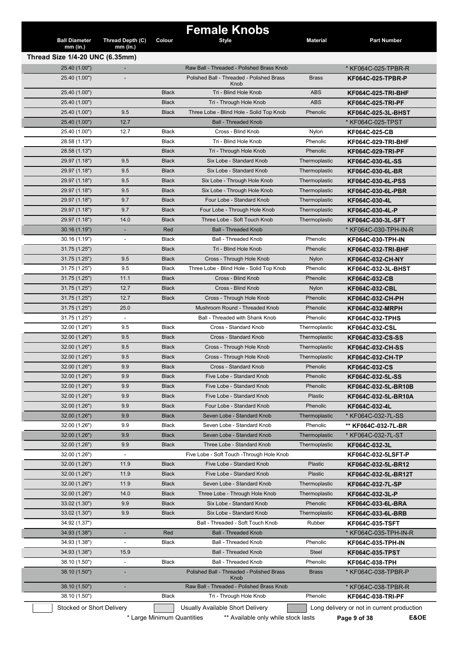|                                    |                                | Colour                     | <b>Female Knobs</b>                                                     |                 |                                                                    |
|------------------------------------|--------------------------------|----------------------------|-------------------------------------------------------------------------|-----------------|--------------------------------------------------------------------|
| <b>Ball Diameter</b><br>$mm$ (in.) | Thread Depth (C)<br>$mm$ (in.) |                            | <b>Style</b>                                                            | <b>Material</b> | <b>Part Number</b>                                                 |
| Thread Size 1/4-20 UNC (6.35mm)    |                                |                            |                                                                         |                 |                                                                    |
| 25.40 (1.00")                      |                                |                            | Raw Ball - Threaded - Polished Brass Knob                               |                 | * KF064C-025-TPBR-R                                                |
| 25.40 (1.00")                      |                                |                            | Polished Ball - Threaded - Polished Brass                               | <b>Brass</b>    | <b>KF064C-025-TPBR-P</b>                                           |
|                                    |                                |                            | Knob                                                                    |                 |                                                                    |
| 25.40 (1.00")                      |                                | <b>Black</b>               | Tri - Blind Hole Knob                                                   | <b>ABS</b>      | <b>KF064C-025-TRI-BHF</b>                                          |
| 25.40 (1.00")                      |                                | <b>Black</b>               | Tri - Through Hole Knob                                                 | <b>ABS</b>      | <b>KF064C-025-TRI-PF</b>                                           |
| 25.40 (1.00")                      | 9.5                            | <b>Black</b>               | Three Lobe - Blind Hole - Solid Top Knob                                | Phenolic        | KF064C-025-3L-BHST                                                 |
| 25.40 (1.00")                      | 12.7                           |                            | <b>Ball - Threaded Knob</b>                                             |                 | * KF064C-025-TPST                                                  |
| 25.40 (1.00")                      | 12.7                           | <b>Black</b>               | Cross - Blind Knob                                                      | Nylon           | KF064C-025-CB                                                      |
| 28.58 (1.13")                      |                                | <b>Black</b>               | Tri - Blind Hole Knob                                                   | Phenolic        | <b>KF064C-029-TRI-BHF</b>                                          |
| 28.58 (1.13")                      |                                | <b>Black</b>               | Tri - Through Hole Knob                                                 | Phenolic        | <b>KF064C-029-TRI-PF</b>                                           |
| 29.97 (1.18")                      | 9.5                            | <b>Black</b>               | Six Lobe - Standard Knob                                                | Thermoplastic   | KF064C-030-6L-SS                                                   |
| 29.97 (1.18")                      | 9.5                            | <b>Black</b>               | Six Lobe - Standard Knob                                                | Thermoplastic   | KF064C-030-6L-BR                                                   |
| 29.97 (1.18")                      | 9.5                            | <b>Black</b>               | Six Lobe - Through Hole Knob                                            | Thermoplastic   | KF064C-030-6L-PSS                                                  |
| 29.97 (1.18")                      | 9.5                            | <b>Black</b>               | Six Lobe - Through Hole Knob                                            | Thermoplastic   | KF064C-030-6L-PBR                                                  |
| 29.97 (1.18")                      | 9.7                            | <b>Black</b>               | Four Lobe - Standard Knob                                               | Thermoplastic   | KF064C-030-4L                                                      |
| 29.97 (1.18")                      | 9.7                            | <b>Black</b>               | Four Lobe - Through Hole Knob                                           | Thermoplastic   | KF064C-030-4L-P                                                    |
| 29.97 (1.18")                      | 14.0                           | <b>Black</b>               | Three Lobe - Soft Touch Knob                                            | Thermoplastic   | KF064C-030-3L-SFT                                                  |
| 30.16 (1.19")                      |                                | Red                        | <b>Ball - Threaded Knob</b>                                             |                 | * KF064C-030-TPH-IN-R                                              |
| 30.16(1.19")                       | $\blacksquare$                 | Black                      | <b>Ball - Threaded Knob</b>                                             | Phenolic        | KF064C-030-TPH-IN                                                  |
| 31.75 (1.25")                      |                                | <b>Black</b>               | Tri - Blind Hole Knob                                                   | Phenolic        | KF064C-032-TRI-BHF                                                 |
| 31.75 (1.25")                      | 9.5                            | <b>Black</b>               | Cross - Through Hole Knob                                               | Nylon           | KF064C-032-CH-NY                                                   |
| 31.75 (1.25")                      | 9.5                            | Black                      | Three Lobe - Blind Hole - Solid Top Knob                                | Phenolic        | KF064C-032-3L-BHST                                                 |
| 31.75 (1.25")                      | 11.1                           | <b>Black</b>               | Cross - Blind Knob                                                      | Phenolic        | KF064C-032-CB                                                      |
| 31.75 (1.25")                      | 12.7                           | <b>Black</b>               | Cross - Blind Knob                                                      | Nylon           | <b>KF064C-032-CBL</b>                                              |
| 31.75 (1.25")                      | 12.7                           | <b>Black</b>               | Cross - Through Hole Knob                                               | Phenolic        | KF064C-032-CH-PH                                                   |
| 31.75 (1.25")                      | 25.0                           |                            | Mushroom Round - Threaded Knob                                          | Phenolic        | <b>KF064C-032-MRPH</b>                                             |
| 31.75 (1.25")                      | $\overline{\phantom{a}}$       |                            | Ball - Threaded with Shank Knob                                         | Phenolic        | <b>KF064C-032-TPHS</b>                                             |
| 32.00 (1.26")                      | 9.5                            | <b>Black</b>               | Cross - Standard Knob                                                   | Thermoplastic   | KF064C-032-CSL                                                     |
| 32.00 (1.26")                      | 9.5                            | <b>Black</b>               | Cross - Standard Knob                                                   | Thermoplastic   | KF064C-032-CS-SS                                                   |
| 32.00 (1.26")                      | 9.5                            | <b>Black</b>               | Cross - Through Hole Knob                                               |                 |                                                                    |
|                                    |                                |                            |                                                                         | Thermoplastic   | <b>KF064C-032-CH-SS</b>                                            |
| 32.00 (1.26")                      | 9.5                            | <b>Black</b>               | Cross - Through Hole Knob                                               | Thermoplastic   | KF064C-032-CH-TP                                                   |
| 32.00 (1.26")                      | 9.9                            | <b>Black</b>               | Cross - Standard Knob                                                   | Phenolic        | KF064C-032-CS                                                      |
| 32.00 (1.26")                      | 9.9                            | <b>Black</b>               | Five Lobe - Standard Knob                                               | Phenolic        | KF064C-032-5L-SS                                                   |
| 32.00 (1.26")                      | 9.9                            | Black                      | Five Lobe - Standard Knob                                               | Phenolic        | KF064C-032-5L-BR10B                                                |
| 32.00 (1.26")                      | 9.9                            | <b>Black</b>               | Five Lobe - Standard Knob                                               | Plastic         | KF064C-032-5L-BR10A                                                |
| 32.00 (1.26")                      | 9.9                            | <b>Black</b>               | Four Lobe - Standard Knob                                               | Phenolic        | KF064C-032-4L                                                      |
| 32.00 (1.26")                      | 9.9                            | <b>Black</b>               | Seven Lobe - Standard Knob                                              | Thermoplastic   | * KF064C-032-7L-SS                                                 |
| 32.00 (1.26")                      | 9.9                            | Black                      | Seven Lobe - Standard Knob                                              | Phenolic        | ** KF064C-032-7L-BR                                                |
| 32.00 (1.26")                      | 9.9                            | <b>Black</b>               | Seven Lobe - Standard Knob                                              | Thermoplastic   | * KF064C-032-7L-ST                                                 |
| 32.00 (1.26")                      | 9.9                            | <b>Black</b>               | Three Lobe - Standard Knob                                              | Thermoplastic   | KF064C-032-3L                                                      |
| 32.00 (1.26")                      |                                |                            | Five Lobe - Soft Touch - Through Hole Knob                              |                 | KF064C-032-5LSFT-P                                                 |
| 32.00 (1.26")                      | 11.9                           | <b>Black</b>               | Five Lobe - Standard Knob                                               | Plastic         | KF064C-032-5L-BR12                                                 |
| 32.00 (1.26")                      | 11.9                           | <b>Black</b>               | Five Lobe - Standard Knob                                               | Plastic         | KF064C-032-5L-BR12T                                                |
| 32.00 (1.26")                      | 11.9                           | <b>Black</b>               | Seven Lobe - Standard Knob                                              | Thermoplastic   | KF064C-032-7L-SP                                                   |
| 32.00 (1.26")                      | 14.0                           | <b>Black</b>               | Three Lobe - Through Hole Knob                                          | Thermoplastic   | KF064C-032-3L-P                                                    |
| 33.02 (1.30")                      | 9.9                            | Black                      | Six Lobe - Standard Knob                                                | Phenolic        | KF064C-033-6L-BRA                                                  |
| 33.02 (1.30")                      | 9.9                            | <b>Black</b>               | Six Lobe - Standard Knob                                                | Thermoplastic   | KF064C-033-6L-BRB                                                  |
| 34.92 (1.37")                      |                                |                            | Ball - Threaded - Soft Touch Knob                                       | Rubber          | <b>KF064C-035-TSFT</b>                                             |
| 34.93 (1.38")                      |                                | Red                        | <b>Ball - Threaded Knob</b>                                             |                 | * KF064C-035-TPH-IN-R                                              |
| 34.93 (1.38")                      | $\overline{\phantom{a}}$       | Black                      | Ball - Threaded Knob                                                    | Phenolic        | KF064C-035-TPH-IN                                                  |
| 34.93 (1.38")                      | 15.9                           |                            | <b>Ball - Threaded Knob</b>                                             | <b>Steel</b>    | KF064C-035-TPST                                                    |
| 38.10 (1.50")                      | $\overline{\phantom{a}}$       | <b>Black</b>               | Ball - Threaded Knob                                                    | Phenolic        | KF064C-038-TPH                                                     |
|                                    | ÷,                             |                            | Polished Ball - Threaded - Polished Brass                               | <b>Brass</b>    |                                                                    |
| 38.10 (1.50")                      |                                |                            | Knob                                                                    |                 | * KF064C-038-TPBR-P                                                |
| 38.10 (1.50")                      |                                |                            | Raw Ball - Threaded - Polished Brass Knob                               |                 | * KF064C-038-TPBR-R                                                |
| 38.10 (1.50")                      |                                | Black                      | Tri - Through Hole Knob                                                 | Phenolic        | <b>KF064C-038-TRI-PF</b>                                           |
| Stocked or Short Delivery          |                                | * Large Minimum Quantities | Usually Available Short Delivery<br>** Available only while stock lasts |                 | Long delivery or not in current production<br>E&OE<br>Page 9 of 38 |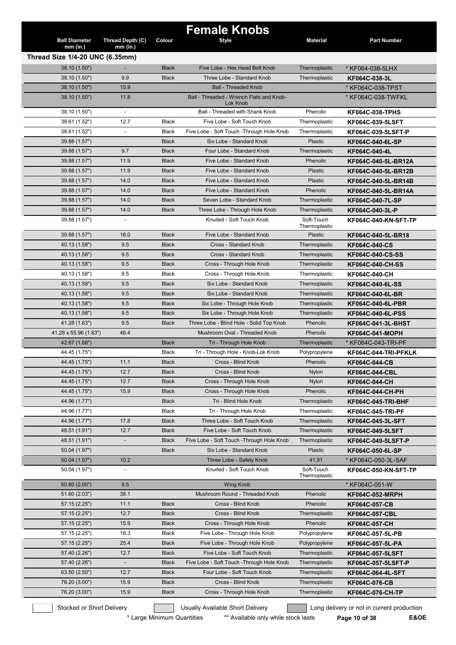|                                    |                                |                              | <b>Female Knobs</b>                                          |                                |                             |
|------------------------------------|--------------------------------|------------------------------|--------------------------------------------------------------|--------------------------------|-----------------------------|
| <b>Ball Diameter</b><br>$mm$ (in.) | Thread Depth (C)<br>$mm$ (in.) | Colour                       | <b>Style</b>                                                 | <b>Material</b>                | <b>Part Number</b>          |
| Thread Size 1/4-20 UNC (6.35mm)    |                                |                              |                                                              |                                |                             |
|                                    |                                |                              |                                                              |                                |                             |
| 38.10 (1.50")                      | ٠<br>9.9                       | <b>Black</b><br><b>Black</b> | Five Lobe - Hex Head Bolt Knob<br>Three Lobe - Standard Knob | Thermoplastic<br>Thermoplastic | * KF064-038-5LHX            |
| 38.10 (1.50")                      | 15.9                           |                              | <b>Ball - Threaded Knob</b>                                  |                                | KF064C-038-3L               |
| 38.10 (1.50")<br>38.10 (1.50")     | 11.8                           |                              | Ball - Threaded - Wrench Flats and Knob-                     |                                | * KF064C-038-TPST           |
|                                    |                                |                              | Lok Knob                                                     |                                | * KF064C-038-TWFKL          |
| 38.10 (1.50")                      | $\overline{\phantom{a}}$       |                              | Ball - Threaded with Shank Knob                              | Phenolic                       | <b>KF064C-038-TPHS</b>      |
| 38.61 (1.52")                      | 12.7                           | <b>Black</b>                 | Five Lobe - Soft Touch Knob                                  | Thermoplastic                  | KF064C-039-5LSFT            |
| 38.61 (1.52")                      | $\overline{\phantom{a}}$       | <b>Black</b>                 | Five Lobe - Soft Touch - Through Hole Knob                   | Thermoplastic                  | <b>KF064C-039-5LSFT-P</b>   |
| 39.88 (1.57")                      |                                | <b>Black</b>                 | Six Lobe - Standard Knob                                     | Plastic                        | KF064C-040-6L-SP            |
| 39.88 (1.57")                      | 9.7                            | <b>Black</b>                 | Four Lobe - Standard Knob                                    | Thermoplastic                  | KF064C-040-4L               |
| 39.88 (1.57")                      | 11.9                           | <b>Black</b>                 | Five Lobe - Standard Knob                                    | Phenolic                       | KF064C-040-5L-BR12A         |
| 39.88 (1.57")                      | 11.9                           | <b>Black</b>                 | Five Lobe - Standard Knob                                    | Plastic                        | KF064C-040-5L-BR12B         |
| 39.88 (1.57")                      | 14.0                           | <b>Black</b>                 | Five Lobe - Standard Knob                                    | Plastic                        | KF064C-040-5L-BR14B         |
| 39.88 (1.57")                      | 14.0                           | <b>Black</b>                 | Five Lobe - Standard Knob                                    | Phenolic                       | KF064C-040-5L-BR14A         |
| 39.88 (1.57")                      | 14.0                           | <b>Black</b>                 | Seven Lobe - Standard Knob                                   | Thermoplastic                  | KF064C-040-7L-SP            |
| 39.88 (1.57")                      | 14.0                           | <b>Black</b>                 | Three Lobe - Through Hole Knob                               | Thermoplastic                  | KF064C-040-3L-P             |
| 39.88 (1.57")                      | $\overline{\phantom{a}}$       |                              | Knurled - Soft Touch Knob                                    | Soft-Touch<br>Thermoplastic    | KF064C-040-KN-SFT-TP        |
| 39.88 (1.57")                      | 18.0                           | <b>Black</b>                 | Five Lobe - Standard Knob                                    | Plastic                        | KF064C-040-5L-BR18          |
| 40.13 (1.58")                      | 9.5                            | Black                        | Cross - Standard Knob                                        | Thermoplastic                  | <b>KF064C-040-CS</b>        |
| 40.13 (1.58")                      | 9.5                            | <b>Black</b>                 | Cross - Standard Knob                                        | Thermoplastic                  | <b>KF064C-040-CS-SS</b>     |
| 40.13 (1.58")                      | 9.5                            | <b>Black</b>                 | Cross - Through Hole Knob                                    | Thermoplastic                  | KF064C-040-CH-SS            |
| 40.13 (1.58")                      | 9.5                            | <b>Black</b>                 | Cross - Through Hole Knob                                    | Thermoplastic                  | KF064C-040-CH               |
| 40.13 (1.58")                      | 9.5                            | <b>Black</b>                 | Six Lobe - Standard Knob                                     | Thermoplastic                  | KF064C-040-6L-SS            |
| 40.13 (1.58")                      | 9.5                            | <b>Black</b>                 | Six Lobe - Standard Knob                                     | Thermoplastic                  | KF064C-040-6L-BR            |
| 40.13 (1.58")                      | 9.5                            | <b>Black</b>                 | Six Lobe - Through Hole Knob                                 | Thermoplastic                  | <b>KF064C-040-6L-PBR</b>    |
| 40.13 (1.58")                      | 9.5                            | <b>Black</b>                 | Six Lobe - Through Hole Knob                                 | Thermoplastic                  | KF064C-040-6L-PSS           |
| 41.28 (1.63")                      | 9.5                            | <b>Black</b>                 | Three Lobe - Blind Hole - Solid Top Knob                     | Phenolic                       | <b>KF064C-041-3L-BHST</b>   |
| 41.28 x 55.96 (1.63")              | 46.4                           |                              | Mushroom Oval - Threaded Knob                                | Phenolic                       | <b>KF064C-041-MOPH</b>      |
| 42.67 (1.68")                      |                                | <b>Black</b>                 | Tri - Through Hole Knob                                      | Thermoplastic                  | * KF064C-043-TRI-PF         |
| 44.45 (1.75")                      |                                | <b>Black</b>                 | Tri - Through Hole - Knob-Lok Knob                           | Polypropylene                  | KF064C-044-TRI-PFKLK        |
| 44.45 (1.75")                      | 11.1                           | <b>Black</b>                 | Cross - Blind Knob                                           | Phenolic                       | KF064C-044-CB               |
| 44.45 (1.75")                      | 12.7                           | <b>Black</b>                 | Cross - Blind Knob                                           | Nylon                          | <b>KF064C-044-CBL</b>       |
| 44.45 (1.75")                      | 12.7                           | <b>Black</b>                 | Cross - Through Hole Knob                                    | Nylon                          | KF064C-044-CH               |
| 44.45 (1.75")                      | 15.9                           | <b>Black</b>                 | Cross - Through Hole Knob                                    | Phenolic                       |                             |
| 44.96 (1.77")                      |                                | <b>Black</b>                 | Tri - Blind Hole Knob                                        | Thermoplastic                  | KF064C-044-CH-PH            |
|                                    |                                |                              |                                                              |                                | <b>KF064C-045-TRI-BHF</b>   |
| 44.96 (1.77")                      |                                | <b>Black</b>                 | Tri - Through Hole Knob                                      | Thermoplastic                  | <b>KF064C-045-TRI-PF</b>    |
| 44.96 (1.77")                      | 17.8                           | <b>Black</b>                 | Three Lobe - Soft Touch Knob                                 | Thermoplastic                  | KF064C-045-3L-SFT           |
| 48.51 (1.91")                      | 12.7                           | <b>Black</b>                 | Five Lobe - Soft Touch Knob                                  | Thermoplastic                  | KF064C-049-5LSFT            |
| 48.51 (1.91")                      | $\overline{\phantom{a}}$       | <b>Black</b>                 | Five Lobe - Soft Touch - Through Hole Knob                   | Thermoplastic                  | KF064C-049-5LSFT-P          |
| 50.04 (1.97")                      |                                | <b>Black</b>                 | Six Lobe - Standard Knob                                     | Plastic                        | KF064C-050-6L-SP            |
| 50.04 (1.97")                      | 10.2                           |                              | Three Lobe - Safety Knob                                     | 41.91                          | * KF064C-050-3L-SAF         |
| 50.04 (1.97")                      |                                |                              | Knurled - Soft Touch Knob                                    | Soft-Touch<br>Thermoplastic    | <b>KF064C-050-KN-SFT-TP</b> |
| 50.80 (2.00")                      | 9.5                            |                              | <b>Wing Knob</b>                                             |                                | * KF064C-051-W              |
| 51.60 (2.03")                      | 38.1                           |                              | Mushroom Round - Threaded Knob                               | Phenolic                       | <b>KF064C-052-MRPH</b>      |
| 57.15 (2.25")                      | 11.1                           | <b>Black</b>                 | Cross - Blind Knob                                           | Phenolic                       | <b>KF064C-057-CB</b>        |
| 57.15 (2.25")                      | 12.7                           | <b>Black</b>                 | Cross - Blind Knob                                           | Thermoplastic                  | KF064C-057-CBL              |
| 57.15 (2.25")                      | 15.9                           | <b>Black</b>                 | Cross - Through Hole Knob                                    | Phenolic                       | KF064C-057-CH               |
| 57.15 (2.25")                      | 18.3                           | Black                        | Five Lobe - Through Hole Knob                                | Polypropylene                  | KF064C-057-5L-PB            |
| 57.15 (2.25")                      | 25.4                           | <b>Black</b>                 | Five Lobe - Through Hole Knob                                | Polypropylene                  | KF064C-057-5L-PA            |
| 57.40 (2.26")                      | 12.7                           | <b>Black</b>                 | Five Lobe - Soft Touch Knob                                  | Thermoplastic                  | <b>KF064C-057-5LSFT</b>     |
| 57.40 (2.26")                      |                                | <b>Black</b>                 | Five Lobe - Soft Touch - Through Hole Knob                   | Thermoplastic                  | KF064C-057-5LSFT-P          |
| 63.50 (2.50")                      | 12.7                           | <b>Black</b>                 | Four Lobe - Soft Touch Knob                                  | Thermoplastic                  | KF064C-064-4L-SFT           |
| 76.20 (3.00")                      | 15.9                           | <b>Black</b>                 | Cross - Blind Knob                                           | Thermoplastic                  | KF064C-076-CB               |
| 76.20 (3.00")                      | 15.9                           | <b>Black</b>                 | Cross - Through Hole Knob                                    | Thermoplastic                  | KF064C-076-CH-TP            |

\* Large Minimum Quantities \*\* Available only while stock lasts **Page 10 of 38 E&OE**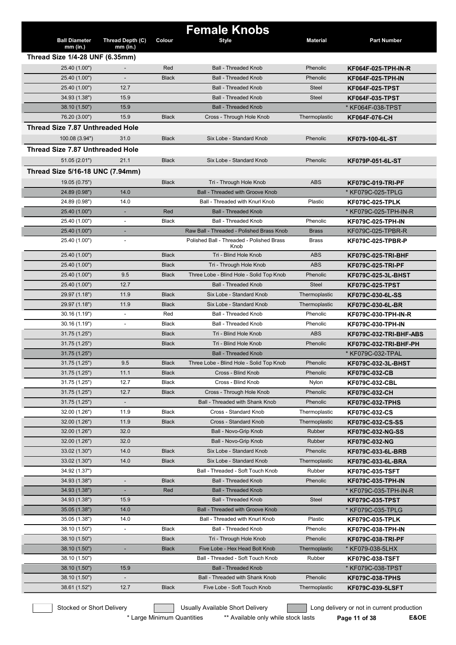|                                  |                          |              | <b>Female Knobs</b>                               |                 |                            |
|----------------------------------|--------------------------|--------------|---------------------------------------------------|-----------------|----------------------------|
| <b>Ball Diameter</b>             | Thread Depth (C)         | Colour       | <b>Style</b>                                      | <b>Material</b> | <b>Part Number</b>         |
| $mm$ (in.)                       | $mm$ (in.)               |              |                                                   |                 |                            |
| Thread Size 1/4-28 UNF (6.35mm)  |                          |              |                                                   |                 |                            |
| 25.40 (1.00")                    |                          | Red          | <b>Ball - Threaded Knob</b>                       | Phenolic        | KF064F-025-TPH-IN-R        |
| 25.40 (1.00")                    |                          | <b>Black</b> | <b>Ball - Threaded Knob</b>                       | Phenolic        | KF064F-025-TPH-IN          |
| 25.40 (1.00")                    | 12.7                     |              | <b>Ball - Threaded Knob</b>                       | <b>Steel</b>    | KF064F-025-TPST            |
| 34.93 (1.38")                    | 15.9                     |              | <b>Ball - Threaded Knob</b>                       | <b>Steel</b>    | <b>KF064F-035-TPST</b>     |
| 38.10 (1.50")                    | 15.9                     |              | <b>Ball - Threaded Knob</b>                       |                 | * KF064F-038-TPST          |
| 76.20 (3.00")                    | 15.9                     | <b>Black</b> | Cross - Through Hole Knob                         | Thermoplastic   | KF064F-076-CH              |
| Thread Size 7.87 Unthreaded Hole |                          |              |                                                   |                 |                            |
| 100.08 (3.94")                   | 31.0                     | <b>Black</b> | Six Lobe - Standard Knob                          | Phenolic        | KF079-100-6L-ST            |
| Thread Size 7.87 Unthreaded Hole |                          |              |                                                   |                 |                            |
| 51.05(2.01")                     | 21.1                     | <b>Black</b> | Six Lobe - Standard Knob                          | Phenolic        |                            |
|                                  |                          |              |                                                   |                 | KF079P-051-6L-ST           |
| Thread Size 5/16-18 UNC (7.94mm) |                          |              |                                                   |                 |                            |
| 19.05 (0.75")                    |                          | <b>Black</b> | Tri - Through Hole Knob                           | <b>ABS</b>      | <b>KF079C-019-TRI-PF</b>   |
| 24.89 (0.98")                    | 14.0                     |              | Ball - Threaded with Groove Knob                  |                 | * KF079C-025-TPLG          |
| 24.89 (0.98")                    | 14.0                     |              | Ball - Threaded with Knurl Knob                   | Plastic         | <b>KF079C-025-TPLK</b>     |
| 25.40 (1.00")                    |                          | Red          | <b>Ball - Threaded Knob</b>                       |                 | * KF079C-025-TPH-IN-R      |
| 25.40 (1.00")                    |                          | Black        | Ball - Threaded Knob                              | Phenolic        | KF079C-025-TPH-IN          |
| 25.40 (1.00")                    |                          |              | Raw Ball - Threaded - Polished Brass Knob         | <b>Brass</b>    | KF079C-025-TPBR-R          |
| 25.40 (1.00")                    | $\overline{\phantom{a}}$ |              | Polished Ball - Threaded - Polished Brass<br>Knob | <b>Brass</b>    | KF079C-025-TPBR-P          |
| 25.40 (1.00")                    |                          | <b>Black</b> | Tri - Blind Hole Knob                             | <b>ABS</b>      | <b>KF079C-025-TRI-BHF</b>  |
| 25.40 (1.00")                    |                          | <b>Black</b> | Tri - Through Hole Knob                           | <b>ABS</b>      | <b>KF079C-025-TRI-PF</b>   |
| 25.40 (1.00")                    | 9.5                      | <b>Black</b> | Three Lobe - Blind Hole - Solid Top Knob          | Phenolic        | KF079C-025-3L-BHST         |
| 25.40 (1.00")                    | 12.7                     |              | <b>Ball - Threaded Knob</b>                       | <b>Steel</b>    | <b>KF079C-025-TPST</b>     |
| 29.97 (1.18")                    | 11.9                     | <b>Black</b> | Six Lobe - Standard Knob                          | Thermoplastic   | KF079C-030-6L-SS           |
| 29.97 (1.18")                    | 11.9                     | <b>Black</b> | Six Lobe - Standard Knob                          | Thermoplastic   | KF079C-030-6L-BR           |
| 30.16 (1.19")                    | $\blacksquare$           | Red          | Ball - Threaded Knob                              | Phenolic        | <b>KF079C-030-TPH-IN-R</b> |
| 30.16 (1.19")                    | $\overline{\phantom{a}}$ | Black        | <b>Ball - Threaded Knob</b>                       | Phenolic        | <b>KF079C-030-TPH-IN</b>   |
| 31.75 (1.25")                    |                          | <b>Black</b> | Tri - Blind Hole Knob                             | <b>ABS</b>      | KF079C-032-TRI-BHF-ABS     |
| 31.75 (1.25")                    |                          | <b>Black</b> | Tri - Blind Hole Knob                             | Phenolic        | KF079C-032-TRI-BHF-PH      |
| 31.75(1.25")                     |                          |              | <b>Ball - Threaded Knob</b>                       |                 | * KF079C-032-TPAL          |
| 31.75 (1.25")                    | 9.5                      | <b>Black</b> | Three Lobe - Blind Hole - Solid Top Knob          | Phenolic        | KF079C-032-3L-BHST         |
| 31.75 (1.25")                    | 11.1                     | <b>Black</b> | Cross - Blind Knob                                | Phenolic        | <b>KF079C-032-CB</b>       |
| 31.75 (1.25")                    | 12.7                     | Black        | Cross - Blind Knob                                | Nylon           | <b>KF079C-032-CBL</b>      |
| 31.75 (1.25")                    | 12.7                     | <b>Black</b> | Cross - Through Hole Knob                         | Phenolic        | KF079C-032-CH              |
| 31.75 (1.25")                    | $\frac{1}{2}$            |              | Ball - Threaded with Shank Knob                   | Phenolic        | <b>KF079C-032-TPHS</b>     |
| 32.00 (1.26")                    | 11.9                     | Black        | Cross - Standard Knob                             | Thermoplastic   | KF079C-032-CS              |
| 32.00 (1.26")                    | 11.9                     | <b>Black</b> | Cross - Standard Knob                             | Thermoplastic   | <b>KF079C-032-CS-SS</b>    |
| 32.00 (1.26")                    | 32.0                     |              | Ball - Novo-Grip Knob                             | Rubber          | <b>KF079C-032-NG-SS</b>    |
| 32.00 (1.26")                    | 32.0                     |              | Ball - Novo-Grip Knob                             | Rubber          | KF079C-032-NG              |
| 33.02 (1.30")                    | 14.0                     | <b>Black</b> | Six Lobe - Standard Knob                          | Phenolic        | KF079C-033-6L-BRB          |
| 33.02 (1.30")                    | 14.0                     | <b>Black</b> | Six Lobe - Standard Knob                          | Thermoplastic   | KF079C-033-6L-BRA          |
| 34.92 (1.37")                    |                          |              | Ball - Threaded - Soft Touch Knob                 | Rubber          | <b>KF079C-035-TSFT</b>     |
| 34.93 (1.38")                    | ÷,                       | <b>Black</b> | <b>Ball - Threaded Knob</b>                       | Phenolic        | KF079C-035-TPH-IN          |
| 34.93 (1.38")                    |                          | Red          | <b>Ball - Threaded Knob</b>                       |                 | * KF079C-035-TPH-IN-R      |
| 34.93 (1.38")                    | 15.9                     |              | <b>Ball - Threaded Knob</b>                       | Steel           | <b>KF079C-035-TPST</b>     |
| 35.05 (1.38")                    | 14.0                     |              | <b>Ball - Threaded with Groove Knob</b>           |                 | * KF079C-035-TPLG          |
| 35.05 (1.38")                    | 14.0                     |              | Ball - Threaded with Knurl Knob                   | Plastic         | <b>KF079C-035-TPLK</b>     |
| 38.10 (1.50")                    | $\overline{\phantom{a}}$ | Black        | Ball - Threaded Knob                              | Phenolic        | KF079C-038-TPH-IN          |
| 38.10 (1.50")                    |                          | <b>Black</b> | Tri - Through Hole Knob                           | Phenolic        | <b>KF079C-038-TRI-PF</b>   |
| 38.10 (1.50")                    | ٠                        | <b>Black</b> | Five Lobe - Hex Head Bolt Knob                    | Thermoplastic   | * KF079-038-5LHX           |
| 38.10 (1.50")                    |                          |              | Ball - Threaded - Soft Touch Knob                 | Rubber          | <b>KF079C-038-TSFT</b>     |
| 38.10 (1.50")                    | 15.9                     |              | <b>Ball - Threaded Knob</b>                       |                 | * KF079C-038-TPST          |
| 38.10 (1.50")                    | $\blacksquare$           |              | Ball - Threaded with Shank Knob                   | Phenolic        | <b>KF079C-038-TPHS</b>     |
| 38.61 (1.52")                    | 12.7                     | <b>Black</b> | Five Lobe - Soft Touch Knob                       | Thermoplastic   | <b>KF079C-039-5LSFT</b>    |
|                                  |                          |              |                                                   |                 |                            |

\* Large Minimum Quantities \*\* Available only while stock lasts **Page 11 of 38 E&OE**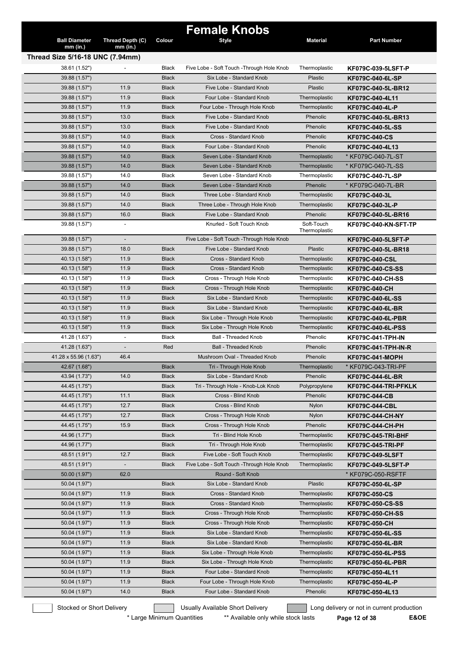|                                  |                          |                              | <b>Female Knobs</b>                                   |                                 |                                       |
|----------------------------------|--------------------------|------------------------------|-------------------------------------------------------|---------------------------------|---------------------------------------|
| <b>Ball Diameter</b>             | Thread Depth (C)         | Colour                       | Style                                                 | <b>Material</b>                 | <b>Part Number</b>                    |
| $mm$ (in.)                       | $mm$ (in.)               |                              |                                                       |                                 |                                       |
| Thread Size 5/16-18 UNC (7.94mm) |                          |                              |                                                       |                                 |                                       |
| 38.61 (1.52")                    |                          | <b>Black</b>                 | Five Lobe - Soft Touch - Through Hole Knob            | Thermoplastic<br><b>Plastic</b> | KF079C-039-5LSFT-P                    |
| 39.88 (1.57")<br>39.88 (1.57")   | 11.9                     | <b>Black</b><br><b>Black</b> | Six Lobe - Standard Knob<br>Five Lobe - Standard Knob | <b>Plastic</b>                  | KF079C-040-6L-SP                      |
| 39.88 (1.57")                    | 11.9                     | <b>Black</b>                 | Four Lobe - Standard Knob                             | Thermoplastic                   | KF079C-040-5L-BR12<br>KF079C-040-4L11 |
| 39.88 (1.57")                    | 11.9                     | <b>Black</b>                 | Four Lobe - Through Hole Knob                         | Thermoplastic                   | KF079C-040-4L-P                       |
| 39.88 (1.57")                    | 13.0                     | <b>Black</b>                 | Five Lobe - Standard Knob                             | Phenolic                        | KF079C-040-5L-BR13                    |
| 39.88 (1.57")                    | 13.0                     | <b>Black</b>                 | Five Lobe - Standard Knob                             | Phenolic                        | KF079C-040-5L-SS                      |
| 39.88 (1.57")                    | 14.0                     | <b>Black</b>                 | Cross - Standard Knob                                 | Phenolic                        | <b>KF079C-040-CS</b>                  |
| 39.88 (1.57")                    | 14.0                     | <b>Black</b>                 | Four Lobe - Standard Knob                             | Phenolic                        | KF079C-040-4L13                       |
| 39.88 (1.57")                    | 14.0                     | <b>Black</b>                 | Seven Lobe - Standard Knob                            | Thermoplastic                   | * KF079C-040-7L-ST                    |
| 39.88 (1.57")                    | 14.0                     | <b>Black</b>                 | Seven Lobe - Standard Knob                            | Thermoplastic                   | * KF079C-040-7L-SS                    |
| 39.88 (1.57")                    | 14.0                     | Black                        | Seven Lobe - Standard Knob                            | Thermoplastic                   | KF079C-040-7L-SP                      |
| 39.88 (1.57")                    | 14.0                     | <b>Black</b>                 | Seven Lobe - Standard Knob                            | Phenolic                        | * KF079C-040-7L-BR                    |
| 39.88 (1.57")                    | 14.0                     | <b>Black</b>                 | Three Lobe - Standard Knob                            | Thermoplastic                   | KF079C-040-3L                         |
| 39.88 (1.57")                    | 14.0                     | <b>Black</b>                 | Three Lobe - Through Hole Knob                        | Thermoplastic                   | KF079C-040-3L-P                       |
| 39.88 (1.57")                    | 16.0                     | <b>Black</b>                 | Five Lobe - Standard Knob                             | Phenolic                        | KF079C-040-5L-BR16                    |
| 39.88 (1.57")                    | $\blacksquare$           |                              | Knurled - Soft Touch Knob                             | Soft-Touch<br>Thermoplastic     | <b>KF079C-040-KN-SFT-TP</b>           |
| 39.88 (1.57")                    | $\overline{\phantom{a}}$ |                              | Five Lobe - Soft Touch - Through Hole Knob            |                                 | KF079C-040-5LSFT-P                    |
| 39.88 (1.57")                    | 18.0                     | <b>Black</b>                 | Five Lobe - Standard Knob                             | Plastic                         | KF079C-040-5L-BR18                    |
| 40.13 (1.58")                    | 11.9                     | <b>Black</b>                 | Cross - Standard Knob                                 | Thermoplastic                   | <b>KF079C-040-CSL</b>                 |
| 40.13 (1.58")                    | 11.9                     | <b>Black</b>                 | Cross - Standard Knob                                 | Thermoplastic                   | <b>KF079C-040-CS-SS</b>               |
| 40.13 (1.58")                    | 11.9                     | <b>Black</b>                 | Cross - Through Hole Knob                             | Thermoplastic                   | <b>KF079C-040-CH-SS</b>               |
| 40.13 (1.58")                    | 11.9                     | <b>Black</b>                 | Cross - Through Hole Knob                             | Thermoplastic                   | KF079C-040-CH                         |
| 40.13 (1.58")                    | 11.9                     | <b>Black</b>                 | Six Lobe - Standard Knob                              | Thermoplastic                   | KF079C-040-6L-SS                      |
| 40.13 (1.58")                    | 11.9                     | <b>Black</b>                 | Six Lobe - Standard Knob                              | Thermoplastic                   | KF079C-040-6L-BR                      |
| 40.13 (1.58")                    | 11.9                     | <b>Black</b>                 | Six Lobe - Through Hole Knob                          | Thermoplastic                   | KF079C-040-6L-PBR                     |
| 40.13 (1.58")                    | 11.9                     | <b>Black</b>                 | Six Lobe - Through Hole Knob                          | Thermoplastic                   | <b>KF079C-040-6L-PSS</b>              |
| 41.28 (1.63")                    |                          | <b>Black</b>                 | <b>Ball - Threaded Knob</b>                           | Phenolic                        | <b>KF079C-041-TPH-IN</b>              |
| 41.28 (1.63")                    |                          | Red                          | <b>Ball - Threaded Knob</b>                           | Phenolic                        | <b>KF079C-041-TPH-IN-R</b>            |
| 41.28 x 55.96 (1.63")            | 46.4                     |                              | Mushroom Oval - Threaded Knob                         | Phenolic                        | <b>KF079C-041-MOPH</b>                |
| 42.67 (1.68")                    |                          | <b>Black</b>                 | Tri - Through Hole Knob                               | Thermoplastic                   | * KF079C-043-TRI-PF                   |
| 43.94 (1.73")                    | 14.0                     | <b>Black</b>                 | Six Lobe - Standard Knob                              | Phenolic                        | KF079C-044-6L-BR                      |
| 44.45 (1.75")                    |                          | <b>Black</b>                 | Tri - Through Hole - Knob-Lok Knob                    | Polypropylene                   | KF079C-044-TRI-PFKLK                  |
| 44.45 (1.75")                    | 11.1                     | <b>Black</b>                 | Cross - Blind Knob                                    | Phenolic                        | <b>KF079C-044-CB</b>                  |
| 44.45 (1.75")                    | 12.7                     | <b>Black</b>                 | Cross - Blind Knob                                    | <b>Nylon</b>                    | <b>KF079C-044-CBL</b>                 |
| 44.45 (1.75")                    | 12.7                     | <b>Black</b>                 | Cross - Through Hole Knob                             | Nylon                           | <b>KF079C-044-CH-NY</b>               |
| 44.45 (1.75")                    | 15.9                     | <b>Black</b>                 | Cross - Through Hole Knob                             | Phenolic                        | KF079C-044-CH-PH                      |
| 44.96 (1.77")                    |                          | <b>Black</b>                 | Tri - Blind Hole Knob                                 | Thermoplastic                   | KF079C-045-TRI-BHF                    |
| 44.96 (1.77")                    |                          | <b>Black</b>                 | Tri - Through Hole Knob                               | Thermoplastic                   | <b>KF079C-045-TRI-PF</b>              |
| 48.51 (1.91")                    | 12.7                     | <b>Black</b>                 | Five Lobe - Soft Touch Knob                           | Thermoplastic                   | <b>KF079C-049-5LSFT</b>               |
| 48.51 (1.91")                    |                          | <b>Black</b>                 | Five Lobe - Soft Touch - Through Hole Knob            | Thermoplastic                   | <b>KF079C-049-5LSFT-P</b>             |
| 50.00 (1.97")                    | 62.0                     |                              | Round - Soft Knob                                     |                                 | * KF079C-050-RSFTF                    |
| 50.04 (1.97")                    |                          | <b>Black</b>                 | Six Lobe - Standard Knob                              | Plastic                         | KF079C-050-6L-SP                      |
| 50.04 (1.97")                    | 11.9                     | <b>Black</b>                 | Cross - Standard Knob                                 | Thermoplastic                   | <b>KF079C-050-CS</b>                  |
| 50.04 (1.97")                    | 11.9                     | <b>Black</b>                 | Cross - Standard Knob                                 | Thermoplastic                   | <b>KF079C-050-CS-SS</b>               |
| 50.04 (1.97")                    | 11.9                     | <b>Black</b>                 | Cross - Through Hole Knob                             | Thermoplastic                   | KF079C-050-CH-SS                      |
| 50.04 (1.97")                    | 11.9                     | <b>Black</b>                 | Cross - Through Hole Knob                             | Thermoplastic                   | KF079C-050-CH                         |
| 50.04 (1.97")                    | 11.9                     | <b>Black</b>                 | Six Lobe - Standard Knob                              | Thermoplastic                   | KF079C-050-6L-SS                      |
| 50.04 (1.97")                    | 11.9                     | <b>Black</b>                 | Six Lobe - Standard Knob                              | Thermoplastic                   | KF079C-050-6L-BR                      |
| 50.04 (1.97")                    | 11.9                     | <b>Black</b>                 | Six Lobe - Through Hole Knob                          | Thermoplastic                   | <b>KF079C-050-6L-PSS</b>              |
| 50.04 (1.97")                    | 11.9                     | <b>Black</b>                 | Six Lobe - Through Hole Knob                          | Thermoplastic                   | KF079C-050-6L-PBR                     |
| 50.04 (1.97")                    | 11.9                     | <b>Black</b>                 | Four Lobe - Standard Knob                             | Thermoplastic                   | KF079C-050-4L11                       |
| 50.04 (1.97")                    | 11.9                     | <b>Black</b>                 | Four Lobe - Through Hole Knob                         | Thermoplastic                   | KF079C-050-4L-P                       |
| 50.04 (1.97")                    | 14.0                     | <b>Black</b>                 | Four Lobe - Standard Knob                             | Phenolic                        | KF079C-050-4L13                       |

\* Large Minimum Quantities \*\* Available only while stock lasts **Page 12 of 38 E&OE**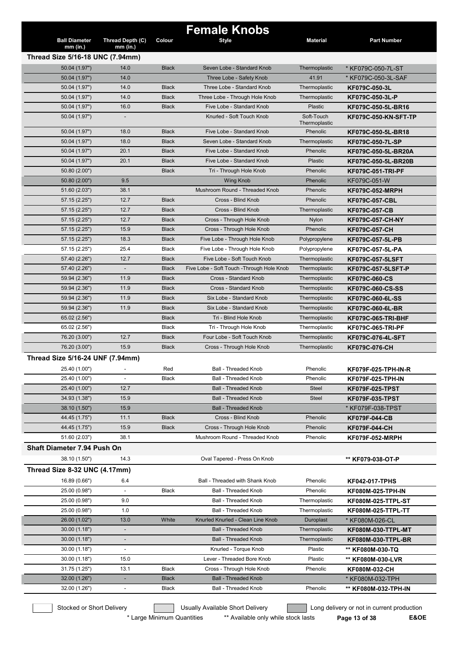| <b>Ball Diameter</b><br>Thread Depth (C)<br>Colour<br><b>Style</b><br><b>Material</b><br><b>Part Number</b><br>$mm$ (in.)<br>$mm$ (in.)<br>Thread Size 5/16-18 UNC (7.94mm)<br>50.04 (1.97")<br>Seven Lobe - Standard Knob<br>14.0<br>Black<br>Thermoplastic<br>* KF079C-050-7L-ST<br>50.04 (1.97")<br>14.0<br>Three Lobe - Safety Knob<br>41.91<br>* KF079C-050-3L-SAF<br>50.04 (1.97")<br>14.0<br><b>Black</b><br>Three Lobe - Standard Knob<br>Thermoplastic<br>KF079C-050-3L<br>50.04 (1.97")<br>14.0<br><b>Black</b><br>Three Lobe - Through Hole Knob<br>Thermoplastic<br>KF079C-050-3L-P<br>Five Lobe - Standard Knob<br>50.04 (1.97")<br>16.0<br><b>Black</b><br>Plastic<br>KF079C-050-5L-BR16<br>Knurled - Soft Touch Knob<br>Soft-Touch<br>50.04 (1.97")<br>KF079C-050-KN-SFT-TP<br>$\overline{a}$<br>Thermoplastic<br>50.04 (1.97")<br>18.0<br><b>Black</b><br>Five Lobe - Standard Knob<br>Phenolic<br>KF079C-050-5L-BR18<br>50.04 (1.97")<br>18.0<br><b>Black</b><br>Seven Lobe - Standard Knob<br>Thermoplastic<br>KF079C-050-7L-SP<br>20.1<br>50.04 (1.97")<br><b>Black</b><br>Five Lobe - Standard Knob<br>Phenolic<br>KF079C-050-5L-BR20A<br>50.04 (1.97")<br>20.1<br>Five Lobe - Standard Knob<br>Plastic<br><b>Black</b><br>KF079C-050-5L-BR20B<br>50.80 (2.00")<br><b>Black</b><br>Tri - Through Hole Knob<br>Phenolic<br><b>KF079C-051-TRI-PF</b><br>9.5<br>50.80 (2.00")<br><b>Wing Knob</b><br>Phenolic<br>KF079C-051-W<br>Mushroom Round - Threaded Knob<br>51.60 (2.03")<br>38.1<br>Phenolic<br><b>KF079C-052-MRPH</b><br>Cross - Blind Knob<br>12.7<br><b>Black</b><br>Phenolic<br>57.15(2.25")<br><b>KF079C-057-CBL</b><br>57.15 (2.25")<br>12.7<br><b>Black</b><br>Cross - Blind Knob<br>Thermoplastic<br><b>KF079C-057-CB</b><br>12.7<br><b>Black</b><br>Cross - Through Hole Knob<br>57.15 (2.25")<br><b>Nylon</b><br>KF079C-057-CH-NY<br>57.15 (2.25")<br>15.9<br><b>Black</b><br>Cross - Through Hole Knob<br>Phenolic<br>KF079C-057-CH<br>57.15 (2.25")<br>18.3<br><b>Black</b><br>Five Lobe - Through Hole Knob<br>Polypropylene<br>KF079C-057-5L-PB<br>57.15 (2.25")<br>25.4<br>Black<br>Five Lobe - Through Hole Knob<br>Polypropylene<br>KF079C-057-5L-PA<br>57.40 (2.26")<br>12.7<br><b>Black</b><br>Five Lobe - Soft Touch Knob<br>Thermoplastic<br><b>KF079C-057-5LSFT</b><br>57.40 (2.26")<br>Five Lobe - Soft Touch - Through Hole Knob<br>Thermoplastic<br>$\blacksquare$<br><b>Black</b><br>KF079C-057-5LSFT-P<br>Cross - Standard Knob<br>Thermoplastic<br>59.94 (2.36")<br>11.9<br><b>Black</b><br>KF079C-060-CS<br>Cross - Standard Knob<br>59.94 (2.36")<br>11.9<br><b>Black</b><br>Thermoplastic<br><b>KF079C-060-CS-SS</b><br>11.9<br>59.94 (2.36")<br><b>Black</b><br>Six Lobe - Standard Knob<br>Thermoplastic<br>KF079C-060-6L-SS<br>59.94 (2.36")<br>11.9<br>Six Lobe - Standard Knob<br><b>Black</b><br>Thermoplastic<br>KF079C-060-6L-BR<br><b>Black</b><br>Tri - Blind Hole Knob<br>Thermoplastic<br>65.02 (2.56")<br>KF079C-065-TRI-BHF<br>65.02 (2.56")<br><b>Black</b><br>Tri - Through Hole Knob<br>Thermoplastic<br>KF079C-065-TRI-PF<br>12.7<br>Four Lobe - Soft Touch Knob<br>76.20 (3.00")<br><b>Black</b><br>Thermoplastic<br>KF079C-076-4L-SFT<br>76.20 (3.00")<br>15.9<br>Cross - Through Hole Knob<br>Thermoplastic<br><b>Black</b><br>KF079C-076-CH<br>Thread Size 5/16-24 UNF (7.94mm)<br>25.40 (1.00")<br>Red<br><b>Ball - Threaded Knob</b><br>Phenolic<br>KF079F-025-TPH-IN-R<br>$\overline{\phantom{a}}$<br>25.40 (1.00")<br><b>Black</b><br><b>Ball - Threaded Knob</b><br>Phenolic<br>$\overline{\phantom{a}}$<br>KF079F-025-TPH-IN<br><b>Ball - Threaded Knob</b><br>25.40 (1.00")<br>12.7<br><b>Steel</b><br><b>KF079F-025-TPST</b><br>15.9<br><b>Ball - Threaded Knob</b><br>34.93 (1.38")<br><b>Steel</b><br><b>KF079F-035-TPST</b><br>15.9<br><b>Ball - Threaded Knob</b><br>38.10 (1.50")<br>* KF079F-038-TPST<br>11.1<br><b>Black</b><br>Cross - Blind Knob<br>Phenolic<br>44.45 (1.75")<br>KF079F-044-CB<br>15.9<br>Cross - Through Hole Knob<br>44.45 (1.75")<br><b>Black</b><br>Phenolic<br>KF079F-044-CH<br>Mushroom Round - Threaded Knob<br>51.60 (2.03")<br>38.1<br>Phenolic<br>KF079F-052-MRPH<br><b>Shaft Diameter 7.94 Push On</b><br>38.10 (1.50")<br>14.3<br>Oval Tapered - Press On Knob<br>** KF079-038-OT-P<br>Thread Size 8-32 UNC (4.17mm)<br>16.89 (0.66")<br>6.4<br>Ball - Threaded with Shank Knob<br>Phenolic<br><b>KF042-017-TPHS</b><br>25.00 (0.98")<br><b>Black</b><br><b>Ball - Threaded Knob</b><br>Phenolic<br>KF080M-025-TPH-IN<br>25.00 (0.98")<br>9.0<br><b>Ball - Threaded Knob</b><br>Thermoplastic<br>KF080M-025-TTPL-ST<br>1.0<br><b>Ball - Threaded Knob</b><br>25.00 (0.98")<br>Thermoplastic<br>KF080M-025-TTPL-TT<br>13.0<br>White<br>Knurled Knurled - Clean Line Knob<br>26.00 (1.02")<br>Duroplast<br>* KF080M-026-CL<br><b>Ball - Threaded Knob</b><br>30.00(1.18")<br>Thermoplastic<br>KF080M-030-TTPL-MT<br>$\overline{\phantom{a}}$<br><b>Ball - Threaded Knob</b><br>30.00(1.18")<br>Thermoplastic<br>KF080M-030-TTPL-BR<br>$\overline{a}$<br>Knurled - Torque Knob<br>30.00(1.18")<br>Plastic<br>** KF080M-030-TQ<br>$\overline{\phantom{a}}$<br>30.00(1.18")<br>15.0<br>Lever - Threaded Bore Knob<br>Plastic<br>** KF080M-030-LVR<br>13.1<br><b>Black</b><br>31.75 (1.25")<br>Cross - Through Hole Knob<br>Phenolic<br>KF080M-032-CH<br><b>Ball - Threaded Knob</b><br>32.00 (1.26")<br><b>Black</b><br>* KF080M-032-TPH<br><b>Ball - Threaded Knob</b><br>Black<br>Phenolic<br>$\overline{\phantom{a}}$ |               |  | <b>Female Knobs</b> |                      |
|------------------------------------------------------------------------------------------------------------------------------------------------------------------------------------------------------------------------------------------------------------------------------------------------------------------------------------------------------------------------------------------------------------------------------------------------------------------------------------------------------------------------------------------------------------------------------------------------------------------------------------------------------------------------------------------------------------------------------------------------------------------------------------------------------------------------------------------------------------------------------------------------------------------------------------------------------------------------------------------------------------------------------------------------------------------------------------------------------------------------------------------------------------------------------------------------------------------------------------------------------------------------------------------------------------------------------------------------------------------------------------------------------------------------------------------------------------------------------------------------------------------------------------------------------------------------------------------------------------------------------------------------------------------------------------------------------------------------------------------------------------------------------------------------------------------------------------------------------------------------------------------------------------------------------------------------------------------------------------------------------------------------------------------------------------------------------------------------------------------------------------------------------------------------------------------------------------------------------------------------------------------------------------------------------------------------------------------------------------------------------------------------------------------------------------------------------------------------------------------------------------------------------------------------------------------------------------------------------------------------------------------------------------------------------------------------------------------------------------------------------------------------------------------------------------------------------------------------------------------------------------------------------------------------------------------------------------------------------------------------------------------------------------------------------------------------------------------------------------------------------------------------------------------------------------------------------------------------------------------------------------------------------------------------------------------------------------------------------------------------------------------------------------------------------------------------------------------------------------------------------------------------------------------------------------------------------------------------------------------------------------------------------------------------------------------------------------------------------------------------------------------------------------------------------------------------------------------------------------------------------------------------------------------------------------------------------------------------------------------------------------------------------------------------------------------------------------------------------------------------------------------------------------------------------------------------------------------------------------------------------------------------------------------------------------------------------------------------------------------------------------------------------------------------------------------------------------------------------------------------------------------------------------------------------------------------------------------------------------------------------------------------------------------------------------------------------------------------------------------------------------------------------------------------------------------------------------------------------------------------------------------------------------------------------------------------------------------------------------------------------------------------------------------------------------------------------------------------------------------------------------------------------------------------------------------------------------------------------------------------------------------------------------------------------------------------------------------------------------------------------------------------------------------------------------------------------------------------------------------------------------------------------------------------|---------------|--|---------------------|----------------------|
|                                                                                                                                                                                                                                                                                                                                                                                                                                                                                                                                                                                                                                                                                                                                                                                                                                                                                                                                                                                                                                                                                                                                                                                                                                                                                                                                                                                                                                                                                                                                                                                                                                                                                                                                                                                                                                                                                                                                                                                                                                                                                                                                                                                                                                                                                                                                                                                                                                                                                                                                                                                                                                                                                                                                                                                                                                                                                                                                                                                                                                                                                                                                                                                                                                                                                                                                                                                                                                                                                                                                                                                                                                                                                                                                                                                                                                                                                                                                                                                                                                                                                                                                                                                                                                                                                                                                                                                                                                                                                                                                                                                                                                                                                                                                                                                                                                                                                                                                                                                                                                                                                                                                                                                                                                                                                                                                                                                                                                                                                                                                                |               |  |                     |                      |
|                                                                                                                                                                                                                                                                                                                                                                                                                                                                                                                                                                                                                                                                                                                                                                                                                                                                                                                                                                                                                                                                                                                                                                                                                                                                                                                                                                                                                                                                                                                                                                                                                                                                                                                                                                                                                                                                                                                                                                                                                                                                                                                                                                                                                                                                                                                                                                                                                                                                                                                                                                                                                                                                                                                                                                                                                                                                                                                                                                                                                                                                                                                                                                                                                                                                                                                                                                                                                                                                                                                                                                                                                                                                                                                                                                                                                                                                                                                                                                                                                                                                                                                                                                                                                                                                                                                                                                                                                                                                                                                                                                                                                                                                                                                                                                                                                                                                                                                                                                                                                                                                                                                                                                                                                                                                                                                                                                                                                                                                                                                                                |               |  |                     |                      |
|                                                                                                                                                                                                                                                                                                                                                                                                                                                                                                                                                                                                                                                                                                                                                                                                                                                                                                                                                                                                                                                                                                                                                                                                                                                                                                                                                                                                                                                                                                                                                                                                                                                                                                                                                                                                                                                                                                                                                                                                                                                                                                                                                                                                                                                                                                                                                                                                                                                                                                                                                                                                                                                                                                                                                                                                                                                                                                                                                                                                                                                                                                                                                                                                                                                                                                                                                                                                                                                                                                                                                                                                                                                                                                                                                                                                                                                                                                                                                                                                                                                                                                                                                                                                                                                                                                                                                                                                                                                                                                                                                                                                                                                                                                                                                                                                                                                                                                                                                                                                                                                                                                                                                                                                                                                                                                                                                                                                                                                                                                                                                |               |  |                     |                      |
|                                                                                                                                                                                                                                                                                                                                                                                                                                                                                                                                                                                                                                                                                                                                                                                                                                                                                                                                                                                                                                                                                                                                                                                                                                                                                                                                                                                                                                                                                                                                                                                                                                                                                                                                                                                                                                                                                                                                                                                                                                                                                                                                                                                                                                                                                                                                                                                                                                                                                                                                                                                                                                                                                                                                                                                                                                                                                                                                                                                                                                                                                                                                                                                                                                                                                                                                                                                                                                                                                                                                                                                                                                                                                                                                                                                                                                                                                                                                                                                                                                                                                                                                                                                                                                                                                                                                                                                                                                                                                                                                                                                                                                                                                                                                                                                                                                                                                                                                                                                                                                                                                                                                                                                                                                                                                                                                                                                                                                                                                                                                                |               |  |                     |                      |
|                                                                                                                                                                                                                                                                                                                                                                                                                                                                                                                                                                                                                                                                                                                                                                                                                                                                                                                                                                                                                                                                                                                                                                                                                                                                                                                                                                                                                                                                                                                                                                                                                                                                                                                                                                                                                                                                                                                                                                                                                                                                                                                                                                                                                                                                                                                                                                                                                                                                                                                                                                                                                                                                                                                                                                                                                                                                                                                                                                                                                                                                                                                                                                                                                                                                                                                                                                                                                                                                                                                                                                                                                                                                                                                                                                                                                                                                                                                                                                                                                                                                                                                                                                                                                                                                                                                                                                                                                                                                                                                                                                                                                                                                                                                                                                                                                                                                                                                                                                                                                                                                                                                                                                                                                                                                                                                                                                                                                                                                                                                                                |               |  |                     |                      |
|                                                                                                                                                                                                                                                                                                                                                                                                                                                                                                                                                                                                                                                                                                                                                                                                                                                                                                                                                                                                                                                                                                                                                                                                                                                                                                                                                                                                                                                                                                                                                                                                                                                                                                                                                                                                                                                                                                                                                                                                                                                                                                                                                                                                                                                                                                                                                                                                                                                                                                                                                                                                                                                                                                                                                                                                                                                                                                                                                                                                                                                                                                                                                                                                                                                                                                                                                                                                                                                                                                                                                                                                                                                                                                                                                                                                                                                                                                                                                                                                                                                                                                                                                                                                                                                                                                                                                                                                                                                                                                                                                                                                                                                                                                                                                                                                                                                                                                                                                                                                                                                                                                                                                                                                                                                                                                                                                                                                                                                                                                                                                |               |  |                     |                      |
|                                                                                                                                                                                                                                                                                                                                                                                                                                                                                                                                                                                                                                                                                                                                                                                                                                                                                                                                                                                                                                                                                                                                                                                                                                                                                                                                                                                                                                                                                                                                                                                                                                                                                                                                                                                                                                                                                                                                                                                                                                                                                                                                                                                                                                                                                                                                                                                                                                                                                                                                                                                                                                                                                                                                                                                                                                                                                                                                                                                                                                                                                                                                                                                                                                                                                                                                                                                                                                                                                                                                                                                                                                                                                                                                                                                                                                                                                                                                                                                                                                                                                                                                                                                                                                                                                                                                                                                                                                                                                                                                                                                                                                                                                                                                                                                                                                                                                                                                                                                                                                                                                                                                                                                                                                                                                                                                                                                                                                                                                                                                                |               |  |                     |                      |
|                                                                                                                                                                                                                                                                                                                                                                                                                                                                                                                                                                                                                                                                                                                                                                                                                                                                                                                                                                                                                                                                                                                                                                                                                                                                                                                                                                                                                                                                                                                                                                                                                                                                                                                                                                                                                                                                                                                                                                                                                                                                                                                                                                                                                                                                                                                                                                                                                                                                                                                                                                                                                                                                                                                                                                                                                                                                                                                                                                                                                                                                                                                                                                                                                                                                                                                                                                                                                                                                                                                                                                                                                                                                                                                                                                                                                                                                                                                                                                                                                                                                                                                                                                                                                                                                                                                                                                                                                                                                                                                                                                                                                                                                                                                                                                                                                                                                                                                                                                                                                                                                                                                                                                                                                                                                                                                                                                                                                                                                                                                                                |               |  |                     |                      |
|                                                                                                                                                                                                                                                                                                                                                                                                                                                                                                                                                                                                                                                                                                                                                                                                                                                                                                                                                                                                                                                                                                                                                                                                                                                                                                                                                                                                                                                                                                                                                                                                                                                                                                                                                                                                                                                                                                                                                                                                                                                                                                                                                                                                                                                                                                                                                                                                                                                                                                                                                                                                                                                                                                                                                                                                                                                                                                                                                                                                                                                                                                                                                                                                                                                                                                                                                                                                                                                                                                                                                                                                                                                                                                                                                                                                                                                                                                                                                                                                                                                                                                                                                                                                                                                                                                                                                                                                                                                                                                                                                                                                                                                                                                                                                                                                                                                                                                                                                                                                                                                                                                                                                                                                                                                                                                                                                                                                                                                                                                                                                |               |  |                     |                      |
|                                                                                                                                                                                                                                                                                                                                                                                                                                                                                                                                                                                                                                                                                                                                                                                                                                                                                                                                                                                                                                                                                                                                                                                                                                                                                                                                                                                                                                                                                                                                                                                                                                                                                                                                                                                                                                                                                                                                                                                                                                                                                                                                                                                                                                                                                                                                                                                                                                                                                                                                                                                                                                                                                                                                                                                                                                                                                                                                                                                                                                                                                                                                                                                                                                                                                                                                                                                                                                                                                                                                                                                                                                                                                                                                                                                                                                                                                                                                                                                                                                                                                                                                                                                                                                                                                                                                                                                                                                                                                                                                                                                                                                                                                                                                                                                                                                                                                                                                                                                                                                                                                                                                                                                                                                                                                                                                                                                                                                                                                                                                                |               |  |                     |                      |
|                                                                                                                                                                                                                                                                                                                                                                                                                                                                                                                                                                                                                                                                                                                                                                                                                                                                                                                                                                                                                                                                                                                                                                                                                                                                                                                                                                                                                                                                                                                                                                                                                                                                                                                                                                                                                                                                                                                                                                                                                                                                                                                                                                                                                                                                                                                                                                                                                                                                                                                                                                                                                                                                                                                                                                                                                                                                                                                                                                                                                                                                                                                                                                                                                                                                                                                                                                                                                                                                                                                                                                                                                                                                                                                                                                                                                                                                                                                                                                                                                                                                                                                                                                                                                                                                                                                                                                                                                                                                                                                                                                                                                                                                                                                                                                                                                                                                                                                                                                                                                                                                                                                                                                                                                                                                                                                                                                                                                                                                                                                                                |               |  |                     |                      |
|                                                                                                                                                                                                                                                                                                                                                                                                                                                                                                                                                                                                                                                                                                                                                                                                                                                                                                                                                                                                                                                                                                                                                                                                                                                                                                                                                                                                                                                                                                                                                                                                                                                                                                                                                                                                                                                                                                                                                                                                                                                                                                                                                                                                                                                                                                                                                                                                                                                                                                                                                                                                                                                                                                                                                                                                                                                                                                                                                                                                                                                                                                                                                                                                                                                                                                                                                                                                                                                                                                                                                                                                                                                                                                                                                                                                                                                                                                                                                                                                                                                                                                                                                                                                                                                                                                                                                                                                                                                                                                                                                                                                                                                                                                                                                                                                                                                                                                                                                                                                                                                                                                                                                                                                                                                                                                                                                                                                                                                                                                                                                |               |  |                     |                      |
|                                                                                                                                                                                                                                                                                                                                                                                                                                                                                                                                                                                                                                                                                                                                                                                                                                                                                                                                                                                                                                                                                                                                                                                                                                                                                                                                                                                                                                                                                                                                                                                                                                                                                                                                                                                                                                                                                                                                                                                                                                                                                                                                                                                                                                                                                                                                                                                                                                                                                                                                                                                                                                                                                                                                                                                                                                                                                                                                                                                                                                                                                                                                                                                                                                                                                                                                                                                                                                                                                                                                                                                                                                                                                                                                                                                                                                                                                                                                                                                                                                                                                                                                                                                                                                                                                                                                                                                                                                                                                                                                                                                                                                                                                                                                                                                                                                                                                                                                                                                                                                                                                                                                                                                                                                                                                                                                                                                                                                                                                                                                                |               |  |                     |                      |
|                                                                                                                                                                                                                                                                                                                                                                                                                                                                                                                                                                                                                                                                                                                                                                                                                                                                                                                                                                                                                                                                                                                                                                                                                                                                                                                                                                                                                                                                                                                                                                                                                                                                                                                                                                                                                                                                                                                                                                                                                                                                                                                                                                                                                                                                                                                                                                                                                                                                                                                                                                                                                                                                                                                                                                                                                                                                                                                                                                                                                                                                                                                                                                                                                                                                                                                                                                                                                                                                                                                                                                                                                                                                                                                                                                                                                                                                                                                                                                                                                                                                                                                                                                                                                                                                                                                                                                                                                                                                                                                                                                                                                                                                                                                                                                                                                                                                                                                                                                                                                                                                                                                                                                                                                                                                                                                                                                                                                                                                                                                                                |               |  |                     |                      |
|                                                                                                                                                                                                                                                                                                                                                                                                                                                                                                                                                                                                                                                                                                                                                                                                                                                                                                                                                                                                                                                                                                                                                                                                                                                                                                                                                                                                                                                                                                                                                                                                                                                                                                                                                                                                                                                                                                                                                                                                                                                                                                                                                                                                                                                                                                                                                                                                                                                                                                                                                                                                                                                                                                                                                                                                                                                                                                                                                                                                                                                                                                                                                                                                                                                                                                                                                                                                                                                                                                                                                                                                                                                                                                                                                                                                                                                                                                                                                                                                                                                                                                                                                                                                                                                                                                                                                                                                                                                                                                                                                                                                                                                                                                                                                                                                                                                                                                                                                                                                                                                                                                                                                                                                                                                                                                                                                                                                                                                                                                                                                |               |  |                     |                      |
|                                                                                                                                                                                                                                                                                                                                                                                                                                                                                                                                                                                                                                                                                                                                                                                                                                                                                                                                                                                                                                                                                                                                                                                                                                                                                                                                                                                                                                                                                                                                                                                                                                                                                                                                                                                                                                                                                                                                                                                                                                                                                                                                                                                                                                                                                                                                                                                                                                                                                                                                                                                                                                                                                                                                                                                                                                                                                                                                                                                                                                                                                                                                                                                                                                                                                                                                                                                                                                                                                                                                                                                                                                                                                                                                                                                                                                                                                                                                                                                                                                                                                                                                                                                                                                                                                                                                                                                                                                                                                                                                                                                                                                                                                                                                                                                                                                                                                                                                                                                                                                                                                                                                                                                                                                                                                                                                                                                                                                                                                                                                                |               |  |                     |                      |
|                                                                                                                                                                                                                                                                                                                                                                                                                                                                                                                                                                                                                                                                                                                                                                                                                                                                                                                                                                                                                                                                                                                                                                                                                                                                                                                                                                                                                                                                                                                                                                                                                                                                                                                                                                                                                                                                                                                                                                                                                                                                                                                                                                                                                                                                                                                                                                                                                                                                                                                                                                                                                                                                                                                                                                                                                                                                                                                                                                                                                                                                                                                                                                                                                                                                                                                                                                                                                                                                                                                                                                                                                                                                                                                                                                                                                                                                                                                                                                                                                                                                                                                                                                                                                                                                                                                                                                                                                                                                                                                                                                                                                                                                                                                                                                                                                                                                                                                                                                                                                                                                                                                                                                                                                                                                                                                                                                                                                                                                                                                                                |               |  |                     |                      |
|                                                                                                                                                                                                                                                                                                                                                                                                                                                                                                                                                                                                                                                                                                                                                                                                                                                                                                                                                                                                                                                                                                                                                                                                                                                                                                                                                                                                                                                                                                                                                                                                                                                                                                                                                                                                                                                                                                                                                                                                                                                                                                                                                                                                                                                                                                                                                                                                                                                                                                                                                                                                                                                                                                                                                                                                                                                                                                                                                                                                                                                                                                                                                                                                                                                                                                                                                                                                                                                                                                                                                                                                                                                                                                                                                                                                                                                                                                                                                                                                                                                                                                                                                                                                                                                                                                                                                                                                                                                                                                                                                                                                                                                                                                                                                                                                                                                                                                                                                                                                                                                                                                                                                                                                                                                                                                                                                                                                                                                                                                                                                |               |  |                     |                      |
|                                                                                                                                                                                                                                                                                                                                                                                                                                                                                                                                                                                                                                                                                                                                                                                                                                                                                                                                                                                                                                                                                                                                                                                                                                                                                                                                                                                                                                                                                                                                                                                                                                                                                                                                                                                                                                                                                                                                                                                                                                                                                                                                                                                                                                                                                                                                                                                                                                                                                                                                                                                                                                                                                                                                                                                                                                                                                                                                                                                                                                                                                                                                                                                                                                                                                                                                                                                                                                                                                                                                                                                                                                                                                                                                                                                                                                                                                                                                                                                                                                                                                                                                                                                                                                                                                                                                                                                                                                                                                                                                                                                                                                                                                                                                                                                                                                                                                                                                                                                                                                                                                                                                                                                                                                                                                                                                                                                                                                                                                                                                                |               |  |                     |                      |
|                                                                                                                                                                                                                                                                                                                                                                                                                                                                                                                                                                                                                                                                                                                                                                                                                                                                                                                                                                                                                                                                                                                                                                                                                                                                                                                                                                                                                                                                                                                                                                                                                                                                                                                                                                                                                                                                                                                                                                                                                                                                                                                                                                                                                                                                                                                                                                                                                                                                                                                                                                                                                                                                                                                                                                                                                                                                                                                                                                                                                                                                                                                                                                                                                                                                                                                                                                                                                                                                                                                                                                                                                                                                                                                                                                                                                                                                                                                                                                                                                                                                                                                                                                                                                                                                                                                                                                                                                                                                                                                                                                                                                                                                                                                                                                                                                                                                                                                                                                                                                                                                                                                                                                                                                                                                                                                                                                                                                                                                                                                                                |               |  |                     |                      |
|                                                                                                                                                                                                                                                                                                                                                                                                                                                                                                                                                                                                                                                                                                                                                                                                                                                                                                                                                                                                                                                                                                                                                                                                                                                                                                                                                                                                                                                                                                                                                                                                                                                                                                                                                                                                                                                                                                                                                                                                                                                                                                                                                                                                                                                                                                                                                                                                                                                                                                                                                                                                                                                                                                                                                                                                                                                                                                                                                                                                                                                                                                                                                                                                                                                                                                                                                                                                                                                                                                                                                                                                                                                                                                                                                                                                                                                                                                                                                                                                                                                                                                                                                                                                                                                                                                                                                                                                                                                                                                                                                                                                                                                                                                                                                                                                                                                                                                                                                                                                                                                                                                                                                                                                                                                                                                                                                                                                                                                                                                                                                |               |  |                     |                      |
|                                                                                                                                                                                                                                                                                                                                                                                                                                                                                                                                                                                                                                                                                                                                                                                                                                                                                                                                                                                                                                                                                                                                                                                                                                                                                                                                                                                                                                                                                                                                                                                                                                                                                                                                                                                                                                                                                                                                                                                                                                                                                                                                                                                                                                                                                                                                                                                                                                                                                                                                                                                                                                                                                                                                                                                                                                                                                                                                                                                                                                                                                                                                                                                                                                                                                                                                                                                                                                                                                                                                                                                                                                                                                                                                                                                                                                                                                                                                                                                                                                                                                                                                                                                                                                                                                                                                                                                                                                                                                                                                                                                                                                                                                                                                                                                                                                                                                                                                                                                                                                                                                                                                                                                                                                                                                                                                                                                                                                                                                                                                                |               |  |                     |                      |
|                                                                                                                                                                                                                                                                                                                                                                                                                                                                                                                                                                                                                                                                                                                                                                                                                                                                                                                                                                                                                                                                                                                                                                                                                                                                                                                                                                                                                                                                                                                                                                                                                                                                                                                                                                                                                                                                                                                                                                                                                                                                                                                                                                                                                                                                                                                                                                                                                                                                                                                                                                                                                                                                                                                                                                                                                                                                                                                                                                                                                                                                                                                                                                                                                                                                                                                                                                                                                                                                                                                                                                                                                                                                                                                                                                                                                                                                                                                                                                                                                                                                                                                                                                                                                                                                                                                                                                                                                                                                                                                                                                                                                                                                                                                                                                                                                                                                                                                                                                                                                                                                                                                                                                                                                                                                                                                                                                                                                                                                                                                                                |               |  |                     |                      |
|                                                                                                                                                                                                                                                                                                                                                                                                                                                                                                                                                                                                                                                                                                                                                                                                                                                                                                                                                                                                                                                                                                                                                                                                                                                                                                                                                                                                                                                                                                                                                                                                                                                                                                                                                                                                                                                                                                                                                                                                                                                                                                                                                                                                                                                                                                                                                                                                                                                                                                                                                                                                                                                                                                                                                                                                                                                                                                                                                                                                                                                                                                                                                                                                                                                                                                                                                                                                                                                                                                                                                                                                                                                                                                                                                                                                                                                                                                                                                                                                                                                                                                                                                                                                                                                                                                                                                                                                                                                                                                                                                                                                                                                                                                                                                                                                                                                                                                                                                                                                                                                                                                                                                                                                                                                                                                                                                                                                                                                                                                                                                |               |  |                     |                      |
|                                                                                                                                                                                                                                                                                                                                                                                                                                                                                                                                                                                                                                                                                                                                                                                                                                                                                                                                                                                                                                                                                                                                                                                                                                                                                                                                                                                                                                                                                                                                                                                                                                                                                                                                                                                                                                                                                                                                                                                                                                                                                                                                                                                                                                                                                                                                                                                                                                                                                                                                                                                                                                                                                                                                                                                                                                                                                                                                                                                                                                                                                                                                                                                                                                                                                                                                                                                                                                                                                                                                                                                                                                                                                                                                                                                                                                                                                                                                                                                                                                                                                                                                                                                                                                                                                                                                                                                                                                                                                                                                                                                                                                                                                                                                                                                                                                                                                                                                                                                                                                                                                                                                                                                                                                                                                                                                                                                                                                                                                                                                                |               |  |                     |                      |
|                                                                                                                                                                                                                                                                                                                                                                                                                                                                                                                                                                                                                                                                                                                                                                                                                                                                                                                                                                                                                                                                                                                                                                                                                                                                                                                                                                                                                                                                                                                                                                                                                                                                                                                                                                                                                                                                                                                                                                                                                                                                                                                                                                                                                                                                                                                                                                                                                                                                                                                                                                                                                                                                                                                                                                                                                                                                                                                                                                                                                                                                                                                                                                                                                                                                                                                                                                                                                                                                                                                                                                                                                                                                                                                                                                                                                                                                                                                                                                                                                                                                                                                                                                                                                                                                                                                                                                                                                                                                                                                                                                                                                                                                                                                                                                                                                                                                                                                                                                                                                                                                                                                                                                                                                                                                                                                                                                                                                                                                                                                                                |               |  |                     |                      |
|                                                                                                                                                                                                                                                                                                                                                                                                                                                                                                                                                                                                                                                                                                                                                                                                                                                                                                                                                                                                                                                                                                                                                                                                                                                                                                                                                                                                                                                                                                                                                                                                                                                                                                                                                                                                                                                                                                                                                                                                                                                                                                                                                                                                                                                                                                                                                                                                                                                                                                                                                                                                                                                                                                                                                                                                                                                                                                                                                                                                                                                                                                                                                                                                                                                                                                                                                                                                                                                                                                                                                                                                                                                                                                                                                                                                                                                                                                                                                                                                                                                                                                                                                                                                                                                                                                                                                                                                                                                                                                                                                                                                                                                                                                                                                                                                                                                                                                                                                                                                                                                                                                                                                                                                                                                                                                                                                                                                                                                                                                                                                |               |  |                     |                      |
|                                                                                                                                                                                                                                                                                                                                                                                                                                                                                                                                                                                                                                                                                                                                                                                                                                                                                                                                                                                                                                                                                                                                                                                                                                                                                                                                                                                                                                                                                                                                                                                                                                                                                                                                                                                                                                                                                                                                                                                                                                                                                                                                                                                                                                                                                                                                                                                                                                                                                                                                                                                                                                                                                                                                                                                                                                                                                                                                                                                                                                                                                                                                                                                                                                                                                                                                                                                                                                                                                                                                                                                                                                                                                                                                                                                                                                                                                                                                                                                                                                                                                                                                                                                                                                                                                                                                                                                                                                                                                                                                                                                                                                                                                                                                                                                                                                                                                                                                                                                                                                                                                                                                                                                                                                                                                                                                                                                                                                                                                                                                                |               |  |                     |                      |
|                                                                                                                                                                                                                                                                                                                                                                                                                                                                                                                                                                                                                                                                                                                                                                                                                                                                                                                                                                                                                                                                                                                                                                                                                                                                                                                                                                                                                                                                                                                                                                                                                                                                                                                                                                                                                                                                                                                                                                                                                                                                                                                                                                                                                                                                                                                                                                                                                                                                                                                                                                                                                                                                                                                                                                                                                                                                                                                                                                                                                                                                                                                                                                                                                                                                                                                                                                                                                                                                                                                                                                                                                                                                                                                                                                                                                                                                                                                                                                                                                                                                                                                                                                                                                                                                                                                                                                                                                                                                                                                                                                                                                                                                                                                                                                                                                                                                                                                                                                                                                                                                                                                                                                                                                                                                                                                                                                                                                                                                                                                                                |               |  |                     |                      |
|                                                                                                                                                                                                                                                                                                                                                                                                                                                                                                                                                                                                                                                                                                                                                                                                                                                                                                                                                                                                                                                                                                                                                                                                                                                                                                                                                                                                                                                                                                                                                                                                                                                                                                                                                                                                                                                                                                                                                                                                                                                                                                                                                                                                                                                                                                                                                                                                                                                                                                                                                                                                                                                                                                                                                                                                                                                                                                                                                                                                                                                                                                                                                                                                                                                                                                                                                                                                                                                                                                                                                                                                                                                                                                                                                                                                                                                                                                                                                                                                                                                                                                                                                                                                                                                                                                                                                                                                                                                                                                                                                                                                                                                                                                                                                                                                                                                                                                                                                                                                                                                                                                                                                                                                                                                                                                                                                                                                                                                                                                                                                |               |  |                     |                      |
|                                                                                                                                                                                                                                                                                                                                                                                                                                                                                                                                                                                                                                                                                                                                                                                                                                                                                                                                                                                                                                                                                                                                                                                                                                                                                                                                                                                                                                                                                                                                                                                                                                                                                                                                                                                                                                                                                                                                                                                                                                                                                                                                                                                                                                                                                                                                                                                                                                                                                                                                                                                                                                                                                                                                                                                                                                                                                                                                                                                                                                                                                                                                                                                                                                                                                                                                                                                                                                                                                                                                                                                                                                                                                                                                                                                                                                                                                                                                                                                                                                                                                                                                                                                                                                                                                                                                                                                                                                                                                                                                                                                                                                                                                                                                                                                                                                                                                                                                                                                                                                                                                                                                                                                                                                                                                                                                                                                                                                                                                                                                                |               |  |                     |                      |
|                                                                                                                                                                                                                                                                                                                                                                                                                                                                                                                                                                                                                                                                                                                                                                                                                                                                                                                                                                                                                                                                                                                                                                                                                                                                                                                                                                                                                                                                                                                                                                                                                                                                                                                                                                                                                                                                                                                                                                                                                                                                                                                                                                                                                                                                                                                                                                                                                                                                                                                                                                                                                                                                                                                                                                                                                                                                                                                                                                                                                                                                                                                                                                                                                                                                                                                                                                                                                                                                                                                                                                                                                                                                                                                                                                                                                                                                                                                                                                                                                                                                                                                                                                                                                                                                                                                                                                                                                                                                                                                                                                                                                                                                                                                                                                                                                                                                                                                                                                                                                                                                                                                                                                                                                                                                                                                                                                                                                                                                                                                                                |               |  |                     |                      |
|                                                                                                                                                                                                                                                                                                                                                                                                                                                                                                                                                                                                                                                                                                                                                                                                                                                                                                                                                                                                                                                                                                                                                                                                                                                                                                                                                                                                                                                                                                                                                                                                                                                                                                                                                                                                                                                                                                                                                                                                                                                                                                                                                                                                                                                                                                                                                                                                                                                                                                                                                                                                                                                                                                                                                                                                                                                                                                                                                                                                                                                                                                                                                                                                                                                                                                                                                                                                                                                                                                                                                                                                                                                                                                                                                                                                                                                                                                                                                                                                                                                                                                                                                                                                                                                                                                                                                                                                                                                                                                                                                                                                                                                                                                                                                                                                                                                                                                                                                                                                                                                                                                                                                                                                                                                                                                                                                                                                                                                                                                                                                |               |  |                     |                      |
|                                                                                                                                                                                                                                                                                                                                                                                                                                                                                                                                                                                                                                                                                                                                                                                                                                                                                                                                                                                                                                                                                                                                                                                                                                                                                                                                                                                                                                                                                                                                                                                                                                                                                                                                                                                                                                                                                                                                                                                                                                                                                                                                                                                                                                                                                                                                                                                                                                                                                                                                                                                                                                                                                                                                                                                                                                                                                                                                                                                                                                                                                                                                                                                                                                                                                                                                                                                                                                                                                                                                                                                                                                                                                                                                                                                                                                                                                                                                                                                                                                                                                                                                                                                                                                                                                                                                                                                                                                                                                                                                                                                                                                                                                                                                                                                                                                                                                                                                                                                                                                                                                                                                                                                                                                                                                                                                                                                                                                                                                                                                                |               |  |                     |                      |
|                                                                                                                                                                                                                                                                                                                                                                                                                                                                                                                                                                                                                                                                                                                                                                                                                                                                                                                                                                                                                                                                                                                                                                                                                                                                                                                                                                                                                                                                                                                                                                                                                                                                                                                                                                                                                                                                                                                                                                                                                                                                                                                                                                                                                                                                                                                                                                                                                                                                                                                                                                                                                                                                                                                                                                                                                                                                                                                                                                                                                                                                                                                                                                                                                                                                                                                                                                                                                                                                                                                                                                                                                                                                                                                                                                                                                                                                                                                                                                                                                                                                                                                                                                                                                                                                                                                                                                                                                                                                                                                                                                                                                                                                                                                                                                                                                                                                                                                                                                                                                                                                                                                                                                                                                                                                                                                                                                                                                                                                                                                                                |               |  |                     |                      |
|                                                                                                                                                                                                                                                                                                                                                                                                                                                                                                                                                                                                                                                                                                                                                                                                                                                                                                                                                                                                                                                                                                                                                                                                                                                                                                                                                                                                                                                                                                                                                                                                                                                                                                                                                                                                                                                                                                                                                                                                                                                                                                                                                                                                                                                                                                                                                                                                                                                                                                                                                                                                                                                                                                                                                                                                                                                                                                                                                                                                                                                                                                                                                                                                                                                                                                                                                                                                                                                                                                                                                                                                                                                                                                                                                                                                                                                                                                                                                                                                                                                                                                                                                                                                                                                                                                                                                                                                                                                                                                                                                                                                                                                                                                                                                                                                                                                                                                                                                                                                                                                                                                                                                                                                                                                                                                                                                                                                                                                                                                                                                |               |  |                     |                      |
|                                                                                                                                                                                                                                                                                                                                                                                                                                                                                                                                                                                                                                                                                                                                                                                                                                                                                                                                                                                                                                                                                                                                                                                                                                                                                                                                                                                                                                                                                                                                                                                                                                                                                                                                                                                                                                                                                                                                                                                                                                                                                                                                                                                                                                                                                                                                                                                                                                                                                                                                                                                                                                                                                                                                                                                                                                                                                                                                                                                                                                                                                                                                                                                                                                                                                                                                                                                                                                                                                                                                                                                                                                                                                                                                                                                                                                                                                                                                                                                                                                                                                                                                                                                                                                                                                                                                                                                                                                                                                                                                                                                                                                                                                                                                                                                                                                                                                                                                                                                                                                                                                                                                                                                                                                                                                                                                                                                                                                                                                                                                                |               |  |                     |                      |
|                                                                                                                                                                                                                                                                                                                                                                                                                                                                                                                                                                                                                                                                                                                                                                                                                                                                                                                                                                                                                                                                                                                                                                                                                                                                                                                                                                                                                                                                                                                                                                                                                                                                                                                                                                                                                                                                                                                                                                                                                                                                                                                                                                                                                                                                                                                                                                                                                                                                                                                                                                                                                                                                                                                                                                                                                                                                                                                                                                                                                                                                                                                                                                                                                                                                                                                                                                                                                                                                                                                                                                                                                                                                                                                                                                                                                                                                                                                                                                                                                                                                                                                                                                                                                                                                                                                                                                                                                                                                                                                                                                                                                                                                                                                                                                                                                                                                                                                                                                                                                                                                                                                                                                                                                                                                                                                                                                                                                                                                                                                                                |               |  |                     |                      |
|                                                                                                                                                                                                                                                                                                                                                                                                                                                                                                                                                                                                                                                                                                                                                                                                                                                                                                                                                                                                                                                                                                                                                                                                                                                                                                                                                                                                                                                                                                                                                                                                                                                                                                                                                                                                                                                                                                                                                                                                                                                                                                                                                                                                                                                                                                                                                                                                                                                                                                                                                                                                                                                                                                                                                                                                                                                                                                                                                                                                                                                                                                                                                                                                                                                                                                                                                                                                                                                                                                                                                                                                                                                                                                                                                                                                                                                                                                                                                                                                                                                                                                                                                                                                                                                                                                                                                                                                                                                                                                                                                                                                                                                                                                                                                                                                                                                                                                                                                                                                                                                                                                                                                                                                                                                                                                                                                                                                                                                                                                                                                |               |  |                     |                      |
|                                                                                                                                                                                                                                                                                                                                                                                                                                                                                                                                                                                                                                                                                                                                                                                                                                                                                                                                                                                                                                                                                                                                                                                                                                                                                                                                                                                                                                                                                                                                                                                                                                                                                                                                                                                                                                                                                                                                                                                                                                                                                                                                                                                                                                                                                                                                                                                                                                                                                                                                                                                                                                                                                                                                                                                                                                                                                                                                                                                                                                                                                                                                                                                                                                                                                                                                                                                                                                                                                                                                                                                                                                                                                                                                                                                                                                                                                                                                                                                                                                                                                                                                                                                                                                                                                                                                                                                                                                                                                                                                                                                                                                                                                                                                                                                                                                                                                                                                                                                                                                                                                                                                                                                                                                                                                                                                                                                                                                                                                                                                                |               |  |                     |                      |
|                                                                                                                                                                                                                                                                                                                                                                                                                                                                                                                                                                                                                                                                                                                                                                                                                                                                                                                                                                                                                                                                                                                                                                                                                                                                                                                                                                                                                                                                                                                                                                                                                                                                                                                                                                                                                                                                                                                                                                                                                                                                                                                                                                                                                                                                                                                                                                                                                                                                                                                                                                                                                                                                                                                                                                                                                                                                                                                                                                                                                                                                                                                                                                                                                                                                                                                                                                                                                                                                                                                                                                                                                                                                                                                                                                                                                                                                                                                                                                                                                                                                                                                                                                                                                                                                                                                                                                                                                                                                                                                                                                                                                                                                                                                                                                                                                                                                                                                                                                                                                                                                                                                                                                                                                                                                                                                                                                                                                                                                                                                                                |               |  |                     |                      |
|                                                                                                                                                                                                                                                                                                                                                                                                                                                                                                                                                                                                                                                                                                                                                                                                                                                                                                                                                                                                                                                                                                                                                                                                                                                                                                                                                                                                                                                                                                                                                                                                                                                                                                                                                                                                                                                                                                                                                                                                                                                                                                                                                                                                                                                                                                                                                                                                                                                                                                                                                                                                                                                                                                                                                                                                                                                                                                                                                                                                                                                                                                                                                                                                                                                                                                                                                                                                                                                                                                                                                                                                                                                                                                                                                                                                                                                                                                                                                                                                                                                                                                                                                                                                                                                                                                                                                                                                                                                                                                                                                                                                                                                                                                                                                                                                                                                                                                                                                                                                                                                                                                                                                                                                                                                                                                                                                                                                                                                                                                                                                |               |  |                     |                      |
|                                                                                                                                                                                                                                                                                                                                                                                                                                                                                                                                                                                                                                                                                                                                                                                                                                                                                                                                                                                                                                                                                                                                                                                                                                                                                                                                                                                                                                                                                                                                                                                                                                                                                                                                                                                                                                                                                                                                                                                                                                                                                                                                                                                                                                                                                                                                                                                                                                                                                                                                                                                                                                                                                                                                                                                                                                                                                                                                                                                                                                                                                                                                                                                                                                                                                                                                                                                                                                                                                                                                                                                                                                                                                                                                                                                                                                                                                                                                                                                                                                                                                                                                                                                                                                                                                                                                                                                                                                                                                                                                                                                                                                                                                                                                                                                                                                                                                                                                                                                                                                                                                                                                                                                                                                                                                                                                                                                                                                                                                                                                                |               |  |                     |                      |
|                                                                                                                                                                                                                                                                                                                                                                                                                                                                                                                                                                                                                                                                                                                                                                                                                                                                                                                                                                                                                                                                                                                                                                                                                                                                                                                                                                                                                                                                                                                                                                                                                                                                                                                                                                                                                                                                                                                                                                                                                                                                                                                                                                                                                                                                                                                                                                                                                                                                                                                                                                                                                                                                                                                                                                                                                                                                                                                                                                                                                                                                                                                                                                                                                                                                                                                                                                                                                                                                                                                                                                                                                                                                                                                                                                                                                                                                                                                                                                                                                                                                                                                                                                                                                                                                                                                                                                                                                                                                                                                                                                                                                                                                                                                                                                                                                                                                                                                                                                                                                                                                                                                                                                                                                                                                                                                                                                                                                                                                                                                                                |               |  |                     |                      |
|                                                                                                                                                                                                                                                                                                                                                                                                                                                                                                                                                                                                                                                                                                                                                                                                                                                                                                                                                                                                                                                                                                                                                                                                                                                                                                                                                                                                                                                                                                                                                                                                                                                                                                                                                                                                                                                                                                                                                                                                                                                                                                                                                                                                                                                                                                                                                                                                                                                                                                                                                                                                                                                                                                                                                                                                                                                                                                                                                                                                                                                                                                                                                                                                                                                                                                                                                                                                                                                                                                                                                                                                                                                                                                                                                                                                                                                                                                                                                                                                                                                                                                                                                                                                                                                                                                                                                                                                                                                                                                                                                                                                                                                                                                                                                                                                                                                                                                                                                                                                                                                                                                                                                                                                                                                                                                                                                                                                                                                                                                                                                |               |  |                     |                      |
|                                                                                                                                                                                                                                                                                                                                                                                                                                                                                                                                                                                                                                                                                                                                                                                                                                                                                                                                                                                                                                                                                                                                                                                                                                                                                                                                                                                                                                                                                                                                                                                                                                                                                                                                                                                                                                                                                                                                                                                                                                                                                                                                                                                                                                                                                                                                                                                                                                                                                                                                                                                                                                                                                                                                                                                                                                                                                                                                                                                                                                                                                                                                                                                                                                                                                                                                                                                                                                                                                                                                                                                                                                                                                                                                                                                                                                                                                                                                                                                                                                                                                                                                                                                                                                                                                                                                                                                                                                                                                                                                                                                                                                                                                                                                                                                                                                                                                                                                                                                                                                                                                                                                                                                                                                                                                                                                                                                                                                                                                                                                                |               |  |                     |                      |
|                                                                                                                                                                                                                                                                                                                                                                                                                                                                                                                                                                                                                                                                                                                                                                                                                                                                                                                                                                                                                                                                                                                                                                                                                                                                                                                                                                                                                                                                                                                                                                                                                                                                                                                                                                                                                                                                                                                                                                                                                                                                                                                                                                                                                                                                                                                                                                                                                                                                                                                                                                                                                                                                                                                                                                                                                                                                                                                                                                                                                                                                                                                                                                                                                                                                                                                                                                                                                                                                                                                                                                                                                                                                                                                                                                                                                                                                                                                                                                                                                                                                                                                                                                                                                                                                                                                                                                                                                                                                                                                                                                                                                                                                                                                                                                                                                                                                                                                                                                                                                                                                                                                                                                                                                                                                                                                                                                                                                                                                                                                                                |               |  |                     |                      |
|                                                                                                                                                                                                                                                                                                                                                                                                                                                                                                                                                                                                                                                                                                                                                                                                                                                                                                                                                                                                                                                                                                                                                                                                                                                                                                                                                                                                                                                                                                                                                                                                                                                                                                                                                                                                                                                                                                                                                                                                                                                                                                                                                                                                                                                                                                                                                                                                                                                                                                                                                                                                                                                                                                                                                                                                                                                                                                                                                                                                                                                                                                                                                                                                                                                                                                                                                                                                                                                                                                                                                                                                                                                                                                                                                                                                                                                                                                                                                                                                                                                                                                                                                                                                                                                                                                                                                                                                                                                                                                                                                                                                                                                                                                                                                                                                                                                                                                                                                                                                                                                                                                                                                                                                                                                                                                                                                                                                                                                                                                                                                |               |  |                     |                      |
|                                                                                                                                                                                                                                                                                                                                                                                                                                                                                                                                                                                                                                                                                                                                                                                                                                                                                                                                                                                                                                                                                                                                                                                                                                                                                                                                                                                                                                                                                                                                                                                                                                                                                                                                                                                                                                                                                                                                                                                                                                                                                                                                                                                                                                                                                                                                                                                                                                                                                                                                                                                                                                                                                                                                                                                                                                                                                                                                                                                                                                                                                                                                                                                                                                                                                                                                                                                                                                                                                                                                                                                                                                                                                                                                                                                                                                                                                                                                                                                                                                                                                                                                                                                                                                                                                                                                                                                                                                                                                                                                                                                                                                                                                                                                                                                                                                                                                                                                                                                                                                                                                                                                                                                                                                                                                                                                                                                                                                                                                                                                                |               |  |                     |                      |
|                                                                                                                                                                                                                                                                                                                                                                                                                                                                                                                                                                                                                                                                                                                                                                                                                                                                                                                                                                                                                                                                                                                                                                                                                                                                                                                                                                                                                                                                                                                                                                                                                                                                                                                                                                                                                                                                                                                                                                                                                                                                                                                                                                                                                                                                                                                                                                                                                                                                                                                                                                                                                                                                                                                                                                                                                                                                                                                                                                                                                                                                                                                                                                                                                                                                                                                                                                                                                                                                                                                                                                                                                                                                                                                                                                                                                                                                                                                                                                                                                                                                                                                                                                                                                                                                                                                                                                                                                                                                                                                                                                                                                                                                                                                                                                                                                                                                                                                                                                                                                                                                                                                                                                                                                                                                                                                                                                                                                                                                                                                                                |               |  |                     |                      |
|                                                                                                                                                                                                                                                                                                                                                                                                                                                                                                                                                                                                                                                                                                                                                                                                                                                                                                                                                                                                                                                                                                                                                                                                                                                                                                                                                                                                                                                                                                                                                                                                                                                                                                                                                                                                                                                                                                                                                                                                                                                                                                                                                                                                                                                                                                                                                                                                                                                                                                                                                                                                                                                                                                                                                                                                                                                                                                                                                                                                                                                                                                                                                                                                                                                                                                                                                                                                                                                                                                                                                                                                                                                                                                                                                                                                                                                                                                                                                                                                                                                                                                                                                                                                                                                                                                                                                                                                                                                                                                                                                                                                                                                                                                                                                                                                                                                                                                                                                                                                                                                                                                                                                                                                                                                                                                                                                                                                                                                                                                                                                |               |  |                     |                      |
|                                                                                                                                                                                                                                                                                                                                                                                                                                                                                                                                                                                                                                                                                                                                                                                                                                                                                                                                                                                                                                                                                                                                                                                                                                                                                                                                                                                                                                                                                                                                                                                                                                                                                                                                                                                                                                                                                                                                                                                                                                                                                                                                                                                                                                                                                                                                                                                                                                                                                                                                                                                                                                                                                                                                                                                                                                                                                                                                                                                                                                                                                                                                                                                                                                                                                                                                                                                                                                                                                                                                                                                                                                                                                                                                                                                                                                                                                                                                                                                                                                                                                                                                                                                                                                                                                                                                                                                                                                                                                                                                                                                                                                                                                                                                                                                                                                                                                                                                                                                                                                                                                                                                                                                                                                                                                                                                                                                                                                                                                                                                                |               |  |                     |                      |
|                                                                                                                                                                                                                                                                                                                                                                                                                                                                                                                                                                                                                                                                                                                                                                                                                                                                                                                                                                                                                                                                                                                                                                                                                                                                                                                                                                                                                                                                                                                                                                                                                                                                                                                                                                                                                                                                                                                                                                                                                                                                                                                                                                                                                                                                                                                                                                                                                                                                                                                                                                                                                                                                                                                                                                                                                                                                                                                                                                                                                                                                                                                                                                                                                                                                                                                                                                                                                                                                                                                                                                                                                                                                                                                                                                                                                                                                                                                                                                                                                                                                                                                                                                                                                                                                                                                                                                                                                                                                                                                                                                                                                                                                                                                                                                                                                                                                                                                                                                                                                                                                                                                                                                                                                                                                                                                                                                                                                                                                                                                                                |               |  |                     |                      |
|                                                                                                                                                                                                                                                                                                                                                                                                                                                                                                                                                                                                                                                                                                                                                                                                                                                                                                                                                                                                                                                                                                                                                                                                                                                                                                                                                                                                                                                                                                                                                                                                                                                                                                                                                                                                                                                                                                                                                                                                                                                                                                                                                                                                                                                                                                                                                                                                                                                                                                                                                                                                                                                                                                                                                                                                                                                                                                                                                                                                                                                                                                                                                                                                                                                                                                                                                                                                                                                                                                                                                                                                                                                                                                                                                                                                                                                                                                                                                                                                                                                                                                                                                                                                                                                                                                                                                                                                                                                                                                                                                                                                                                                                                                                                                                                                                                                                                                                                                                                                                                                                                                                                                                                                                                                                                                                                                                                                                                                                                                                                                |               |  |                     |                      |
|                                                                                                                                                                                                                                                                                                                                                                                                                                                                                                                                                                                                                                                                                                                                                                                                                                                                                                                                                                                                                                                                                                                                                                                                                                                                                                                                                                                                                                                                                                                                                                                                                                                                                                                                                                                                                                                                                                                                                                                                                                                                                                                                                                                                                                                                                                                                                                                                                                                                                                                                                                                                                                                                                                                                                                                                                                                                                                                                                                                                                                                                                                                                                                                                                                                                                                                                                                                                                                                                                                                                                                                                                                                                                                                                                                                                                                                                                                                                                                                                                                                                                                                                                                                                                                                                                                                                                                                                                                                                                                                                                                                                                                                                                                                                                                                                                                                                                                                                                                                                                                                                                                                                                                                                                                                                                                                                                                                                                                                                                                                                                |               |  |                     |                      |
|                                                                                                                                                                                                                                                                                                                                                                                                                                                                                                                                                                                                                                                                                                                                                                                                                                                                                                                                                                                                                                                                                                                                                                                                                                                                                                                                                                                                                                                                                                                                                                                                                                                                                                                                                                                                                                                                                                                                                                                                                                                                                                                                                                                                                                                                                                                                                                                                                                                                                                                                                                                                                                                                                                                                                                                                                                                                                                                                                                                                                                                                                                                                                                                                                                                                                                                                                                                                                                                                                                                                                                                                                                                                                                                                                                                                                                                                                                                                                                                                                                                                                                                                                                                                                                                                                                                                                                                                                                                                                                                                                                                                                                                                                                                                                                                                                                                                                                                                                                                                                                                                                                                                                                                                                                                                                                                                                                                                                                                                                                                                                |               |  |                     |                      |
|                                                                                                                                                                                                                                                                                                                                                                                                                                                                                                                                                                                                                                                                                                                                                                                                                                                                                                                                                                                                                                                                                                                                                                                                                                                                                                                                                                                                                                                                                                                                                                                                                                                                                                                                                                                                                                                                                                                                                                                                                                                                                                                                                                                                                                                                                                                                                                                                                                                                                                                                                                                                                                                                                                                                                                                                                                                                                                                                                                                                                                                                                                                                                                                                                                                                                                                                                                                                                                                                                                                                                                                                                                                                                                                                                                                                                                                                                                                                                                                                                                                                                                                                                                                                                                                                                                                                                                                                                                                                                                                                                                                                                                                                                                                                                                                                                                                                                                                                                                                                                                                                                                                                                                                                                                                                                                                                                                                                                                                                                                                                                | 32.00 (1.26") |  |                     | ** KF080M-032-TPH-IN |

\* Large Minimum Quantities \*\* Available only while stock lasts **Page 13 of 38 E&OE**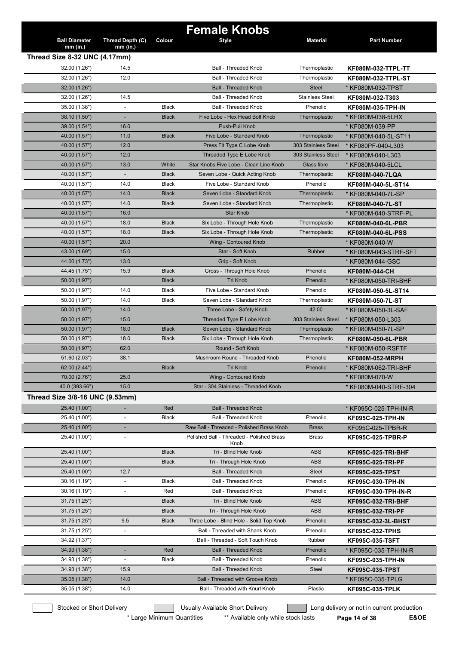|                                             |                              |              | <b>Female Knobs</b>                                           |                                            |                                      |
|---------------------------------------------|------------------------------|--------------|---------------------------------------------------------------|--------------------------------------------|--------------------------------------|
| <b>Ball Diameter</b>                        | Thread Depth (C)             | Colour       | <b>Style</b>                                                  | <b>Material</b>                            | <b>Part Number</b>                   |
| $mm$ (in.)<br>Thread Size 8-32 UNC (4.17mm) | $mm$ (in.)                   |              |                                                               |                                            |                                      |
| 32.00 (1.26")                               | 14.5                         |              | <b>Ball - Threaded Knob</b>                                   | Thermoplastic                              | KF080M-032-TTPL-TT                   |
| 32.00 (1.26")                               | 12.0                         |              | <b>Ball - Threaded Knob</b>                                   | Thermoplastic                              | <b>KF080M-032-TTPL-ST</b>            |
| 32.00 (1.26")                               |                              |              | <b>Ball - Threaded Knob</b>                                   | <b>Steel</b>                               | * KF080M-032-TPST                    |
| 32.00 (1.26")                               | 14.5                         |              | <b>Ball - Threaded Knob</b>                                   | <b>Stainless Steel</b>                     |                                      |
|                                             |                              | <b>Black</b> |                                                               |                                            | KF080M-032-T303                      |
| 35.00 (1.38")                               | $\overline{\phantom{a}}$     | <b>Black</b> | <b>Ball - Threaded Knob</b><br>Five Lobe - Hex Head Bolt Knob | Phenolic                                   | KF080M-035-TPH-IN                    |
| 38.10 (1.50")                               |                              |              |                                                               | Thermoplastic                              | * KF080M-038-5LHX<br>* KF080M-039-PP |
| 39.00 (1.54")                               | 16.0                         | <b>Black</b> | Push-Pull Knob<br>Five Lobe - Standard Knob                   |                                            |                                      |
| 40.00 (1.57")                               | 11.0                         |              |                                                               | Thermoplastic                              | * KF080M-040-5L-ST11                 |
| 40.00 (1.57")                               | 12.0<br>12.0                 |              | Press Fit Type C Lobe Knob                                    | 303 Stainless Steel<br>303 Stainless Steel | * KF080PF-040-L303                   |
| 40.00 (1.57")                               |                              |              | Threaded Type E Lobe Knob                                     |                                            | * KF080M-040-L303                    |
| 40.00 (1.57")                               | 13.0                         | White        | Star Knobs Five Lobe - Clean Line Knob                        | Glass fibre                                | * KF080M-040-5LCL                    |
| 40.00 (1.57")                               |                              | <b>Black</b> | Seven Lobe - Quick Acting Knob                                | Thermoplastic                              | KF080M-040-7LQA                      |
| 40.00 (1.57")                               | 14.0                         | Black        | Five Lobe - Standard Knob                                     | Phenolic                                   | KF080M-040-5L-ST14                   |
| 40.00 (1.57")                               | 14.0                         | <b>Black</b> | Seven Lobe - Standard Knob                                    | Thermoplastic                              | * KF080M-040-7L-SP                   |
| 40.00 (1.57")                               | 14.0                         | <b>Black</b> | Seven Lobe - Standard Knob                                    | Thermoplastic                              | KF080M-040-7L-ST                     |
| 40.00 (1.57")                               | 16.0                         |              | <b>Star Knob</b>                                              |                                            | * KF080M-040-STRF-PL                 |
| 40.00 (1.57")                               | 18.0                         | <b>Black</b> | Six Lobe - Through Hole Knob                                  | Thermoplastic                              | KF080M-040-6L-PBR                    |
| 40.00 (1.57")                               | 18.0                         | <b>Black</b> | Six Lobe - Through Hole Knob                                  | Thermoplastic                              | KF080M-040-6L-PSS                    |
| 40.00 (1.57")                               | 20.0                         |              | Wing - Contoured Knob                                         |                                            | * KF080M-040-W                       |
| 43.00 (1.69")                               | 15.0                         |              | Star - Soft Knob                                              | Rubber                                     | * KF080M-043-STRF-SFT                |
| 44.00 (1.73")                               | 13.0                         |              | Grip - Soft Knob                                              |                                            | * KF080M-044-GSC                     |
| 44.45 (1.75")                               | 15.9                         | <b>Black</b> | Cross - Through Hole Knob                                     | Phenolic                                   | <b>KF080M-044-CH</b>                 |
| 50.00 (1.97")                               |                              | <b>Black</b> | Tri Knob                                                      | Phenolic                                   | * KF080M-050-TRI-BHF                 |
| 50.00 (1.97")                               | 14.0                         | <b>Black</b> | Five Lobe - Standard Knob                                     | Phenolic                                   | KF080M-050-5L-ST14                   |
| 50.00 (1.97")                               | 14.0                         | <b>Black</b> | Seven Lobe - Standard Knob                                    | Thermoplastic                              | KF080M-050-7L-ST                     |
| 50.00 (1.97")                               | 14.0                         |              | Three Lobe - Safety Knob                                      | 42.00                                      | * KF080M-050-3L-SAF                  |
| 50.00 (1.97")                               | 15.0                         |              | Threaded Type E Lobe Knob                                     | 303 Stainless Steel                        | * KF080M-050-L303                    |
| 50.00 (1.97")                               | 18.0                         | <b>Black</b> | Seven Lobe - Standard Knob                                    | Thermoplastic                              | * KF080M-050-7L-SP                   |
| 50.00 (1.97")                               | 18.0                         | <b>Black</b> | Six Lobe - Through Hole Knob                                  | Thermoplastic                              | <b>KF080M-050-6L-PBR</b>             |
| 50.00 (1.97")                               | 62.0                         |              | Round - Soft Knob                                             |                                            | * KF080M-050-RSFTF                   |
| 51.60 (2.03")                               | 38.1                         |              | Mushroom Round - Threaded Knob                                | Phenolic                                   | <b>KF080M-052-MRPH</b>               |
| 62.00 (2.44")                               |                              | <b>Black</b> | Tri Knob                                                      | Phenolic                                   | KF080M-062-TRI-BHF                   |
| 70.00 (2.76")                               | 25.0                         |              | Wing - Contoured Knob                                         |                                            | * KF080M-070-W                       |
| 40.0 (393.66")                              | 15.0                         |              | Star - 304 Stainless - Threaded Knob                          |                                            | * KF080M-040-STRF-304                |
| Thread Size 3/8-16 UNC (9.53mm)             |                              |              |                                                               |                                            |                                      |
| 25.40 (1.00")                               |                              | Red          | <b>Ball - Threaded Knob</b>                                   |                                            | * KF095C-025-TPH-IN-R                |
| 25.40 (1.00")                               | $\overline{\phantom{a}}$     | <b>Black</b> | <b>Ball - Threaded Knob</b>                                   | Phenolic                                   | KF095C-025-TPH-IN                    |
| 25.40 (1.00")                               | ٠                            |              | Raw Ball - Threaded - Polished Brass Knob                     | <b>Brass</b>                               | KF095C-025-TPBR-R                    |
| 25.40 (1.00")                               | $\overline{\phantom{a}}$     |              | Polished Ball - Threaded - Polished Brass                     | Brass                                      | KF095C-025-TPBR-P                    |
|                                             |                              |              | Knob                                                          |                                            |                                      |
| 25.40 (1.00")                               |                              | <b>Black</b> | Tri - Blind Hole Knob                                         | <b>ABS</b>                                 | <b>KF095C-025-TRI-BHF</b>            |
| 25.40 (1.00")                               |                              | <b>Black</b> | Tri - Through Hole Knob                                       | <b>ABS</b>                                 | <b>KF095C-025-TRI-PF</b>             |
| 25.40 (1.00")                               | 12.7                         |              | <b>Ball - Threaded Knob</b>                                   | Steel                                      | <b>KF095C-025-TPST</b>               |
| 30.16 (1.19")                               |                              | <b>Black</b> | <b>Ball - Threaded Knob</b>                                   | Phenolic                                   | <b>KF095C-030-TPH-IN</b>             |
| 30.16 (1.19")                               |                              | Red          | Ball - Threaded Knob                                          | Phenolic                                   | KF095C-030-TPH-IN-R                  |
| 31.75 (1.25")                               |                              | <b>Black</b> | Tri - Blind Hole Knob                                         | ABS                                        | KF095C-032-TRI-BHF                   |
| 31.75 (1.25")                               |                              | <b>Black</b> | Tri - Through Hole Knob                                       | <b>ABS</b>                                 | <b>KF095C-032-TRI-PF</b>             |
| 31.75 (1.25")                               | 9.5                          | <b>Black</b> | Three Lobe - Blind Hole - Solid Top Knob                      | Phenolic                                   | KF095C-032-3L-BHST                   |
| 31.75 (1.25")                               | $\frac{1}{2}$                |              | Ball - Threaded with Shank Knob                               | Phenolic                                   | <b>KF095C-032-TPHS</b>               |
| 34.92 (1.37")                               |                              |              | Ball - Threaded - Soft Touch Knob                             | Rubber                                     | <b>KF095C-035-TSFT</b>               |
| 34.93 (1.38")                               |                              | Red          | <b>Ball - Threaded Knob</b>                                   | Phenolic                                   | * KF095C-035-TPH-IN-R                |
| 34.93 (1.38")                               | $\qquad \qquad \blacksquare$ | Black        | Ball - Threaded Knob                                          | Phenolic                                   | <b>KF095C-035-TPH-IN</b>             |
| 34.93 (1.38")                               | 15.9                         |              | <b>Ball - Threaded Knob</b>                                   | Steel                                      | <b>KF095C-035-TPST</b>               |
| 35.05 (1.38")                               | 14.0                         |              | <b>Ball - Threaded with Groove Knob</b>                       |                                            | * KF095C-035-TPLG                    |
| 35.05 (1.38")                               | 14.0                         |              | Ball - Threaded with Knurl Knob                               | Plastic                                    | <b>KF095C-035-TPLK</b>               |
|                                             |                              |              |                                                               |                                            |                                      |

\* Large Minimum Quantities \*\* Available only while stock lasts **Page 14 of 38 E&OE**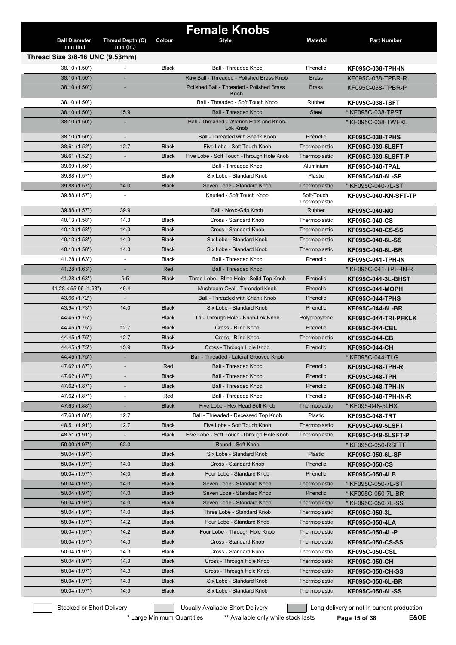|                                 |                          |              | <b>Female Knobs</b>                                  |                 |                             |
|---------------------------------|--------------------------|--------------|------------------------------------------------------|-----------------|-----------------------------|
| <b>Ball Diameter</b>            | Thread Depth (C)         | Colour       | <b>Style</b>                                         | <b>Material</b> | <b>Part Number</b>          |
| $mm$ (in.)                      | $mm$ (in.)               |              |                                                      |                 |                             |
| Thread Size 3/8-16 UNC (9.53mm) |                          |              |                                                      |                 |                             |
| 38.10 (1.50")                   |                          | <b>Black</b> | <b>Ball - Threaded Knob</b>                          | Phenolic        | <b>KF095C-038-TPH-IN</b>    |
| 38.10 (1.50")                   |                          |              | Raw Ball - Threaded - Polished Brass Knob            | <b>Brass</b>    | KF095C-038-TPBR-R           |
| 38.10 (1.50")                   |                          |              | Polished Ball - Threaded - Polished Brass            | <b>Brass</b>    | KF095C-038-TPBR-P           |
|                                 |                          |              | Knob                                                 |                 |                             |
| 38.10 (1.50")                   |                          |              | Ball - Threaded - Soft Touch Knob                    | Rubber          | <b>KF095C-038-TSFT</b>      |
| 38.10 (1.50")                   | 15.9                     |              | <b>Ball - Threaded Knob</b>                          | <b>Steel</b>    | * KF095C-038-TPST           |
| 38.10 (1.50")                   |                          |              | Ball - Threaded - Wrench Flats and Knob-<br>Lok Knob |                 | * KF095C-038-TWFKL          |
| 38.10 (1.50")                   |                          |              | Ball - Threaded with Shank Knob                      | Phenolic        | <b>KF095C-038-TPHS</b>      |
| 38.61 (1.52")                   | 12.7                     | <b>Black</b> | Five Lobe - Soft Touch Knob                          | Thermoplastic   | <b>KF095C-039-5LSFT</b>     |
| 38.61 (1.52")                   |                          | <b>Black</b> | Five Lobe - Soft Touch - Through Hole Knob           | Thermoplastic   | KF095C-039-5LSFT-P          |
| 39.69 (1.56")                   |                          |              | <b>Ball - Threaded Knob</b>                          | Aluminium       | <b>KF095C-040-TPAL</b>      |
| 39.88 (1.57")                   |                          | Black        | Six Lobe - Standard Knob                             | Plastic         | KF095C-040-6L-SP            |
| 39.88 (1.57")                   | 14.0                     | <b>Black</b> | Seven Lobe - Standard Knob                           | Thermoplastic   | * KF095C-040-7L-ST          |
| 39.88 (1.57")                   | $\overline{\phantom{a}}$ |              | Knurled - Soft Touch Knob                            | Soft-Touch      | <b>KF095C-040-KN-SFT-TP</b> |
|                                 |                          |              |                                                      | Thermoplastic   |                             |
| 39.88 (1.57")                   | 39.9                     |              | Ball - Novo-Grip Knob                                | Rubber          | KF095C-040-NG               |
| 40.13 (1.58")                   | 14.3                     | <b>Black</b> | Cross - Standard Knob                                | Thermoplastic   | <b>KF095C-040-CS</b>        |
| 40.13 (1.58")                   | 14.3                     | <b>Black</b> | Cross - Standard Knob                                | Thermoplastic   | <b>KF095C-040-CS-SS</b>     |
| 40.13 (1.58")                   | 14.3                     | <b>Black</b> | Six Lobe - Standard Knob                             | Thermoplastic   | KF095C-040-6L-SS            |
| 40.13 (1.58")                   | 14.3                     | <b>Black</b> | Six Lobe - Standard Knob                             | Thermoplastic   | KF095C-040-6L-BR            |
| 41.28 (1.63")                   | $\blacksquare$           | <b>Black</b> | <b>Ball - Threaded Knob</b>                          | Phenolic        | <b>KF095C-041-TPH-IN</b>    |
| 41.28 (1.63")                   | ٠                        | Red          | <b>Ball - Threaded Knob</b>                          |                 | * KF095C-041-TPH-IN-R       |
| 41.28 (1.63")                   | 9.5                      | <b>Black</b> | Three Lobe - Blind Hole - Solid Top Knob             | Phenolic        | <b>KF095C-041-3L-BHST</b>   |
| 41.28 x 55.96 (1.63")           | 46.4                     |              | Mushroom Oval - Threaded Knob                        | Phenolic        | <b>KF095C-041-MOPH</b>      |
| 43.66 (1.72")                   |                          |              | <b>Ball - Threaded with Shank Knob</b>               | Phenolic        | <b>KF095C-044-TPHS</b>      |
| 43.94 (1.73")                   | 14.0                     | <b>Black</b> | Six Lobe - Standard Knob                             | Phenolic        | KF095C-044-6L-BR            |
| 44.45 (1.75")                   |                          | <b>Black</b> | Tri - Through Hole - Knob-Lok Knob                   | Polypropylene   | KF095C-044-TRI-PFKLK        |
| 44.45 (1.75")                   | 12.7                     | <b>Black</b> | Cross - Blind Knob                                   | Phenolic        | <b>KF095C-044-CBL</b>       |
| 44.45 (1.75")                   | 12.7                     | <b>Black</b> | Cross - Blind Knob                                   | Thermoplastic   | <b>KF095C-044-CB</b>        |
| 44.45 (1.75")                   | 15.9                     | <b>Black</b> | Cross - Through Hole Knob                            | Phenolic        | KF095C-044-CH               |
| 44.45 (1.75")                   |                          |              | Ball - Threaded - Lateral Grooved Knob               |                 | * KF095C-044-TLG            |
| 47.62 (1.87")                   |                          | Red          | <b>Ball - Threaded Knob</b>                          | Phenolic        | KF095C-048-TPH-R            |
| 47.62 (1.87")                   |                          | <b>Black</b> | Ball - Threaded Knob                                 | Phenolic        | KF095C-048-TPH              |
| 47.62 (1.87")                   |                          | <b>Black</b> | Ball - Threaded Knob                                 | Phenolic        | <b>KF095C-048-TPH-IN</b>    |
| 47.62 (1.87")                   | $\blacksquare$           | Red          | Ball - Threaded Knob                                 | Phenolic        | KF095C-048-TPH-IN-R         |
| 47.63 (1.88")                   | ٠                        | <b>Black</b> | Five Lobe - Hex Head Bolt Knob                       | Thermoplastic   | * KF095-048-5LHX            |
| 47.63 (1.88")                   | 12.7                     |              | Ball - Threaded - Recessed Top Knob                  | Plastic         | <b>KF095C-048-TRT</b>       |
| 48.51 (1.91")                   | 12.7                     | <b>Black</b> | Five Lobe - Soft Touch Knob                          | Thermoplastic   | <b>KF095C-049-5LSFT</b>     |
| 48.51 (1.91")                   |                          | <b>Black</b> | Five Lobe - Soft Touch - Through Hole Knob           | Thermoplastic   | KF095C-049-5LSFT-P          |
| 50.00 (1.97")                   | 62.0                     |              | Round - Soft Knob                                    |                 | * KF095C-050-RSFTF          |
| 50.04 (1.97")                   |                          | <b>Black</b> | Six Lobe - Standard Knob                             | Plastic         | KF095C-050-6L-SP            |
| 50.04 (1.97")                   | 14.0                     | <b>Black</b> | Cross - Standard Knob                                | Phenolic        | KF095C-050-CS               |
| 50.04 (1.97")                   | 14.0                     | <b>Black</b> | Four Lobe - Standard Knob                            | Phenolic        | KF095C-050-4LB              |
| 50.04 (1.97")                   | 14.0                     | <b>Black</b> | Seven Lobe - Standard Knob                           | Thermoplastic   | * KF095C-050-7L-ST          |
| 50.04 (1.97")                   | 14.0                     | <b>Black</b> | Seven Lobe - Standard Knob                           | Phenolic        | * KF095C-050-7L-BR          |
| 50.04 (1.97")                   | 14.0                     | <b>Black</b> | Seven Lobe - Standard Knob                           | Thermoplastic   | * KF095C-050-7L-SS          |
| 50.04 (1.97")                   | 14.0                     | <b>Black</b> | Three Lobe - Standard Knob                           | Thermoplastic   | KF095C-050-3L               |
| 50.04 (1.97")                   | 14.2                     | <b>Black</b> | Four Lobe - Standard Knob                            | Thermoplastic   | KF095C-050-4LA              |
| 50.04 (1.97")                   | 14.2                     | <b>Black</b> | Four Lobe - Through Hole Knob                        | Thermoplastic   | KF095C-050-4L-P             |
| 50.04 (1.97")                   | 14.3                     | <b>Black</b> | Cross - Standard Knob                                | Thermoplastic   | KF095C-050-CS-SS            |
| 50.04 (1.97")                   | 14.3                     | Black        | Cross - Standard Knob                                | Thermoplastic   | <b>KF095C-050-CSL</b>       |
| 50.04 (1.97")                   | 14.3                     | <b>Black</b> | Cross - Through Hole Knob                            | Thermoplastic   | KF095C-050-CH               |
| 50.04 (1.97")                   | 14.3                     | <b>Black</b> | Cross - Through Hole Knob                            | Thermoplastic   | KF095C-050-CH-SS            |
| 50.04 (1.97")                   | 14.3                     | <b>Black</b> | Six Lobe - Standard Knob                             | Thermoplastic   | KF095C-050-6L-BR            |
| 50.04 (1.97")                   | 14.3                     | <b>Black</b> | Six Lobe - Standard Knob                             | Thermoplastic   | KF095C-050-6L-SS            |
|                                 |                          |              |                                                      |                 |                             |

Stocked or Short Delivery **Contract Contract Contract Contract** Long delivery or not in current production

\* Large Minimum Quantities \*\* Available only while stock lasts **Page 15 of 38 E&OE**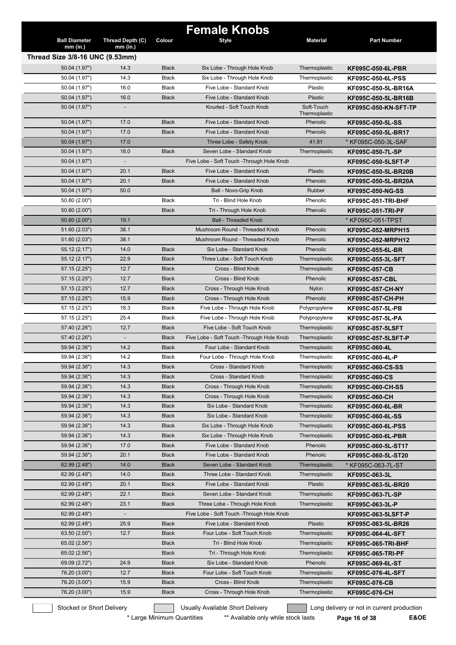|                                               |                          |              | <b>Female Knobs</b>                        |                 |                             |
|-----------------------------------------------|--------------------------|--------------|--------------------------------------------|-----------------|-----------------------------|
| <b>Ball Diameter</b>                          | Thread Depth (C)         | Colour       | Style                                      | <b>Material</b> | <b>Part Number</b>          |
| $mm$ (in.)<br>Thread Size 3/8-16 UNC (9.53mm) | $mm$ (in.)               |              |                                            |                 |                             |
| 50.04 (1.97")                                 | 14.3                     | <b>Black</b> | Six Lobe - Through Hole Knob               | Thermoplastic   | <b>KF095C-050-6L-PBR</b>    |
| 50.04 (1.97")                                 | 14.3                     | Black        | Six Lobe - Through Hole Knob               | Thermoplastic   | KF095C-050-6L-PSS           |
| 50.04 (1.97")                                 | 16.0                     | <b>Black</b> | Five Lobe - Standard Knob                  | Plastic         | KF095C-050-5L-BR16A         |
| 50.04 (1.97")                                 | 16.0                     | <b>Black</b> | Five Lobe - Standard Knob                  | Plastic         | KF095C-050-5L-BR16B         |
| 50.04 (1.97")                                 |                          |              | Knurled - Soft Touch Knob                  | Soft-Touch      | <b>KF095C-050-KN-SFT-TP</b> |
|                                               |                          |              |                                            | Thermoplastic   |                             |
| 50.04 (1.97")                                 | 17.0                     | <b>Black</b> | Five Lobe - Standard Knob                  | Phenolic        | KF095C-050-5L-SS            |
| 50.04 (1.97")                                 | 17.0                     | <b>Black</b> | Five Lobe - Standard Knob                  | Phenolic        | KF095C-050-5L-BR17          |
| 50.04 (1.97")                                 | 17.0                     |              | Three Lobe - Safety Knob                   | 41.91           | * KF095C-050-3L-SAF         |
| 50.04 (1.97")                                 | 18.0                     | <b>Black</b> | Seven Lobe - Standard Knob                 | Thermoplastic   | KF095C-050-7L-SP            |
| 50.04 (1.97")                                 | $\overline{\phantom{a}}$ |              | Five Lobe - Soft Touch - Through Hole Knob |                 | KF095C-050-5LSFT-P          |
| 50.04 (1.97")                                 | 20.1                     | <b>Black</b> | Five Lobe - Standard Knob                  | Plastic         | KF095C-050-5L-BR20B         |
| 50.04 (1.97")                                 | 20.1                     | <b>Black</b> | Five Lobe - Standard Knob                  | Phenolic        | KF095C-050-5L-BR20A         |
| 50.04 (1.97")                                 | 50.0                     |              | Ball - Novo-Grip Knob                      | Rubber          | <b>KF095C-050-NG-SS</b>     |
| 50.80 (2.00")                                 |                          | <b>Black</b> | Tri - Blind Hole Knob                      | Phenolic        | <b>KF095C-051-TRI-BHF</b>   |
| 50.80 (2.00")                                 |                          | <b>Black</b> | Tri - Through Hole Knob                    | Phenolic        | <b>KF095C-051-TRI-PF</b>    |
| 50.80 (2.00")                                 | 19.1                     |              | <b>Ball - Threaded Knob</b>                |                 | * KF095C-051-TPST           |
| 51.60 (2.03")                                 | 38.1                     |              | Mushroom Round - Threaded Knob             | Phenolic        | KF095C-052-MRPH15           |
| 51.60 (2.03")                                 | 38.1                     |              | Mushroom Round - Threaded Knob             | Phenolic        | KF095C-052-MRPH12           |
| 55.12(2.17")                                  | 14.0                     | <b>Black</b> | Six Lobe - Standard Knob                   | Phenolic        | KF095C-055-6L-BR            |
| 55.12 (2.17")                                 | 22.9                     | <b>Black</b> | Three Lobe - Soft Touch Knob               | Thermoplastic   | KF095C-055-3L-SFT           |
| 57.15 (2.25")                                 | 12.7                     | <b>Black</b> | Cross - Blind Knob                         | Thermoplastic   | <b>KF095C-057-CB</b>        |
| 57.15 (2.25")                                 | 12.7                     | <b>Black</b> | Cross - Blind Knob                         | Phenolic        | <b>KF095C-057-CBL</b>       |
| 57.15(2.25")                                  | 12.7                     | <b>Black</b> | Cross - Through Hole Knob                  | Nylon           | <b>KF095C-057-CH-NY</b>     |
| 57.15 (2.25")                                 | 15.9                     | <b>Black</b> | Cross - Through Hole Knob                  | Phenolic        | KF095C-057-CH-PH            |
| 57.15 (2.25")                                 | 18.3                     | Black        | Five Lobe - Through Hole Knob              | Polypropylene   | KF095C-057-5L-PB            |
| 57.15 (2.25")                                 | 25.4                     | <b>Black</b> | Five Lobe - Through Hole Knob              | Polypropylene   | KF095C-057-5L-PA            |
| 57.40 (2.26")                                 | 12.7                     | <b>Black</b> | Five Lobe - Soft Touch Knob                | Thermoplastic   | <b>KF095C-057-5LSFT</b>     |
| 57.40 (2.26")                                 |                          | <b>Black</b> | Five Lobe - Soft Touch - Through Hole Knob | Thermoplastic   | <b>KF095C-057-5LSFT-P</b>   |
| 59.94 (2.36")                                 | 14.2                     | <b>Black</b> | Four Lobe - Standard Knob                  | Thermoplastic   | KF095C-060-4L               |
| 59.94 (2.36")                                 | 14.2                     | Black        | Four Lobe - Through Hole Knob              | Thermoplastic   | KF095C-060-4L-P             |
| 59.94 (2.36")                                 | 14.3                     | <b>Black</b> | Cross - Standard Knob                      | Thermoplastic   | KF095C-060-CS-SS            |
| 59.94 (2.36")                                 | 14.3                     | <b>Black</b> | Cross - Standard Knob                      | Thermoplastic   | KF095C-060-CS               |
| 59.94 (2.36")                                 | 14.3                     | <b>Black</b> | Cross - Through Hole Knob                  | Thermoplastic   | KF095C-060-CH-SS            |
| 59.94 (2.36")                                 | 14.3                     | <b>Black</b> | Cross - Through Hole Knob                  | Thermoplastic   | KF095C-060-CH               |
| 59.94 (2.36")                                 | 14.3                     | <b>Black</b> | Six Lobe - Standard Knob                   | Thermoplastic   | KF095C-060-6L-BR            |
| 59.94 (2.36")                                 | 14.3                     | <b>Black</b> | Six Lobe - Standard Knob                   | Thermoplastic   | KF095C-060-6L-SS            |
| 59.94 (2.36")                                 | 14.3                     | <b>Black</b> | Six Lobe - Through Hole Knob               | Thermoplastic   | KF095C-060-6L-PSS           |
| 59.94 (2.36")                                 | 14.3                     | <b>Black</b> | Six Lobe - Through Hole Knob               | Thermoplastic   | KF095C-060-6L-PBR           |
| 59.94 (2.36")                                 | 17.0                     | <b>Black</b> | Five Lobe - Standard Knob                  | Phenolic        | KF095C-060-5L-ST17          |
| 59.94 (2.36")                                 | 20.1                     | <b>Black</b> | Five Lobe - Standard Knob                  | Phenolic        | KF095C-060-5L-ST20          |
| 62.99 (2.48")                                 | 14.0                     | <b>Black</b> | Seven Lobe - Standard Knob                 | Thermoplastic   | * KF095C-063-7L-ST          |
| 62.99 (2.48")                                 | 14.0                     | <b>Black</b> | Three Lobe - Standard Knob                 | Thermoplastic   | KF095C-063-3L               |
| 62.99 (2.48")                                 | 20.1                     | <b>Black</b> | Five Lobe - Standard Knob                  | Plastic         | KF095C-063-5L-BR20          |
| 62.99(2.48")                                  | 22.1                     | <b>Black</b> | Seven Lobe - Standard Knob                 | Thermoplastic   | KF095C-063-7L-SP            |
| 62.99 (2.48")                                 | 23.1                     | <b>Black</b> | Three Lobe - Through Hole Knob             | Thermoplastic   | KF095C-063-3L-P             |
| 62.99 (2.48")                                 |                          |              | Five Lobe - Soft Touch - Through Hole Knob |                 | KF095C-063-5LSFT-P          |
| 62.99 (2.48")                                 | 25.9                     | <b>Black</b> | Five Lobe - Standard Knob                  | Plastic         | KF095C-063-5L-BR26          |
| 63.50 (2.50")                                 | 12.7                     | <b>Black</b> | Four Lobe - Soft Touch Knob                | Thermoplastic   | KF095C-064-4L-SFT           |
| 65.02 (2.56")                                 |                          | <b>Black</b> | Tri - Blind Hole Knob                      | Thermoplastic   | KF095C-065-TRI-BHF          |
| 65.02 (2.56")                                 |                          | <b>Black</b> | Tri - Through Hole Knob                    | Thermoplastic   | <b>KF095C-065-TRI-PF</b>    |
| 69.09 (2.72")                                 | 24.9                     | <b>Black</b> | Six Lobe - Standard Knob                   | Phenolic        | KF095C-069-6L-ST            |
| 76.20 (3.00")                                 | 12.7                     | <b>Black</b> | Four Lobe - Soft Touch Knob                | Thermoplastic   | KF095C-076-4L-SFT           |
| 76.20 (3.00")                                 | 15.9                     | <b>Black</b> | Cross - Blind Knob                         | Thermoplastic   |                             |
| 76.20 (3.00")                                 | 15.9                     | <b>Black</b> | Cross - Through Hole Knob                  | Thermoplastic   | KF095C-076-CB               |
|                                               |                          |              |                                            |                 | KF095C-076-CH               |

\* Large Minimum Quantities \*\* Available only while stock lasts Page 16 of 38 E&OE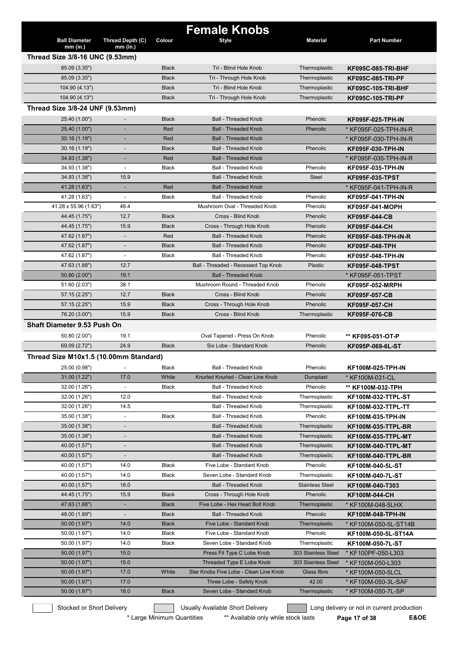|                                        |                                |              | <b>Female Knobs</b>                    |                        |                           |
|----------------------------------------|--------------------------------|--------------|----------------------------------------|------------------------|---------------------------|
| <b>Ball Diameter</b><br>$mm$ (in.)     | Thread Depth (C)<br>$mm$ (in.) | Colour       | <b>Style</b>                           | <b>Material</b>        | <b>Part Number</b>        |
| Thread Size 3/8-16 UNC (9.53mm)        |                                |              |                                        |                        |                           |
| 85.09 (3.35")                          |                                | <b>Black</b> | Tri - Blind Hole Knob                  | Thermoplastic          | <b>KF095C-085-TRI-BHF</b> |
| 85.09 (3.35")                          |                                | <b>Black</b> | Tri - Through Hole Knob                | Thermoplastic          | <b>KF095C-085-TRI-PF</b>  |
| 104.90 (4.13")                         |                                | <b>Black</b> | Tri - Blind Hole Knob                  | Thermoplastic          | <b>KF095C-105-TRI-BHF</b> |
| 104.90 (4.13")                         |                                | <b>Black</b> | Tri - Through Hole Knob                | Thermoplastic          | <b>KF095C-105-TRI-PF</b>  |
| Thread Size 3/8-24 UNF (9.53mm)        |                                |              |                                        |                        |                           |
| 25.40 (1.00")                          |                                | <b>Black</b> | <b>Ball - Threaded Knob</b>            | Phenolic               | KF095F-025-TPH-IN         |
| 25.40 (1.00")                          |                                | Red          | <b>Ball - Threaded Knob</b>            | Phenolic               | * KF095F-025-TPH-IN-R     |
| 30.16 (1.19")                          |                                | Red          | <b>Ball - Threaded Knob</b>            |                        | * KF095F-030-TPH-IN-R     |
| 30.16(1.19")                           |                                | <b>Black</b> | <b>Ball - Threaded Knob</b>            | Phenolic               | KF095F-030-TPH-IN         |
| 34.93 (1.38")                          |                                | Red          | <b>Ball - Threaded Knob</b>            |                        | * KF095F-035-TPH-IN-R     |
| 34.93 (1.38")                          | $\overline{\phantom{a}}$       | <b>Black</b> | <b>Ball - Threaded Knob</b>            | Phenolic               | KF095F-035-TPH-IN         |
| 34.93 (1.38")                          | 15.9                           |              | <b>Ball - Threaded Knob</b>            | <b>Steel</b>           | <b>KF095F-035-TPST</b>    |
| 41.28 (1.63")                          | ÷                              | Red          | <b>Ball - Threaded Knob</b>            |                        | * KF095F-041-TPH-IN-R     |
| 41.28 (1.63")                          | $\blacksquare$                 | <b>Black</b> | Ball - Threaded Knob                   | Phenolic               | KF095F-041-TPH-IN         |
| 41.28 x 55.96 (1.63")                  | 46.4                           |              | Mushroom Oval - Threaded Knob          | Phenolic               | KF095F-041-MOPH           |
| 44.45 (1.75")                          | 12.7                           | <b>Black</b> | Cross - Blind Knob                     | Phenolic               | <b>KF095F-044-CB</b>      |
| 44.45 (1.75")                          | 15.9                           | <b>Black</b> | Cross - Through Hole Knob              | Phenolic               | KF095F-044-CH             |
| 47.62 (1.87")                          |                                | Red          | <b>Ball - Threaded Knob</b>            | Phenolic               | KF095F-048-TPH-IN-R       |
| 47.62 (1.87")                          | $\overline{\phantom{a}}$       | <b>Black</b> | <b>Ball - Threaded Knob</b>            | Phenolic               | KF095F-048-TPH            |
| 47.62 (1.87")                          | $\blacksquare$                 | <b>Black</b> | <b>Ball - Threaded Knob</b>            | Phenolic               | KF095F-048-TPH-IN         |
| 47.63 (1.88")                          | 12.7                           |              | Ball - Threaded - Recessed Top Knob    | Plastic                | <b>KF095F-048-TPST</b>    |
| 50.80 (2.00")                          | 19.1                           |              | <b>Ball - Threaded Knob</b>            |                        | * KF095F-051-TPST         |
| 51.60 (2.03")                          | 38.1                           |              | Mushroom Round - Threaded Knob         | Phenolic               | KF095F-052-MRPH           |
| 57.15 (2.25")                          | 12.7                           | <b>Black</b> | Cross - Blind Knob                     | Phenolic               | <b>KF095F-057-CB</b>      |
| 57.15 (2.25")                          | 15.9                           | <b>Black</b> | Cross - Through Hole Knob              | Phenolic               | KF095F-057-CH             |
| 76.20 (3.00")                          | 15.9                           | <b>Black</b> | Cross - Blind Knob                     | Thermoplastic          | <b>KF095F-076-CB</b>      |
| <b>Shaft Diameter 9.53 Push On</b>     |                                |              |                                        |                        |                           |
| 50.80 (2.00")                          | 19.1                           |              | Oval Tapered - Press On Knob           | Phenolic               | ** KF095-051-OT-P         |
| 69.09 (2.72")                          | 24.9                           | <b>Black</b> | Six Lobe - Standard Knob               | Phenolic               | KF095P-069-6L-ST          |
| Thread Size M10x1.5 (10.00mm Standard) |                                |              |                                        |                        |                           |
| 25.00 (0.98")                          | $\overline{\phantom{a}}$       | Black        | <b>Ball - Threaded Knob</b>            | Phenolic               | KF100M-025-TPH-IN         |
| 31.00 (1.22")                          | 17.0                           | White        | Knurled Knurled - Clean Line Knob      | Duroplast              | * KF100M-031-CL           |
| 32.00 (1.26")                          |                                | Black        | Ball - Threaded Knob                   | Phenolic               | ** KF100M-032-TPH         |
| 32.00 (1.26")                          | 12.0                           |              | Ball - Threaded Knob                   | Thermoplastic          | <b>KF100M-032-TTPL-ST</b> |
| 32.00 (1.26")                          | 14.5                           |              | Ball - Threaded Knob                   | Thermoplastic          | KF100M-032-TTPL-TT        |
| 35.00 (1.38")                          | $\overline{\phantom{a}}$       | <b>Black</b> | Ball - Threaded Knob                   | Phenolic               | KF100M-035-TPH-IN         |
| 35.00 (1.38")                          | $\overline{a}$                 |              | <b>Ball - Threaded Knob</b>            | Thermoplastic          | <b>KF100M-035-TTPL-BR</b> |
| 35.00 (1.38")                          |                                |              | <b>Ball - Threaded Knob</b>            | Thermoplastic          | KF100M-035-TTPL-MT        |
| 40.00 (1.57")                          |                                |              | <b>Ball - Threaded Knob</b>            | Thermoplastic          | KF100M-040-TTPL-MT        |
| 40.00 (1.57")                          |                                |              | <b>Ball - Threaded Knob</b>            | Thermoplastic          | <b>KF100M-040-TTPL-BR</b> |
| 40.00 (1.57")                          | 14.0                           | <b>Black</b> | Five Lobe - Standard Knob              | Phenolic               | KF100M-040-5L-ST          |
| 40.00 (1.57")                          | 14.0                           | Black        | Seven Lobe - Standard Knob             | Thermoplastic          | KF100M-040-7L-ST          |
| 40.00 (1.57")                          | 18.0                           |              | <b>Ball - Threaded Knob</b>            | <b>Stainless Steel</b> | KF100M-040-T303           |
| 44.45 (1.75")                          | 15.9                           | <b>Black</b> | Cross - Through Hole Knob              | Phenolic               | KF100M-044-CH             |
| 47.63 (1.88")                          |                                | <b>Black</b> | Five Lobe - Hex Head Bolt Knob         | Thermoplastic          | * KF100M-048-5LHX         |
| 48.00 (1.89")                          | $\frac{1}{2}$                  | <b>Black</b> | <b>Ball - Threaded Knob</b>            | Phenolic               | <b>KF100M-048-TPH-IN</b>  |
| 50.00 (1.97")                          | 14.0                           | <b>Black</b> | Five Lobe - Standard Knob              | Thermoplastic          | * KF100M-050-5L-ST14B     |
| 50.00 (1.97")                          | 14.0                           | <b>Black</b> | Five Lobe - Standard Knob              | Phenolic               | KF100M-050-5L-ST14A       |
| 50.00 (1.97")                          | 14.0                           | Black        | Seven Lobe - Standard Knob             | Thermoplastic          | KF100M-050-7L-ST          |
| 50.00 (1.97")                          | 15.0                           |              | Press Fit Type C Lobe Knob             | 303 Stainless Steel    | * KF100PF-050-L303        |
| 50.00 (1.97")                          | 15.0                           |              | Threaded Type E Lobe Knob              | 303 Stainless Steel    | * KF100M-050-L303         |
| 50.00 (1.97")                          | 17.0                           | White        | Star Knobs Five Lobe - Clean Line Knob | Glass fibre            | * KF100M-050-5LCL         |
| 50.00 (1.97")                          | 17.0                           |              | Three Lobe - Safety Knob               | 42.00                  | * KF100M-050-3L-SAF       |
| 50.00 (1.97")                          | 18.0                           | <b>Black</b> | Seven Lobe - Standard Knob             | Thermoplastic          | * KF100M-050-7L-SP        |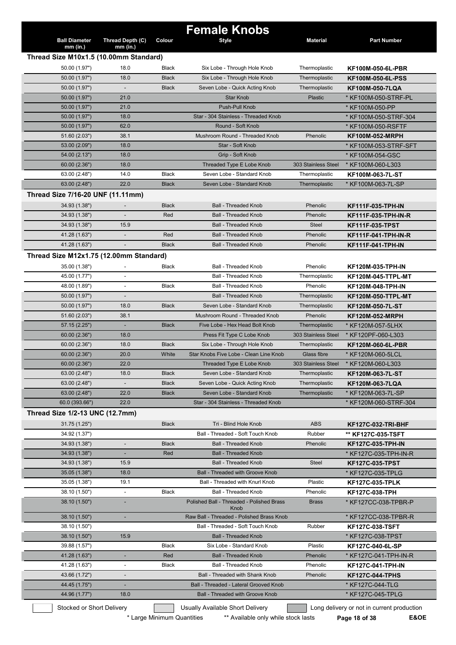|                                         |                          |              | <b>Female Knobs</b>                               |                     |                                            |
|-----------------------------------------|--------------------------|--------------|---------------------------------------------------|---------------------|--------------------------------------------|
| <b>Ball Diameter</b>                    | Thread Depth (C)         | Colour       | <b>Style</b>                                      | <b>Material</b>     | <b>Part Number</b>                         |
| mm (in.)                                | $mm$ (in.)               |              |                                                   |                     |                                            |
| Thread Size M10x1.5 (10.00mm Standard)  |                          |              |                                                   |                     |                                            |
| 50.00 (1.97")                           | 18.0                     | <b>Black</b> | Six Lobe - Through Hole Knob                      | Thermoplastic       | <b>KF100M-050-6L-PBR</b>                   |
| 50.00 (1.97")                           | 18.0                     | <b>Black</b> | Six Lobe - Through Hole Knob                      | Thermoplastic       | KF100M-050-6L-PSS                          |
| 50.00 (1.97")                           | $\overline{\phantom{a}}$ | <b>Black</b> | Seven Lobe - Quick Acting Knob                    | Thermoplastic       | <b>KF100M-050-7LQA</b>                     |
| 50.00 (1.97")                           | 21.0                     |              | <b>Star Knob</b>                                  | <b>Plastic</b>      | * KF100M-050-STRF-PL                       |
| 50.00 (1.97")                           | 21.0                     |              | Push-Pull Knob                                    |                     | * KF100M-050-PP                            |
| 50.00 (1.97")                           | 18.0                     |              | Star - 304 Stainless - Threaded Knob              |                     | * KF100M-050-STRF-304                      |
| 50.00 (1.97")                           | 62.0                     |              | Round - Soft Knob                                 |                     | * KF100M-050-RSFTF                         |
| 51.60 (2.03")                           | 38.1                     |              | Mushroom Round - Threaded Knob                    | Phenolic            | <b>KF100M-052-MRPH</b>                     |
| 53.00 (2.09")                           | 18.0                     |              | Star - Soft Knob                                  |                     | * KF100M-053-STRF-SFT                      |
| 54.00 (2.13")                           | 18.0                     |              | Grip - Soft Knob                                  |                     | * KF100M-054-GSC                           |
| 60.00(2.36")                            | 18.0                     |              | Threaded Type E Lobe Knob                         | 303 Stainless Steel | * KF100M-060-L303                          |
| 63.00 (2.48")                           | 14.0                     | <b>Black</b> | Seven Lobe - Standard Knob                        | Thermoplastic       | KF100M-063-7L-ST                           |
| 63.00 (2.48")                           | 22.0                     | <b>Black</b> | Seven Lobe - Standard Knob                        | Thermoplastic       | * KF100M-063-7L-SP                         |
| Thread Size 7/16-20 UNF (11.11mm)       |                          |              |                                                   |                     |                                            |
| 34.93 (1.38")                           |                          | <b>Black</b> | <b>Ball - Threaded Knob</b>                       | Phenolic            | KF111F-035-TPH-IN                          |
| 34.93 (1.38")                           |                          | Red          | <b>Ball - Threaded Knob</b>                       | Phenolic            | KF111F-035-TPH-IN-R                        |
| 34.93 (1.38")                           | 15.9                     |              | <b>Ball - Threaded Knob</b>                       | <b>Steel</b>        | <b>KF111F-035-TPST</b>                     |
| 41.28 (1.63")                           |                          | Red          | <b>Ball - Threaded Knob</b>                       | Phenolic            | KF111F-041-TPH-IN-R                        |
| 41.28 (1.63")                           |                          | <b>Black</b> | <b>Ball - Threaded Knob</b>                       | Phenolic            | <b>KF111F-041-TPH-IN</b>                   |
|                                         |                          |              |                                                   |                     |                                            |
| Thread Size M12x1.75 (12.00mm Standard) |                          |              |                                                   |                     |                                            |
| 35.00 (1.38")                           |                          | Black        | Ball - Threaded Knob                              | Phenolic            | KF120M-035-TPH-IN                          |
| 45.00 (1.77")                           |                          |              | <b>Ball - Threaded Knob</b>                       | Thermoplastic       | KF120M-045-TTPL-MT                         |
| 48.00 (1.89")                           | $\overline{\phantom{a}}$ | <b>Black</b> | Ball - Threaded Knob                              | Phenolic            | KF120M-048-TPH-IN                          |
| 50.00 (1.97")                           | $\overline{\phantom{a}}$ |              | <b>Ball - Threaded Knob</b>                       | Thermoplastic       | <b>KF120M-050-TTPL-MT</b>                  |
| 50.00 (1.97")                           | 18.0                     | <b>Black</b> | Seven Lobe - Standard Knob                        | Thermoplastic       | KF120M-050-7L-ST                           |
| 51.60 (2.03")                           | 38.1                     |              | Mushroom Round - Threaded Knob                    | Phenolic            | <b>KF120M-052-MRPH</b>                     |
| 57.15 (2.25")                           |                          | <b>Black</b> | Five Lobe - Hex Head Bolt Knob                    | Thermoplastic       | * KF120M-057-5LHX                          |
| 60.00(2.36")                            | 18.0                     |              | Press Fit Type C Lobe Knob                        | 303 Stainless Steel | * KF120PF-060-L303                         |
| 60.00 (2.36")                           | 18.0                     | <b>Black</b> | Six Lobe - Through Hole Knob                      | Thermoplastic       | KF120M-060-6L-PBR                          |
| 60.00(2.36")                            | 20.0                     | White        | Star Knobs Five Lobe - Clean Line Knob            | Glass fibre         | * KF120M-060-5LCL                          |
| 60.00(2.36")                            | 22.0                     |              | Threaded Type E Lobe Knob                         | 303 Stainless Steel | * KF120M-060-L303                          |
| 63.00 (2.48")                           | 18.0                     | <b>Black</b> | Seven Lobe - Standard Knob                        | Thermoplastic       | KF120M-063-7L-ST                           |
| 63.00 (2.48")                           | $\overline{\phantom{a}}$ | <b>Black</b> | Seven Lobe - Quick Acting Knob                    | Thermoplastic       | KF120M-063-7LQA                            |
| 63.00 (2.48")                           | 22.0                     | <b>Black</b> | Seven Lobe - Standard Knob                        | Thermoplastic       | * KF120M-063-7L-SP                         |
| 60.0 (393.66")                          | 22.0                     |              | Star - 304 Stainless - Threaded Knob              |                     | * KF120M-060-STRF-304                      |
| Thread Size 1/2-13 UNC (12.7mm)         |                          |              |                                                   |                     |                                            |
| 31.75 (1.25")                           |                          | <b>Black</b> | Tri - Blind Hole Knob                             | <b>ABS</b>          | <b>KF127C-032-TRI-BHF</b>                  |
| 34.92 (1.37")                           |                          |              | Ball - Threaded - Soft Touch Knob                 | Rubber              | ** KF127C-035-TSFT                         |
| 34.93 (1.38")                           | $\overline{\phantom{a}}$ | <b>Black</b> | <b>Ball - Threaded Knob</b>                       | Phenolic            | <b>KF127C-035-TPH-IN</b>                   |
| 34.93 (1.38")                           |                          | Red          | <b>Ball - Threaded Knob</b>                       |                     | * KF127C-035-TPH-IN-R                      |
| 34.93 (1.38")                           | 15.9                     |              | <b>Ball - Threaded Knob</b>                       | Steel               | <b>KF127C-035-TPST</b>                     |
| 35.05 (1.38")                           | 18.0                     |              | <b>Ball - Threaded with Groove Knob</b>           |                     | * KF127C-035-TPLG                          |
| 35.05 (1.38")                           | 19.1                     |              | Ball - Threaded with Knurl Knob                   | Plastic             | <b>KF127C-035-TPLK</b>                     |
| 38.10 (1.50")                           |                          | Black        | Ball - Threaded Knob                              | Phenolic            |                                            |
|                                         |                          |              |                                                   |                     | KF127C-038-TPH                             |
| 38.10 (1.50")                           |                          |              | Polished Ball - Threaded - Polished Brass<br>Knob | <b>Brass</b>        | * KF127CC-038-TPBR-P                       |
| 38.10 (1.50")                           | $\blacksquare$           |              | Raw Ball - Threaded - Polished Brass Knob         |                     | * KF127CC-038-TPBR-R                       |
| 38.10 (1.50")                           |                          |              | Ball - Threaded - Soft Touch Knob                 | Rubber              | <b>KF127C-038-TSFT</b>                     |
| 38.10 (1.50")                           | 15.9                     |              | <b>Ball - Threaded Knob</b>                       |                     | * KF127C-038-TPST                          |
| 39.88 (1.57")                           |                          | <b>Black</b> | Six Lobe - Standard Knob                          | Plastic             | KF127C-040-6L-SP                           |
| 41.28 (1.63")                           |                          | Red          | <b>Ball - Threaded Knob</b>                       | Phenolic            | * KF127C-041-TPH-IN-R                      |
| 41.28 (1.63")                           |                          | Black        | <b>Ball - Threaded Knob</b>                       | Phenolic            | <b>KF127C-041-TPH-IN</b>                   |
| 43.66 (1.72")                           |                          |              | <b>Ball - Threaded with Shank Knob</b>            | Phenolic            | <b>KF127C-044-TPHS</b>                     |
| 44.45 (1.75")                           |                          |              | Ball - Threaded - Lateral Grooved Knob            |                     | * KF127C-044-TLG                           |
| 44.96 (1.77")                           | 18.0                     |              | <b>Ball - Threaded with Groove Knob</b>           |                     | * KF127C-045-TPLG                          |
|                                         |                          |              |                                                   |                     |                                            |
| Stocked or Short Delivery               |                          |              | Usually Available Short Delivery                  |                     | Long delivery or not in current production |

\* Large Minimum Quantities \*\* Available only while stock lasts **Page 18 of 38 E&OE**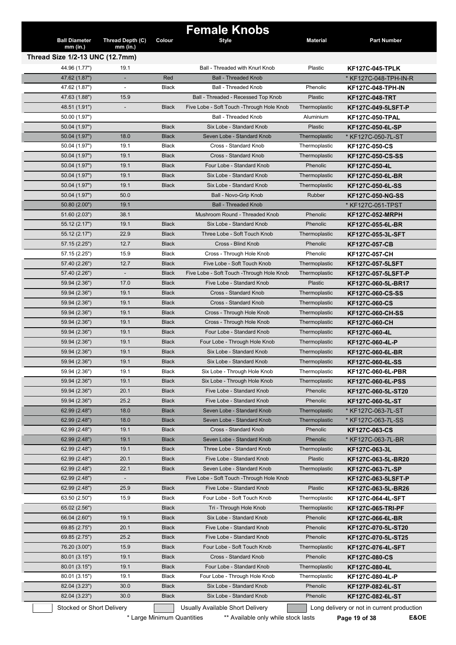| <b>Ball Diameter</b><br>$mm$ (in.) | Thread Depth (C)<br>$mm$ (in.) | Colour                     | <b>Female Knobs</b><br><b>Style</b>                                     | <b>Material</b> | <b>Part Number</b>                                                  |
|------------------------------------|--------------------------------|----------------------------|-------------------------------------------------------------------------|-----------------|---------------------------------------------------------------------|
| Thread Size 1/2-13 UNC (12.7mm)    |                                |                            |                                                                         |                 |                                                                     |
| 44.96 (1.77")                      | 19.1                           |                            | Ball - Threaded with Knurl Knob                                         | Plastic         | <b>KF127C-045-TPLK</b>                                              |
| 47.62 (1.87")                      |                                | Red                        | <b>Ball - Threaded Knob</b>                                             |                 | * KF127C-048-TPH-IN-R                                               |
| 47.62 (1.87")                      |                                | Black                      | Ball - Threaded Knob                                                    | Phenolic        | <b>KF127C-048-TPH-IN</b>                                            |
| 47.63 (1.88")                      | 15.9                           |                            | Ball - Threaded - Recessed Top Knob                                     | Plastic         | <b>KF127C-048-TRT</b>                                               |
| 48.51 (1.91")                      |                                | <b>Black</b>               | Five Lobe - Soft Touch - Through Hole Knob                              | Thermoplastic   | <b>KF127C-049-5LSFT-P</b>                                           |
| 50.00 (1.97")                      |                                |                            | <b>Ball - Threaded Knob</b>                                             | Aluminium       | <b>KF127C-050-TPAL</b>                                              |
| 50.04 (1.97")                      |                                | <b>Black</b>               | Six Lobe - Standard Knob                                                | Plastic         | KF127C-050-6L-SP                                                    |
| 50.04 (1.97")                      | 18.0                           | <b>Black</b>               | Seven Lobe - Standard Knob                                              | Thermoplastic   | * KF127C-050-7L-ST                                                  |
| 50.04 (1.97")                      | 19.1                           | Black                      | Cross - Standard Knob                                                   | Thermoplastic   | <b>KF127C-050-CS</b>                                                |
| 50.04 (1.97")                      | 19.1                           | <b>Black</b>               | Cross - Standard Knob                                                   | Thermoplastic   | <b>KF127C-050-CS-SS</b>                                             |
| 50.04 (1.97")                      | 19.1                           | <b>Black</b>               | Four Lobe - Standard Knob                                               | Phenolic        | KF127C-050-4L                                                       |
| 50.04 (1.97")                      | 19.1                           | <b>Black</b>               | Six Lobe - Standard Knob                                                | Thermoplastic   | KF127C-050-6L-BR                                                    |
| 50.04 (1.97")                      | 19.1                           | <b>Black</b>               | Six Lobe - Standard Knob                                                | Thermoplastic   | KF127C-050-6L-SS                                                    |
| 50.04 (1.97")                      | 50.0                           |                            | Ball - Novo-Grip Knob                                                   | <b>Rubber</b>   | <b>KF127C-050-NG-SS</b>                                             |
| 50.80 (2.00")                      | 19.1                           |                            | <b>Ball - Threaded Knob</b>                                             |                 | * KF127C-051-TPST                                                   |
| 51.60 (2.03")                      | 38.1                           |                            | Mushroom Round - Threaded Knob                                          | Phenolic        | <b>KF127C-052-MRPH</b>                                              |
| 55.12 (2.17")                      | 19.1                           | <b>Black</b>               | Six Lobe - Standard Knob                                                | Phenolic        | KF127C-055-6L-BR                                                    |
| 55.12 (2.17")                      | 22.9                           | <b>Black</b>               | Three Lobe - Soft Touch Knob                                            | Thermoplastic   | KF127C-055-3L-SFT                                                   |
| 57.15 (2.25")                      | 12.7                           | <b>Black</b>               | Cross - Blind Knob                                                      | Phenolic        | <b>KF127C-057-CB</b>                                                |
| 57.15 (2.25")                      | 15.9                           | <b>Black</b>               | Cross - Through Hole Knob                                               | Phenolic        | <b>KF127C-057-CH</b>                                                |
| 57.40 (2.26")                      | 12.7                           | <b>Black</b>               | Five Lobe - Soft Touch Knob                                             | Thermoplastic   |                                                                     |
| 57.40 (2.26")                      | $\overline{\phantom{a}}$       | <b>Black</b>               | Five Lobe - Soft Touch - Through Hole Knob                              | Thermoplastic   | <b>KF127C-057-5LSFT</b>                                             |
| 59.94 (2.36")                      | 17.0                           | <b>Black</b>               | Five Lobe - Standard Knob                                               | Plastic         | <b>KF127C-057-5LSFT-P</b>                                           |
| 59.94 (2.36")                      | 19.1                           | <b>Black</b>               | Cross - Standard Knob                                                   | Thermoplastic   | KF127C-060-5L-BR17                                                  |
|                                    |                                |                            | Cross - Standard Knob                                                   |                 | <b>KF127C-060-CS-SS</b>                                             |
| 59.94 (2.36")                      | 19.1                           | <b>Black</b>               |                                                                         | Thermoplastic   | <b>KF127C-060-CS</b>                                                |
| 59.94 (2.36")                      | 19.1                           | <b>Black</b>               | Cross - Through Hole Knob                                               | Thermoplastic   | <b>KF127C-060-CH-SS</b>                                             |
| 59.94 (2.36")                      | 19.1                           | <b>Black</b>               | Cross - Through Hole Knob                                               | Thermoplastic   | KF127C-060-CH                                                       |
| 59.94 (2.36")                      | 19.1                           | <b>Black</b>               | Four Lobe - Standard Knob                                               | Thermoplastic   | KF127C-060-4L                                                       |
| 59.94 (2.36")                      | 19.1                           | <b>Black</b>               | Four Lobe - Through Hole Knob                                           | Thermoplastic   | KF127C-060-4L-P                                                     |
| 59.94 (2.36")                      | 19.1                           | <b>Black</b>               | Six Lobe - Standard Knob                                                | Thermoplastic   | KF127C-060-6L-BR                                                    |
| 59.94 (2.36")                      | 19.1                           | <b>Black</b>               | Six Lobe - Standard Knob                                                | Thermoplastic   | KF127C-060-6L-SS                                                    |
| 59.94 (2.36")                      | 19.1                           | <b>Black</b>               | Six Lobe - Through Hole Knob                                            | Thermoplastic   | <b>KF127C-060-6L-PBR</b>                                            |
| 59.94 (2.36")                      | 19.1                           | <b>Black</b>               | Six Lobe - Through Hole Knob                                            | Thermoplastic   | <b>KF127C-060-6L-PSS</b>                                            |
| 59.94 (2.36")                      | 20.1                           | <b>Black</b>               | Five Lobe - Standard Knob                                               | Phenolic        | KF127C-060-5L-ST20                                                  |
| 59.94 (2.36")                      | 25.2                           | <b>Black</b>               | Five Lobe - Standard Knob                                               | Phenolic        | KF127C-060-5L-ST                                                    |
| 62.99 (2.48")                      | 18.0                           | <b>Black</b>               | Seven Lobe - Standard Knob                                              | Thermoplastic   | * KF127C-063-7L-ST                                                  |
| 62.99 (2.48")                      | 18.0                           | <b>Black</b>               | Seven Lobe - Standard Knob                                              | Thermoplastic   | * KF127C-063-7L-SS                                                  |
| 62.99 (2.48")                      | 19.1                           | <b>Black</b>               | Cross - Standard Knob                                                   | Phenolic        | <b>KF127C-063-CS</b>                                                |
| 62.99 (2.48")                      | 19.1                           | <b>Black</b>               | Seven Lobe - Standard Knob                                              | Phenolic        | * KF127C-063-7L-BR                                                  |
| 62.99 (2.48")                      | 19.1                           | <b>Black</b>               | Three Lobe - Standard Knob                                              | Thermoplastic   | KF127C-063-3L                                                       |
| 62.99 (2.48")                      | 20.1                           | <b>Black</b>               | Five Lobe - Standard Knob                                               | Plastic         | KF127C-063-5L-BR20                                                  |
| 62.99 (2.48")                      | 22.1                           | <b>Black</b>               | Seven Lobe - Standard Knob                                              | Thermoplastic   | KF127C-063-7L-SP                                                    |
| 62.99 (2.48")                      |                                |                            | Five Lobe - Soft Touch - Through Hole Knob                              |                 | KF127C-063-5LSFT-P                                                  |
| 62.99 (2.48")                      | 25.9                           | <b>Black</b>               | Five Lobe - Standard Knob                                               | Plastic         | KF127C-063-5L-BR26                                                  |
| 63.50 (2.50")                      | 15.9                           | Black                      | Four Lobe - Soft Touch Knob                                             | Thermoplastic   | KF127C-064-4L-SFT                                                   |
| 65.02 (2.56")                      |                                | <b>Black</b>               | Tri - Through Hole Knob                                                 | Thermoplastic   | KF127C-065-TRI-PF                                                   |
| 66.04 (2.60")                      | 19.1                           | <b>Black</b>               | Six Lobe - Standard Knob                                                | Phenolic        | KF127C-066-6L-BR                                                    |
| 69.85 (2.75")                      | 20.1                           | <b>Black</b>               | Five Lobe - Standard Knob                                               | Phenolic        | KF127C-070-5L-ST20                                                  |
| 69.85 (2.75")                      | 25.2                           | <b>Black</b>               | Five Lobe - Standard Knob                                               | Phenolic        | KF127C-070-5L-ST25                                                  |
| 76.20 (3.00")                      | 15.9                           | <b>Black</b>               | Four Lobe - Soft Touch Knob                                             | Thermoplastic   | KF127C-076-4L-SFT                                                   |
| 80.01 (3.15")                      | 19.1                           | <b>Black</b>               | Cross - Standard Knob                                                   | Phenolic        | <b>KF127C-080-CS</b>                                                |
| 80.01 (3.15")                      | 19.1                           | <b>Black</b>               | Four Lobe - Standard Knob                                               | Thermoplastic   | KF127C-080-4L                                                       |
| 80.01 (3.15")                      | 19.1                           | Black                      | Four Lobe - Through Hole Knob                                           | Thermoplastic   | KF127C-080-4L-P                                                     |
| 82.04 (3.23")                      | 30.0                           | <b>Black</b>               | Six Lobe - Standard Knob                                                | Phenolic        | KF127P-082-6L-ST                                                    |
| 82.04 (3.23")                      | 30.0                           | <b>Black</b>               | Six Lobe - Standard Knob                                                | Phenolic        | KF127C-082-6L-ST                                                    |
| Stocked or Short Delivery          |                                | * Large Minimum Quantities | Usually Available Short Delivery<br>** Available only while stock lasts |                 | Long delivery or not in current production<br>E&OE<br>Page 19 of 38 |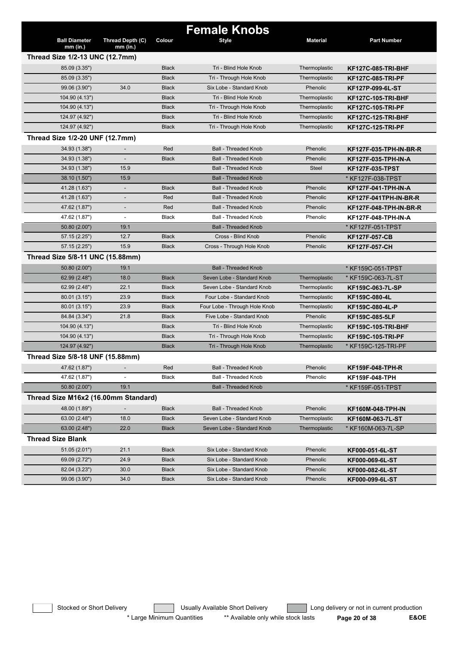| <b>Ball Diameter</b>                 | Thread Depth (C)         | Colour       | <b>Female Knobs</b><br><b>Style</b> | <b>Material</b> | <b>Part Number</b>        |
|--------------------------------------|--------------------------|--------------|-------------------------------------|-----------------|---------------------------|
| $mm$ (in.)                           | $mm$ (in.)               |              |                                     |                 |                           |
| Thread Size 1/2-13 UNC (12.7mm)      |                          |              |                                     |                 |                           |
| 85.09 (3.35")                        |                          | <b>Black</b> | Tri - Blind Hole Knob               | Thermoplastic   | <b>KF127C-085-TRI-BHF</b> |
| 85.09 (3.35")                        |                          | <b>Black</b> | Tri - Through Hole Knob             | Thermoplastic   | KF127C-085-TRI-PF         |
| 99.06 (3.90")                        | 34.0                     | <b>Black</b> | Six Lobe - Standard Knob            | Phenolic        | KF127P-099-6L-ST          |
| 104.90 (4.13")                       |                          | <b>Black</b> | Tri - Blind Hole Knob               | Thermoplastic   | <b>KF127C-105-TRI-BHF</b> |
| 104.90 (4.13")                       |                          | <b>Black</b> | Tri - Through Hole Knob             | Thermoplastic   | KF127C-105-TRI-PF         |
| 124.97 (4.92")                       |                          | <b>Black</b> | Tri - Blind Hole Knob               | Thermoplastic   | KF127C-125-TRI-BHF        |
| 124.97 (4.92")                       |                          | <b>Black</b> | Tri - Through Hole Knob             | Thermoplastic   | <b>KF127C-125-TRI-PF</b>  |
| Thread Size 1/2-20 UNF (12.7mm)      |                          |              |                                     |                 |                           |
| 34.93 (1.38")                        |                          | Red          | <b>Ball - Threaded Knob</b>         | Phenolic        | KF127F-035-TPH-IN-BR-R    |
| 34.93 (1.38")                        |                          | <b>Black</b> | <b>Ball - Threaded Knob</b>         | Phenolic        | KF127F-035-TPH-IN-A       |
| 34.93 (1.38")                        | 15.9                     |              | <b>Ball - Threaded Knob</b>         | <b>Steel</b>    | <b>KF127F-035-TPST</b>    |
| 38.10 (1.50")                        | 15.9                     |              | <b>Ball - Threaded Knob</b>         |                 | * KF127F-038-TPST         |
| 41.28 (1.63")                        |                          | <b>Black</b> | <b>Ball - Threaded Knob</b>         | Phenolic        | KF127F-041-TPH-IN-A       |
| 41.28 (1.63")                        |                          | Red          | <b>Ball - Threaded Knob</b>         | Phenolic        | KF127F-041TPH-IN-BR-R     |
| 47.62 (1.87")                        | $\overline{\phantom{a}}$ | Red          | <b>Ball - Threaded Knob</b>         | Phenolic        | KF127F-048-TPH-IN-BR-R    |
| 47.62 (1.87")                        | $\overline{\phantom{a}}$ | <b>Black</b> | <b>Ball - Threaded Knob</b>         | Phenolic        | KF127F-048-TPH-IN-A       |
| 50.80 (2.00")                        | 19.1                     |              | <b>Ball - Threaded Knob</b>         |                 | * KF127F-051-TPST         |
| 57.15 (2.25")                        | 12.7                     | <b>Black</b> | Cross - Blind Knob                  | Phenolic        | <b>KF127F-057-CB</b>      |
| 57.15 (2.25")                        | 15.9                     | <b>Black</b> | Cross - Through Hole Knob           | Phenolic        | KF127F-057-CH             |
| Thread Size 5/8-11 UNC (15.88mm)     |                          |              |                                     |                 |                           |
| 50.80 (2.00")                        | 19.1                     |              | <b>Ball - Threaded Knob</b>         |                 | * KF159C-051-TPST         |
| 62.99 (2.48")                        | 18.0                     | <b>Black</b> | Seven Lobe - Standard Knob          | Thermoplastic   | * KF159C-063-7L-ST        |
| 62.99 (2.48")                        | 22.1                     | <b>Black</b> | Seven Lobe - Standard Knob          | Thermoplastic   | KF159C-063-7L-SP          |
| 80.01 (3.15")                        | 23.9                     | <b>Black</b> | Four Lobe - Standard Knob           | Thermoplastic   | KF159C-080-4L             |
| 80.01 (3.15")                        | 23.9                     | <b>Black</b> | Four Lobe - Through Hole Knob       | Thermoplastic   | KF159C-080-4L-P           |
| 84.84 (3.34")                        | 21.8                     | <b>Black</b> | Five Lobe - Standard Knob           | Phenolic        | KF159C-085-5LF            |
| 104.90 (4.13")                       |                          | <b>Black</b> | Tri - Blind Hole Knob               | Thermoplastic   | KF159C-105-TRI-BHF        |
| 104.90 (4.13")                       |                          | <b>Black</b> | Tri - Through Hole Knob             | Thermoplastic   | <b>KF159C-105-TRI-PF</b>  |
| 124.97 (4.92")                       |                          | <b>Black</b> | Tri - Through Hole Knob             | Thermoplastic   | * KF159C-125-TRI-PF       |
| Thread Size 5/8-18 UNF (15.88mm)     |                          |              |                                     |                 |                           |
| 47.62 (1.87")                        |                          | Red          | <b>Ball - Threaded Knob</b>         | Phenolic        | KF159F-048-TPH-R          |
| 47.62 (1.87")                        |                          | Black        | Ball - Threaded Knob                | Phenolic        | KF159F-048-TPH            |
| 50.80 (2.00")                        | 19.1                     |              | <b>Ball - Threaded Knob</b>         |                 | * KF159F-051-TPST         |
| Thread Size M16x2 (16.00mm Standard) |                          |              |                                     |                 |                           |
| 48.00 (1.89")                        |                          | <b>Black</b> | <b>Ball - Threaded Knob</b>         | Phenolic        | KF160M-048-TPH-IN         |
| 63.00 (2.48")                        | 18.0                     | <b>Black</b> | Seven Lobe - Standard Knob          | Thermoplastic   |                           |
| 63.00 (2.48")                        | 22.0                     | <b>Black</b> | Seven Lobe - Standard Knob          | Thermoplastic   | KF160M-063-7L-ST          |
|                                      |                          |              |                                     |                 | * KF160M-063-7L-SP        |
| <b>Thread Size Blank</b>             |                          |              |                                     |                 |                           |
| 51.05 (2.01")                        | 21.1                     | <b>Black</b> | Six Lobe - Standard Knob            | Phenolic        | KF000-051-6L-ST           |
| 69.09 (2.72")                        | 24.9                     | <b>Black</b> | Six Lobe - Standard Knob            | Phenolic        | KF000-069-6L-ST           |
| 82.04 (3.23")                        | 30.0                     | <b>Black</b> | Six Lobe - Standard Knob            | Phenolic        | KF000-082-6L-ST           |
| 99.06 (3.90")                        | 34.0                     | <b>Black</b> | Six Lobe - Standard Knob            | Phenolic        | KF000-099-6L-ST           |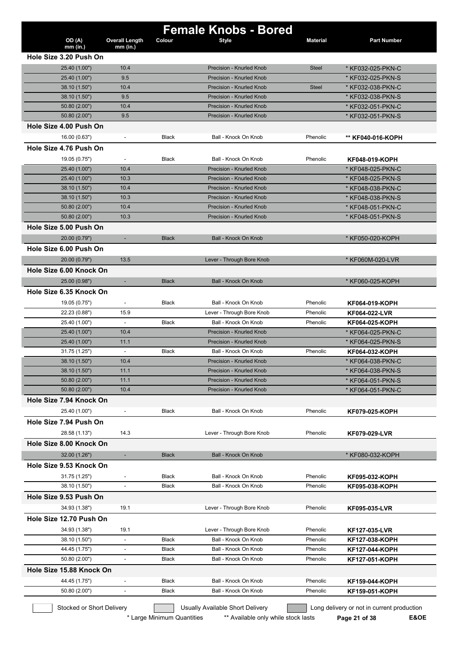|                                          |                          |              | <b>Female Knobs - Bored</b>      |                 |                                                |
|------------------------------------------|--------------------------|--------------|----------------------------------|-----------------|------------------------------------------------|
| OD (A)                                   | <b>Overall Length</b>    | Colour       | <b>Style</b>                     | <b>Material</b> | <b>Part Number</b>                             |
| $mm$ (in.)<br>Hole Size 3.20 Push On     | $mm$ (in.)               |              |                                  |                 |                                                |
|                                          | 10.4                     |              | Precision - Knurled Knob         | <b>Steel</b>    |                                                |
| 25.40 (1.00")<br>25.40 (1.00")           | 9.5                      |              | Precision - Knurled Knob         |                 | * KF032-025-PKN-C<br>* KF032-025-PKN-S         |
| 38.10 (1.50")                            | 10.4                     |              | Precision - Knurled Knob         | <b>Steel</b>    | * KF032-038-PKN-C                              |
| 38.10 (1.50")                            | 9.5                      |              | Precision - Knurled Knob         |                 | * KF032-038-PKN-S                              |
| 50.80 (2.00")                            | 10.4                     |              | Precision - Knurled Knob         |                 | * KF032-051-PKN-C                              |
| 50.80 (2.00")                            | 9.5                      |              | Precision - Knurled Knob         |                 | * KF032-051-PKN-S                              |
| Hole Size 4.00 Push On                   |                          |              |                                  |                 |                                                |
| 16.00 (0.63")                            | $\blacksquare$           | <b>Black</b> | Ball - Knock On Knob             | Phenolic        | ** KF040-016-KOPH                              |
| Hole Size 4.76 Push On                   |                          |              |                                  |                 |                                                |
| 19.05 (0.75")                            |                          | <b>Black</b> | Ball - Knock On Knob             | Phenolic        | KF048-019-KOPH                                 |
| 25.40 (1.00")                            | 10.4                     |              | Precision - Knurled Knob         |                 | * KF048-025-PKN-C                              |
| 25.40 (1.00")                            | 10.3                     |              | Precision - Knurled Knob         |                 | * KF048-025-PKN-S                              |
| 38.10 (1.50")                            | 10.4                     |              | Precision - Knurled Knob         |                 | * KF048-038-PKN-C                              |
| 38.10 (1.50")                            | 10.3                     |              | Precision - Knurled Knob         |                 | * KF048-038-PKN-S                              |
| 50.80 (2.00")                            | 10.4                     |              | Precision - Knurled Knob         |                 | * KF048-051-PKN-C                              |
| 50.80 (2.00")                            | 10.3                     |              | Precision - Knurled Knob         |                 | * KF048-051-PKN-S                              |
| Hole Size 5.00 Push On                   |                          |              |                                  |                 |                                                |
| 20.00 (0.79")                            | ÷,                       | <b>Black</b> | Ball - Knock On Knob             |                 | * KF050-020-KOPH                               |
| Hole Size 6.00 Push On                   |                          |              |                                  |                 |                                                |
| 20.00 (0.79")                            | 13.5                     |              | Lever - Through Bore Knob        |                 | * KF060M-020-LVR                               |
| Hole Size 6.00 Knock On                  |                          |              |                                  |                 |                                                |
|                                          |                          | <b>Black</b> | Ball - Knock On Knob             |                 |                                                |
| 25.00 (0.98")<br>Hole Size 6.35 Knock On | ٠                        |              |                                  |                 | * KF060-025-KOPH                               |
|                                          |                          |              |                                  |                 |                                                |
| 19.05 (0.75")                            |                          | <b>Black</b> | Ball - Knock On Knob             | Phenolic        | KF064-019-KOPH                                 |
| 22.23 (0.88")                            | 15.9                     |              | Lever - Through Bore Knob        | Phenolic        | KF064-022-LVR                                  |
| 25.40 (1.00")                            | $\overline{\phantom{a}}$ | <b>Black</b> | Ball - Knock On Knob             | Phenolic        | KF064-025-KOPH                                 |
| 25.40 (1.00")                            | 10.4                     |              | Precision - Knurled Knob         |                 | * KF064-025-PKN-C                              |
| 25.40 (1.00")                            | 11.1                     |              | Precision - Knurled Knob         |                 | * KF064-025-PKN-S                              |
| 31.75 (1.25")                            | $\blacksquare$           | <b>Black</b> | Ball - Knock On Knob             | Phenolic        | KF064-032-KOPH                                 |
| 38.10 (1.50")                            | 10.4                     |              | Precision - Knurled Knob         |                 | * KF064-038-PKN-C                              |
| 38.10 (1.50")                            | 11.1                     |              | Precision - Knurled Knob         |                 | * KF064-038-PKN-S                              |
| 50.80 (2.00")                            | 11.1                     |              | Precision - Knurled Knob         |                 | * KF064-051-PKN-S                              |
| 50.80 (2.00")                            | 10.4                     |              | Precision - Knurled Knob         |                 | * KF064-051-PKN-C                              |
| Hole Size 7.94 Knock On                  |                          |              |                                  |                 |                                                |
| 25.40 (1.00")                            |                          | Black        | Ball - Knock On Knob             | Phenolic        | KF079-025-KOPH                                 |
| Hole Size 7.94 Push On                   |                          |              |                                  |                 |                                                |
| 28.58 (1.13")                            | 14.3                     |              | Lever - Through Bore Knob        | Phenolic        | KF079-029-LVR                                  |
| Hole Size 8.00 Knock On                  |                          |              |                                  |                 |                                                |
| 32.00 (1.26")                            | $\overline{\phantom{a}}$ | <b>Black</b> | Ball - Knock On Knob             |                 | * KF080-032-KOPH                               |
| Hole Size 9.53 Knock On                  |                          |              |                                  |                 |                                                |
| 31.75 (1.25")                            |                          | Black        | Ball - Knock On Knob             | Phenolic        | KF095-032-KOPH                                 |
| 38.10 (1.50")                            |                          | <b>Black</b> | Ball - Knock On Knob             | Phenolic        | KF095-038-KOPH                                 |
| Hole Size 9.53 Push On                   |                          |              |                                  |                 |                                                |
| 34.93 (1.38")                            | 19.1                     |              | Lever - Through Bore Knob        | Phenolic        | KF095-035-LVR                                  |
| Hole Size 12.70 Push On                  |                          |              |                                  |                 |                                                |
| 34.93 (1.38")                            | 19.1                     |              | Lever - Through Bore Knob        | Phenolic        | <b>KF127-035-LVR</b>                           |
| 38.10 (1.50")                            | $\overline{\phantom{a}}$ | Black        | Ball - Knock On Knob             | Phenolic        | KF127-038-KOPH                                 |
| 44.45 (1.75")                            | $\overline{\phantom{a}}$ | <b>Black</b> | Ball - Knock On Knob             | Phenolic        | KF127-044-KOPH                                 |
| 50.80 (2.00")                            |                          | <b>Black</b> | Ball - Knock On Knob             | Phenolic        | KF127-051-KOPH                                 |
| Hole Size 15.88 Knock On                 |                          |              |                                  |                 |                                                |
|                                          |                          | <b>Black</b> | Ball - Knock On Knob             | Phenolic        |                                                |
| 44.45 (1.75")<br>50.80 (2.00")           | $\ddot{\phantom{a}}$     | <b>Black</b> | Ball - Knock On Knob             | Phenolic        | <b>KF159-044-KOPH</b><br><b>KF159-051-KOPH</b> |
|                                          |                          |              |                                  |                 |                                                |
| Stocked or Short Delivery                |                          |              | Usually Available Short Delivery |                 | Long delivery or not in current production     |

\* Large Minimum Quantities \*\* Available only while stock lasts **Page 21 of 38 E&OE**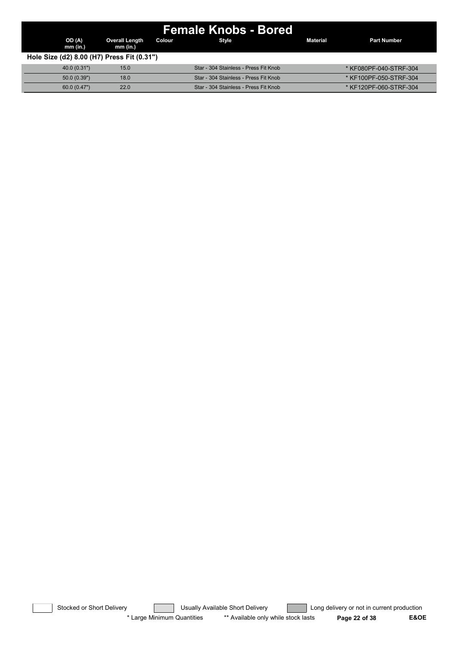| Female Knobs - Bored                       |                                   |        |                                       |                 |                        |  |  |  |  |  |
|--------------------------------------------|-----------------------------------|--------|---------------------------------------|-----------------|------------------------|--|--|--|--|--|
| OD (A)<br>mm (in.)                         | <b>Overall Length</b><br>mm (in.) | Colour | Style                                 | <b>Material</b> | <b>Part Number</b>     |  |  |  |  |  |
| Hole Size (d2) 8.00 (H7) Press Fit (0.31") |                                   |        |                                       |                 |                        |  |  |  |  |  |
| 40.0(0.31")                                | 15.0                              |        | Star - 304 Stainless - Press Fit Knob |                 | * KF080PF-040-STRF-304 |  |  |  |  |  |
| 50.0(0.39")                                | 18.0                              |        | Star - 304 Stainless - Press Fit Knob |                 | * KF100PF-050-STRF-304 |  |  |  |  |  |
| 60.0(0.47")                                | 22.0                              |        | Star - 304 Stainless - Press Fit Knob |                 | * KF120PF-060-STRF-304 |  |  |  |  |  |

Stocked or Short Delivery **Contract Contract Contract Usually Available Short Delivery Contract Long delivery or not in current production** \* Large Minimum Quantities \*\* Available only while stock lasts **Page 22 of 38 E&OE**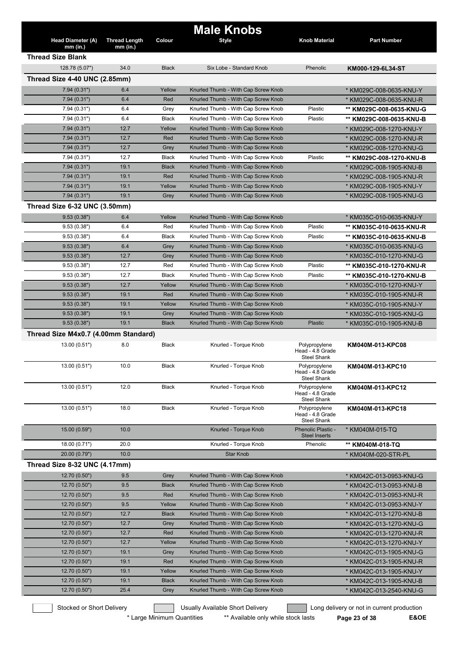|                                      |                      |              | <b>Male Knobs</b>                   |                                                         |                          |
|--------------------------------------|----------------------|--------------|-------------------------------------|---------------------------------------------------------|--------------------------|
| <b>Head Diameter (A)</b>             | <b>Thread Length</b> | Colour       | <b>Style</b>                        | <b>Knob Material</b>                                    | <b>Part Number</b>       |
| $mm$ (in.)                           | $mm$ (in.)           |              |                                     |                                                         |                          |
| <b>Thread Size Blank</b>             |                      |              |                                     |                                                         |                          |
| 128.78 (5.07")                       | 34.0                 | <b>Black</b> | Six Lobe - Standard Knob            | Phenolic                                                | KM000-129-6L34-ST        |
| Thread Size 4-40 UNC (2.85mm)        |                      |              |                                     |                                                         |                          |
| 7.94(0.31")                          | 6.4                  | Yellow       | Knurled Thumb - With Cap Screw Knob |                                                         | * KM029C-008-0635-KNU-Y  |
| 7.94(0.31")                          | 6.4                  | Red          | Knurled Thumb - With Cap Screw Knob |                                                         | * KM029C-008-0635-KNU-R  |
| 7.94(0.31")                          | 6.4                  | Grey         | Knurled Thumb - With Cap Screw Knob | Plastic                                                 | ** KM029C-008-0635-KNU-G |
| 7.94(0.31")                          | 6.4                  | <b>Black</b> | Knurled Thumb - With Cap Screw Knob | Plastic                                                 | ** KM029C-008-0635-KNU-B |
| 7.94(0.31")                          | 12.7                 | Yellow       | Knurled Thumb - With Cap Screw Knob |                                                         | * KM029C-008-1270-KNU-Y  |
| 7.94(0.31")                          | 12.7                 | Red          | Knurled Thumb - With Cap Screw Knob |                                                         | * KM029C-008-1270-KNU-R  |
| 7.94(0.31")                          | 12.7                 | Grey         | Knurled Thumb - With Cap Screw Knob |                                                         | * KM029C-008-1270-KNU-G  |
| 7.94(0.31")                          | 12.7                 | Black        | Knurled Thumb - With Cap Screw Knob | Plastic                                                 | ** KM029C-008-1270-KNU-B |
| 7.94(0.31")                          | 19.1                 | <b>Black</b> | Knurled Thumb - With Cap Screw Knob |                                                         | * KM029C-008-1905-KNU-B  |
| 7.94(0.31")                          | 19.1                 | Red          | Knurled Thumb - With Cap Screw Knob |                                                         | * KM029C-008-1905-KNU-R  |
| 7.94(0.31")                          | 19.1                 | Yellow       | Knurled Thumb - With Cap Screw Knob |                                                         | * KM029C-008-1905-KNU-Y  |
| 7.94(0.31")                          | 19.1                 | Grey         | Knurled Thumb - With Cap Screw Knob |                                                         | * KM029C-008-1905-KNU-G  |
| Thread Size 6-32 UNC (3.50mm)        |                      |              |                                     |                                                         |                          |
| 9.53(0.38")                          | 6.4                  | Yellow       | Knurled Thumb - With Cap Screw Knob |                                                         | * KM035C-010-0635-KNU-Y  |
| 9.53(0.38")                          | 6.4                  | Red          | Knurled Thumb - With Cap Screw Knob | Plastic                                                 | ** KM035C-010-0635-KNU-R |
| 9.53(0.38")                          | 6.4                  | <b>Black</b> | Knurled Thumb - With Cap Screw Knob | Plastic                                                 | ** KM035C-010-0635-KNU-B |
| 9.53(0.38")                          | 6.4                  | Grey         | Knurled Thumb - With Cap Screw Knob |                                                         | * KM035C-010-0635-KNU-G  |
| 9.53(0.38")                          | 12.7                 | Grey         | Knurled Thumb - With Cap Screw Knob |                                                         | * KM035C-010-1270-KNU-G  |
| 9.53(0.38")                          | 12.7                 | Red          | Knurled Thumb - With Cap Screw Knob | Plastic                                                 | ** KM035C-010-1270-KNU-R |
| 9.53(0.38")                          | 12.7                 | <b>Black</b> | Knurled Thumb - With Cap Screw Knob | Plastic                                                 | ** KM035C-010-1270-KNU-B |
| 9.53(0.38")                          | 12.7                 | Yellow       | Knurled Thumb - With Cap Screw Knob |                                                         | * KM035C-010-1270-KNU-Y  |
| 9.53(0.38")                          | 19.1                 | Red          | Knurled Thumb - With Cap Screw Knob |                                                         | * KM035C-010-1905-KNU-R  |
| 9.53(0.38")                          | 19.1                 | Yellow       | Knurled Thumb - With Cap Screw Knob |                                                         | * KM035C-010-1905-KNU-Y  |
| 9.53(0.38")                          | 19.1                 | Grey         | Knurled Thumb - With Cap Screw Knob |                                                         | * KM035C-010-1905-KNU-G  |
| 9.53(0.38")                          | 19.1                 | <b>Black</b> | Knurled Thumb - With Cap Screw Knob | <b>Plastic</b>                                          | * KM035C-010-1905-KNU-B  |
| Thread Size M4x0.7 (4.00mm Standard) |                      |              |                                     |                                                         |                          |
| 13.00 (0.51")                        | 8.0                  | Black        | Knurled - Torque Knob               | Polypropylene<br>Head - 4.8 Grade<br><b>Steel Shank</b> | KM040M-013-KPC08         |
| 13.00 (0.51")                        | 10.0                 | Black        | Knurled - Torque Knob               | Polypropylene<br>Head - 4.8 Grade<br>Steel Shank        | KM040M-013-KPC10         |
| 13.00 (0.51")                        | 12.0                 | Black        | Knurled - Torque Knob               | Polypropylene<br>Head - 4.8 Grade<br>Steel Shank        | KM040M-013-KPC12         |
| 13.00 (0.51")                        | 18.0                 | <b>Black</b> | Knurled - Torque Knob               | Polypropylene<br>Head - 4.8 Grade<br><b>Steel Shank</b> | KM040M-013-KPC18         |
| 15.00 (0.59")                        | 10.0                 |              | Knurled - Torque Knob               | Phenolic Plastic -<br><b>Steel Inserts</b>              | * KM040M-015-TQ          |
| 18.00 (0.71")                        | 20.0                 |              | Knurled - Torque Knob               | Phenolic                                                | ** KM040M-018-TQ         |
| 20.00 (0.79")                        | 10.0                 |              | <b>Star Knob</b>                    |                                                         | * KM040M-020-STR-PL      |
| Thread Size 8-32 UNC (4.17mm)        |                      |              |                                     |                                                         |                          |
| 12.70 (0.50")                        | 9.5                  | Grey         | Knurled Thumb - With Cap Screw Knob |                                                         | * KM042C-013-0953-KNU-G  |
| 12.70 (0.50")                        | 9.5                  | <b>Black</b> | Knurled Thumb - With Cap Screw Knob |                                                         | * KM042C-013-0953-KNU-B  |
| 12.70 (0.50")                        | 9.5                  | Red          | Knurled Thumb - With Cap Screw Knob |                                                         | * KM042C-013-0953-KNU-R  |
| 12.70(0.50")                         | 9.5                  | Yellow       | Knurled Thumb - With Cap Screw Knob |                                                         | * KM042C-013-0953-KNU-Y  |
| 12.70 (0.50")                        | 12.7                 | <b>Black</b> | Knurled Thumb - With Cap Screw Knob |                                                         | * KM042C-013-1270-KNU-B  |
| 12.70 (0.50")                        | 12.7                 | Grey         | Knurled Thumb - With Cap Screw Knob |                                                         | * KM042C-013-1270-KNU-G  |
| 12.70 (0.50")                        | 12.7                 | Red          | Knurled Thumb - With Cap Screw Knob |                                                         | * KM042C-013-1270-KNU-R  |
| 12.70 (0.50")                        | 12.7                 | Yellow       | Knurled Thumb - With Cap Screw Knob |                                                         | * KM042C-013-1270-KNU-Y  |
| 12.70 (0.50")                        | 19.1                 | Grey         | Knurled Thumb - With Cap Screw Knob |                                                         | * KM042C-013-1905-KNU-G  |
| 12.70 (0.50")                        | 19.1                 | Red          | Knurled Thumb - With Cap Screw Knob |                                                         | * KM042C-013-1905-KNU-R  |
| 12.70 (0.50")                        | 19.1                 | Yellow       | Knurled Thumb - With Cap Screw Knob |                                                         | * KM042C-013-1905-KNU-Y  |
| 12.70 (0.50")                        | 19.1                 | <b>Black</b> | Knurled Thumb - With Cap Screw Knob |                                                         | * KM042C-013-1905-KNU-B  |
| 12.70 (0.50")                        | 25.4                 | Grey         | Knurled Thumb - With Cap Screw Knob |                                                         | * KM042C-013-2540-KNU-G  |
|                                      |                      |              |                                     |                                                         |                          |

\* Large Minimum Quantities \*\* Available only while stock lasts **Page 23 of 38 E&OE**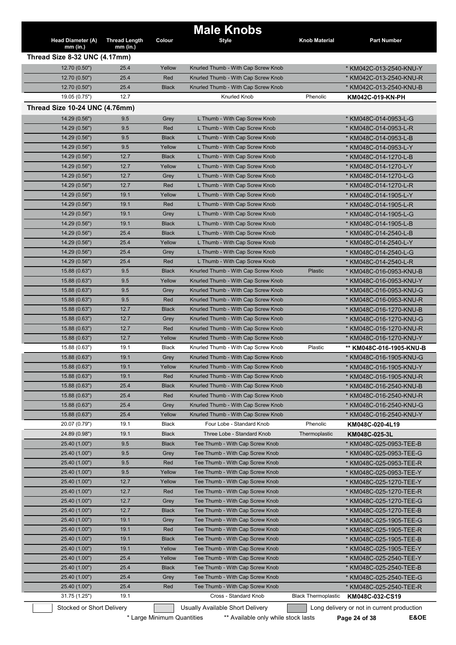| <b>Head Diameter (A)</b><br>$mm$ (in.) | <b>Thread Length</b><br>$mm$ (in.) | Colour       | <b>Male Knobs</b><br><b>Style</b>   | <b>Knob Material</b>       | <b>Part Number</b>                         |
|----------------------------------------|------------------------------------|--------------|-------------------------------------|----------------------------|--------------------------------------------|
| Thread Size 8-32 UNC (4.17mm)          |                                    |              |                                     |                            |                                            |
| 12.70 (0.50")                          | 25.4                               | Yellow       | Knurled Thumb - With Cap Screw Knob |                            | * KM042C-013-2540-KNU-Y                    |
| 12.70 (0.50")                          | 25.4                               | Red          | Knurled Thumb - With Cap Screw Knob |                            | * KM042C-013-2540-KNU-R                    |
| 12.70 (0.50")                          | 25.4                               | <b>Black</b> | Knurled Thumb - With Cap Screw Knob |                            | * KM042C-013-2540-KNU-B                    |
| 19.05 (0.75")                          | 12.7                               |              | Knurled Knob                        | Phenolic                   | KM042C-019-KN-PH                           |
| Thread Size 10-24 UNC (4.76mm)         |                                    |              |                                     |                            |                                            |
| 14.29 (0.56")                          | 9.5                                | Grey         | L Thumb - With Cap Screw Knob       |                            | * KM048C-014-0953-L-G                      |
| 14.29 (0.56")                          | 9.5                                | Red          | L Thumb - With Cap Screw Knob       |                            | * KM048C-014-0953-L-R                      |
| 14.29 (0.56")                          | 9.5                                | <b>Black</b> | L Thumb - With Cap Screw Knob       |                            | * KM048C-014-0953-L-B                      |
| 14.29 (0.56")                          | 9.5                                | Yellow       | L Thumb - With Cap Screw Knob       |                            | * KM048C-014-0953-L-Y                      |
| 14.29 (0.56")                          | 12.7                               | <b>Black</b> | L Thumb - With Cap Screw Knob       |                            | * KM048C-014-1270-L-B                      |
| 14.29 (0.56")                          | 12.7                               | Yellow       | L Thumb - With Cap Screw Knob       |                            | * KM048C-014-1270-L-Y                      |
| 14.29(0.56")                           | 12.7                               | Grey         | L Thumb - With Cap Screw Knob       |                            | * KM048C-014-1270-L-G                      |
| 14.29(0.56")                           | 12.7                               | Red          | L Thumb - With Cap Screw Knob       |                            | * KM048C-014-1270-L-R                      |
| 14.29 (0.56")                          | 19.1                               | Yellow       | L Thumb - With Cap Screw Knob       |                            | * KM048C-014-1905-L-Y                      |
| 14.29(0.56")                           | 19.1                               | Red          | L Thumb - With Cap Screw Knob       |                            | * KM048C-014-1905-L-R                      |
| 14.29(0.56")                           | 19.1                               | Grey         | L Thumb - With Cap Screw Knob       |                            | * KM048C-014-1905-L-G                      |
| 14.29 (0.56")                          | 19.1                               | <b>Black</b> | L Thumb - With Cap Screw Knob       |                            | * KM048C-014-1905-L-B                      |
| 14.29 (0.56")                          | 25.4                               | <b>Black</b> | L Thumb - With Cap Screw Knob       |                            | * KM048C-014-2540-L-B                      |
| 14.29 (0.56")                          | 25.4                               | Yellow       | L Thumb - With Cap Screw Knob       |                            | * KM048C-014-2540-L-Y                      |
| 14.29 (0.56")                          | 25.4                               | Grey         | L Thumb - With Cap Screw Knob       |                            | * KM048C-014-2540-L-G                      |
| 14.29 (0.56")                          | 25.4                               | Red          | L Thumb - With Cap Screw Knob       |                            | * KM048C-014-2540-L-R                      |
| 15.88(0.63")                           | 9.5                                | <b>Black</b> | Knurled Thumb - With Cap Screw Knob | Plastic                    | * KM048C-016-0953-KNU-B                    |
| 15.88 (0.63")                          | 9.5                                | Yellow       | Knurled Thumb - With Cap Screw Knob |                            | * KM048C-016-0953-KNU-Y                    |
| 15.88 (0.63")                          | 9.5                                | Grey         | Knurled Thumb - With Cap Screw Knob |                            | * KM048C-016-0953-KNU-G                    |
| 15.88(0.63")                           | 9.5                                | Red          | Knurled Thumb - With Cap Screw Knob |                            | * KM048C-016-0953-KNU-R                    |
| 15.88 (0.63")                          | 12.7                               | <b>Black</b> | Knurled Thumb - With Cap Screw Knob |                            | * KM048C-016-1270-KNU-B                    |
| 15.88 (0.63")                          | 12.7                               | Grey         | Knurled Thumb - With Cap Screw Knob |                            | * KM048C-016-1270-KNU-G                    |
| 15.88(0.63")                           | 12.7                               | Red          | Knurled Thumb - With Cap Screw Knob |                            | * KM048C-016-1270-KNU-R                    |
| 15.88 (0.63")                          | 12.7                               | Yellow       | Knurled Thumb - With Cap Screw Knob |                            | * KM048C-016-1270-KNU-Y                    |
| 15.88 (0.63")                          | 19.1                               | Black        | Knurled Thumb - With Cap Screw Knob | Plastic                    | ** KM048C-016-1905-KNU-B                   |
| 15.88(0.63")                           | 19.1                               | Grey         | Knurled Thumb - With Cap Screw Knob |                            | * KM048C-016-1905-KNU-G                    |
| 15.88 (0.63")                          | 19.1                               | Yellow       | Knurled Thumb - With Cap Screw Knob |                            | * KM048C-016-1905-KNU-Y                    |
| 15.88 (0.63")                          | 19.1                               | Red          | Knurled Thumb - With Cap Screw Knob |                            | * KM048C-016-1905-KNU-R                    |
| 15.88 (0.63")                          | 25.4                               | <b>Black</b> | Knurled Thumb - With Cap Screw Knob |                            | * KM048C-016-2540-KNU-B                    |
| 15.88 (0.63")                          | 25.4                               | Red          | Knurled Thumb - With Cap Screw Knob |                            | * KM048C-016-2540-KNU-R                    |
| 15.88 (0.63")                          | 25.4                               | Grey         | Knurled Thumb - With Cap Screw Knob |                            | * KM048C-016-2540-KNU-G                    |
| 15.88 (0.63")                          | 25.4                               | Yellow       | Knurled Thumb - With Cap Screw Knob |                            | * KM048C-016-2540-KNU-Y                    |
| 20.07 (0.79")                          | 19.1                               | <b>Black</b> | Four Lobe - Standard Knob           | Phenolic                   | KM048C-020-4L19                            |
| 24.89 (0.98")                          | 19.1                               | <b>Black</b> | Three Lobe - Standard Knob          | Thermoplastic              | KM048C-025-3L                              |
| 25.40 (1.00")                          | 9.5                                | <b>Black</b> | Tee Thumb - With Cap Screw Knob     |                            | * KM048C-025-0953-TEE-B                    |
| 25.40 (1.00")                          | 9.5                                | Grey         | Tee Thumb - With Cap Screw Knob     |                            | * KM048C-025-0953-TEE-G                    |
| 25.40 (1.00")                          | 9.5                                | Red          | Tee Thumb - With Cap Screw Knob     |                            | * KM048C-025-0953-TEE-R                    |
| 25.40 (1.00")                          | 9.5                                | Yellow       | Tee Thumb - With Cap Screw Knob     |                            | * KM048C-025-0953-TEE-Y                    |
| 25.40 (1.00")                          | 12.7                               | Yellow       | Tee Thumb - With Cap Screw Knob     |                            | * KM048C-025-1270-TEE-Y                    |
| 25.40 (1.00")                          | 12.7                               | Red          | Tee Thumb - With Cap Screw Knob     |                            | * KM048C-025-1270-TEE-R                    |
| 25.40 (1.00")                          | 12.7                               | Grey         | Tee Thumb - With Cap Screw Knob     |                            | * KM048C-025-1270-TEE-G                    |
| 25.40 (1.00")                          | 12.7                               | <b>Black</b> | Tee Thumb - With Cap Screw Knob     |                            | * KM048C-025-1270-TEE-B                    |
| 25.40 (1.00")                          | 19.1                               | Grey         | Tee Thumb - With Cap Screw Knob     |                            | * KM048C-025-1905-TEE-G                    |
| 25.40 (1.00")                          | 19.1                               | Red          | Tee Thumb - With Cap Screw Knob     |                            | * KM048C-025-1905-TEE-R                    |
| 25.40 (1.00")                          | 19.1                               | <b>Black</b> | Tee Thumb - With Cap Screw Knob     |                            | * KM048C-025-1905-TEE-B                    |
| 25.40 (1.00")                          | 19.1                               | Yellow       | Tee Thumb - With Cap Screw Knob     |                            | * KM048C-025-1905-TEE-Y                    |
| 25.40 (1.00")                          | 25.4                               | Yellow       | Tee Thumb - With Cap Screw Knob     |                            | * KM048C-025-2540-TEE-Y                    |
| 25.40 (1.00")                          | 25.4                               | <b>Black</b> | Tee Thumb - With Cap Screw Knob     |                            | * KM048C-025-2540-TEE-B                    |
| 25.40 (1.00")                          | 25.4                               | Grey         | Tee Thumb - With Cap Screw Knob     |                            | * KM048C-025-2540-TEE-G                    |
| 25.40 (1.00")                          | 25.4                               | Red          | Tee Thumb - With Cap Screw Knob     |                            | * KM048C-025-2540-TEE-R                    |
| 31.75 (1.25")                          | 19.1                               |              | Cross - Standard Knob               | <b>Black Thermoplastic</b> | KM048C-032-CS19                            |
| Stocked or Short Delivery              |                                    |              | Usually Available Short Delivery    |                            | Long delivery or not in current production |

\* Large Minimum Quantities \*\* Available only while stock lasts **Page 24 of 38 E&OE**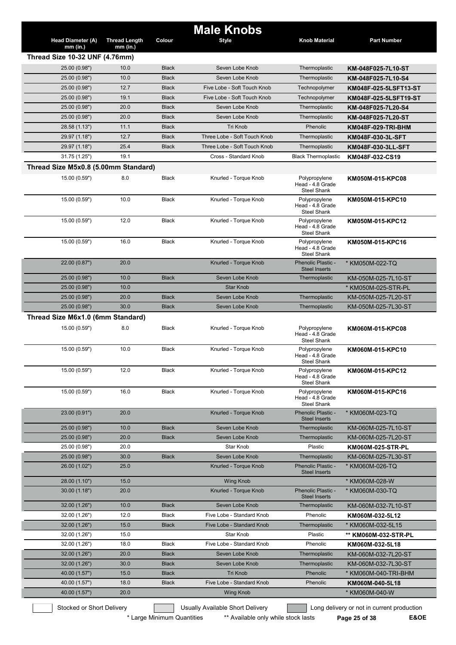|                                        |                                    |              | <b>Male Knobs</b>                |                                                         |                                            |
|----------------------------------------|------------------------------------|--------------|----------------------------------|---------------------------------------------------------|--------------------------------------------|
| <b>Head Diameter (A)</b><br>$mm$ (in.) | <b>Thread Length</b><br>$mm$ (in.) | Colour       | <b>Style</b>                     | <b>Knob Material</b>                                    | <b>Part Number</b>                         |
| <b>Thread Size 10-32 UNF (4.76mm)</b>  |                                    |              |                                  |                                                         |                                            |
| 25.00 (0.98")                          | 10.0                               | <b>Black</b> | Seven Lobe Knob                  | Thermoplastic                                           | KM-048F025-7L10-ST                         |
| 25.00 (0.98")                          | 10.0                               | <b>Black</b> | Seven Lobe Knob                  | Thermoplastic                                           | KM-048F025-7L10-S4                         |
| 25.00 (0.98")                          | 12.7                               | <b>Black</b> | Five Lobe - Soft Touch Knob      | Technopolymer                                           | KM048F-025-5LSFT13-ST                      |
| 25.00 (0.98")                          | 19.1                               | <b>Black</b> | Five Lobe - Soft Touch Knob      | Technopolymer                                           | KM048F-025-5LSFT19-ST                      |
| 25.00 (0.98")                          | 20.0                               | <b>Black</b> | Seven Lobe Knob                  | Thermoplastic                                           | KM-048F025-7L20-S4                         |
| 25.00 (0.98")                          | 20.0                               | <b>Black</b> | Seven Lobe Knob                  | Thermoplastic                                           | KM-048F025-7L20-ST                         |
| 28.58 (1.13")                          | 11.1                               | <b>Black</b> | <b>Tri Knob</b>                  | Phenolic                                                | KM048F-029-TRI-BHM                         |
| 29.97 (1.18")                          | 12.7                               | <b>Black</b> | Three Lobe - Soft Touch Knob     | Thermoplastic                                           | KM048F-030-3L-SFT                          |
| 29.97 (1.18")                          | 25.4                               | <b>Black</b> | Three Lobe - Soft Touch Knob     | Thermoplastic                                           | KM048F-030-3LL-SFT                         |
| 31.75 (1.25")                          | 19.1                               |              | Cross - Standard Knob            | <b>Black Thermoplastic</b>                              | KM048F-032-CS19                            |
| Thread Size M5x0.8 (5.00mm Standard)   |                                    |              |                                  |                                                         |                                            |
| 15.00 (0.59")                          | 8.0                                | <b>Black</b> | Knurled - Torque Knob            | Polypropylene<br>Head - 4.8 Grade<br><b>Steel Shank</b> | KM050M-015-KPC08                           |
| 15.00 (0.59")                          | 10.0                               | <b>Black</b> | Knurled - Torque Knob            | Polypropylene<br>Head - 4.8 Grade<br><b>Steel Shank</b> | KM050M-015-KPC10                           |
| 15.00 (0.59")                          | 12.0                               | <b>Black</b> | Knurled - Torque Knob            | Polypropylene<br>Head - 4.8 Grade<br><b>Steel Shank</b> | KM050M-015-KPC12                           |
| 15.00 (0.59")                          | 16.0                               | <b>Black</b> | Knurled - Torque Knob            | Polypropylene<br>Head - 4.8 Grade<br><b>Steel Shank</b> | KM050M-015-KPC16                           |
| 22.00 (0.87")                          | 20.0                               |              | Knurled - Torque Knob            | Phenolic Plastic -<br><b>Steel Inserts</b>              | * KM050M-022-TQ                            |
| 25.00 (0.98")                          | 10.0                               | <b>Black</b> | Seven Lobe Knob                  | Thermoplastic                                           | KM-050M-025-7L10-ST                        |
| 25.00 (0.98")                          | 10.0                               |              | <b>Star Knob</b>                 |                                                         | * KM050M-025-STR-PL                        |
| 25.00 (0.98")                          | 20.0                               | <b>Black</b> | Seven Lobe Knob                  | Thermoplastic                                           | KM-050M-025-7L20-ST                        |
| 25.00 (0.98")                          | 30.0                               | <b>Black</b> | Seven Lobe Knob                  | Thermoplastic                                           | KM-050M-025-7L30-ST                        |
| Thread Size M6x1.0 (6mm Standard)      |                                    |              |                                  |                                                         |                                            |
| 15.00 (0.59")                          | 8.0                                | <b>Black</b> | Knurled - Torque Knob            | Polypropylene<br>Head - 4.8 Grade<br><b>Steel Shank</b> | KM060M-015-KPC08                           |
| 15.00 (0.59")                          | 10.0                               | <b>Black</b> | Knurled - Torque Knob            | Polypropylene<br>Head - 4.8 Grade<br><b>Steel Shank</b> | KM060M-015-KPC10                           |
| 15.00 (0.59")                          | 12.0                               | <b>Black</b> | Knurled - Torque Knob            | Polypropylene<br>Head - 4.8 Grade<br>Steel Shank        | KM060M-015-KPC12                           |
| 15.00 (0.59")                          | 16.0                               | Black        | Knurled - Torque Knob            | Polypropylene<br>Head - 4.8 Grade<br>Steel Shank        | KM060M-015-KPC16                           |
| 23.00 (0.91")                          | 20.0                               |              | Knurled - Torque Knob            | Phenolic Plastic -<br><b>Steel Inserts</b>              | * KM060M-023-TQ                            |
| 25.00 (0.98")                          | 10.0                               | <b>Black</b> | Seven Lobe Knob                  | Thermoplastic                                           | KM-060M-025-7L10-ST                        |
| 25.00 (0.98")                          | 20.0                               | <b>Black</b> | Seven Lobe Knob                  | Thermoplastic                                           | KM-060M-025-7L20-ST                        |
| 25.00 (0.98")                          | 20.0                               |              | Star Knob                        | Plastic                                                 | KM060M-025-STR-PL                          |
| 25.00 (0.98")                          | 30.0                               | <b>Black</b> | Seven Lobe Knob                  | Thermoplastic                                           | KM-060M-025-7L30-ST                        |
| 26.00 (1.02")                          | 25.0                               |              | Knurled - Torque Knob            | Phenolic Plastic -<br><b>Steel Inserts</b>              | * KM060M-026-TQ                            |
| 28.00 (1.10")                          | 15.0                               |              | <b>Wing Knob</b>                 |                                                         | * KM060M-028-W                             |
| 30.00(1.18")                           | 20.0                               |              | Knurled - Torque Knob            | Phenolic Plastic -<br><b>Steel Inserts</b>              | * KM060M-030-TQ                            |
| 32.00 (1.26")                          | 10.0                               | <b>Black</b> | Seven Lobe Knob                  | Thermoplastic                                           | KM-060M-032-7L10-ST                        |
| 32.00 (1.26")                          | 12.0                               | <b>Black</b> | Five Lobe - Standard Knob        | Phenolic                                                | KM060M-032-5L12                            |
| 32.00 (1.26")                          | 15.0                               | <b>Black</b> | Five Lobe - Standard Knob        | Thermoplastic                                           | * KM060M-032-5L15                          |
| 32.00 (1.26")                          | 15.0                               |              | Star Knob                        | Plastic                                                 | ** KM060M-032-STR-PL                       |
| 32.00 (1.26")                          | 18.0                               | Black        | Five Lobe - Standard Knob        | Phenolic                                                | KM060M-032-5L18                            |
| 32.00 (1.26")                          | 20.0                               | <b>Black</b> | Seven Lobe Knob                  | Thermoplastic                                           | KM-060M-032-7L20-ST                        |
| 32.00 (1.26")                          | 30.0                               | <b>Black</b> | Seven Lobe Knob                  | Thermoplastic                                           | KM-060M-032-7L30-ST                        |
| 40.00 (1.57")                          | 15.0                               | <b>Black</b> | Tri Knob                         | Phenolic                                                | * KM060M-040-TRI-BHM                       |
| 40.00 (1.57")                          | 18.0                               | <b>Black</b> | Five Lobe - Standard Knob        | Phenolic                                                | KM060M-040-5L18                            |
| 40.00 (1.57")                          | 20.0                               |              | <b>Wing Knob</b>                 |                                                         | * KM060M-040-W                             |
| Stocked or Short Delivery              |                                    |              | Usually Available Short Delivery |                                                         | Long delivery or not in current production |

\* Large Minimum Quantities \*\* Available only while stock lasts Page 25 of 38 E&OE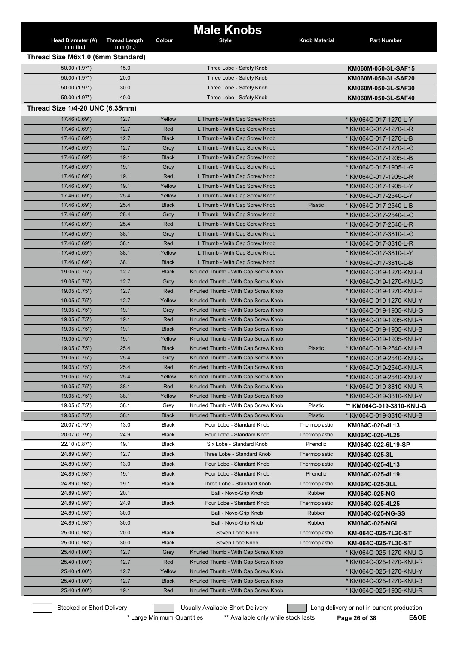|                                   |                      |              | <b>Male Knobs</b>                   |                      |                          |
|-----------------------------------|----------------------|--------------|-------------------------------------|----------------------|--------------------------|
| Head Diameter (A)                 | <b>Thread Length</b> | Colour       | <b>Style</b>                        | <b>Knob Material</b> | <b>Part Number</b>       |
| $mm$ (in.)                        | mm (in.)             |              |                                     |                      |                          |
| Thread Size M6x1.0 (6mm Standard) |                      |              |                                     |                      |                          |
| 50.00 (1.97")                     | 15.0                 |              | Three Lobe - Safety Knob            |                      | KM060M-050-3L-SAF15      |
| 50.00 (1.97")                     | 20.0                 |              | Three Lobe - Safety Knob            |                      | KM060M-050-3L-SAF20      |
| 50.00 (1.97")                     | 30.0                 |              | Three Lobe - Safety Knob            |                      | KM060M-050-3L-SAF30      |
| 50.00 (1.97")                     | 40.0                 |              | Three Lobe - Safety Knob            |                      | KM060M-050-3L-SAF40      |
| Thread Size 1/4-20 UNC (6.35mm)   |                      |              |                                     |                      |                          |
| 17.46 (0.69")                     | 12.7                 | Yellow       | L Thumb - With Cap Screw Knob       |                      | * KM064C-017-1270-L-Y    |
| 17.46 (0.69")                     | 12.7                 | Red          | L Thumb - With Cap Screw Knob       |                      | * KM064C-017-1270-L-R    |
| 17.46 (0.69")                     | 12.7                 | <b>Black</b> | L Thumb - With Cap Screw Knob       |                      | * KM064C-017-1270-L-B    |
|                                   | 12.7                 | Grey         | L Thumb - With Cap Screw Knob       |                      |                          |
| 17.46 (0.69")<br>17.46 (0.69")    | 19.1                 | <b>Black</b> | L Thumb - With Cap Screw Knob       |                      | * KM064C-017-1270-L-G    |
|                                   |                      |              |                                     |                      | * KM064C-017-1905-L-B    |
| 17.46 (0.69")                     | 19.1                 | Grey         | L Thumb - With Cap Screw Knob       |                      | * KM064C-017-1905-L-G    |
| 17.46 (0.69")                     | 19.1                 | Red          | L Thumb - With Cap Screw Knob       |                      | * KM064C-017-1905-L-R    |
| 17.46 (0.69")                     | 19.1                 | Yellow       | L Thumb - With Cap Screw Knob       |                      | * KM064C-017-1905-L-Y    |
| 17.46 (0.69")                     | 25.4                 | Yellow       | L Thumb - With Cap Screw Knob       |                      | * KM064C-017-2540-L-Y    |
| 17.46 (0.69")                     | 25.4                 | <b>Black</b> | L Thumb - With Cap Screw Knob       | Plastic              | * KM064C-017-2540-L-B    |
| 17.46 (0.69")                     | 25.4                 | Grey         | L Thumb - With Cap Screw Knob       |                      | * KM064C-017-2540-L-G    |
| 17.46 (0.69")                     | 25.4                 | Red          | L Thumb - With Cap Screw Knob       |                      | * KM064C-017-2540-L-R    |
| 17.46 (0.69")                     | 38.1                 | Grey         | L Thumb - With Cap Screw Knob       |                      | * KM064C-017-3810-L-G    |
| 17.46 (0.69")                     | 38.1                 | Red          | L Thumb - With Cap Screw Knob       |                      | * KM064C-017-3810-L-R    |
| 17.46 (0.69")                     | 38.1                 | Yellow       | L Thumb - With Cap Screw Knob       |                      | * KM064C-017-3810-L-Y    |
| 17.46 (0.69")                     | 38.1                 | <b>Black</b> | L Thumb - With Cap Screw Knob       |                      | * KM064C-017-3810-L-B    |
| 19.05(0.75")                      | 12.7                 | <b>Black</b> | Knurled Thumb - With Cap Screw Knob |                      | * KM064C-019-1270-KNU-B  |
| 19.05 (0.75")                     | 12.7                 | Grey         | Knurled Thumb - With Cap Screw Knob |                      | * KM064C-019-1270-KNU-G  |
| 19.05 (0.75")                     | 12.7                 | Red          | Knurled Thumb - With Cap Screw Knob |                      | * KM064C-019-1270-KNU-R  |
| 19.05 (0.75")                     | 12.7                 | Yellow       | Knurled Thumb - With Cap Screw Knob |                      | * KM064C-019-1270-KNU-Y  |
| 19.05 (0.75")                     | 19.1                 | Grey         | Knurled Thumb - With Cap Screw Knob |                      | * KM064C-019-1905-KNU-G  |
| 19.05 (0.75")                     | 19.1                 | Red          | Knurled Thumb - With Cap Screw Knob |                      | * KM064C-019-1905-KNU-R  |
| 19.05 (0.75")                     | 19.1                 | <b>Black</b> | Knurled Thumb - With Cap Screw Knob |                      | * KM064C-019-1905-KNU-B  |
| 19.05 (0.75")                     | 19.1                 | Yellow       | Knurled Thumb - With Cap Screw Knob |                      | * KM064C-019-1905-KNU-Y  |
| 19.05 (0.75")                     | 25.4                 | <b>Black</b> | Knurled Thumb - With Cap Screw Knob | Plastic              | * KM064C-019-2540-KNU-B  |
| 19.05 (0.75")                     | 25.4                 | Grey         | Knurled Thumb - With Cap Screw Knob |                      | * KM064C-019-2540-KNU-G  |
| 19.05 (0.75")                     | 25.4                 | Red          | Knurled Thumb - With Cap Screw Knob |                      | * KM064C-019-2540-KNU-R  |
| 19.05(0.75")                      | 25.4                 | Yellow       | Knurled Thumb - With Cap Screw Knob |                      | * KM064C-019-2540-KNU-Y  |
| 19.05 (0.75")                     | 38.1                 | Red          | Knurled Thumb - With Cap Screw Knob |                      | * KM064C-019-3810-KNU-R  |
| 19.05(0.75")                      | 38.1                 | Yellow       | Knurled Thumb - With Cap Screw Knob |                      | * KM064C-019-3810-KNU-Y  |
| 19.05 (0.75")                     | 38.1                 | Grey         | Knurled Thumb - With Cap Screw Knob | Plastic              | ** KM064C-019-3810-KNU-G |
| 19.05 (0.75")                     | 38.1                 | <b>Black</b> | Knurled Thumb - With Cap Screw Knob | Plastic              | * KM064C-019-3810-KNU-B  |
| 20.07 (0.79")                     | 13.0                 | <b>Black</b> | Four Lobe - Standard Knob           | Thermoplastic        | KM064C-020-4L13          |
| 20.07 (0.79")                     |                      |              | Four Lobe - Standard Knob           | Thermoplastic        |                          |
|                                   | 24.9                 | <b>Black</b> |                                     | Phenolic             | KM064C-020-4L25          |
| 22.10 (0.87")                     | 19.1                 | Black        | Six Lobe - Standard Knob            |                      | KM064C-022-6L19-SP       |
| 24.89 (0.98")                     | 12.7                 | <b>Black</b> | Three Lobe - Standard Knob          | Thermoplastic        | KM064C-025-3L            |
| 24.89 (0.98")                     | 13.0                 | <b>Black</b> | Four Lobe - Standard Knob           | Thermoplastic        | KM064C-025-4L13          |
| 24.89 (0.98")                     | 19.1                 | <b>Black</b> | Four Lobe - Standard Knob           | Phenolic             | KM064C-025-4L19          |
| 24.89 (0.98")                     | 19.1                 | <b>Black</b> | Three Lobe - Standard Knob          | Thermoplastic        | KM064C-025-3LL           |
| 24.89 (0.98")                     | 20.1                 |              | Ball - Novo-Grip Knob               | Rubber               | KM064C-025-NG            |
| 24.89 (0.98")                     | 24.9                 | <b>Black</b> | Four Lobe - Standard Knob           | Thermoplastic        | KM064C-025-4L25          |
| 24.89 (0.98")                     | 30.0                 |              | Ball - Novo-Grip Knob               | Rubber               | KM064C-025-NG-SS         |
| 24.89 (0.98")                     | 30.0                 |              | Ball - Novo-Grip Knob               | Rubber               | KM064C-025-NGL           |
| 25.00 (0.98")                     | 20.0                 | <b>Black</b> | Seven Lobe Knob                     | Thermoplastic        | KM-064C-025-7L20-ST      |
| 25.00 (0.98")                     | 30.0                 | <b>Black</b> | Seven Lobe Knob                     | Thermoplastic        | KM-064C-025-7L30-ST      |
| 25.40 (1.00")                     | 12.7                 | Grey         | Knurled Thumb - With Cap Screw Knob |                      | * KM064C-025-1270-KNU-G  |
| 25.40 (1.00")                     | 12.7                 | Red          | Knurled Thumb - With Cap Screw Knob |                      | * KM064C-025-1270-KNU-R  |
| 25.40 (1.00")                     | 12.7                 | Yellow       | Knurled Thumb - With Cap Screw Knob |                      | * KM064C-025-1270-KNU-Y  |
| 25.40 (1.00")                     | 12.7                 | <b>Black</b> | Knurled Thumb - With Cap Screw Knob |                      | * KM064C-025-1270-KNU-B  |
| 25.40 (1.00")                     | 19.1                 | Red          | Knurled Thumb - With Cap Screw Knob |                      | * KM064C-025-1905-KNU-R  |
|                                   |                      |              |                                     |                      |                          |

\* Large Minimum Quantities \*\* Available only while stock lasts **Page 26 of 38 E&OE**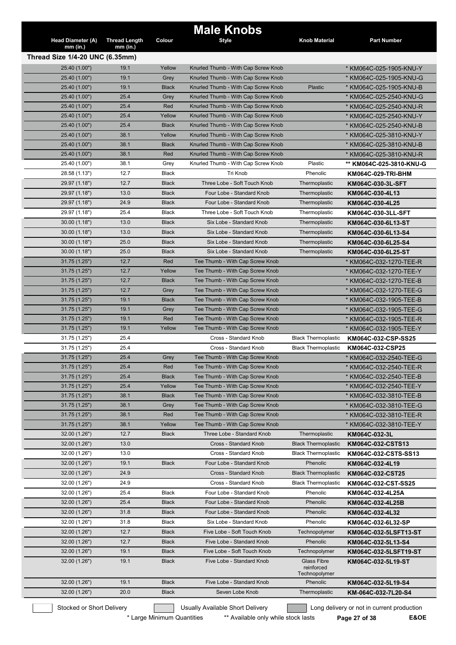| <b>Head Diameter (A)</b><br>$mm$ (in.) | <b>Thread Length</b><br>$mm$ (in.) | Colour       | <b>Male Knobs</b><br><b>Style</b>   | <b>Knob Material</b>                              | <b>Part Number</b>                         |
|----------------------------------------|------------------------------------|--------------|-------------------------------------|---------------------------------------------------|--------------------------------------------|
| Thread Size 1/4-20 UNC (6.35mm)        |                                    |              |                                     |                                                   |                                            |
| 25.40 (1.00")                          | 19.1                               | Yellow       | Knurled Thumb - With Cap Screw Knob |                                                   | * KM064C-025-1905-KNU-Y                    |
| 25.40 (1.00")                          | 19.1                               | Grey         | Knurled Thumb - With Cap Screw Knob |                                                   | * KM064C-025-1905-KNU-G                    |
| 25.40 (1.00")                          | 19.1                               | <b>Black</b> | Knurled Thumb - With Cap Screw Knob | Plastic                                           | * KM064C-025-1905-KNU-B                    |
| 25.40 (1.00")                          | 25.4                               | Grey         | Knurled Thumb - With Cap Screw Knob |                                                   | * KM064C-025-2540-KNU-G                    |
| 25.40 (1.00")                          | 25.4                               | Red          | Knurled Thumb - With Cap Screw Knob |                                                   | * KM064C-025-2540-KNU-R                    |
| 25.40 (1.00")                          | 25.4                               | Yellow       | Knurled Thumb - With Cap Screw Knob |                                                   | * KM064C-025-2540-KNU-Y                    |
| 25.40 (1.00")                          | 25.4                               | <b>Black</b> | Knurled Thumb - With Cap Screw Knob |                                                   | * KM064C-025-2540-KNU-B                    |
| 25.40 (1.00")                          | 38.1                               | Yellow       | Knurled Thumb - With Cap Screw Knob |                                                   | * KM064C-025-3810-KNU-Y                    |
| 25.40 (1.00")                          | 38.1                               | <b>Black</b> | Knurled Thumb - With Cap Screw Knob |                                                   | * KM064C-025-3810-KNU-B                    |
| 25.40 (1.00")                          | 38.1                               | Red          | Knurled Thumb - With Cap Screw Knob |                                                   | * KM064C-025-3810-KNU-R                    |
| 25.40 (1.00")                          | 38.1                               | Grey         | Knurled Thumb - With Cap Screw Knob | Plastic                                           | ** KM064C-025-3810-KNU-G                   |
| 28.58 (1.13")                          | 12.7                               | Black        | Tri Knob                            | Phenolic                                          | KM064C-029-TRI-BHM                         |
| 29.97 (1.18")                          | 12.7                               | <b>Black</b> | Three Lobe - Soft Touch Knob        | Thermoplastic                                     | KM064C-030-3L-SFT                          |
| 29.97 (1.18")                          | 13.0                               | <b>Black</b> | Four Lobe - Standard Knob           | Thermoplastic                                     | KM064C-030-4L13                            |
| 29.97 (1.18")                          | 24.9                               | <b>Black</b> | Four Lobe - Standard Knob           | Thermoplastic                                     | KM064C-030-4L25                            |
| 29.97 (1.18")                          | 25.4                               | <b>Black</b> | Three Lobe - Soft Touch Knob        | Thermoplastic                                     | KM064C-030-3LL-SFT                         |
| 30.00 (1.18")                          | 13.0                               | <b>Black</b> | Six Lobe - Standard Knob            | Thermoplastic                                     | KM064C-030-6L13-ST                         |
| 30.00(1.18")                           | 13.0                               | <b>Black</b> | Six Lobe - Standard Knob            | Thermoplastic                                     | KM064C-030-6L13-S4                         |
| 30.00 (1.18")                          | 25.0                               | <b>Black</b> | Six Lobe - Standard Knob            | Thermoplastic                                     | KM064C-030-6L25-S4                         |
| 30.00 (1.18")                          | 25.0                               | <b>Black</b> | Six Lobe - Standard Knob            | Thermoplastic                                     | KM064C-030-6L25-ST                         |
| 31.75 (1.25")                          | 12.7                               | Red          | Tee Thumb - With Cap Screw Knob     |                                                   | * KM064C-032-1270-TEE-R                    |
| 31.75 (1.25")                          | 12.7                               | Yellow       | Tee Thumb - With Cap Screw Knob     |                                                   | * KM064C-032-1270-TEE-Y                    |
| 31.75 (1.25")                          | 12.7                               | <b>Black</b> | Tee Thumb - With Cap Screw Knob     |                                                   | * KM064C-032-1270-TEE-B                    |
| 31.75 (1.25")                          | 12.7                               | Grey         | Tee Thumb - With Cap Screw Knob     |                                                   | * KM064C-032-1270-TEE-G                    |
| 31.75 (1.25")                          | 19.1                               | <b>Black</b> | Tee Thumb - With Cap Screw Knob     |                                                   | * KM064C-032-1905-TEE-B                    |
| 31.75 (1.25")                          | 19.1                               | Grey         | Tee Thumb - With Cap Screw Knob     |                                                   | * KM064C-032-1905-TEE-G                    |
| 31.75 (1.25")                          | 19.1                               | Red          | Tee Thumb - With Cap Screw Knob     |                                                   | * KM064C-032-1905-TEE-R                    |
| 31.75 (1.25")                          | 19.1                               | Yellow       | Tee Thumb - With Cap Screw Knob     |                                                   | * KM064C-032-1905-TEE-Y                    |
| 31.75 (1.25")                          | 25.4                               |              | Cross - Standard Knob               | <b>Black Thermoplastic</b>                        | KM064C-032-CSP-SS25                        |
| 31.75 (1.25")                          | 25.4                               |              | Cross - Standard Knob               | <b>Black Thermoplastic</b>                        | KM064C-032-CSP25                           |
| 31.75 (1.25")                          | 25.4                               | Grey         | Tee Thumb - With Cap Screw Knob     |                                                   | * KM064C-032-2540-TEE-G                    |
| 31.75 (1.25")                          | 25.4                               | Red          | Tee Thumb - With Cap Screw Knob     |                                                   | * KM064C-032-2540-TEE-R                    |
| 31.75 (1.25")                          | 25.4                               | <b>Black</b> | Tee Thumb - With Cap Screw Knob     |                                                   | * KM064C-032-2540-TEE-B                    |
| 31.75 (1.25")                          | 25.4                               | Yellow       | Tee Thumb - With Cap Screw Knob     |                                                   | * KM064C-032-2540-TEE-Y                    |
| 31.75 (1.25")                          | 38.1                               | <b>Black</b> | Tee Thumb - With Cap Screw Knob     |                                                   | * KM064C-032-3810-TEE-B                    |
| 31.75 (1.25")                          | 38.1                               | Grey         | Tee Thumb - With Cap Screw Knob     |                                                   | * KM064C-032-3810-TEE-G                    |
| 31.75 (1.25")                          | 38.1                               | Red          | Tee Thumb - With Cap Screw Knob     |                                                   | * KM064C-032-3810-TEE-R                    |
| 31.75 (1.25")                          | 38.1                               | Yellow       | Tee Thumb - With Cap Screw Knob     |                                                   | * KM064C-032-3810-TEE-Y                    |
| 32.00 (1.26")                          | 12.7                               | <b>Black</b> | Three Lobe - Standard Knob          | Thermoplastic                                     | KM064C-032-3L                              |
| 32.00 (1.26")                          | 13.0                               |              | Cross - Standard Knob               | <b>Black Thermoplastic</b>                        | KM064C-032-CSTS13                          |
| 32.00 (1.26")                          | 13.0                               |              | Cross - Standard Knob               | <b>Black Thermoplastic</b>                        | KM064C-032-CSTS-SS13                       |
| 32.00 (1.26")                          | 19.1                               | <b>Black</b> | Four Lobe - Standard Knob           | Phenolic                                          | KM064C-032-4L19                            |
| 32.00 (1.26")                          | 24.9                               |              | Cross - Standard Knob               | <b>Black Thermoplastic</b>                        | KM064C-032-CST25                           |
| 32.00 (1.26")                          | 24.9                               |              | Cross - Standard Knob               | <b>Black Thermoplastic</b>                        | KM064C-032-CST-SS25                        |
| 32.00 (1.26")                          | 25.4                               | Black        | Four Lobe - Standard Knob           | Phenolic                                          | KM064C-032-4L25A                           |
| 32.00 (1.26")                          | 25.4                               | <b>Black</b> | Four Lobe - Standard Knob           | Phenolic                                          | KM064C-032-4L25B                           |
| 32.00 (1.26")                          | 31.8                               | <b>Black</b> | Four Lobe - Standard Knob           | Phenolic                                          | KM064C-032-4L32                            |
| 32.00 (1.26")                          | 31.8                               | Black        | Six Lobe - Standard Knob            | Phenolic                                          | KM064C-032-6L32-SP                         |
| 32.00 (1.26")                          | 12.7                               | <b>Black</b> | Five Lobe - Soft Touch Knob         | Technopolymer                                     | KM064C-032-5LSFT13-ST                      |
| 32.00 (1.26")                          | 12.7                               | <b>Black</b> | Five Lobe - Standard Knob           | Phenolic                                          | KM064C-032-5L13-S4                         |
| 32.00 (1.26")                          | 19.1                               | <b>Black</b> | Five Lobe - Soft Touch Knob         | Technopolymer                                     | KM064C-032-5LSFT19-ST                      |
| 32.00 (1.26")                          | 19.1                               | <b>Black</b> | Five Lobe - Standard Knob           | <b>Glass Fibre</b><br>reinforced<br>Technopolymer | KM064C-032-5L19-ST                         |
| 32.00 (1.26")                          | 19.1                               | <b>Black</b> | Five Lobe - Standard Knob           | Phenolic                                          | KM064C-032-5L19-S4                         |
| 32.00 (1.26")                          | 20.0                               | <b>Black</b> | Seven Lobe Knob                     | Thermoplastic                                     | KM-064C-032-7L20-S4                        |
| Stocked or Short Delivery              |                                    |              | Usually Available Short Delivery    |                                                   | Long delivery or not in current production |

\* Large Minimum Quantities \*\*\* Available only while stock lasts **Page 27 of 38 E&OE**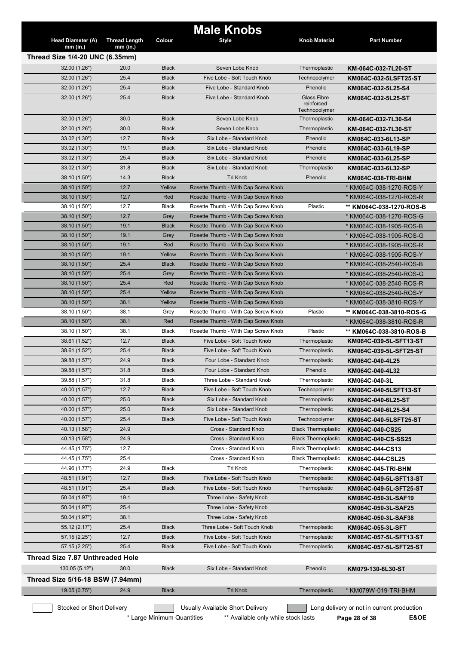|                                             |                      |                            | <b>Male Knobs</b>                   |                                                   |                                            |
|---------------------------------------------|----------------------|----------------------------|-------------------------------------|---------------------------------------------------|--------------------------------------------|
| Head Diameter (A)                           | <b>Thread Length</b> | Colour                     | <b>Style</b>                        | <b>Knob Material</b>                              | <b>Part Number</b>                         |
| mm (in.)<br>Thread Size 1/4-20 UNC (6.35mm) | $mm$ (in.)           |                            |                                     |                                                   |                                            |
|                                             | 20.0                 | <b>Black</b>               | Seven Lobe Knob                     |                                                   |                                            |
| 32.00(1.26")                                | 25.4                 |                            | Five Lobe - Soft Touch Knob         | Thermoplastic                                     | KM-064C-032-7L20-ST                        |
| 32.00 (1.26")                               |                      | <b>Black</b>               |                                     | Technopolymer                                     | KM064C-032-5LSFT25-ST                      |
| 32.00 (1.26")                               | 25.4                 | <b>Black</b>               | Five Lobe - Standard Knob           | Phenolic                                          | KM064C-032-5L25-S4                         |
| 32.00 (1.26")                               | 25.4                 | <b>Black</b>               | Five Lobe - Standard Knob           | <b>Glass Fibre</b><br>reinforced<br>Technopolymer | KM064C-032-5L25-ST                         |
| 32.00 (1.26")                               | 30.0                 | <b>Black</b>               | Seven Lobe Knob                     | Thermoplastic                                     | KM-064C-032-7L30-S4                        |
| 32.00 (1.26")                               | 30.0                 | <b>Black</b>               | Seven Lobe Knob                     | Thermoplastic                                     | KM-064C-032-7L30-ST                        |
| 33.02 (1.30")                               | 12.7                 | <b>Black</b>               | Six Lobe - Standard Knob            | Phenolic                                          | KM064C-033-6L13-SP                         |
| 33.02(1.30")                                | 19.1                 | <b>Black</b>               | Six Lobe - Standard Knob            | Phenolic                                          | KM064C-033-6L19-SP                         |
| 33.02(1.30")                                | 25.4                 | <b>Black</b>               | Six Lobe - Standard Knob            | Phenolic                                          | KM064C-033-6L25-SP                         |
| 33.02(1.30")                                | 31.8                 | <b>Black</b>               | Six Lobe - Standard Knob            | Thermoplastic                                     | KM064C-033-6L32-SP                         |
| 38.10 (1.50")                               | 14.3                 | <b>Black</b>               | <b>Tri Knob</b>                     | Phenolic                                          | KM064C-038-TRI-BHM                         |
| 38.10 (1.50")                               | 12.7                 | Yellow                     | Rosette Thumb - With Cap Screw Knob |                                                   | * KM064C-038-1270-ROS-Y                    |
| 38.10 (1.50")                               | 12.7                 | Red                        | Rosette Thumb - With Cap Screw Knob |                                                   | * KM064C-038-1270-ROS-R                    |
| 38.10 (1.50")                               | 12.7                 | <b>Black</b>               | Rosette Thumb - With Cap Screw Knob | Plastic                                           | ** KM064C-038-1270-ROS-B                   |
| 38.10 (1.50")                               | 12.7                 | Grey                       | Rosette Thumb - With Cap Screw Knob |                                                   | * KM064C-038-1270-ROS-G                    |
| 38.10 (1.50")                               | 19.1                 | <b>Black</b>               | Rosette Thumb - With Cap Screw Knob |                                                   | * KM064C-038-1905-ROS-B                    |
| 38.10 (1.50")                               | 19.1                 | Grey                       | Rosette Thumb - With Cap Screw Knob |                                                   | * KM064C-038-1905-ROS-G                    |
| 38.10 (1.50")                               | 19.1                 | Red                        | Rosette Thumb - With Cap Screw Knob |                                                   | * KM064C-038-1905-ROS-R                    |
| 38.10 (1.50")                               | 19.1                 | Yellow                     | Rosette Thumb - With Cap Screw Knob |                                                   | * KM064C-038-1905-ROS-Y                    |
| 38.10 (1.50")                               | 25.4                 | <b>Black</b>               | Rosette Thumb - With Cap Screw Knob |                                                   | * KM064C-038-2540-ROS-B                    |
| 38.10 (1.50")                               | 25.4                 | Grey                       | Rosette Thumb - With Cap Screw Knob |                                                   | * KM064C-038-2540-ROS-G                    |
| 38.10 (1.50")                               | 25.4                 | Red                        | Rosette Thumb - With Cap Screw Knob |                                                   | * KM064C-038-2540-ROS-R                    |
| 38.10 (1.50")                               | 25.4                 | Yellow                     | Rosette Thumb - With Cap Screw Knob |                                                   | * KM064C-038-2540-ROS-Y                    |
| 38.10 (1.50")                               | 38.1                 | Yellow                     | Rosette Thumb - With Cap Screw Knob |                                                   | * KM064C-038-3810-ROS-Y                    |
| 38.10 (1.50")                               | 38.1                 | Grey                       | Rosette Thumb - With Cap Screw Knob | Plastic                                           | ** KM064C-038-3810-ROS-G                   |
| 38.10 (1.50")                               | 38.1                 | Red                        | Rosette Thumb - With Cap Screw Knob |                                                   | * KM064C-038-3810-ROS-R                    |
| 38.10 (1.50")                               | 38.1                 | Black                      | Rosette Thumb - With Cap Screw Knob | Plastic                                           | ** KM064C-038-3810-ROS-B                   |
| 38.61 (1.52")                               | 12.7                 | <b>Black</b>               | Five Lobe - Soft Touch Knob         | Thermoplastic                                     | KM064C-039-5L-SFT13-ST                     |
| 38.61 (1.52")                               | 25.4                 | <b>Black</b>               | Five Lobe - Soft Touch Knob         | Thermoplastic                                     | KM064C-039-5L-SFT25-ST                     |
| 39.88 (1.57")                               | 24.9                 | <b>Black</b>               | Four Lobe - Standard Knob           | Thermoplastic                                     | KM064C-040-4L25                            |
| 39.88 (1.57")                               | 31.8                 | <b>Black</b>               | Four Lobe - Standard Knob           | Phenolic                                          | KM064C-040-4L32                            |
| 39.88 (1.57")                               | 31.8                 | <b>Black</b>               | Three Lobe - Standard Knob          | Thermoplastic                                     | KM064C-040-3L                              |
| 40.00 (1.57")                               | 12.7                 | <b>Black</b>               | Five Lobe - Soft Touch Knob         | Technopolymer                                     | KM064C-040-5LSFT13-ST                      |
| 40.00 (1.57")                               | 25.0                 | <b>Black</b>               | Six Lobe - Standard Knob            | Thermoplastic                                     | KM064C-040-6L25-ST                         |
| 40.00 (1.57")                               | 25.0                 | <b>Black</b>               | Six Lobe - Standard Knob            | Thermoplastic                                     | KM064C-040-6L25-S4                         |
| 40.00 (1.57")                               | 25.4                 | <b>Black</b>               | Five Lobe - Soft Touch Knob         | Technopolymer                                     | KM064C-040-5LSFT25-ST                      |
| 40.13 (1.58")                               | 24.9                 |                            | Cross - Standard Knob               | <b>Black Thermoplastic</b>                        | KM064C-040-CS25                            |
| 40.13 (1.58")                               | 24.9                 |                            | Cross - Standard Knob               | <b>Black Thermoplastic</b>                        | KM064C-040-CS-SS25                         |
| 44.45 (1.75")                               | 12.7                 |                            | Cross - Standard Knob               | <b>Black Thermoplastic</b>                        | KM064C-044-CS13                            |
| 44.45 (1.75")                               | 25.4                 |                            | Cross - Standard Knob               | <b>Black Thermoplastic</b>                        | KM064C-044-CSL25                           |
| 44.96 (1.77")                               | 24.9                 | <b>Black</b>               | Tri Knob                            | Thermoplastic                                     |                                            |
|                                             |                      |                            | Five Lobe - Soft Touch Knob         |                                                   | KM064C-045-TRI-BHM                         |
| 48.51 (1.91")                               | 12.7                 | <b>Black</b>               |                                     | Thermoplastic                                     | KM064C-049-5L-SFT13-ST                     |
| 48.51 (1.91")                               | 25.4                 | <b>Black</b>               | Five Lobe - Soft Touch Knob         | Thermoplastic                                     | KM064C-049-5L-SFT25-ST                     |
| 50.04 (1.97")                               | 19.1                 |                            | Three Lobe - Safety Knob            |                                                   | KM064C-050-3L-SAF19                        |
| 50.04 (1.97")                               | 25.4                 |                            | Three Lobe - Safety Knob            |                                                   | KM064C-050-3L-SAF25                        |
| 50.04 (1.97")                               | 38.1                 |                            | Three Lobe - Safety Knob            |                                                   | KM064C-050-3L-SAF38                        |
| 55.12 (2.17")                               | 25.4                 | <b>Black</b>               | Three Lobe - Soft Touch Knob        | Thermoplastic                                     | KM064C-055-3L-SFT                          |
| 57.15 (2.25")                               | 12.7                 | <b>Black</b>               | Five Lobe - Soft Touch Knob         | Thermoplastic                                     | KM064C-057-5L-SFT13-ST                     |
| 57.15 (2.25")                               | 25.4                 | <b>Black</b>               | Five Lobe - Soft Touch Knob         | Thermoplastic                                     | KM064C-057-5L-SFT25-ST                     |
| <b>Thread Size 7.87 Unthreaded Hole</b>     |                      |                            |                                     |                                                   |                                            |
| 130.05 (5.12")                              | 30.0                 | <b>Black</b>               | Six Lobe - Standard Knob            | Phenolic                                          | KM079-130-6L30-ST                          |
| Thread Size 5/16-18 BSW (7.94mm)            |                      |                            |                                     |                                                   |                                            |
| 19.05 (0.75")                               | 24.9                 | <b>Black</b>               | Tri Knob                            | Thermoplastic                                     | * KM079W-019-TRI-BHM                       |
|                                             |                      |                            |                                     |                                                   |                                            |
| Stocked or Short Delivery                   |                      |                            | Usually Available Short Delivery    |                                                   | Long delivery or not in current production |
|                                             |                      | * Large Minimum Quantities | ** Available only while stock lasts |                                                   | E&OE<br>Page 28 of 38                      |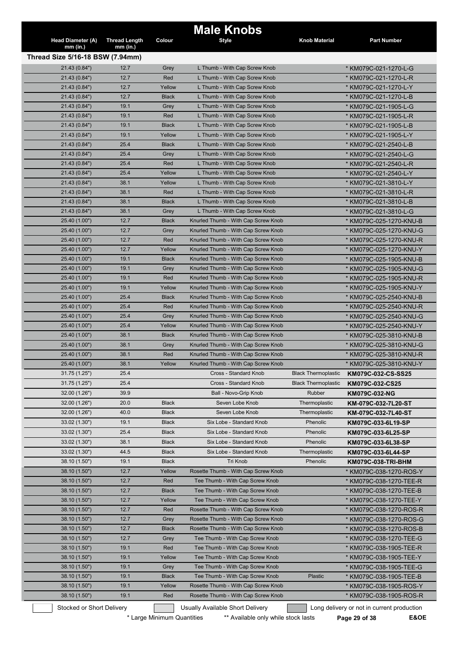| Thread Size 5/16-18 BSW (7.94mm)<br>21.43 (0.84")<br>12.7<br>Grey<br>L Thumb - With Cap Screw Knob<br>* KM079C-021-1270-L-G<br>12.7<br>21.43 (0.84")<br>Red<br>L Thumb - With Cap Screw Knob<br>* KM079C-021-1270-L-R<br>21.43 (0.84")<br>12.7<br>Yellow<br>L Thumb - With Cap Screw Knob<br>* KM079C-021-1270-L-Y<br>12.7<br>21.43 (0.84")<br><b>Black</b><br>L Thumb - With Cap Screw Knob<br>* KM079C-021-1270-L-B<br>21.43 (0.84")<br>19.1<br>L Thumb - With Cap Screw Knob<br>* KM079C-021-1905-L-G<br>Grey<br>19.1<br>Red<br>L Thumb - With Cap Screw Knob<br>21.43 (0.84")<br>* KM079C-021-1905-L-R<br>19.1<br><b>Black</b><br>L Thumb - With Cap Screw Knob<br>21.43 (0.84")<br>* KM079C-021-1905-L-B<br>21.43 (0.84")<br>19.1<br>Yellow<br>L Thumb - With Cap Screw Knob<br>* KM079C-021-1905-L-Y<br>25.4<br><b>Black</b><br>L Thumb - With Cap Screw Knob<br>21.43 (0.84")<br>* KM079C-021-2540-L-B<br>25.4<br>21.43 (0.84")<br>Grey<br>L Thumb - With Cap Screw Knob<br>* KM079C-021-2540-L-G<br>25.4<br>Red<br>21.43 (0.84")<br>L Thumb - With Cap Screw Knob<br>* KM079C-021-2540-L-R<br>21.43 (0.84")<br>25.4<br>Yellow<br>L Thumb - With Cap Screw Knob<br>* KM079C-021-2540-L-Y<br>21.43 (0.84")<br>38.1<br>Yellow<br>L Thumb - With Cap Screw Knob<br>* KM079C-021-3810-L-Y<br>Red<br>21.43 (0.84")<br>38.1<br>L Thumb - With Cap Screw Knob<br>* KM079C-021-3810-L-R<br>21.43 (0.84")<br>38.1<br><b>Black</b><br>L Thumb - With Cap Screw Knob<br>* KM079C-021-3810-L-B<br>38.1<br>* KM079C-021-3810-L-G<br>21.43 (0.84")<br>Grey<br>L Thumb - With Cap Screw Knob<br>12.7<br>25.40 (1.00")<br><b>Black</b><br>Knurled Thumb - With Cap Screw Knob<br>* KM079C-025-1270-KNU-B<br>12.7<br>Knurled Thumb - With Cap Screw Knob<br>* KM079C-025-1270-KNU-G<br>25.40 (1.00")<br>Grey<br>12.7<br>Red<br>Knurled Thumb - With Cap Screw Knob<br>25.40 (1.00")<br>* KM079C-025-1270-KNU-R<br>12.7<br>Yellow<br>25.40 (1.00")<br>Knurled Thumb - With Cap Screw Knob<br>* KM079C-025-1270-KNU-Y<br>25.40 (1.00")<br>19.1<br><b>Black</b><br>Knurled Thumb - With Cap Screw Knob<br>* KM079C-025-1905-KNU-B<br>25.40 (1.00")<br>19.1<br>Grey<br>Knurled Thumb - With Cap Screw Knob<br>* KM079C-025-1905-KNU-G<br>25.40 (1.00")<br>19.1<br>Red<br>Knurled Thumb - With Cap Screw Knob<br>* KM079C-025-1905-KNU-R<br>25.40 (1.00")<br>19.1<br>Yellow<br>Knurled Thumb - With Cap Screw Knob<br>* KM079C-025-1905-KNU-Y<br>25.40 (1.00")<br>25.4<br><b>Black</b><br>Knurled Thumb - With Cap Screw Knob<br>* KM079C-025-2540-KNU-B<br>25.40 (1.00")<br>25.4<br>Red<br>Knurled Thumb - With Cap Screw Knob<br>* KM079C-025-2540-KNU-R<br>25.4<br>Knurled Thumb - With Cap Screw Knob<br>25.40 (1.00")<br>Grey<br>* KM079C-025-2540-KNU-G<br>25.4<br>25.40 (1.00")<br>Yellow<br>Knurled Thumb - With Cap Screw Knob<br>* KM079C-025-2540-KNU-Y<br>25.40 (1.00")<br>38.1<br><b>Black</b><br>Knurled Thumb - With Cap Screw Knob<br>* KM079C-025-3810-KNU-B<br>25.40 (1.00")<br>38.1<br>Grey<br>Knurled Thumb - With Cap Screw Knob<br>* KM079C-025-3810-KNU-G<br>38.1<br>Red<br>Knurled Thumb - With Cap Screw Knob<br>25.40 (1.00")<br>* KM079C-025-3810-KNU-R<br>25.40 (1.00")<br>38.1<br>Yellow<br>Knurled Thumb - With Cap Screw Knob<br>* KM079C-025-3810-KNU-Y<br>31.75 (1.25")<br>25.4<br>Cross - Standard Knob<br><b>Black Thermoplastic</b><br>KM079C-032-CS-SS25<br>31.75 (1.25")<br>25.4<br>Cross - Standard Knob<br><b>Black Thermoplastic</b><br>KM079C-032-CS25<br>32.00 (1.26")<br>39.9<br>Ball - Novo-Grip Knob<br>Rubber<br>KM079C-032-NG<br>32.00 (1.26")<br>20.0<br><b>Black</b><br>Seven Lobe Knob<br>Thermoplastic<br>KM-079C-032-7L20-ST<br>40.0<br>Seven Lobe Knob<br>32.00 (1.26")<br><b>Black</b><br>Thermoplastic<br>KM-079C-032-7L40-ST<br>33.02 (1.30")<br>19.1<br><b>Black</b><br>Six Lobe - Standard Knob<br>Phenolic<br>KM079C-033-6L19-SP<br>33.02 (1.30")<br>25.4<br>Six Lobe - Standard Knob<br>Phenolic<br><b>Black</b><br>KM079C-033-6L25-SP<br>33.02 (1.30")<br>38.1<br><b>Black</b><br>Six Lobe - Standard Knob<br>Phenolic<br>KM079C-033-6L38-SP<br>33.02 (1.30")<br>44.5<br>Six Lobe - Standard Knob<br>Thermoplastic<br><b>Black</b><br>KM079C-033-6L44-SP<br>38.10 (1.50")<br>19.1<br>Tri Knob<br>Phenolic<br><b>Black</b><br>KM079C-038-TRI-BHM<br>38.10 (1.50")<br>12.7<br>Rosette Thumb - With Cap Screw Knob<br>Yellow<br>* KM079C-038-1270-ROS-Y<br>38.10 (1.50")<br>12.7<br>Red<br>Tee Thumb - With Cap Screw Knob<br>* KM079C-038-1270-TEE-R<br>38.10 (1.50")<br>12.7<br><b>Black</b><br>Tee Thumb - With Cap Screw Knob<br>* KM079C-038-1270-TEE-B<br>38.10 (1.50")<br>12.7<br>Yellow<br>Tee Thumb - With Cap Screw Knob<br>* KM079C-038-1270-TEE-Y<br>38.10 (1.50")<br>12.7<br>Red<br>Rosette Thumb - With Cap Screw Knob<br>* KM079C-038-1270-ROS-R<br>38.10 (1.50")<br>12.7<br>Rosette Thumb - With Cap Screw Knob<br>* KM079C-038-1270-ROS-G<br>Grey<br>12.7<br>Rosette Thumb - With Cap Screw Knob<br>38.10 (1.50")<br><b>Black</b><br>* KM079C-038-1270-ROS-B<br>38.10 (1.50")<br>12.7<br>Tee Thumb - With Cap Screw Knob<br>* KM079C-038-1270-TEE-G<br>Grey<br>19.1<br>Red<br>Tee Thumb - With Cap Screw Knob<br>38.10 (1.50")<br>* KM079C-038-1905-TEE-R<br>19.1<br>Yellow<br>Tee Thumb - With Cap Screw Knob<br>38.10 (1.50")<br>* KM079C-038-1905-TEE-Y<br>38.10 (1.50")<br>19.1<br>Tee Thumb - With Cap Screw Knob<br>Grey<br>* KM079C-038-1905-TEE-G<br>38.10 (1.50")<br>19.1<br><b>Black</b><br>Tee Thumb - With Cap Screw Knob<br>Plastic<br>* KM079C-038-1905-TEE-B<br>38.10 (1.50")<br>19.1<br>Rosette Thumb - With Cap Screw Knob<br>Yellow<br>* KM079C-038-1905-ROS-Y<br>19.1<br>Red<br>Rosette Thumb - With Cap Screw Knob<br>38.10 (1.50")<br>* KM079C-038-1905-ROS-R<br>Stocked or Short Delivery<br>Usually Available Short Delivery<br>Long delivery or not in current production | <b>Head Diameter (A)</b> | <b>Thread Length</b> | Colour | <b>Male Knobs</b><br><b>Style</b> | Knob Material | <b>Part Number</b> |
|----------------------------------------------------------------------------------------------------------------------------------------------------------------------------------------------------------------------------------------------------------------------------------------------------------------------------------------------------------------------------------------------------------------------------------------------------------------------------------------------------------------------------------------------------------------------------------------------------------------------------------------------------------------------------------------------------------------------------------------------------------------------------------------------------------------------------------------------------------------------------------------------------------------------------------------------------------------------------------------------------------------------------------------------------------------------------------------------------------------------------------------------------------------------------------------------------------------------------------------------------------------------------------------------------------------------------------------------------------------------------------------------------------------------------------------------------------------------------------------------------------------------------------------------------------------------------------------------------------------------------------------------------------------------------------------------------------------------------------------------------------------------------------------------------------------------------------------------------------------------------------------------------------------------------------------------------------------------------------------------------------------------------------------------------------------------------------------------------------------------------------------------------------------------------------------------------------------------------------------------------------------------------------------------------------------------------------------------------------------------------------------------------------------------------------------------------------------------------------------------------------------------------------------------------------------------------------------------------------------------------------------------------------------------------------------------------------------------------------------------------------------------------------------------------------------------------------------------------------------------------------------------------------------------------------------------------------------------------------------------------------------------------------------------------------------------------------------------------------------------------------------------------------------------------------------------------------------------------------------------------------------------------------------------------------------------------------------------------------------------------------------------------------------------------------------------------------------------------------------------------------------------------------------------------------------------------------------------------------------------------------------------------------------------------------------------------------------------------------------------------------------------------------------------------------------------------------------------------------------------------------------------------------------------------------------------------------------------------------------------------------------------------------------------------------------------------------------------------------------------------------------------------------------------------------------------------------------------------------------------------------------------------------------------------------------------------------------------------------------------------------------------------------------------------------------------------------------------------------------------------------------------------------------------------------------------------------------------------------------------------------------------------------------------------------------------------------------------------------------------------------------------------------------------------------------------------------------------------------------------------------------------------------------------------------------------------------------------------------------------------------------------------------------------------------------------------------------------------------------------------------------------------------------------------------------------------------------------------------------------------------------------------------------------------------------------------------------------------------------------------------------------------------------------------------------------------------------------------------------------------------------------------------------------------------------------------------------------------------------------------------------------------------------------------------------------------------------------------------------------------------------------------------------------------------------------------------------------------------------|--------------------------|----------------------|--------|-----------------------------------|---------------|--------------------|
|                                                                                                                                                                                                                                                                                                                                                                                                                                                                                                                                                                                                                                                                                                                                                                                                                                                                                                                                                                                                                                                                                                                                                                                                                                                                                                                                                                                                                                                                                                                                                                                                                                                                                                                                                                                                                                                                                                                                                                                                                                                                                                                                                                                                                                                                                                                                                                                                                                                                                                                                                                                                                                                                                                                                                                                                                                                                                                                                                                                                                                                                                                                                                                                                                                                                                                                                                                                                                                                                                                                                                                                                                                                                                                                                                                                                                                                                                                                                                                                                                                                                                                                                                                                                                                                                                                                                                                                                                                                                                                                                                                                                                                                                                                                                                                                                                                                                                                                                                                                                                                                                                                                                                                                                                                                                                                                                                                                                                                                                                                                                                                                                                                                                                                                                                                                                                                                                | $mm$ (in.)               | $mm$ (in.)           |        |                                   |               |                    |
|                                                                                                                                                                                                                                                                                                                                                                                                                                                                                                                                                                                                                                                                                                                                                                                                                                                                                                                                                                                                                                                                                                                                                                                                                                                                                                                                                                                                                                                                                                                                                                                                                                                                                                                                                                                                                                                                                                                                                                                                                                                                                                                                                                                                                                                                                                                                                                                                                                                                                                                                                                                                                                                                                                                                                                                                                                                                                                                                                                                                                                                                                                                                                                                                                                                                                                                                                                                                                                                                                                                                                                                                                                                                                                                                                                                                                                                                                                                                                                                                                                                                                                                                                                                                                                                                                                                                                                                                                                                                                                                                                                                                                                                                                                                                                                                                                                                                                                                                                                                                                                                                                                                                                                                                                                                                                                                                                                                                                                                                                                                                                                                                                                                                                                                                                                                                                                                                |                          |                      |        |                                   |               |                    |
|                                                                                                                                                                                                                                                                                                                                                                                                                                                                                                                                                                                                                                                                                                                                                                                                                                                                                                                                                                                                                                                                                                                                                                                                                                                                                                                                                                                                                                                                                                                                                                                                                                                                                                                                                                                                                                                                                                                                                                                                                                                                                                                                                                                                                                                                                                                                                                                                                                                                                                                                                                                                                                                                                                                                                                                                                                                                                                                                                                                                                                                                                                                                                                                                                                                                                                                                                                                                                                                                                                                                                                                                                                                                                                                                                                                                                                                                                                                                                                                                                                                                                                                                                                                                                                                                                                                                                                                                                                                                                                                                                                                                                                                                                                                                                                                                                                                                                                                                                                                                                                                                                                                                                                                                                                                                                                                                                                                                                                                                                                                                                                                                                                                                                                                                                                                                                                                                |                          |                      |        |                                   |               |                    |
|                                                                                                                                                                                                                                                                                                                                                                                                                                                                                                                                                                                                                                                                                                                                                                                                                                                                                                                                                                                                                                                                                                                                                                                                                                                                                                                                                                                                                                                                                                                                                                                                                                                                                                                                                                                                                                                                                                                                                                                                                                                                                                                                                                                                                                                                                                                                                                                                                                                                                                                                                                                                                                                                                                                                                                                                                                                                                                                                                                                                                                                                                                                                                                                                                                                                                                                                                                                                                                                                                                                                                                                                                                                                                                                                                                                                                                                                                                                                                                                                                                                                                                                                                                                                                                                                                                                                                                                                                                                                                                                                                                                                                                                                                                                                                                                                                                                                                                                                                                                                                                                                                                                                                                                                                                                                                                                                                                                                                                                                                                                                                                                                                                                                                                                                                                                                                                                                |                          |                      |        |                                   |               |                    |
|                                                                                                                                                                                                                                                                                                                                                                                                                                                                                                                                                                                                                                                                                                                                                                                                                                                                                                                                                                                                                                                                                                                                                                                                                                                                                                                                                                                                                                                                                                                                                                                                                                                                                                                                                                                                                                                                                                                                                                                                                                                                                                                                                                                                                                                                                                                                                                                                                                                                                                                                                                                                                                                                                                                                                                                                                                                                                                                                                                                                                                                                                                                                                                                                                                                                                                                                                                                                                                                                                                                                                                                                                                                                                                                                                                                                                                                                                                                                                                                                                                                                                                                                                                                                                                                                                                                                                                                                                                                                                                                                                                                                                                                                                                                                                                                                                                                                                                                                                                                                                                                                                                                                                                                                                                                                                                                                                                                                                                                                                                                                                                                                                                                                                                                                                                                                                                                                |                          |                      |        |                                   |               |                    |
|                                                                                                                                                                                                                                                                                                                                                                                                                                                                                                                                                                                                                                                                                                                                                                                                                                                                                                                                                                                                                                                                                                                                                                                                                                                                                                                                                                                                                                                                                                                                                                                                                                                                                                                                                                                                                                                                                                                                                                                                                                                                                                                                                                                                                                                                                                                                                                                                                                                                                                                                                                                                                                                                                                                                                                                                                                                                                                                                                                                                                                                                                                                                                                                                                                                                                                                                                                                                                                                                                                                                                                                                                                                                                                                                                                                                                                                                                                                                                                                                                                                                                                                                                                                                                                                                                                                                                                                                                                                                                                                                                                                                                                                                                                                                                                                                                                                                                                                                                                                                                                                                                                                                                                                                                                                                                                                                                                                                                                                                                                                                                                                                                                                                                                                                                                                                                                                                |                          |                      |        |                                   |               |                    |
|                                                                                                                                                                                                                                                                                                                                                                                                                                                                                                                                                                                                                                                                                                                                                                                                                                                                                                                                                                                                                                                                                                                                                                                                                                                                                                                                                                                                                                                                                                                                                                                                                                                                                                                                                                                                                                                                                                                                                                                                                                                                                                                                                                                                                                                                                                                                                                                                                                                                                                                                                                                                                                                                                                                                                                                                                                                                                                                                                                                                                                                                                                                                                                                                                                                                                                                                                                                                                                                                                                                                                                                                                                                                                                                                                                                                                                                                                                                                                                                                                                                                                                                                                                                                                                                                                                                                                                                                                                                                                                                                                                                                                                                                                                                                                                                                                                                                                                                                                                                                                                                                                                                                                                                                                                                                                                                                                                                                                                                                                                                                                                                                                                                                                                                                                                                                                                                                |                          |                      |        |                                   |               |                    |
|                                                                                                                                                                                                                                                                                                                                                                                                                                                                                                                                                                                                                                                                                                                                                                                                                                                                                                                                                                                                                                                                                                                                                                                                                                                                                                                                                                                                                                                                                                                                                                                                                                                                                                                                                                                                                                                                                                                                                                                                                                                                                                                                                                                                                                                                                                                                                                                                                                                                                                                                                                                                                                                                                                                                                                                                                                                                                                                                                                                                                                                                                                                                                                                                                                                                                                                                                                                                                                                                                                                                                                                                                                                                                                                                                                                                                                                                                                                                                                                                                                                                                                                                                                                                                                                                                                                                                                                                                                                                                                                                                                                                                                                                                                                                                                                                                                                                                                                                                                                                                                                                                                                                                                                                                                                                                                                                                                                                                                                                                                                                                                                                                                                                                                                                                                                                                                                                |                          |                      |        |                                   |               |                    |
|                                                                                                                                                                                                                                                                                                                                                                                                                                                                                                                                                                                                                                                                                                                                                                                                                                                                                                                                                                                                                                                                                                                                                                                                                                                                                                                                                                                                                                                                                                                                                                                                                                                                                                                                                                                                                                                                                                                                                                                                                                                                                                                                                                                                                                                                                                                                                                                                                                                                                                                                                                                                                                                                                                                                                                                                                                                                                                                                                                                                                                                                                                                                                                                                                                                                                                                                                                                                                                                                                                                                                                                                                                                                                                                                                                                                                                                                                                                                                                                                                                                                                                                                                                                                                                                                                                                                                                                                                                                                                                                                                                                                                                                                                                                                                                                                                                                                                                                                                                                                                                                                                                                                                                                                                                                                                                                                                                                                                                                                                                                                                                                                                                                                                                                                                                                                                                                                |                          |                      |        |                                   |               |                    |
|                                                                                                                                                                                                                                                                                                                                                                                                                                                                                                                                                                                                                                                                                                                                                                                                                                                                                                                                                                                                                                                                                                                                                                                                                                                                                                                                                                                                                                                                                                                                                                                                                                                                                                                                                                                                                                                                                                                                                                                                                                                                                                                                                                                                                                                                                                                                                                                                                                                                                                                                                                                                                                                                                                                                                                                                                                                                                                                                                                                                                                                                                                                                                                                                                                                                                                                                                                                                                                                                                                                                                                                                                                                                                                                                                                                                                                                                                                                                                                                                                                                                                                                                                                                                                                                                                                                                                                                                                                                                                                                                                                                                                                                                                                                                                                                                                                                                                                                                                                                                                                                                                                                                                                                                                                                                                                                                                                                                                                                                                                                                                                                                                                                                                                                                                                                                                                                                |                          |                      |        |                                   |               |                    |
|                                                                                                                                                                                                                                                                                                                                                                                                                                                                                                                                                                                                                                                                                                                                                                                                                                                                                                                                                                                                                                                                                                                                                                                                                                                                                                                                                                                                                                                                                                                                                                                                                                                                                                                                                                                                                                                                                                                                                                                                                                                                                                                                                                                                                                                                                                                                                                                                                                                                                                                                                                                                                                                                                                                                                                                                                                                                                                                                                                                                                                                                                                                                                                                                                                                                                                                                                                                                                                                                                                                                                                                                                                                                                                                                                                                                                                                                                                                                                                                                                                                                                                                                                                                                                                                                                                                                                                                                                                                                                                                                                                                                                                                                                                                                                                                                                                                                                                                                                                                                                                                                                                                                                                                                                                                                                                                                                                                                                                                                                                                                                                                                                                                                                                                                                                                                                                                                |                          |                      |        |                                   |               |                    |
|                                                                                                                                                                                                                                                                                                                                                                                                                                                                                                                                                                                                                                                                                                                                                                                                                                                                                                                                                                                                                                                                                                                                                                                                                                                                                                                                                                                                                                                                                                                                                                                                                                                                                                                                                                                                                                                                                                                                                                                                                                                                                                                                                                                                                                                                                                                                                                                                                                                                                                                                                                                                                                                                                                                                                                                                                                                                                                                                                                                                                                                                                                                                                                                                                                                                                                                                                                                                                                                                                                                                                                                                                                                                                                                                                                                                                                                                                                                                                                                                                                                                                                                                                                                                                                                                                                                                                                                                                                                                                                                                                                                                                                                                                                                                                                                                                                                                                                                                                                                                                                                                                                                                                                                                                                                                                                                                                                                                                                                                                                                                                                                                                                                                                                                                                                                                                                                                |                          |                      |        |                                   |               |                    |
|                                                                                                                                                                                                                                                                                                                                                                                                                                                                                                                                                                                                                                                                                                                                                                                                                                                                                                                                                                                                                                                                                                                                                                                                                                                                                                                                                                                                                                                                                                                                                                                                                                                                                                                                                                                                                                                                                                                                                                                                                                                                                                                                                                                                                                                                                                                                                                                                                                                                                                                                                                                                                                                                                                                                                                                                                                                                                                                                                                                                                                                                                                                                                                                                                                                                                                                                                                                                                                                                                                                                                                                                                                                                                                                                                                                                                                                                                                                                                                                                                                                                                                                                                                                                                                                                                                                                                                                                                                                                                                                                                                                                                                                                                                                                                                                                                                                                                                                                                                                                                                                                                                                                                                                                                                                                                                                                                                                                                                                                                                                                                                                                                                                                                                                                                                                                                                                                |                          |                      |        |                                   |               |                    |
|                                                                                                                                                                                                                                                                                                                                                                                                                                                                                                                                                                                                                                                                                                                                                                                                                                                                                                                                                                                                                                                                                                                                                                                                                                                                                                                                                                                                                                                                                                                                                                                                                                                                                                                                                                                                                                                                                                                                                                                                                                                                                                                                                                                                                                                                                                                                                                                                                                                                                                                                                                                                                                                                                                                                                                                                                                                                                                                                                                                                                                                                                                                                                                                                                                                                                                                                                                                                                                                                                                                                                                                                                                                                                                                                                                                                                                                                                                                                                                                                                                                                                                                                                                                                                                                                                                                                                                                                                                                                                                                                                                                                                                                                                                                                                                                                                                                                                                                                                                                                                                                                                                                                                                                                                                                                                                                                                                                                                                                                                                                                                                                                                                                                                                                                                                                                                                                                |                          |                      |        |                                   |               |                    |
|                                                                                                                                                                                                                                                                                                                                                                                                                                                                                                                                                                                                                                                                                                                                                                                                                                                                                                                                                                                                                                                                                                                                                                                                                                                                                                                                                                                                                                                                                                                                                                                                                                                                                                                                                                                                                                                                                                                                                                                                                                                                                                                                                                                                                                                                                                                                                                                                                                                                                                                                                                                                                                                                                                                                                                                                                                                                                                                                                                                                                                                                                                                                                                                                                                                                                                                                                                                                                                                                                                                                                                                                                                                                                                                                                                                                                                                                                                                                                                                                                                                                                                                                                                                                                                                                                                                                                                                                                                                                                                                                                                                                                                                                                                                                                                                                                                                                                                                                                                                                                                                                                                                                                                                                                                                                                                                                                                                                                                                                                                                                                                                                                                                                                                                                                                                                                                                                |                          |                      |        |                                   |               |                    |
|                                                                                                                                                                                                                                                                                                                                                                                                                                                                                                                                                                                                                                                                                                                                                                                                                                                                                                                                                                                                                                                                                                                                                                                                                                                                                                                                                                                                                                                                                                                                                                                                                                                                                                                                                                                                                                                                                                                                                                                                                                                                                                                                                                                                                                                                                                                                                                                                                                                                                                                                                                                                                                                                                                                                                                                                                                                                                                                                                                                                                                                                                                                                                                                                                                                                                                                                                                                                                                                                                                                                                                                                                                                                                                                                                                                                                                                                                                                                                                                                                                                                                                                                                                                                                                                                                                                                                                                                                                                                                                                                                                                                                                                                                                                                                                                                                                                                                                                                                                                                                                                                                                                                                                                                                                                                                                                                                                                                                                                                                                                                                                                                                                                                                                                                                                                                                                                                |                          |                      |        |                                   |               |                    |
|                                                                                                                                                                                                                                                                                                                                                                                                                                                                                                                                                                                                                                                                                                                                                                                                                                                                                                                                                                                                                                                                                                                                                                                                                                                                                                                                                                                                                                                                                                                                                                                                                                                                                                                                                                                                                                                                                                                                                                                                                                                                                                                                                                                                                                                                                                                                                                                                                                                                                                                                                                                                                                                                                                                                                                                                                                                                                                                                                                                                                                                                                                                                                                                                                                                                                                                                                                                                                                                                                                                                                                                                                                                                                                                                                                                                                                                                                                                                                                                                                                                                                                                                                                                                                                                                                                                                                                                                                                                                                                                                                                                                                                                                                                                                                                                                                                                                                                                                                                                                                                                                                                                                                                                                                                                                                                                                                                                                                                                                                                                                                                                                                                                                                                                                                                                                                                                                |                          |                      |        |                                   |               |                    |
|                                                                                                                                                                                                                                                                                                                                                                                                                                                                                                                                                                                                                                                                                                                                                                                                                                                                                                                                                                                                                                                                                                                                                                                                                                                                                                                                                                                                                                                                                                                                                                                                                                                                                                                                                                                                                                                                                                                                                                                                                                                                                                                                                                                                                                                                                                                                                                                                                                                                                                                                                                                                                                                                                                                                                                                                                                                                                                                                                                                                                                                                                                                                                                                                                                                                                                                                                                                                                                                                                                                                                                                                                                                                                                                                                                                                                                                                                                                                                                                                                                                                                                                                                                                                                                                                                                                                                                                                                                                                                                                                                                                                                                                                                                                                                                                                                                                                                                                                                                                                                                                                                                                                                                                                                                                                                                                                                                                                                                                                                                                                                                                                                                                                                                                                                                                                                                                                |                          |                      |        |                                   |               |                    |
|                                                                                                                                                                                                                                                                                                                                                                                                                                                                                                                                                                                                                                                                                                                                                                                                                                                                                                                                                                                                                                                                                                                                                                                                                                                                                                                                                                                                                                                                                                                                                                                                                                                                                                                                                                                                                                                                                                                                                                                                                                                                                                                                                                                                                                                                                                                                                                                                                                                                                                                                                                                                                                                                                                                                                                                                                                                                                                                                                                                                                                                                                                                                                                                                                                                                                                                                                                                                                                                                                                                                                                                                                                                                                                                                                                                                                                                                                                                                                                                                                                                                                                                                                                                                                                                                                                                                                                                                                                                                                                                                                                                                                                                                                                                                                                                                                                                                                                                                                                                                                                                                                                                                                                                                                                                                                                                                                                                                                                                                                                                                                                                                                                                                                                                                                                                                                                                                |                          |                      |        |                                   |               |                    |
|                                                                                                                                                                                                                                                                                                                                                                                                                                                                                                                                                                                                                                                                                                                                                                                                                                                                                                                                                                                                                                                                                                                                                                                                                                                                                                                                                                                                                                                                                                                                                                                                                                                                                                                                                                                                                                                                                                                                                                                                                                                                                                                                                                                                                                                                                                                                                                                                                                                                                                                                                                                                                                                                                                                                                                                                                                                                                                                                                                                                                                                                                                                                                                                                                                                                                                                                                                                                                                                                                                                                                                                                                                                                                                                                                                                                                                                                                                                                                                                                                                                                                                                                                                                                                                                                                                                                                                                                                                                                                                                                                                                                                                                                                                                                                                                                                                                                                                                                                                                                                                                                                                                                                                                                                                                                                                                                                                                                                                                                                                                                                                                                                                                                                                                                                                                                                                                                |                          |                      |        |                                   |               |                    |
|                                                                                                                                                                                                                                                                                                                                                                                                                                                                                                                                                                                                                                                                                                                                                                                                                                                                                                                                                                                                                                                                                                                                                                                                                                                                                                                                                                                                                                                                                                                                                                                                                                                                                                                                                                                                                                                                                                                                                                                                                                                                                                                                                                                                                                                                                                                                                                                                                                                                                                                                                                                                                                                                                                                                                                                                                                                                                                                                                                                                                                                                                                                                                                                                                                                                                                                                                                                                                                                                                                                                                                                                                                                                                                                                                                                                                                                                                                                                                                                                                                                                                                                                                                                                                                                                                                                                                                                                                                                                                                                                                                                                                                                                                                                                                                                                                                                                                                                                                                                                                                                                                                                                                                                                                                                                                                                                                                                                                                                                                                                                                                                                                                                                                                                                                                                                                                                                |                          |                      |        |                                   |               |                    |
|                                                                                                                                                                                                                                                                                                                                                                                                                                                                                                                                                                                                                                                                                                                                                                                                                                                                                                                                                                                                                                                                                                                                                                                                                                                                                                                                                                                                                                                                                                                                                                                                                                                                                                                                                                                                                                                                                                                                                                                                                                                                                                                                                                                                                                                                                                                                                                                                                                                                                                                                                                                                                                                                                                                                                                                                                                                                                                                                                                                                                                                                                                                                                                                                                                                                                                                                                                                                                                                                                                                                                                                                                                                                                                                                                                                                                                                                                                                                                                                                                                                                                                                                                                                                                                                                                                                                                                                                                                                                                                                                                                                                                                                                                                                                                                                                                                                                                                                                                                                                                                                                                                                                                                                                                                                                                                                                                                                                                                                                                                                                                                                                                                                                                                                                                                                                                                                                |                          |                      |        |                                   |               |                    |
|                                                                                                                                                                                                                                                                                                                                                                                                                                                                                                                                                                                                                                                                                                                                                                                                                                                                                                                                                                                                                                                                                                                                                                                                                                                                                                                                                                                                                                                                                                                                                                                                                                                                                                                                                                                                                                                                                                                                                                                                                                                                                                                                                                                                                                                                                                                                                                                                                                                                                                                                                                                                                                                                                                                                                                                                                                                                                                                                                                                                                                                                                                                                                                                                                                                                                                                                                                                                                                                                                                                                                                                                                                                                                                                                                                                                                                                                                                                                                                                                                                                                                                                                                                                                                                                                                                                                                                                                                                                                                                                                                                                                                                                                                                                                                                                                                                                                                                                                                                                                                                                                                                                                                                                                                                                                                                                                                                                                                                                                                                                                                                                                                                                                                                                                                                                                                                                                |                          |                      |        |                                   |               |                    |
|                                                                                                                                                                                                                                                                                                                                                                                                                                                                                                                                                                                                                                                                                                                                                                                                                                                                                                                                                                                                                                                                                                                                                                                                                                                                                                                                                                                                                                                                                                                                                                                                                                                                                                                                                                                                                                                                                                                                                                                                                                                                                                                                                                                                                                                                                                                                                                                                                                                                                                                                                                                                                                                                                                                                                                                                                                                                                                                                                                                                                                                                                                                                                                                                                                                                                                                                                                                                                                                                                                                                                                                                                                                                                                                                                                                                                                                                                                                                                                                                                                                                                                                                                                                                                                                                                                                                                                                                                                                                                                                                                                                                                                                                                                                                                                                                                                                                                                                                                                                                                                                                                                                                                                                                                                                                                                                                                                                                                                                                                                                                                                                                                                                                                                                                                                                                                                                                |                          |                      |        |                                   |               |                    |
|                                                                                                                                                                                                                                                                                                                                                                                                                                                                                                                                                                                                                                                                                                                                                                                                                                                                                                                                                                                                                                                                                                                                                                                                                                                                                                                                                                                                                                                                                                                                                                                                                                                                                                                                                                                                                                                                                                                                                                                                                                                                                                                                                                                                                                                                                                                                                                                                                                                                                                                                                                                                                                                                                                                                                                                                                                                                                                                                                                                                                                                                                                                                                                                                                                                                                                                                                                                                                                                                                                                                                                                                                                                                                                                                                                                                                                                                                                                                                                                                                                                                                                                                                                                                                                                                                                                                                                                                                                                                                                                                                                                                                                                                                                                                                                                                                                                                                                                                                                                                                                                                                                                                                                                                                                                                                                                                                                                                                                                                                                                                                                                                                                                                                                                                                                                                                                                                |                          |                      |        |                                   |               |                    |
|                                                                                                                                                                                                                                                                                                                                                                                                                                                                                                                                                                                                                                                                                                                                                                                                                                                                                                                                                                                                                                                                                                                                                                                                                                                                                                                                                                                                                                                                                                                                                                                                                                                                                                                                                                                                                                                                                                                                                                                                                                                                                                                                                                                                                                                                                                                                                                                                                                                                                                                                                                                                                                                                                                                                                                                                                                                                                                                                                                                                                                                                                                                                                                                                                                                                                                                                                                                                                                                                                                                                                                                                                                                                                                                                                                                                                                                                                                                                                                                                                                                                                                                                                                                                                                                                                                                                                                                                                                                                                                                                                                                                                                                                                                                                                                                                                                                                                                                                                                                                                                                                                                                                                                                                                                                                                                                                                                                                                                                                                                                                                                                                                                                                                                                                                                                                                                                                |                          |                      |        |                                   |               |                    |
|                                                                                                                                                                                                                                                                                                                                                                                                                                                                                                                                                                                                                                                                                                                                                                                                                                                                                                                                                                                                                                                                                                                                                                                                                                                                                                                                                                                                                                                                                                                                                                                                                                                                                                                                                                                                                                                                                                                                                                                                                                                                                                                                                                                                                                                                                                                                                                                                                                                                                                                                                                                                                                                                                                                                                                                                                                                                                                                                                                                                                                                                                                                                                                                                                                                                                                                                                                                                                                                                                                                                                                                                                                                                                                                                                                                                                                                                                                                                                                                                                                                                                                                                                                                                                                                                                                                                                                                                                                                                                                                                                                                                                                                                                                                                                                                                                                                                                                                                                                                                                                                                                                                                                                                                                                                                                                                                                                                                                                                                                                                                                                                                                                                                                                                                                                                                                                                                |                          |                      |        |                                   |               |                    |
|                                                                                                                                                                                                                                                                                                                                                                                                                                                                                                                                                                                                                                                                                                                                                                                                                                                                                                                                                                                                                                                                                                                                                                                                                                                                                                                                                                                                                                                                                                                                                                                                                                                                                                                                                                                                                                                                                                                                                                                                                                                                                                                                                                                                                                                                                                                                                                                                                                                                                                                                                                                                                                                                                                                                                                                                                                                                                                                                                                                                                                                                                                                                                                                                                                                                                                                                                                                                                                                                                                                                                                                                                                                                                                                                                                                                                                                                                                                                                                                                                                                                                                                                                                                                                                                                                                                                                                                                                                                                                                                                                                                                                                                                                                                                                                                                                                                                                                                                                                                                                                                                                                                                                                                                                                                                                                                                                                                                                                                                                                                                                                                                                                                                                                                                                                                                                                                                |                          |                      |        |                                   |               |                    |
|                                                                                                                                                                                                                                                                                                                                                                                                                                                                                                                                                                                                                                                                                                                                                                                                                                                                                                                                                                                                                                                                                                                                                                                                                                                                                                                                                                                                                                                                                                                                                                                                                                                                                                                                                                                                                                                                                                                                                                                                                                                                                                                                                                                                                                                                                                                                                                                                                                                                                                                                                                                                                                                                                                                                                                                                                                                                                                                                                                                                                                                                                                                                                                                                                                                                                                                                                                                                                                                                                                                                                                                                                                                                                                                                                                                                                                                                                                                                                                                                                                                                                                                                                                                                                                                                                                                                                                                                                                                                                                                                                                                                                                                                                                                                                                                                                                                                                                                                                                                                                                                                                                                                                                                                                                                                                                                                                                                                                                                                                                                                                                                                                                                                                                                                                                                                                                                                |                          |                      |        |                                   |               |                    |
|                                                                                                                                                                                                                                                                                                                                                                                                                                                                                                                                                                                                                                                                                                                                                                                                                                                                                                                                                                                                                                                                                                                                                                                                                                                                                                                                                                                                                                                                                                                                                                                                                                                                                                                                                                                                                                                                                                                                                                                                                                                                                                                                                                                                                                                                                                                                                                                                                                                                                                                                                                                                                                                                                                                                                                                                                                                                                                                                                                                                                                                                                                                                                                                                                                                                                                                                                                                                                                                                                                                                                                                                                                                                                                                                                                                                                                                                                                                                                                                                                                                                                                                                                                                                                                                                                                                                                                                                                                                                                                                                                                                                                                                                                                                                                                                                                                                                                                                                                                                                                                                                                                                                                                                                                                                                                                                                                                                                                                                                                                                                                                                                                                                                                                                                                                                                                                                                |                          |                      |        |                                   |               |                    |
|                                                                                                                                                                                                                                                                                                                                                                                                                                                                                                                                                                                                                                                                                                                                                                                                                                                                                                                                                                                                                                                                                                                                                                                                                                                                                                                                                                                                                                                                                                                                                                                                                                                                                                                                                                                                                                                                                                                                                                                                                                                                                                                                                                                                                                                                                                                                                                                                                                                                                                                                                                                                                                                                                                                                                                                                                                                                                                                                                                                                                                                                                                                                                                                                                                                                                                                                                                                                                                                                                                                                                                                                                                                                                                                                                                                                                                                                                                                                                                                                                                                                                                                                                                                                                                                                                                                                                                                                                                                                                                                                                                                                                                                                                                                                                                                                                                                                                                                                                                                                                                                                                                                                                                                                                                                                                                                                                                                                                                                                                                                                                                                                                                                                                                                                                                                                                                                                |                          |                      |        |                                   |               |                    |
|                                                                                                                                                                                                                                                                                                                                                                                                                                                                                                                                                                                                                                                                                                                                                                                                                                                                                                                                                                                                                                                                                                                                                                                                                                                                                                                                                                                                                                                                                                                                                                                                                                                                                                                                                                                                                                                                                                                                                                                                                                                                                                                                                                                                                                                                                                                                                                                                                                                                                                                                                                                                                                                                                                                                                                                                                                                                                                                                                                                                                                                                                                                                                                                                                                                                                                                                                                                                                                                                                                                                                                                                                                                                                                                                                                                                                                                                                                                                                                                                                                                                                                                                                                                                                                                                                                                                                                                                                                                                                                                                                                                                                                                                                                                                                                                                                                                                                                                                                                                                                                                                                                                                                                                                                                                                                                                                                                                                                                                                                                                                                                                                                                                                                                                                                                                                                                                                |                          |                      |        |                                   |               |                    |
|                                                                                                                                                                                                                                                                                                                                                                                                                                                                                                                                                                                                                                                                                                                                                                                                                                                                                                                                                                                                                                                                                                                                                                                                                                                                                                                                                                                                                                                                                                                                                                                                                                                                                                                                                                                                                                                                                                                                                                                                                                                                                                                                                                                                                                                                                                                                                                                                                                                                                                                                                                                                                                                                                                                                                                                                                                                                                                                                                                                                                                                                                                                                                                                                                                                                                                                                                                                                                                                                                                                                                                                                                                                                                                                                                                                                                                                                                                                                                                                                                                                                                                                                                                                                                                                                                                                                                                                                                                                                                                                                                                                                                                                                                                                                                                                                                                                                                                                                                                                                                                                                                                                                                                                                                                                                                                                                                                                                                                                                                                                                                                                                                                                                                                                                                                                                                                                                |                          |                      |        |                                   |               |                    |
|                                                                                                                                                                                                                                                                                                                                                                                                                                                                                                                                                                                                                                                                                                                                                                                                                                                                                                                                                                                                                                                                                                                                                                                                                                                                                                                                                                                                                                                                                                                                                                                                                                                                                                                                                                                                                                                                                                                                                                                                                                                                                                                                                                                                                                                                                                                                                                                                                                                                                                                                                                                                                                                                                                                                                                                                                                                                                                                                                                                                                                                                                                                                                                                                                                                                                                                                                                                                                                                                                                                                                                                                                                                                                                                                                                                                                                                                                                                                                                                                                                                                                                                                                                                                                                                                                                                                                                                                                                                                                                                                                                                                                                                                                                                                                                                                                                                                                                                                                                                                                                                                                                                                                                                                                                                                                                                                                                                                                                                                                                                                                                                                                                                                                                                                                                                                                                                                |                          |                      |        |                                   |               |                    |
|                                                                                                                                                                                                                                                                                                                                                                                                                                                                                                                                                                                                                                                                                                                                                                                                                                                                                                                                                                                                                                                                                                                                                                                                                                                                                                                                                                                                                                                                                                                                                                                                                                                                                                                                                                                                                                                                                                                                                                                                                                                                                                                                                                                                                                                                                                                                                                                                                                                                                                                                                                                                                                                                                                                                                                                                                                                                                                                                                                                                                                                                                                                                                                                                                                                                                                                                                                                                                                                                                                                                                                                                                                                                                                                                                                                                                                                                                                                                                                                                                                                                                                                                                                                                                                                                                                                                                                                                                                                                                                                                                                                                                                                                                                                                                                                                                                                                                                                                                                                                                                                                                                                                                                                                                                                                                                                                                                                                                                                                                                                                                                                                                                                                                                                                                                                                                                                                |                          |                      |        |                                   |               |                    |
|                                                                                                                                                                                                                                                                                                                                                                                                                                                                                                                                                                                                                                                                                                                                                                                                                                                                                                                                                                                                                                                                                                                                                                                                                                                                                                                                                                                                                                                                                                                                                                                                                                                                                                                                                                                                                                                                                                                                                                                                                                                                                                                                                                                                                                                                                                                                                                                                                                                                                                                                                                                                                                                                                                                                                                                                                                                                                                                                                                                                                                                                                                                                                                                                                                                                                                                                                                                                                                                                                                                                                                                                                                                                                                                                                                                                                                                                                                                                                                                                                                                                                                                                                                                                                                                                                                                                                                                                                                                                                                                                                                                                                                                                                                                                                                                                                                                                                                                                                                                                                                                                                                                                                                                                                                                                                                                                                                                                                                                                                                                                                                                                                                                                                                                                                                                                                                                                |                          |                      |        |                                   |               |                    |
|                                                                                                                                                                                                                                                                                                                                                                                                                                                                                                                                                                                                                                                                                                                                                                                                                                                                                                                                                                                                                                                                                                                                                                                                                                                                                                                                                                                                                                                                                                                                                                                                                                                                                                                                                                                                                                                                                                                                                                                                                                                                                                                                                                                                                                                                                                                                                                                                                                                                                                                                                                                                                                                                                                                                                                                                                                                                                                                                                                                                                                                                                                                                                                                                                                                                                                                                                                                                                                                                                                                                                                                                                                                                                                                                                                                                                                                                                                                                                                                                                                                                                                                                                                                                                                                                                                                                                                                                                                                                                                                                                                                                                                                                                                                                                                                                                                                                                                                                                                                                                                                                                                                                                                                                                                                                                                                                                                                                                                                                                                                                                                                                                                                                                                                                                                                                                                                                |                          |                      |        |                                   |               |                    |
|                                                                                                                                                                                                                                                                                                                                                                                                                                                                                                                                                                                                                                                                                                                                                                                                                                                                                                                                                                                                                                                                                                                                                                                                                                                                                                                                                                                                                                                                                                                                                                                                                                                                                                                                                                                                                                                                                                                                                                                                                                                                                                                                                                                                                                                                                                                                                                                                                                                                                                                                                                                                                                                                                                                                                                                                                                                                                                                                                                                                                                                                                                                                                                                                                                                                                                                                                                                                                                                                                                                                                                                                                                                                                                                                                                                                                                                                                                                                                                                                                                                                                                                                                                                                                                                                                                                                                                                                                                                                                                                                                                                                                                                                                                                                                                                                                                                                                                                                                                                                                                                                                                                                                                                                                                                                                                                                                                                                                                                                                                                                                                                                                                                                                                                                                                                                                                                                |                          |                      |        |                                   |               |                    |
|                                                                                                                                                                                                                                                                                                                                                                                                                                                                                                                                                                                                                                                                                                                                                                                                                                                                                                                                                                                                                                                                                                                                                                                                                                                                                                                                                                                                                                                                                                                                                                                                                                                                                                                                                                                                                                                                                                                                                                                                                                                                                                                                                                                                                                                                                                                                                                                                                                                                                                                                                                                                                                                                                                                                                                                                                                                                                                                                                                                                                                                                                                                                                                                                                                                                                                                                                                                                                                                                                                                                                                                                                                                                                                                                                                                                                                                                                                                                                                                                                                                                                                                                                                                                                                                                                                                                                                                                                                                                                                                                                                                                                                                                                                                                                                                                                                                                                                                                                                                                                                                                                                                                                                                                                                                                                                                                                                                                                                                                                                                                                                                                                                                                                                                                                                                                                                                                |                          |                      |        |                                   |               |                    |
|                                                                                                                                                                                                                                                                                                                                                                                                                                                                                                                                                                                                                                                                                                                                                                                                                                                                                                                                                                                                                                                                                                                                                                                                                                                                                                                                                                                                                                                                                                                                                                                                                                                                                                                                                                                                                                                                                                                                                                                                                                                                                                                                                                                                                                                                                                                                                                                                                                                                                                                                                                                                                                                                                                                                                                                                                                                                                                                                                                                                                                                                                                                                                                                                                                                                                                                                                                                                                                                                                                                                                                                                                                                                                                                                                                                                                                                                                                                                                                                                                                                                                                                                                                                                                                                                                                                                                                                                                                                                                                                                                                                                                                                                                                                                                                                                                                                                                                                                                                                                                                                                                                                                                                                                                                                                                                                                                                                                                                                                                                                                                                                                                                                                                                                                                                                                                                                                |                          |                      |        |                                   |               |                    |
|                                                                                                                                                                                                                                                                                                                                                                                                                                                                                                                                                                                                                                                                                                                                                                                                                                                                                                                                                                                                                                                                                                                                                                                                                                                                                                                                                                                                                                                                                                                                                                                                                                                                                                                                                                                                                                                                                                                                                                                                                                                                                                                                                                                                                                                                                                                                                                                                                                                                                                                                                                                                                                                                                                                                                                                                                                                                                                                                                                                                                                                                                                                                                                                                                                                                                                                                                                                                                                                                                                                                                                                                                                                                                                                                                                                                                                                                                                                                                                                                                                                                                                                                                                                                                                                                                                                                                                                                                                                                                                                                                                                                                                                                                                                                                                                                                                                                                                                                                                                                                                                                                                                                                                                                                                                                                                                                                                                                                                                                                                                                                                                                                                                                                                                                                                                                                                                                |                          |                      |        |                                   |               |                    |
|                                                                                                                                                                                                                                                                                                                                                                                                                                                                                                                                                                                                                                                                                                                                                                                                                                                                                                                                                                                                                                                                                                                                                                                                                                                                                                                                                                                                                                                                                                                                                                                                                                                                                                                                                                                                                                                                                                                                                                                                                                                                                                                                                                                                                                                                                                                                                                                                                                                                                                                                                                                                                                                                                                                                                                                                                                                                                                                                                                                                                                                                                                                                                                                                                                                                                                                                                                                                                                                                                                                                                                                                                                                                                                                                                                                                                                                                                                                                                                                                                                                                                                                                                                                                                                                                                                                                                                                                                                                                                                                                                                                                                                                                                                                                                                                                                                                                                                                                                                                                                                                                                                                                                                                                                                                                                                                                                                                                                                                                                                                                                                                                                                                                                                                                                                                                                                                                |                          |                      |        |                                   |               |                    |
|                                                                                                                                                                                                                                                                                                                                                                                                                                                                                                                                                                                                                                                                                                                                                                                                                                                                                                                                                                                                                                                                                                                                                                                                                                                                                                                                                                                                                                                                                                                                                                                                                                                                                                                                                                                                                                                                                                                                                                                                                                                                                                                                                                                                                                                                                                                                                                                                                                                                                                                                                                                                                                                                                                                                                                                                                                                                                                                                                                                                                                                                                                                                                                                                                                                                                                                                                                                                                                                                                                                                                                                                                                                                                                                                                                                                                                                                                                                                                                                                                                                                                                                                                                                                                                                                                                                                                                                                                                                                                                                                                                                                                                                                                                                                                                                                                                                                                                                                                                                                                                                                                                                                                                                                                                                                                                                                                                                                                                                                                                                                                                                                                                                                                                                                                                                                                                                                |                          |                      |        |                                   |               |                    |
|                                                                                                                                                                                                                                                                                                                                                                                                                                                                                                                                                                                                                                                                                                                                                                                                                                                                                                                                                                                                                                                                                                                                                                                                                                                                                                                                                                                                                                                                                                                                                                                                                                                                                                                                                                                                                                                                                                                                                                                                                                                                                                                                                                                                                                                                                                                                                                                                                                                                                                                                                                                                                                                                                                                                                                                                                                                                                                                                                                                                                                                                                                                                                                                                                                                                                                                                                                                                                                                                                                                                                                                                                                                                                                                                                                                                                                                                                                                                                                                                                                                                                                                                                                                                                                                                                                                                                                                                                                                                                                                                                                                                                                                                                                                                                                                                                                                                                                                                                                                                                                                                                                                                                                                                                                                                                                                                                                                                                                                                                                                                                                                                                                                                                                                                                                                                                                                                |                          |                      |        |                                   |               |                    |
|                                                                                                                                                                                                                                                                                                                                                                                                                                                                                                                                                                                                                                                                                                                                                                                                                                                                                                                                                                                                                                                                                                                                                                                                                                                                                                                                                                                                                                                                                                                                                                                                                                                                                                                                                                                                                                                                                                                                                                                                                                                                                                                                                                                                                                                                                                                                                                                                                                                                                                                                                                                                                                                                                                                                                                                                                                                                                                                                                                                                                                                                                                                                                                                                                                                                                                                                                                                                                                                                                                                                                                                                                                                                                                                                                                                                                                                                                                                                                                                                                                                                                                                                                                                                                                                                                                                                                                                                                                                                                                                                                                                                                                                                                                                                                                                                                                                                                                                                                                                                                                                                                                                                                                                                                                                                                                                                                                                                                                                                                                                                                                                                                                                                                                                                                                                                                                                                |                          |                      |        |                                   |               |                    |
|                                                                                                                                                                                                                                                                                                                                                                                                                                                                                                                                                                                                                                                                                                                                                                                                                                                                                                                                                                                                                                                                                                                                                                                                                                                                                                                                                                                                                                                                                                                                                                                                                                                                                                                                                                                                                                                                                                                                                                                                                                                                                                                                                                                                                                                                                                                                                                                                                                                                                                                                                                                                                                                                                                                                                                                                                                                                                                                                                                                                                                                                                                                                                                                                                                                                                                                                                                                                                                                                                                                                                                                                                                                                                                                                                                                                                                                                                                                                                                                                                                                                                                                                                                                                                                                                                                                                                                                                                                                                                                                                                                                                                                                                                                                                                                                                                                                                                                                                                                                                                                                                                                                                                                                                                                                                                                                                                                                                                                                                                                                                                                                                                                                                                                                                                                                                                                                                |                          |                      |        |                                   |               |                    |
|                                                                                                                                                                                                                                                                                                                                                                                                                                                                                                                                                                                                                                                                                                                                                                                                                                                                                                                                                                                                                                                                                                                                                                                                                                                                                                                                                                                                                                                                                                                                                                                                                                                                                                                                                                                                                                                                                                                                                                                                                                                                                                                                                                                                                                                                                                                                                                                                                                                                                                                                                                                                                                                                                                                                                                                                                                                                                                                                                                                                                                                                                                                                                                                                                                                                                                                                                                                                                                                                                                                                                                                                                                                                                                                                                                                                                                                                                                                                                                                                                                                                                                                                                                                                                                                                                                                                                                                                                                                                                                                                                                                                                                                                                                                                                                                                                                                                                                                                                                                                                                                                                                                                                                                                                                                                                                                                                                                                                                                                                                                                                                                                                                                                                                                                                                                                                                                                |                          |                      |        |                                   |               |                    |
|                                                                                                                                                                                                                                                                                                                                                                                                                                                                                                                                                                                                                                                                                                                                                                                                                                                                                                                                                                                                                                                                                                                                                                                                                                                                                                                                                                                                                                                                                                                                                                                                                                                                                                                                                                                                                                                                                                                                                                                                                                                                                                                                                                                                                                                                                                                                                                                                                                                                                                                                                                                                                                                                                                                                                                                                                                                                                                                                                                                                                                                                                                                                                                                                                                                                                                                                                                                                                                                                                                                                                                                                                                                                                                                                                                                                                                                                                                                                                                                                                                                                                                                                                                                                                                                                                                                                                                                                                                                                                                                                                                                                                                                                                                                                                                                                                                                                                                                                                                                                                                                                                                                                                                                                                                                                                                                                                                                                                                                                                                                                                                                                                                                                                                                                                                                                                                                                |                          |                      |        |                                   |               |                    |
|                                                                                                                                                                                                                                                                                                                                                                                                                                                                                                                                                                                                                                                                                                                                                                                                                                                                                                                                                                                                                                                                                                                                                                                                                                                                                                                                                                                                                                                                                                                                                                                                                                                                                                                                                                                                                                                                                                                                                                                                                                                                                                                                                                                                                                                                                                                                                                                                                                                                                                                                                                                                                                                                                                                                                                                                                                                                                                                                                                                                                                                                                                                                                                                                                                                                                                                                                                                                                                                                                                                                                                                                                                                                                                                                                                                                                                                                                                                                                                                                                                                                                                                                                                                                                                                                                                                                                                                                                                                                                                                                                                                                                                                                                                                                                                                                                                                                                                                                                                                                                                                                                                                                                                                                                                                                                                                                                                                                                                                                                                                                                                                                                                                                                                                                                                                                                                                                |                          |                      |        |                                   |               |                    |
|                                                                                                                                                                                                                                                                                                                                                                                                                                                                                                                                                                                                                                                                                                                                                                                                                                                                                                                                                                                                                                                                                                                                                                                                                                                                                                                                                                                                                                                                                                                                                                                                                                                                                                                                                                                                                                                                                                                                                                                                                                                                                                                                                                                                                                                                                                                                                                                                                                                                                                                                                                                                                                                                                                                                                                                                                                                                                                                                                                                                                                                                                                                                                                                                                                                                                                                                                                                                                                                                                                                                                                                                                                                                                                                                                                                                                                                                                                                                                                                                                                                                                                                                                                                                                                                                                                                                                                                                                                                                                                                                                                                                                                                                                                                                                                                                                                                                                                                                                                                                                                                                                                                                                                                                                                                                                                                                                                                                                                                                                                                                                                                                                                                                                                                                                                                                                                                                |                          |                      |        |                                   |               |                    |
|                                                                                                                                                                                                                                                                                                                                                                                                                                                                                                                                                                                                                                                                                                                                                                                                                                                                                                                                                                                                                                                                                                                                                                                                                                                                                                                                                                                                                                                                                                                                                                                                                                                                                                                                                                                                                                                                                                                                                                                                                                                                                                                                                                                                                                                                                                                                                                                                                                                                                                                                                                                                                                                                                                                                                                                                                                                                                                                                                                                                                                                                                                                                                                                                                                                                                                                                                                                                                                                                                                                                                                                                                                                                                                                                                                                                                                                                                                                                                                                                                                                                                                                                                                                                                                                                                                                                                                                                                                                                                                                                                                                                                                                                                                                                                                                                                                                                                                                                                                                                                                                                                                                                                                                                                                                                                                                                                                                                                                                                                                                                                                                                                                                                                                                                                                                                                                                                |                          |                      |        |                                   |               |                    |
|                                                                                                                                                                                                                                                                                                                                                                                                                                                                                                                                                                                                                                                                                                                                                                                                                                                                                                                                                                                                                                                                                                                                                                                                                                                                                                                                                                                                                                                                                                                                                                                                                                                                                                                                                                                                                                                                                                                                                                                                                                                                                                                                                                                                                                                                                                                                                                                                                                                                                                                                                                                                                                                                                                                                                                                                                                                                                                                                                                                                                                                                                                                                                                                                                                                                                                                                                                                                                                                                                                                                                                                                                                                                                                                                                                                                                                                                                                                                                                                                                                                                                                                                                                                                                                                                                                                                                                                                                                                                                                                                                                                                                                                                                                                                                                                                                                                                                                                                                                                                                                                                                                                                                                                                                                                                                                                                                                                                                                                                                                                                                                                                                                                                                                                                                                                                                                                                |                          |                      |        |                                   |               |                    |
|                                                                                                                                                                                                                                                                                                                                                                                                                                                                                                                                                                                                                                                                                                                                                                                                                                                                                                                                                                                                                                                                                                                                                                                                                                                                                                                                                                                                                                                                                                                                                                                                                                                                                                                                                                                                                                                                                                                                                                                                                                                                                                                                                                                                                                                                                                                                                                                                                                                                                                                                                                                                                                                                                                                                                                                                                                                                                                                                                                                                                                                                                                                                                                                                                                                                                                                                                                                                                                                                                                                                                                                                                                                                                                                                                                                                                                                                                                                                                                                                                                                                                                                                                                                                                                                                                                                                                                                                                                                                                                                                                                                                                                                                                                                                                                                                                                                                                                                                                                                                                                                                                                                                                                                                                                                                                                                                                                                                                                                                                                                                                                                                                                                                                                                                                                                                                                                                |                          |                      |        |                                   |               |                    |
|                                                                                                                                                                                                                                                                                                                                                                                                                                                                                                                                                                                                                                                                                                                                                                                                                                                                                                                                                                                                                                                                                                                                                                                                                                                                                                                                                                                                                                                                                                                                                                                                                                                                                                                                                                                                                                                                                                                                                                                                                                                                                                                                                                                                                                                                                                                                                                                                                                                                                                                                                                                                                                                                                                                                                                                                                                                                                                                                                                                                                                                                                                                                                                                                                                                                                                                                                                                                                                                                                                                                                                                                                                                                                                                                                                                                                                                                                                                                                                                                                                                                                                                                                                                                                                                                                                                                                                                                                                                                                                                                                                                                                                                                                                                                                                                                                                                                                                                                                                                                                                                                                                                                                                                                                                                                                                                                                                                                                                                                                                                                                                                                                                                                                                                                                                                                                                                                |                          |                      |        |                                   |               |                    |
|                                                                                                                                                                                                                                                                                                                                                                                                                                                                                                                                                                                                                                                                                                                                                                                                                                                                                                                                                                                                                                                                                                                                                                                                                                                                                                                                                                                                                                                                                                                                                                                                                                                                                                                                                                                                                                                                                                                                                                                                                                                                                                                                                                                                                                                                                                                                                                                                                                                                                                                                                                                                                                                                                                                                                                                                                                                                                                                                                                                                                                                                                                                                                                                                                                                                                                                                                                                                                                                                                                                                                                                                                                                                                                                                                                                                                                                                                                                                                                                                                                                                                                                                                                                                                                                                                                                                                                                                                                                                                                                                                                                                                                                                                                                                                                                                                                                                                                                                                                                                                                                                                                                                                                                                                                                                                                                                                                                                                                                                                                                                                                                                                                                                                                                                                                                                                                                                |                          |                      |        |                                   |               |                    |
|                                                                                                                                                                                                                                                                                                                                                                                                                                                                                                                                                                                                                                                                                                                                                                                                                                                                                                                                                                                                                                                                                                                                                                                                                                                                                                                                                                                                                                                                                                                                                                                                                                                                                                                                                                                                                                                                                                                                                                                                                                                                                                                                                                                                                                                                                                                                                                                                                                                                                                                                                                                                                                                                                                                                                                                                                                                                                                                                                                                                                                                                                                                                                                                                                                                                                                                                                                                                                                                                                                                                                                                                                                                                                                                                                                                                                                                                                                                                                                                                                                                                                                                                                                                                                                                                                                                                                                                                                                                                                                                                                                                                                                                                                                                                                                                                                                                                                                                                                                                                                                                                                                                                                                                                                                                                                                                                                                                                                                                                                                                                                                                                                                                                                                                                                                                                                                                                |                          |                      |        |                                   |               |                    |
|                                                                                                                                                                                                                                                                                                                                                                                                                                                                                                                                                                                                                                                                                                                                                                                                                                                                                                                                                                                                                                                                                                                                                                                                                                                                                                                                                                                                                                                                                                                                                                                                                                                                                                                                                                                                                                                                                                                                                                                                                                                                                                                                                                                                                                                                                                                                                                                                                                                                                                                                                                                                                                                                                                                                                                                                                                                                                                                                                                                                                                                                                                                                                                                                                                                                                                                                                                                                                                                                                                                                                                                                                                                                                                                                                                                                                                                                                                                                                                                                                                                                                                                                                                                                                                                                                                                                                                                                                                                                                                                                                                                                                                                                                                                                                                                                                                                                                                                                                                                                                                                                                                                                                                                                                                                                                                                                                                                                                                                                                                                                                                                                                                                                                                                                                                                                                                                                |                          |                      |        |                                   |               |                    |
|                                                                                                                                                                                                                                                                                                                                                                                                                                                                                                                                                                                                                                                                                                                                                                                                                                                                                                                                                                                                                                                                                                                                                                                                                                                                                                                                                                                                                                                                                                                                                                                                                                                                                                                                                                                                                                                                                                                                                                                                                                                                                                                                                                                                                                                                                                                                                                                                                                                                                                                                                                                                                                                                                                                                                                                                                                                                                                                                                                                                                                                                                                                                                                                                                                                                                                                                                                                                                                                                                                                                                                                                                                                                                                                                                                                                                                                                                                                                                                                                                                                                                                                                                                                                                                                                                                                                                                                                                                                                                                                                                                                                                                                                                                                                                                                                                                                                                                                                                                                                                                                                                                                                                                                                                                                                                                                                                                                                                                                                                                                                                                                                                                                                                                                                                                                                                                                                |                          |                      |        |                                   |               |                    |
|                                                                                                                                                                                                                                                                                                                                                                                                                                                                                                                                                                                                                                                                                                                                                                                                                                                                                                                                                                                                                                                                                                                                                                                                                                                                                                                                                                                                                                                                                                                                                                                                                                                                                                                                                                                                                                                                                                                                                                                                                                                                                                                                                                                                                                                                                                                                                                                                                                                                                                                                                                                                                                                                                                                                                                                                                                                                                                                                                                                                                                                                                                                                                                                                                                                                                                                                                                                                                                                                                                                                                                                                                                                                                                                                                                                                                                                                                                                                                                                                                                                                                                                                                                                                                                                                                                                                                                                                                                                                                                                                                                                                                                                                                                                                                                                                                                                                                                                                                                                                                                                                                                                                                                                                                                                                                                                                                                                                                                                                                                                                                                                                                                                                                                                                                                                                                                                                |                          |                      |        |                                   |               |                    |

\* Large Minimum Quantities \*\* Available only while stock lasts **Page 29 of 38 E&OE**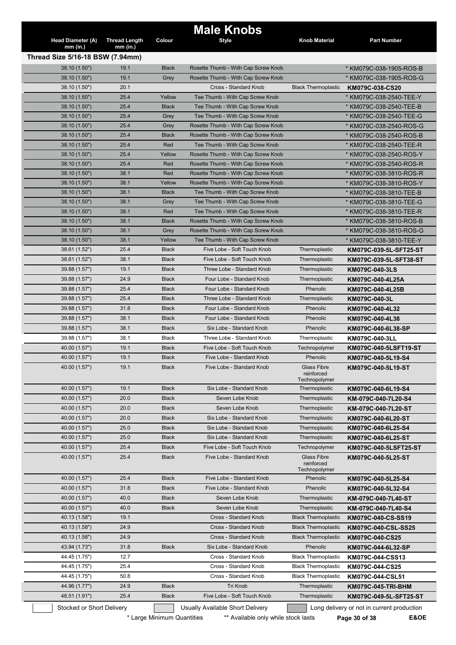| Head Diameter (A)<br>$mm$ (in.)  | <b>Thread Length</b><br>$mm$ (in.) | Colour                       | <b>Male Knobs</b><br><b>Style</b>                        | Knob Material                                     | <b>Part Number</b>                          |
|----------------------------------|------------------------------------|------------------------------|----------------------------------------------------------|---------------------------------------------------|---------------------------------------------|
| Thread Size 5/16-18 BSW (7.94mm) |                                    |                              |                                                          |                                                   |                                             |
| 38.10 (1.50")                    | 19.1                               | <b>Black</b>                 | Rosette Thumb - With Cap Screw Knob                      |                                                   | * KM079C-038-1905-ROS-B                     |
| 38.10 (1.50")                    | 19.1                               | Grey                         | Rosette Thumb - With Cap Screw Knob                      |                                                   | * KM079C-038-1905-ROS-G                     |
| 38.10 (1.50")                    | 20.1                               |                              | Cross - Standard Knob                                    | <b>Black Thermoplastic</b>                        | KM079C-038-CS20                             |
| 38.10 (1.50")                    | 25.4                               | Yellow                       | Tee Thumb - With Cap Screw Knob                          |                                                   | * KM079C-038-2540-TEE-Y                     |
| 38.10 (1.50")                    | 25.4                               | <b>Black</b>                 | Tee Thumb - With Cap Screw Knob                          |                                                   | * KM079C-038-2540-TEE-B                     |
| 38.10 (1.50")                    | 25.4                               | Grey                         | Tee Thumb - With Cap Screw Knob                          |                                                   | * KM079C-038-2540-TEE-G                     |
| 38.10 (1.50")                    | 25.4                               | Grey                         | Rosette Thumb - With Cap Screw Knob                      |                                                   | * KM079C-038-2540-ROS-G                     |
| 38.10 (1.50")                    | 25.4                               | Black                        | Rosette Thumb - With Cap Screw Knob                      |                                                   | * KM079C-038-2540-ROS-B                     |
| 38.10 (1.50")                    | 25.4                               | Red                          | Tee Thumb - With Cap Screw Knob                          |                                                   | * KM079C-038-2540-TEE-R                     |
| 38.10 (1.50")                    | 25.4                               | Yellow                       | Rosette Thumb - With Cap Screw Knob                      |                                                   | * KM079C-038-2540-ROS-Y                     |
| 38.10 (1.50")                    | 25.4                               | Red                          | Rosette Thumb - With Cap Screw Knob                      |                                                   | * KM079C-038-2540-ROS-R                     |
| 38.10 (1.50")                    | 38.1                               | Red                          | Rosette Thumb - With Cap Screw Knob                      |                                                   | * KM079C-038-3810-ROS-R                     |
| 38.10 (1.50")                    | 38.1                               | Yellow                       | Rosette Thumb - With Cap Screw Knob                      |                                                   | * KM079C-038-3810-ROS-Y                     |
| 38.10 (1.50")                    | 38.1                               | <b>Black</b>                 | Tee Thumb - With Cap Screw Knob                          |                                                   | * KM079C-038-3810-TEE-B                     |
| 38.10 (1.50")                    | 38.1                               | Grey                         | Tee Thumb - With Cap Screw Knob                          |                                                   | * KM079C-038-3810-TEE-G                     |
| 38.10 (1.50")                    | 38.1                               | Red                          | Tee Thumb - With Cap Screw Knob                          |                                                   | * KM079C-038-3810-TEE-R                     |
| 38.10 (1.50")                    | 38.1                               | <b>Black</b>                 | Rosette Thumb - With Cap Screw Knob                      |                                                   | * KM079C-038-3810-ROS-B                     |
| 38.10 (1.50")                    | 38.1                               | Grey                         | Rosette Thumb - With Cap Screw Knob                      |                                                   |                                             |
| 38.10 (1.50")                    | 38.1                               | Yellow                       | Tee Thumb - With Cap Screw Knob                          |                                                   | * KM079C-038-3810-ROS-G                     |
|                                  | 25.4                               | <b>Black</b>                 | Five Lobe - Soft Touch Knob                              | Thermoplastic                                     | * KM079C-038-3810-TEE-Y                     |
| 38.61 (1.52")                    |                                    |                              |                                                          |                                                   | KM079C-039-5L-SFT25-ST                      |
| 38.61 (1.52")                    | 38.1                               | <b>Black</b>                 | Five Lobe - Soft Touch Knob                              | Thermoplastic                                     | KM079C-039-5L-SFT38-ST                      |
| 39.88 (1.57")                    | 19.1                               | <b>Black</b>                 | Three Lobe - Standard Knob                               | Thermoplastic                                     | KM079C-040-3LS                              |
| 39.88 (1.57")                    | 24.9                               | <b>Black</b>                 | Four Lobe - Standard Knob                                | Thermoplastic                                     | KM079C-040-4L25A                            |
| 39.88 (1.57")                    | 25.4                               | <b>Black</b>                 | Four Lobe - Standard Knob                                | Phenolic                                          | KM079C-040-4L25B                            |
| 39.88 (1.57")                    | 25.4                               | <b>Black</b>                 | Three Lobe - Standard Knob                               | Thermoplastic                                     | KM079C-040-3L                               |
| 39.88 (1.57")                    | 31.8                               | <b>Black</b>                 | Four Lobe - Standard Knob                                | Phenolic                                          | KM079C-040-4L32                             |
|                                  |                                    |                              |                                                          |                                                   |                                             |
| 39.88 (1.57")                    | 38.1                               | <b>Black</b>                 | Four Lobe - Standard Knob                                | Phenolic                                          | KM079C-040-4L38                             |
| 39.88 (1.57")                    | 38.1                               | <b>Black</b>                 | Six Lobe - Standard Knob                                 | Phenolic                                          | KM079C-040-6L38-SP                          |
| 39.88 (1.57")                    | 38.1                               | Black                        | Three Lobe - Standard Knob                               | Thermoplastic                                     | KM079C-040-3LL                              |
| 40.00 (1.57")                    | 19.1                               | <b>Black</b>                 | Five Lobe - Soft Touch Knob                              | Technopolymer                                     |                                             |
| 40.00 (1.57")                    | 19.1                               | <b>Black</b>                 | Five Lobe - Standard Knob                                | Phenolic                                          | KM079C-040-5LSFT19-ST<br>KM079C-040-5L19-S4 |
| 40.00 (1.57")                    | 19.1                               | <b>Black</b>                 | Five Lobe - Standard Knob                                | <b>Glass Fibre</b><br>reinforced<br>Technopolymer | KM079C-040-5L19-ST                          |
| 40.00 (1.57")                    | 19.1                               | <b>Black</b>                 | Six Lobe - Standard Knob                                 | Thermoplastic                                     | KM079C-040-6L19-S4                          |
| 40.00 (1.57")                    | 20.0                               | <b>Black</b>                 | Seven Lobe Knob                                          | Thermoplastic                                     | KM-079C-040-7L20-S4                         |
| 40.00 (1.57")                    | 20.0                               | <b>Black</b>                 | Seven Lobe Knob                                          | Thermoplastic                                     |                                             |
|                                  |                                    | <b>Black</b>                 | Six Lobe - Standard Knob                                 |                                                   | KM-079C-040-7L20-ST                         |
| 40.00 (1.57")                    | 20.0                               |                              |                                                          | Thermoplastic                                     | KM079C-040-6L20-ST                          |
| 40.00 (1.57")                    | 25.0                               | <b>Black</b>                 | Six Lobe - Standard Knob                                 | Thermoplastic                                     | KM079C-040-6L25-S4                          |
| 40.00 (1.57")                    | 25.0                               | <b>Black</b>                 | Six Lobe - Standard Knob                                 | Thermoplastic                                     | KM079C-040-6L25-ST                          |
| 40.00 (1.57")<br>40.00 (1.57")   | 25.4<br>25.4                       | <b>Black</b><br><b>Black</b> | Five Lobe - Soft Touch Knob<br>Five Lobe - Standard Knob | Technopolymer<br>Glass Fibre<br>reinforced        | KM079C-040-5L25-ST                          |
| 40.00 (1.57")                    | 25.4                               | <b>Black</b>                 | Five Lobe - Standard Knob                                | Technopolymer<br>Phenolic                         |                                             |
|                                  |                                    |                              |                                                          |                                                   | KM079C-040-5L25-S4                          |
| 40.00 (1.57")                    | 31.8                               | <b>Black</b>                 | Five Lobe - Standard Knob                                | Phenolic                                          | KM079C-040-5L32-S4                          |
| 40.00 (1.57")                    | 40.0                               | <b>Black</b>                 | Seven Lobe Knob                                          | Thermoplastic                                     | KM-079C-040-7L40-ST                         |
| 40.00 (1.57")                    | 40.0                               | <b>Black</b>                 | Seven Lobe Knob                                          | Thermoplastic                                     | KM-079C-040-7L40-S4                         |
| 40.13 (1.58")                    | 19.1                               |                              | Cross - Standard Knob                                    | <b>Black Thermoplastic</b>                        | KM079C-040-CS-SS19                          |
| 40.13 (1.58")                    | 24.9                               |                              | Cross - Standard Knob                                    | <b>Black Thermoplastic</b>                        | KM079C-040-CSL-SS25                         |
| 40.13 (1.58")                    | 24.9                               |                              | Cross - Standard Knob                                    | <b>Black Thermoplastic</b>                        | KM079C-040-CS25                             |
| 43.94 (1.73")                    | 31.8                               | <b>Black</b>                 | Six Lobe - Standard Knob                                 | Phenolic                                          | KM079C-044-6L32-SP                          |
| 44.45 (1.75")                    | 12.7                               |                              | Cross - Standard Knob                                    | <b>Black Thermoplastic</b>                        | KM079C-044-CSS13                            |
| 44.45 (1.75")                    | 25.4                               |                              | Cross - Standard Knob                                    | <b>Black Thermoplastic</b>                        | KM079C-044-CS25                             |
| 44.45 (1.75")                    | 50.8                               |                              | Cross - Standard Knob                                    | <b>Black Thermoplastic</b>                        | KM079C-040-5LSFT25-ST<br>KM079C-044-CSL51   |
| 44.96 (1.77")                    | 24.9                               | <b>Black</b>                 | Tri Knob                                                 | Thermoplastic                                     | KM079C-045-TRI-BHM                          |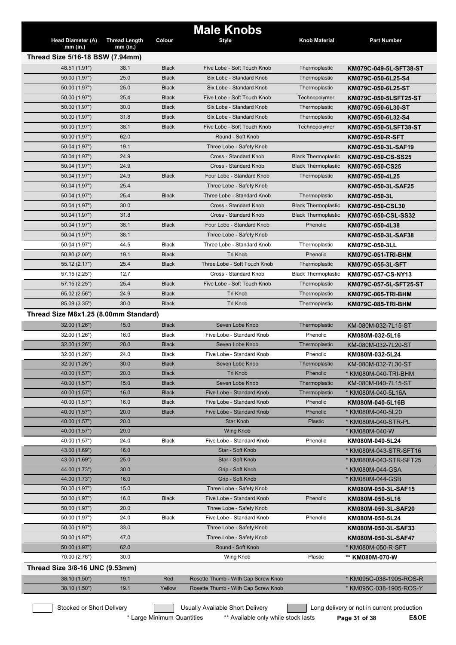|                                                |                      |               | <b>Male Knobs</b>                                                          |                            |                                                    |
|------------------------------------------------|----------------------|---------------|----------------------------------------------------------------------------|----------------------------|----------------------------------------------------|
| <b>Head Diameter (A)</b>                       | <b>Thread Length</b> | Colour        | <b>Style</b>                                                               | <b>Knob Material</b>       | <b>Part Number</b>                                 |
| $mm$ (in.)<br>Thread Size 5/16-18 BSW (7.94mm) | $mm$ (in.)           |               |                                                                            |                            |                                                    |
| 48.51 (1.91")                                  | 38.1                 | <b>Black</b>  | Five Lobe - Soft Touch Knob                                                | Thermoplastic              | KM079C-049-5L-SFT38-ST                             |
| 50.00 (1.97")                                  | 25.0                 | <b>Black</b>  | Six Lobe - Standard Knob                                                   | Thermoplastic              | KM079C-050-6L25-S4                                 |
| 50.00 (1.97")                                  | 25.0                 | <b>Black</b>  | Six Lobe - Standard Knob                                                   | Thermoplastic              |                                                    |
|                                                |                      |               | Five Lobe - Soft Touch Knob                                                |                            | KM079C-050-6L25-ST                                 |
| 50.00 (1.97")                                  | 25.4                 | <b>Black</b>  |                                                                            | Technopolymer              | KM079C-050-5LSFT25-ST                              |
| 50.00 (1.97")                                  | 30.0                 | <b>Black</b>  | Six Lobe - Standard Knob                                                   | Thermoplastic              | KM079C-050-6L30-ST                                 |
| 50.00 (1.97")                                  | 31.8                 | <b>Black</b>  | Six Lobe - Standard Knob                                                   | Thermoplastic              | KM079C-050-6L32-S4                                 |
| 50.00 (1.97")                                  | 38.1                 | <b>Black</b>  | Five Lobe - Soft Touch Knob                                                | Technopolymer              | KM079C-050-5LSFT38-ST                              |
| 50.00 (1.97")                                  | 62.0                 |               | Round - Soft Knob                                                          |                            | <b>KM079C-050-R-SFT</b>                            |
| 50.04 (1.97")                                  | 19.1                 |               | Three Lobe - Safety Knob                                                   |                            | KM079C-050-3L-SAF19                                |
| 50.04 (1.97")                                  | 24.9                 |               | Cross - Standard Knob                                                      | <b>Black Thermoplastic</b> | KM079C-050-CS-SS25                                 |
| 50.04 (1.97")                                  | 24.9                 |               | Cross - Standard Knob                                                      | <b>Black Thermoplastic</b> | KM079C-050-CS25                                    |
| 50.04 (1.97")                                  | 24.9                 | <b>Black</b>  | Four Lobe - Standard Knob                                                  | Thermoplastic              | KM079C-050-4L25                                    |
| 50.04 (1.97")                                  | 25.4                 |               | Three Lobe - Safety Knob                                                   |                            | KM079C-050-3L-SAF25                                |
| 50.04 (1.97")                                  | 25.4                 | <b>Black</b>  | Three Lobe - Standard Knob                                                 | Thermoplastic              | KM079C-050-3L                                      |
| 50.04 (1.97")                                  | 30.0                 |               | <b>Cross - Standard Knob</b>                                               | <b>Black Thermoplastic</b> | KM079C-050-CSL30                                   |
| 50.04 (1.97")                                  | 31.8                 |               | Cross - Standard Knob                                                      | <b>Black Thermoplastic</b> | KM079C-050-CSL-SS32                                |
| 50.04 (1.97")                                  | 38.1                 | <b>Black</b>  | Four Lobe - Standard Knob                                                  | Phenolic                   | KM079C-050-4L38                                    |
| 50.04 (1.97")                                  | 38.1                 |               | Three Lobe - Safety Knob                                                   |                            | KM079C-050-3L-SAF38                                |
| 50.04 (1.97")                                  | 44.5                 | <b>Black</b>  | Three Lobe - Standard Knob                                                 | Thermoplastic              | KM079C-050-3LL                                     |
| 50.80 (2.00")                                  | 19.1                 | <b>Black</b>  | Tri Knob                                                                   | Phenolic                   | <b>KM079C-051-TRI-BHM</b>                          |
| 55.12 (2.17")                                  | 25.4                 | <b>Black</b>  | Three Lobe - Soft Touch Knob                                               | Thermoplastic              | KM079C-055-3L-SFT                                  |
| 57.15 (2.25")                                  | 12.7                 |               | Cross - Standard Knob                                                      | <b>Black Thermoplastic</b> | KM079C-057-CS-NY13                                 |
| 57.15 (2.25")                                  | 25.4                 | <b>Black</b>  | Five Lobe - Soft Touch Knob                                                | Thermoplastic              | KM079C-057-5L-SFT25-ST                             |
| 65.02 (2.56")                                  | 24.9                 | <b>Black</b>  | Tri Knob                                                                   | Thermoplastic              | KM079C-065-TRI-BHM                                 |
| 85.09 (3.35")                                  | 30.0                 | <b>Black</b>  | Tri Knob                                                                   | Thermoplastic              | KM079C-085-TRI-BHM                                 |
| Thread Size M8x1.25 (8.00mm Standard)          |                      |               |                                                                            |                            |                                                    |
| 32.00 (1.26")                                  | 15.0                 | <b>Black</b>  | Seven Lobe Knob                                                            | Thermoplastic              | KM-080M-032-7L15-ST                                |
| 32.00 (1.26")                                  | 16.0                 | <b>Black</b>  | Five Lobe - Standard Knob                                                  | Phenolic                   | KM080M-032-5L16                                    |
| 32.00 (1.26")                                  | 20.0                 | <b>Black</b>  | Seven Lobe Knob                                                            | Thermoplastic              | KM-080M-032-7L20-ST                                |
| 32.00 (1.26")                                  | 24.0                 | Black         | Five Lobe - Standard Knob                                                  | Phenolic                   | KM080M-032-5L24                                    |
|                                                | 30.0                 | <b>Black</b>  | Seven Lobe Knob                                                            | Thermoplastic              |                                                    |
| 32.00 (1.26")<br>40.00 (1.57")                 | 20.0                 | <b>Black</b>  | <b>Tri Knob</b>                                                            | Phenolic                   | KM-080M-032-7L30-ST                                |
| 40.00 (1.57")                                  | 15.0                 | <b>Black</b>  | Seven Lobe Knob                                                            | Thermoplastic              | * KM080M-040-TRI-BHM                               |
|                                                |                      |               |                                                                            |                            | KM-080M-040-7L15-ST                                |
| 40.00 (1.57")                                  | 16.0                 | <b>Black</b>  | Five Lobe - Standard Knob                                                  | Thermoplastic              | * KM080M-040-5L16A                                 |
| 40.00 (1.57")                                  | 16.0                 | <b>Black</b>  | Five Lobe - Standard Knob                                                  | Phenolic                   | KM080M-040-5L16B                                   |
| 40.00 (1.57")                                  | 20.0                 | <b>Black</b>  | Five Lobe - Standard Knob                                                  | Phenolic                   | * KM080M-040-5L20                                  |
| 40.00 (1.57")                                  | 20.0                 |               | <b>Star Knob</b>                                                           | Plastic                    | * KM080M-040-STR-PL                                |
| 40.00 (1.57")                                  | 20.0                 |               | <b>Wing Knob</b>                                                           |                            | * KM080M-040-W                                     |
| 40.00 (1.57")                                  | 24.0                 | <b>Black</b>  | Five Lobe - Standard Knob                                                  | Phenolic                   | KM080M-040-5L24                                    |
|                                                |                      |               | Star - Soft Knob                                                           |                            | * KM080M-043-STR-SFT16                             |
| 43.00 (1.69")                                  | 16.0                 |               |                                                                            |                            |                                                    |
| 43.00 (1.69")                                  | 25.0                 |               | Star - Soft Knob                                                           |                            | * KM080M-043-STR-SFT25                             |
| 44.00 (1.73")                                  | 30.0                 |               | Grip - Soft Knob                                                           |                            | * KM080M-044-GSA                                   |
| 44.00 (1.73")                                  | 16.0                 |               | Grip - Soft Knob                                                           |                            | * KM080M-044-GSB                                   |
| 50.00 (1.97")                                  | 15.0                 |               | Three Lobe - Safety Knob                                                   |                            | KM080M-050-3L-SAF15                                |
| 50.00 (1.97")                                  | 16.0                 | <b>Black</b>  | Five Lobe - Standard Knob                                                  | Phenolic                   | KM080M-050-5L16                                    |
| 50.00 (1.97")                                  | 20.0                 |               | Three Lobe - Safety Knob                                                   |                            | KM080M-050-3L-SAF20                                |
| 50.00 (1.97")                                  | 24.0                 | Black         | Five Lobe - Standard Knob                                                  | Phenolic                   | KM080M-050-5L24                                    |
| 50.00 (1.97")                                  | 33.0                 |               | Three Lobe - Safety Knob                                                   |                            | KM080M-050-3L-SAF33                                |
| 50.00 (1.97")                                  | 47.0                 |               | Three Lobe - Safety Knob                                                   |                            | KM080M-050-3L-SAF47                                |
| 50.00 (1.97")                                  | 62.0                 |               | Round - Soft Knob                                                          |                            | * KM080M-050-R-SFT                                 |
| 70.00 (2.76")                                  | 30.0                 |               | Wing Knob                                                                  | Plastic                    | ** KM080M-070-W                                    |
|                                                |                      |               |                                                                            |                            |                                                    |
| Thread Size 3/8-16 UNC (9.53mm)                |                      |               |                                                                            |                            |                                                    |
| 38.10 (1.50")<br>38.10 (1.50")                 | 19.1<br>19.1         | Red<br>Yellow | Rosette Thumb - With Cap Screw Knob<br>Rosette Thumb - With Cap Screw Knob |                            | * KM095C-038-1905-ROS-R<br>* KM095C-038-1905-ROS-Y |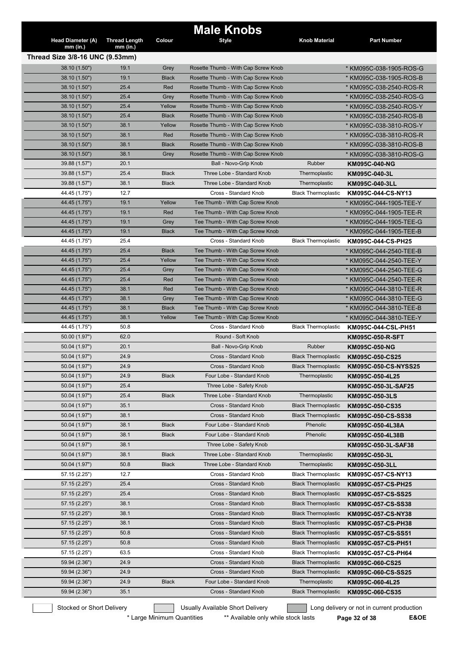|                                 |                      |              | <b>Male Knobs</b>                   |                            |                         |
|---------------------------------|----------------------|--------------|-------------------------------------|----------------------------|-------------------------|
| Head Diameter (A)               | <b>Thread Length</b> | Colour       | <b>Style</b>                        | <b>Knob Material</b>       | <b>Part Number</b>      |
| $mm$ (in.)                      | $mm$ (in.)           |              |                                     |                            |                         |
| Thread Size 3/8-16 UNC (9.53mm) |                      |              |                                     |                            |                         |
| 38.10 (1.50")                   | 19.1                 | Grey         | Rosette Thumb - With Cap Screw Knob |                            | * KM095C-038-1905-ROS-G |
| 38.10 (1.50")                   | 19.1                 | <b>Black</b> | Rosette Thumb - With Cap Screw Knob |                            | * KM095C-038-1905-ROS-B |
| 38.10 (1.50")                   | 25.4                 | Red          | Rosette Thumb - With Cap Screw Knob |                            | * KM095C-038-2540-ROS-R |
| 38.10 (1.50")                   | 25.4                 | Grey         | Rosette Thumb - With Cap Screw Knob |                            | * KM095C-038-2540-ROS-G |
| 38.10 (1.50")                   | 25.4                 | Yellow       | Rosette Thumb - With Cap Screw Knob |                            | * KM095C-038-2540-ROS-Y |
| 38.10 (1.50")                   | 25.4                 | <b>Black</b> | Rosette Thumb - With Cap Screw Knob |                            | * KM095C-038-2540-ROS-B |
| 38.10 (1.50")                   | 38.1                 | Yellow       | Rosette Thumb - With Cap Screw Knob |                            | * KM095C-038-3810-ROS-Y |
| 38.10 (1.50")                   | 38.1                 | Red          | Rosette Thumb - With Cap Screw Knob |                            | * KM095C-038-3810-ROS-R |
| 38.10 (1.50")                   | 38.1                 | <b>Black</b> | Rosette Thumb - With Cap Screw Knob |                            | * KM095C-038-3810-ROS-B |
| 38.10 (1.50")                   | 38.1                 | Grey         | Rosette Thumb - With Cap Screw Knob |                            | * KM095C-038-3810-ROS-G |
| 39.88 (1.57")                   | 20.1                 |              | Ball - Novo-Grip Knob               | Rubber                     | <b>KM095C-040-NG</b>    |
| 39.88 (1.57")                   | 25.4                 | <b>Black</b> | Three Lobe - Standard Knob          | Thermoplastic              | KM095C-040-3L           |
| 39.88 (1.57")                   | 38.1                 | <b>Black</b> | Three Lobe - Standard Knob          | Thermoplastic              | KM095C-040-3LL          |
| 44.45 (1.75")                   | 12.7                 |              | Cross - Standard Knob               | <b>Black Thermoplastic</b> | KM095C-044-CS-NY13      |
| 44.45 (1.75")                   | 19.1                 | Yellow       | Tee Thumb - With Cap Screw Knob     |                            | * KM095C-044-1905-TEE-Y |
| 44.45 (1.75")                   | 19.1                 | Red          | Tee Thumb - With Cap Screw Knob     |                            | * KM095C-044-1905-TEE-R |
| 44.45 (1.75")                   | 19.1                 | Grey         | Tee Thumb - With Cap Screw Knob     |                            | * KM095C-044-1905-TEE-G |
| 44.45 (1.75")                   | 19.1                 | <b>Black</b> | Tee Thumb - With Cap Screw Knob     |                            | * KM095C-044-1905-TEE-B |
| 44.45 (1.75")                   | 25.4                 |              | Cross - Standard Knob               | <b>Black Thermoplastic</b> | KM095C-044-CS-PH25      |
| 44.45 (1.75")                   | 25.4                 | <b>Black</b> | Tee Thumb - With Cap Screw Knob     |                            | * KM095C-044-2540-TEE-B |
| 44.45 (1.75")                   | 25.4                 | Yellow       | Tee Thumb - With Cap Screw Knob     |                            | * KM095C-044-2540-TEE-Y |
| 44.45 (1.75")                   | 25.4                 | Grey         | Tee Thumb - With Cap Screw Knob     |                            | * KM095C-044-2540-TEE-G |
| 44.45 (1.75")                   | 25.4                 | Red          | Tee Thumb - With Cap Screw Knob     |                            | * KM095C-044-2540-TEE-R |
| 44.45 (1.75")                   | 38.1                 | Red          | Tee Thumb - With Cap Screw Knob     |                            | * KM095C-044-3810-TEE-R |
| 44.45 (1.75")                   | 38.1                 | Grey         | Tee Thumb - With Cap Screw Knob     |                            | * KM095C-044-3810-TEE-G |
| 44.45 (1.75")                   | 38.1                 | <b>Black</b> | Tee Thumb - With Cap Screw Knob     |                            | * KM095C-044-3810-TEE-B |
| 44.45 (1.75")                   | 38.1                 | Yellow       | Tee Thumb - With Cap Screw Knob     |                            | * KM095C-044-3810-TEE-Y |
| 44.45 (1.75")                   | 50.8                 |              | Cross - Standard Knob               | <b>Black Thermoplastic</b> | KM095C-044-CSL-PH51     |
| 50.00 (1.97")                   | 62.0                 |              | Round - Soft Knob                   |                            | <b>KM095C-050-R-SFT</b> |
| 50.04 (1.97")                   | 20.1                 |              | Ball - Novo-Grip Knob               | Rubber                     | <b>KM095C-050-NG</b>    |
| 50.04 (1.97")                   | 24.9                 |              | Cross - Standard Knob               | <b>Black Thermoplastic</b> | KM095C-050-CS25         |
| 50.04 (1.97")                   | 24.9                 |              | Cross - Standard Knob               | <b>Black Thermoplastic</b> | KM095C-050-CS-NYSS25    |
| 50.04 (1.97")                   | 24.9                 | <b>Black</b> | Four Lobe - Standard Knob           | Thermoplastic              | KM095C-050-4L25         |
| 50.04 (1.97")                   | 25.4                 |              | Three Lobe - Safety Knob            |                            | KM095C-050-3L-SAF25     |
| 50.04 (1.97")                   | 25.4                 | <b>Black</b> | Three Lobe - Standard Knob          | Thermoplastic              | KM095C-050-3LS          |
| 50.04 (1.97")                   | 35.1                 |              | Cross - Standard Knob               | <b>Black Thermoplastic</b> | KM095C-050-CS35         |
| 50.04 (1.97")                   | 38.1                 |              | Cross - Standard Knob               | <b>Black Thermoplastic</b> | KM095C-050-CS-SS38      |
| 50.04 (1.97")                   | 38.1                 | <b>Black</b> | Four Lobe - Standard Knob           | Phenolic                   | KM095C-050-4L38A        |
| 50.04 (1.97")                   | 38.1                 | <b>Black</b> | Four Lobe - Standard Knob           | Phenolic                   | KM095C-050-4L38B        |
| 50.04 (1.97")                   | 38.1                 |              | Three Lobe - Safety Knob            |                            | KM095C-050-3L-SAF38     |
| 50.04 (1.97")                   | 38.1                 | <b>Black</b> | Three Lobe - Standard Knob          | Thermoplastic              | KM095C-050-3L           |
| 50.04 (1.97")                   | 50.8                 | <b>Black</b> | Three Lobe - Standard Knob          | Thermoplastic              | KM095C-050-3LL          |
| 57.15 (2.25")                   | 12.7                 |              | Cross - Standard Knob               | <b>Black Thermoplastic</b> | KM095C-057-CS-NY13      |
| 57.15(2.25")                    | 25.4                 |              | Cross - Standard Knob               | <b>Black Thermoplastic</b> |                         |
|                                 | 25.4                 |              |                                     |                            | KM095C-057-CS-PH25      |
| 57.15 (2.25")                   |                      |              | Cross - Standard Knob               | <b>Black Thermoplastic</b> | KM095C-057-CS-SS25      |
| 57.15 (2.25")                   | 38.1                 |              | Cross - Standard Knob               | <b>Black Thermoplastic</b> | KM095C-057-CS-SS38      |
| 57.15 (2.25")                   | 38.1                 |              | Cross - Standard Knob               | <b>Black Thermoplastic</b> | KM095C-057-CS-NY38      |
| 57.15 (2.25")                   | 38.1                 |              | Cross - Standard Knob               | <b>Black Thermoplastic</b> | KM095C-057-CS-PH38      |
| 57.15 (2.25")                   | 50.8                 |              | Cross - Standard Knob               | <b>Black Thermoplastic</b> | KM095C-057-CS-SS51      |
| 57.15 (2.25")                   | 50.8                 |              | Cross - Standard Knob               | <b>Black Thermoplastic</b> | KM095C-057-CS-PH51      |
| 57.15 (2.25")                   | 63.5                 |              | Cross - Standard Knob               | <b>Black Thermoplastic</b> | KM095C-057-CS-PH64      |
| 59.94 (2.36")                   | 24.9                 |              | Cross - Standard Knob               | <b>Black Thermoplastic</b> | KM095C-060-CS25         |
| 59.94 (2.36")                   | 24.9                 |              | Cross - Standard Knob               | <b>Black Thermoplastic</b> | KM095C-060-CS-SS25      |
| 59.94 (2.36")                   | 24.9                 | <b>Black</b> | Four Lobe - Standard Knob           | Thermoplastic              | KM095C-060-4L25         |
| 59.94 (2.36")                   | 35.1                 |              | Cross - Standard Knob               | <b>Black Thermoplastic</b> | KM095C-060-CS35         |

\* Large Minimum Quantities \*\* Available only while stock lasts **Page 32 of 38 E&OE**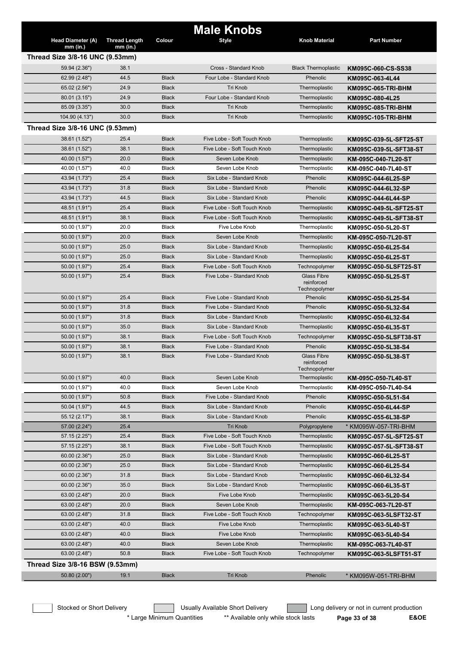|                                        |                                    |              | <b>Male Knobs</b>           |                             |                        |  |  |  |
|----------------------------------------|------------------------------------|--------------|-----------------------------|-----------------------------|------------------------|--|--|--|
| <b>Head Diameter (A)</b><br>$mm$ (in.) | <b>Thread Length</b><br>$mm$ (in.) | Colour       | <b>Style</b>                | <b>Knob Material</b>        | <b>Part Number</b>     |  |  |  |
| Thread Size 3/8-16 UNC (9.53mm)        |                                    |              |                             |                             |                        |  |  |  |
| 59.94 (2.36")                          | 38.1                               |              | Cross - Standard Knob       | <b>Black Thermoplastic</b>  | KM095C-060-CS-SS38     |  |  |  |
| 62.99 (2.48")                          | 44.5                               | <b>Black</b> | Four Lobe - Standard Knob   | Phenolic                    | KM095C-063-4L44        |  |  |  |
| 65.02 (2.56")                          | 24.9                               | <b>Black</b> | <b>Tri Knob</b>             | Thermoplastic               | KM095C-065-TRI-BHM     |  |  |  |
| 80.01 (3.15")                          | 24.9                               | <b>Black</b> | Four Lobe - Standard Knob   | Thermoplastic               | KM095C-080-4L25        |  |  |  |
| 85.09 (3.35")                          | 30.0                               | <b>Black</b> | <b>Tri Knob</b>             | Thermoplastic               | KM095C-085-TRI-BHM     |  |  |  |
| 104.90 (4.13")                         | 30.0                               | <b>Black</b> | Tri Knob                    | Thermoplastic               | KM095C-105-TRI-BHM     |  |  |  |
| Thread Size 3/8-16 UNC (9.53mm)        |                                    |              |                             |                             |                        |  |  |  |
| 38.61 (1.52")                          | 25.4                               | <b>Black</b> | Five Lobe - Soft Touch Knob | Thermoplastic               | KM095C-039-5L-SFT25-ST |  |  |  |
| 38.61 (1.52")                          | 38.1                               | <b>Black</b> | Five Lobe - Soft Touch Knob | Thermoplastic               | KM095C-039-5L-SFT38-ST |  |  |  |
| 40.00 (1.57")                          | 20.0                               | <b>Black</b> | Seven Lobe Knob             | Thermoplastic               | KM-095C-040-7L20-ST    |  |  |  |
| 40.00 (1.57")                          | 40.0                               | Black        | Seven Lobe Knob             | Thermoplastic               | KM-095C-040-7L40-ST    |  |  |  |
| 43.94 (1.73")                          | 25.4                               | <b>Black</b> | Six Lobe - Standard Knob    | Phenolic                    | KM095C-044-6L25-SP     |  |  |  |
| 43.94 (1.73")                          | 31.8                               | <b>Black</b> | Six Lobe - Standard Knob    | Phenolic                    | KM095C-044-6L32-SP     |  |  |  |
| 43.94 (1.73")                          | 44.5                               | <b>Black</b> | Six Lobe - Standard Knob    | Phenolic                    | KM095C-044-6L44-SP     |  |  |  |
| 48.51 (1.91")                          | 25.4                               | <b>Black</b> | Five Lobe - Soft Touch Knob | Thermoplastic               | KM095C-049-5L-SFT25-ST |  |  |  |
| 48.51 (1.91")                          | 38.1                               | <b>Black</b> | Five Lobe - Soft Touch Knob | Thermoplastic               | KM095C-049-5L-SFT38-ST |  |  |  |
| 50.00 (1.97")                          | 20.0                               | <b>Black</b> | Five Lobe Knob              | Thermoplastic               | KM095C-050-5L20-ST     |  |  |  |
| 50.00 (1.97")                          | 20.0                               | <b>Black</b> | Seven Lobe Knob             | Thermoplastic               | KM-095C-050-7L20-ST    |  |  |  |
| 50.00 (1.97")                          | 25.0                               | <b>Black</b> | Six Lobe - Standard Knob    | Thermoplastic               | KM095C-050-6L25-S4     |  |  |  |
| 50.00 (1.97")                          | 25.0                               | <b>Black</b> | Six Lobe - Standard Knob    | Thermoplastic               | KM095C-050-6L25-ST     |  |  |  |
| 50.00 (1.97")                          | 25.4                               | <b>Black</b> | Five Lobe - Soft Touch Knob | Technopolymer               | KM095C-050-5LSFT25-ST  |  |  |  |
| 50.00 (1.97")                          | 25.4                               | <b>Black</b> | Five Lobe - Standard Knob   | <b>Glass Fibre</b>          | KM095C-050-5L25-ST     |  |  |  |
|                                        |                                    |              |                             | reinforced<br>Technopolymer |                        |  |  |  |
| 50.00 (1.97")                          | 25.4                               | <b>Black</b> | Five Lobe - Standard Knob   | Phenolic                    | KM095C-050-5L25-S4     |  |  |  |
| 50.00 (1.97")                          | 31.8                               | <b>Black</b> | Five Lobe - Standard Knob   | Phenolic                    | KM095C-050-5L32-S4     |  |  |  |
| 50.00 (1.97")                          | 31.8                               | <b>Black</b> | Six Lobe - Standard Knob    | Thermoplastic               | KM095C-050-6L32-S4     |  |  |  |
| 50.00 (1.97")                          | 35.0                               | <b>Black</b> | Six Lobe - Standard Knob    | Thermoplastic               | KM095C-050-6L35-ST     |  |  |  |
| 50.00 (1.97")                          | 38.1                               | <b>Black</b> | Five Lobe - Soft Touch Knob | Technopolymer               | KM095C-050-5LSFT38-ST  |  |  |  |
| 50.00 (1.97")                          | 38.1                               | <b>Black</b> | Five Lobe - Standard Knob   | Phenolic                    | KM095C-050-5L38-S4     |  |  |  |
| 50.00 (1.97")                          | 38.1                               | <b>Black</b> | Five Lobe - Standard Knob   | <b>Glass Fibre</b>          | KM095C-050-5L38-ST     |  |  |  |
|                                        |                                    |              |                             | reinforced<br>Technopolymer |                        |  |  |  |
| 50.00 (1.97")                          | 40.0                               | <b>Black</b> | Seven Lobe Knob             | Thermoplastic               | KM-095C-050-7L40-ST    |  |  |  |
| 50.00 (1.97")                          | 40.0                               | Black        | Seven Lobe Knob             | Thermoplastic               | KM-095C-050-7L40-S4    |  |  |  |
| 50.00 (1.97")                          | 50.8                               | <b>Black</b> | Five Lobe - Standard Knob   | Phenolic                    | KM095C-050-5L51-S4     |  |  |  |
| 50.04 (1.97")                          | 44.5                               | <b>Black</b> | Six Lobe - Standard Knob    | Phenolic                    | KM095C-050-6L44-SP     |  |  |  |
| 55.12 (2.17")                          | 38.1                               | <b>Black</b> | Six Lobe - Standard Knob    | Phenolic                    | KM095C-055-6L38-SP     |  |  |  |
| 57.00 (2.24")                          | 25.4                               |              | <b>Tri Knob</b>             | Polypropylene               | * KM095W-057-TRI-BHM   |  |  |  |
| 57.15 (2.25")                          | 25.4                               | <b>Black</b> | Five Lobe - Soft Touch Knob | Thermoplastic               | KM095C-057-5L-SFT25-ST |  |  |  |
| 57.15 (2.25")                          | 38.1                               | <b>Black</b> | Five Lobe - Soft Touch Knob | Thermoplastic               | KM095C-057-5L-SFT38-ST |  |  |  |
| 60.00 (2.36")                          | 25.0                               | <b>Black</b> | Six Lobe - Standard Knob    | Thermoplastic               | KM095C-060-6L25-ST     |  |  |  |
| 60.00 (2.36")                          | 25.0                               | <b>Black</b> | Six Lobe - Standard Knob    | Thermoplastic               | KM095C-060-6L25-S4     |  |  |  |
| 60.00 (2.36")                          | 31.8                               | <b>Black</b> | Six Lobe - Standard Knob    | Thermoplastic               | KM095C-060-6L32-S4     |  |  |  |
| 60.00 (2.36")                          | 35.0                               | <b>Black</b> | Six Lobe - Standard Knob    | Thermoplastic               | KM095C-060-6L35-ST     |  |  |  |
| 63.00 (2.48")                          | 20.0                               | <b>Black</b> | Five Lobe Knob              | Thermoplastic               | KM095C-063-5L20-S4     |  |  |  |
| 63.00 (2.48")                          | 20.0                               | <b>Black</b> | Seven Lobe Knob             | Thermoplastic               | KM-095C-063-7L20-ST    |  |  |  |
| 63.00 (2.48")                          | 31.8                               | <b>Black</b> | Five Lobe - Soft Touch Knob | Technopolymer               | KM095C-063-5LSFT32-ST  |  |  |  |
| 63.00 (2.48")                          | 40.0                               | <b>Black</b> | Five Lobe Knob              | Thermoplastic               | KM095C-063-5L40-ST     |  |  |  |
| 63.00 (2.48")                          | 40.0                               | <b>Black</b> | Five Lobe Knob              | Thermoplastic               | KM095C-063-5L40-S4     |  |  |  |
| 63.00 (2.48")                          | 40.0                               | <b>Black</b> | Seven Lobe Knob             | Thermoplastic               | KM-095C-063-7L40-ST    |  |  |  |
| 63.00 (2.48")                          | 50.8                               | <b>Black</b> | Five Lobe - Soft Touch Knob | Technopolymer               | KM095C-063-5LSFT51-ST  |  |  |  |
| Thread Size 3/8-16 BSW (9.53mm)        |                                    |              |                             |                             |                        |  |  |  |
| 50.80 (2.00")                          | 19.1                               | <b>Black</b> | <b>Tri Knob</b>             | Phenolic                    | * KM095W-051-TRI-BHM   |  |  |  |
|                                        |                                    |              |                             |                             |                        |  |  |  |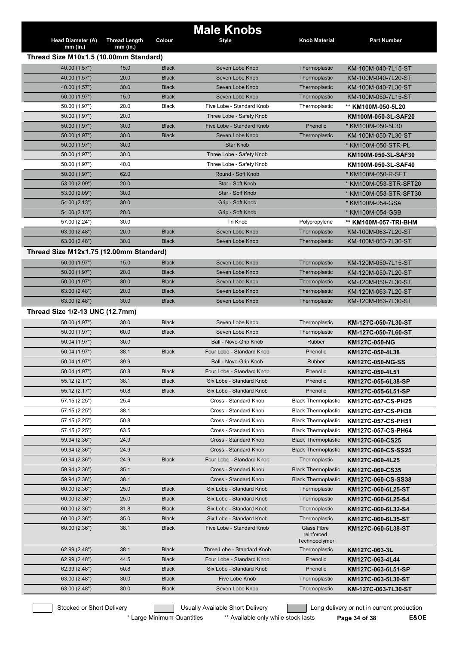|                                         |                      |              | <b>Male Knobs</b>                             |                             |                                                  |
|-----------------------------------------|----------------------|--------------|-----------------------------------------------|-----------------------------|--------------------------------------------------|
| <b>Head Diameter (A)</b>                | <b>Thread Length</b> | Colour       | <b>Style</b>                                  | <b>Knob Material</b>        | <b>Part Number</b>                               |
| $mm$ (in.)                              | mm (in.)             |              |                                               |                             |                                                  |
| Thread Size M10x1.5 (10.00mm Standard)  |                      |              |                                               |                             |                                                  |
| 40.00 (1.57")                           | 15.0                 | <b>Black</b> | Seven Lobe Knob                               | Thermoplastic               | KM-100M-040-7L15-ST                              |
| 40.00 (1.57")                           | 20.0                 | <b>Black</b> | Seven Lobe Knob                               | Thermoplastic               | KM-100M-040-7L20-ST                              |
| 40.00 (1.57")                           | 30.0                 | <b>Black</b> | Seven Lobe Knob                               | Thermoplastic               | KM-100M-040-7L30-ST                              |
| 50.00 (1.97")                           | 15.0                 | <b>Black</b> | Seven Lobe Knob                               | Thermoplastic               | KM-100M-050-7L15-ST                              |
| 50.00 (1.97")                           | 20.0                 | <b>Black</b> | Five Lobe - Standard Knob                     | Thermoplastic               | ** KM100M-050-5L20                               |
| 50.00 (1.97")                           | 20.0                 |              | Three Lobe - Safety Knob                      |                             | KM100M-050-3L-SAF20                              |
| 50.00 (1.97")                           | 30.0                 | <b>Black</b> | Five Lobe - Standard Knob                     | Phenolic                    | * KM100M-050-5L30                                |
| 50.00 (1.97")                           | 30.0                 | <b>Black</b> | Seven Lobe Knob                               | Thermoplastic               | KM-100M-050-7L30-ST                              |
| 50.00 (1.97")                           | 30.0<br>30.0         |              | <b>Star Knob</b>                              |                             | * KM100M-050-STR-PL                              |
| 50.00 (1.97")                           | 40.0                 |              | Three Lobe - Safety Knob                      |                             | KM100M-050-3L-SAF30                              |
| 50.00 (1.97")                           |                      |              | Three Lobe - Safety Knob<br>Round - Soft Knob |                             | KM100M-050-3L-SAF40                              |
| 50.00 (1.97")<br>53.00 (2.09")          | 62.0<br>20.0         |              | Star - Soft Knob                              |                             | * KM100M-050-R-SFT                               |
| 53.00 (2.09")                           | 30.0                 |              | Star - Soft Knob                              |                             | * KM100M-053-STR-SFT20<br>* KM100M-053-STR-SFT30 |
| 54.00 (2.13")                           | 30.0                 |              | Grip - Soft Knob                              |                             | * KM100M-054-GSA                                 |
| 54.00 (2.13")                           | 20.0                 |              | Grip - Soft Knob                              |                             | * KM100M-054-GSB                                 |
| 57.00 (2.24")                           | 30.0                 |              | Tri Knob                                      | Polypropylene               | ** KM100M-057-TRI-BHM                            |
| 63.00 (2.48")                           | 20.0                 | <b>Black</b> | Seven Lobe Knob                               | Thermoplastic               | KM-100M-063-7L20-ST                              |
| 63.00 (2.48")                           | 30.0                 | <b>Black</b> | Seven Lobe Knob                               | Thermoplastic               | KM-100M-063-7L30-ST                              |
| Thread Size M12x1.75 (12.00mm Standard) |                      |              |                                               |                             |                                                  |
| 50.00 (1.97")                           | 15.0                 | <b>Black</b> | Seven Lobe Knob                               | Thermoplastic               | KM-120M-050-7L15-ST                              |
| 50.00 (1.97")                           | 20.0                 | <b>Black</b> | Seven Lobe Knob                               | Thermoplastic               | KM-120M-050-7L20-ST                              |
| 50.00 (1.97")                           | 30.0                 | <b>Black</b> | Seven Lobe Knob                               | Thermoplastic               | KM-120M-050-7L30-ST                              |
| 63.00 (2.48")                           | 20.0                 | <b>Black</b> | Seven Lobe Knob                               | Thermoplastic               | KM-120M-063-7L20-ST                              |
| 63.00 (2.48")                           | 30.0                 | <b>Black</b> | Seven Lobe Knob                               | Thermoplastic               | KM-120M-063-7L30-ST                              |
| Thread Size 1/2-13 UNC (12.7mm)         |                      |              |                                               |                             |                                                  |
| 50.00 (1.97")                           | 30.0                 | <b>Black</b> | Seven Lobe Knob                               | Thermoplastic               | KM-127C-050-7L30-ST                              |
| 50.00 (1.97")                           | 60.0                 | <b>Black</b> | Seven Lobe Knob                               | Thermoplastic               | KM-127C-050-7L60-ST                              |
| 50.04 (1.97")                           | 30.0                 |              | Ball - Novo-Grip Knob                         | <b>Rubber</b>               | KM127C-050-NG                                    |
| 50.04 (1.97")                           | 38.1                 | <b>Black</b> | Four Lobe - Standard Knob                     | Phenolic                    | KM127C-050-4L38                                  |
| 50.04 (1.97")                           | 39.9                 |              | Ball - Novo-Grip Knob                         | Rubber                      | KM127C-050-NG-SS                                 |
| 50.04 (1.97")                           | 50.8                 | <b>Black</b> | Four Lobe - Standard Knob                     | Phenolic                    | KM127C-050-4L51                                  |
| 55.12 (2.17")                           | 38.1                 | <b>Black</b> | Six Lobe - Standard Knob                      | Phenolic                    | KM127C-055-6L38-SP                               |
| 55.12 (2.17")                           | 50.8                 | <b>Black</b> | Six Lobe - Standard Knob                      | Phenolic                    | KM127C-055-6L51-SP                               |
| 57.15 (2.25")                           | 25.4                 |              | Cross - Standard Knob                         | <b>Black Thermoplastic</b>  | KM127C-057-CS-PH25                               |
| 57.15 (2.25")                           | 38.1                 |              | Cross - Standard Knob                         | <b>Black Thermoplastic</b>  | KM127C-057-CS-PH38                               |
| 57.15 (2.25")                           | 50.8                 |              | Cross - Standard Knob                         | <b>Black Thermoplastic</b>  | KM127C-057-CS-PH51                               |
| 57.15 (2.25")                           | 63.5                 |              | Cross - Standard Knob                         | <b>Black Thermoplastic</b>  | KM127C-057-CS-PH64                               |
| 59.94 (2.36")                           | 24.9                 |              | Cross - Standard Knob                         | <b>Black Thermoplastic</b>  | KM127C-060-CS25                                  |
| 59.94 (2.36")                           | 24.9                 |              | Cross - Standard Knob                         | <b>Black Thermoplastic</b>  | KM127C-060-CS-SS25                               |
| 59.94 (2.36")                           | 24.9                 | <b>Black</b> | Four Lobe - Standard Knob                     | Thermoplastic               | KM127C-060-4L25                                  |
| 59.94 (2.36")                           | 35.1                 |              | Cross - Standard Knob                         | <b>Black Thermoplastic</b>  | KM127C-060-CS35                                  |
| 59.94 (2.36")                           | 38.1                 |              | Cross - Standard Knob                         | <b>Black Thermoplastic</b>  | KM127C-060-CS-SS38                               |
| 60.00 (2.36")                           | 25.0                 | <b>Black</b> | Six Lobe - Standard Knob                      | Thermoplastic               | KM127C-060-6L25-ST                               |
| 60.00 (2.36")                           | 25.0                 | <b>Black</b> | Six Lobe - Standard Knob                      | Thermoplastic               | KM127C-060-6L25-S4                               |
| 60.00 (2.36")                           | 31.8                 | <b>Black</b> | Six Lobe - Standard Knob                      | Thermoplastic               | KM127C-060-6L32-S4                               |
| 60.00 (2.36")                           | 35.0                 | <b>Black</b> | Six Lobe - Standard Knob                      | Thermoplastic               | KM127C-060-6L35-ST                               |
| 60.00 (2.36")                           | 38.1                 | <b>Black</b> | Five Lobe - Standard Knob                     | <b>Glass Fibre</b>          | KM127C-060-5L38-ST                               |
|                                         |                      |              |                                               | reinforced<br>Technopolymer |                                                  |
| 62.99 (2.48")                           | 38.1                 | <b>Black</b> | Three Lobe - Standard Knob                    | Thermoplastic               | KM127C-063-3L                                    |
| 62.99 (2.48")                           | 44.5                 | <b>Black</b> | Four Lobe - Standard Knob                     | Phenolic                    | KM127C-063-4L44                                  |
| 62.99 (2.48")                           | 50.8                 | <b>Black</b> | Six Lobe - Standard Knob                      | Phenolic                    | KM127C-063-6L51-SP                               |
| 63.00 (2.48")                           | 30.0                 | <b>Black</b> | Five Lobe Knob                                | Thermoplastic               | KM127C-063-5L30-ST                               |
| 63.00 (2.48")                           | 30.0                 | <b>Black</b> | Seven Lobe Knob                               | Thermoplastic               | KM-127C-063-7L30-ST                              |
|                                         |                      |              |                                               |                             |                                                  |

\* Large Minimum Quantities \*\* Available only while stock lasts **Page 34 of 38 E&OE**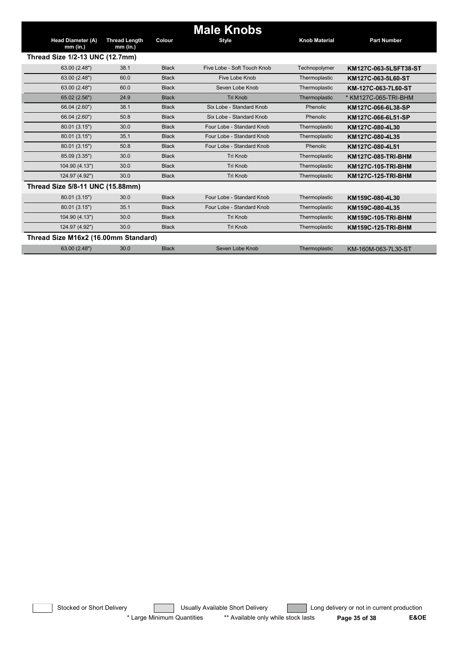|                                        |                                    |              | <b>Male Knobs</b>           |                      |                           |
|----------------------------------------|------------------------------------|--------------|-----------------------------|----------------------|---------------------------|
| <b>Head Diameter (A)</b><br>$mm$ (in.) | <b>Thread Length</b><br>$mm$ (in.) | Colour       | <b>Style</b>                | <b>Knob Material</b> | <b>Part Number</b>        |
| Thread Size 1/2-13 UNC (12.7mm)        |                                    |              |                             |                      |                           |
| 63.00 (2.48")                          | 38.1                               | <b>Black</b> | Five Lobe - Soft Touch Knob | Technopolymer        | KM127C-063-5LSFT38-ST     |
| 63.00 (2.48")                          | 60.0                               | <b>Black</b> | Five Lobe Knob              | Thermoplastic        | KM127C-063-5L60-ST        |
| 63.00 (2.48")                          | 60.0                               | <b>Black</b> | Seven Lobe Knob             | Thermoplastic        | KM-127C-063-7L60-ST       |
| 65.02 (2.56")                          | 24.9                               | <b>Black</b> | <b>Tri Knob</b>             | Thermoplastic        | * KM127C-065-TRI-BHM      |
| 66.04 (2.60")                          | 38.1                               | <b>Black</b> | Six Lobe - Standard Knob    | Phenolic             | KM127C-066-6L38-SP        |
| 66.04 (2.60")                          | 50.8                               | <b>Black</b> | Six Lobe - Standard Knob    | Phenolic             | KM127C-066-6L51-SP        |
| 80.01 (3.15")                          | 30.0                               | <b>Black</b> | Four Lobe - Standard Knob   | Thermoplastic        | KM127C-080-4L30           |
| 80.01 (3.15")                          | 35.1                               | <b>Black</b> | Four Lobe - Standard Knob   | Thermoplastic        | KM127C-080-4L35           |
| 80.01 (3.15")                          | 50.8                               | <b>Black</b> | Four Lobe - Standard Knob   | Phenolic             | KM127C-080-4L51           |
| 85.09 (3.35")                          | 30.0                               | <b>Black</b> | <b>Tri Knob</b>             | Thermoplastic        | KM127C-085-TRI-BHM        |
| 104.90 (4.13")                         | 30.0                               | <b>Black</b> | Tri Knob                    | Thermoplastic        | KM127C-105-TRI-BHM        |
| 124.97 (4.92")                         | 30.0                               | <b>Black</b> | <b>Tri Knob</b>             | Thermoplastic        | <b>KM127C-125-TRI-BHM</b> |
| Thread Size 5/8-11 UNC (15.88mm)       |                                    |              |                             |                      |                           |
| 80.01 (3.15")                          | 30.0                               | <b>Black</b> | Four Lobe - Standard Knob   | Thermoplastic        | KM159C-080-4L30           |
| 80.01 (3.15")                          | 35.1                               | <b>Black</b> | Four Lobe - Standard Knob   | Thermoplastic        | KM159C-080-4L35           |
| 104.90 (4.13")                         | 30.0                               | <b>Black</b> | <b>Tri Knob</b>             | Thermoplastic        | KM159C-105-TRI-BHM        |
| 124.97 (4.92")                         | 30.0                               | <b>Black</b> | <b>Tri Knob</b>             | Thermoplastic        | KM159C-125-TRI-BHM        |
| Thread Size M16x2 (16.00mm Standard)   |                                    |              |                             |                      |                           |
| 63.00 (2.48")                          | 30.0                               | <b>Black</b> | Seven Lobe Knob             | Thermoplastic        | KM-160M-063-7L30-ST       |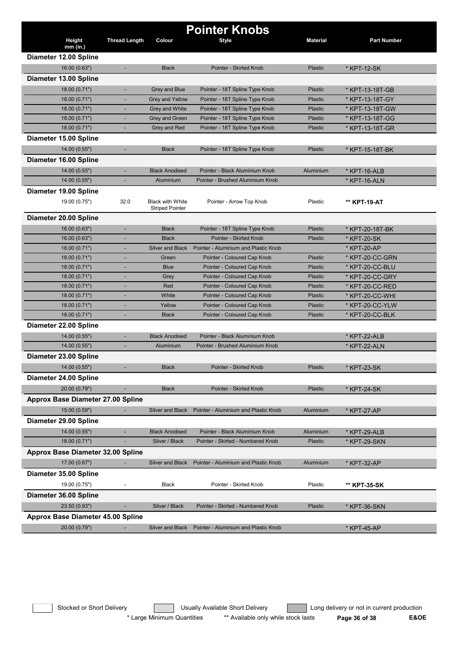|                                          |                          |                                                   | <b>Pointer Knobs</b>                 |                 |                              |
|------------------------------------------|--------------------------|---------------------------------------------------|--------------------------------------|-----------------|------------------------------|
| Height<br>$mm$ (in.)                     | <b>Thread Length</b>     | Colour                                            | <b>Style</b>                         | <b>Material</b> | <b>Part Number</b>           |
| Diameter 12.00 Spline                    |                          |                                                   |                                      |                 |                              |
| 16.00 (0.63")                            | $\blacksquare$           | <b>Black</b>                                      | Pointer - Skirted Knob               | Plastic         | * KPT-12-SK                  |
| Diameter 13.00 Spline                    |                          |                                                   |                                      |                 |                              |
| 18.00 (0.71")                            | ٠                        | Grey and Blue                                     | Pointer - 18T Spline Type Knob       | <b>Plastic</b>  | * KPT-13-18T-GB              |
| 18.00 (0.71")                            | ٠                        | Grey and Yellow                                   | Pointer - 18T Spline Type Knob       | Plastic         | * KPT-13-18T-GY              |
| 18.00 (0.71")                            | ٠                        | <b>Grey and White</b>                             | Pointer - 18T Spline Type Knob       | Plastic         | * KPT-13-18T-GW              |
| 18.00 (0.71")                            |                          | <b>Grey and Green</b>                             | Pointer - 18T Spline Type Knob       | <b>Plastic</b>  | * KPT-13-18T-GG              |
| 18.00 (0.71")                            |                          | Grey and Red                                      | Pointer - 18T Spline Type Knob       | Plastic         | * KPT-13-18T-GR              |
| Diameter 15.00 Spline                    |                          |                                                   |                                      |                 |                              |
| 14.00 (0.55")                            | $\blacksquare$           | <b>Black</b>                                      | Pointer - 18T Spline Type Knob       | <b>Plastic</b>  | * KPT-15-18T-BK              |
| Diameter 16.00 Spline                    |                          |                                                   |                                      |                 |                              |
|                                          |                          | <b>Black Anodised</b>                             | Pointer - Black Aluminium Knob       | Aluminium       | * KPT-16-ALB                 |
| 14.00 (0.55")<br>14.00 (0.55")           | ٠                        | Aluminium                                         | Pointer - Brushed Aluminium Knob     |                 | * KPT-16-ALN                 |
|                                          |                          |                                                   |                                      |                 |                              |
| Diameter 19.00 Spline                    |                          |                                                   |                                      |                 |                              |
| 19.00 (0.75")                            | 32.0                     | <b>Black with White</b><br><b>Striped Pointer</b> | Pointer - Arrow Top Knob             | Plastic         | ** KPT-19-AT                 |
| Diameter 20.00 Spline                    |                          |                                                   |                                      |                 |                              |
| 16.00 (0.63")                            |                          | <b>Black</b>                                      | Pointer - 18T Spline Type Knob       | Plastic         | * KPT-20-18T-BK              |
| 16.00 (0.63")                            |                          | <b>Black</b>                                      | Pointer - Skirted Knob               | Plastic         | * KPT-20-SK                  |
| 18.00 (0.71")                            |                          | <b>Silver and Black</b>                           | Pointer - Aluminium and Plastic Knob |                 | * KPT-20-AP                  |
| 18.00 (0.71")                            |                          | Green                                             | Pointer - Coloured Cap Knob          | <b>Plastic</b>  | * KPT-20-CC-GRN              |
| 18.00 (0.71")                            |                          | <b>Blue</b>                                       | Pointer - Coloured Cap Knob          | Plastic         | * KPT-20-CC-BLU              |
| 18.00 (0.71")                            |                          | Grey                                              | Pointer - Coloured Cap Knob          | <b>Plastic</b>  | * KPT-20-CC-GRY              |
| 18.00 (0.71")                            | ÷,                       | Red                                               | Pointer - Coloured Cap Knob          | <b>Plastic</b>  | * KPT-20-CC-RED              |
| 18.00 (0.71")                            | ٠                        | White                                             | Pointer - Coloured Cap Knob          | Plastic         | * KPT-20-CC-WHI              |
| 18.00 (0.71")                            | ٠                        | Yellow                                            | Pointer - Coloured Cap Knob          | Plastic         | * KPT-20-CC-YLW              |
| 18.00 (0.71")                            | ٠                        | <b>Black</b>                                      | Pointer - Coloured Cap Knob          | Plastic         | * KPT-20-CC-BLK              |
| Diameter 22.00 Spline                    |                          |                                                   |                                      |                 |                              |
| 14.00 (0.55")                            | ٠                        | <b>Black Anodised</b>                             | Pointer - Black Aluminium Knob       |                 | * KPT-22-ALB                 |
| 14.00 (0.55")                            |                          | Aluminium                                         | Pointer - Brushed Aluminium Knob     |                 | * KPT-22-ALN                 |
| Diameter 23.00 Spline                    |                          |                                                   |                                      |                 |                              |
| 14.00 (0.55")                            |                          | <b>Black</b>                                      | Pointer - Skirted Knob               | Plastic         | * KPT-23-SK                  |
| Diameter 24.00 Spline                    |                          |                                                   |                                      |                 |                              |
| 20.00 (0.79")                            |                          | <b>Black</b>                                      | Pointer - Skirted Knob               | Plastic         | * KPT-24-SK                  |
| Approx Base Diameter 27.00 Spline        |                          |                                                   |                                      |                 |                              |
| 15.00 (0.59")                            |                          | <b>Silver and Black</b>                           | Pointer - Aluminium and Plastic Knob | Aluminium       | * KPT-27-AP                  |
| Diameter 29.00 Spline                    |                          |                                                   |                                      |                 |                              |
| 14.00 (0.55")                            |                          | <b>Black Anodised</b>                             | Pointer - Black Aluminium Knob       | Aluminium       |                              |
| 18.00 (0.71")                            |                          | Silver / Black                                    | Pointer - Skirted - Numbered Knob    | Plastic         | * KPT-29-ALB<br>* KPT-29-SKN |
|                                          |                          |                                                   |                                      |                 |                              |
| <b>Approx Base Diameter 32.00 Spline</b> |                          |                                                   |                                      |                 |                              |
| 17.00 (0.67")                            |                          | Silver and Black                                  | Pointer - Aluminium and Plastic Knob | Aluminium       | * KPT-32-AP                  |
| Diameter 35.00 Spline                    |                          |                                                   |                                      |                 |                              |
| 19.00 (0.75")                            | $\overline{\phantom{a}}$ | <b>Black</b>                                      | Pointer - Skirted Knob               | Plastic         | ** KPT-35-SK                 |
| Diameter 36.00 Spline                    |                          |                                                   |                                      |                 |                              |
| 23.50 (0.93")                            |                          | Silver / Black                                    | Pointer - Skirted - Numbered Knob    | Plastic         | * KPT-36-SKN                 |
| <b>Approx Base Diameter 45.00 Spline</b> |                          |                                                   |                                      |                 |                              |
| 20.00 (0.79")                            | ٠                        | Silver and Black                                  | Pointer - Aluminium and Plastic Knob |                 | * KPT-45-AP                  |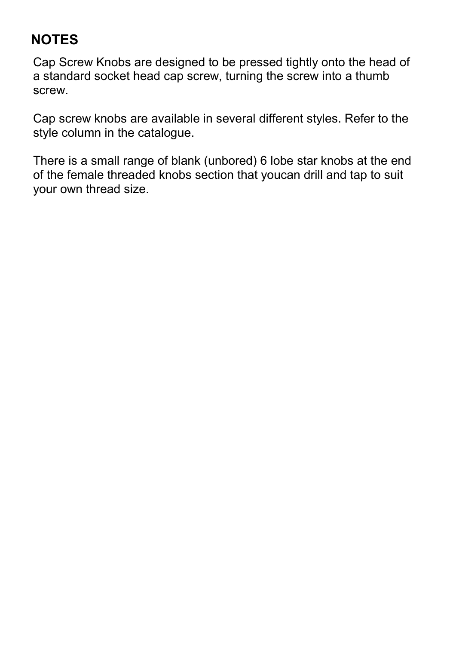#### **NOTES**

Cap Screw Knobs are designed to be pressed tightly onto the head of a standard socket head cap screw, turning the screw into a thumb screw.

Cap screw knobs are available in several different styles. Refer to the style column in the catalogue.

There is a small range of blank (unbored) 6 lobe star knobs at the end of the female threaded knobs section that youcan drill and tap to suit your own thread size.